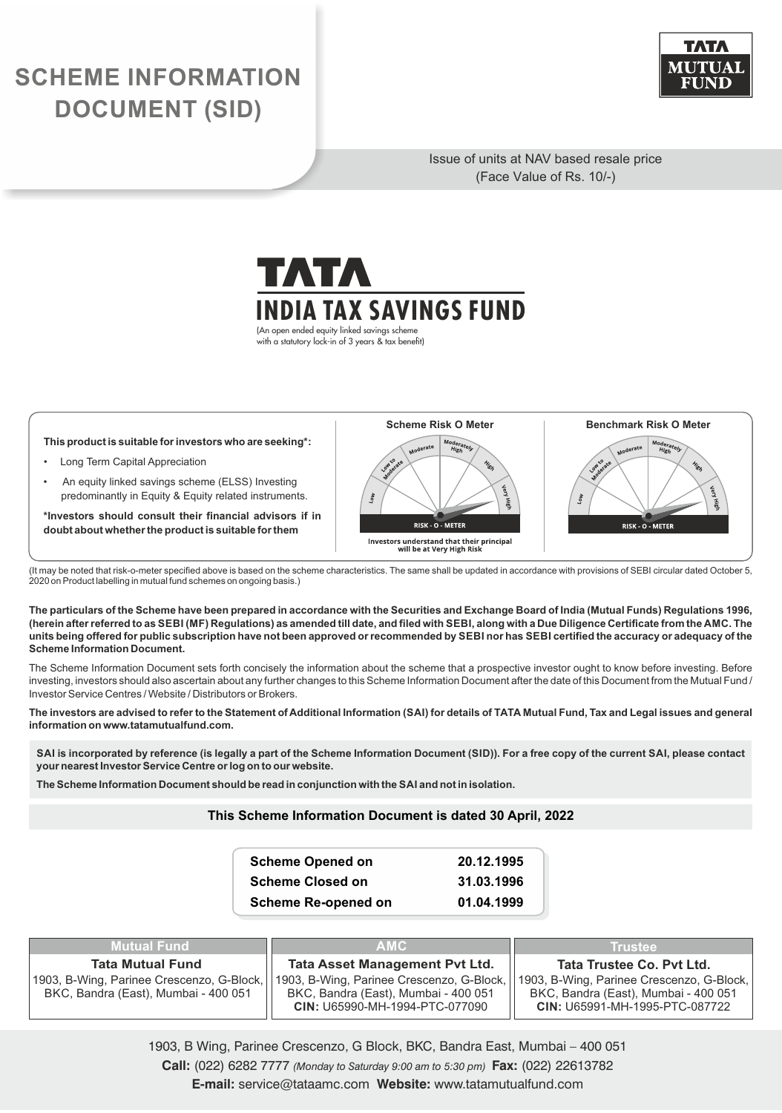# **SCHEME INFORMATION DOCUMENT (SID)**



Issue of units at NAV based resale price (Face Value of Rs. 10/-)



with a statutory lock-in of 3 years & tax benefit)



(It may be noted that risk-o-meter specified above is based on the scheme characteristics. The same shall be updated in accordance with provisions of SEBI circular dated October 5, 2020 on Product labelling in mutual fund schemes on ongoing basis.)

**The particulars of the Scheme have been prepared in accordance with the Securities and Exchange Board of India (Mutual Funds) Regulations 1996, (herein after referred to as SEBI (MF) Regulations) as amended till date, and filed with SEBI, along with a Due Diligence Certificate from the AMC. The units being offered for public subscription have not been approved or recommended by SEBI nor has SEBI certified the accuracy or adequacy of the Scheme Information Document.**

The Scheme Information Document sets forth concisely the information about the scheme that a prospective investor ought to know before investing. Before investing, investors should also ascertain about any further changes to this Scheme Information Document after the date of this Document from the Mutual Fund / Investor Service Centres / Website / Distributors or Brokers.

**The investors are advised to refer to the Statement of Additional Information (SAI) for details of TATA Mutual Fund, Tax and Legal issues and general information on www.tatamutualfund.com.**

SAI is incorporated by reference (is legally a part of the Scheme Information Document (SID)). For a free copy of the current SAI, please contact **your nearest Investor Service Centre or log on to our website.** 

**The Scheme Information Document should be read in conjunction with the SAI and not in isolation.**

### **This Scheme Information Document is dated 30 April, 2022**

| <b>Scheme Opened on</b>    | 20.12.1995 |
|----------------------------|------------|
| <b>Scheme Closed on</b>    | 31.03.1996 |
| <b>Scheme Re-opened on</b> | 01.04.1999 |

| Mutual Fund                                                                       | <b>AMC</b>                                                                                                          | <b>Trustee</b>                                                                                                      |
|-----------------------------------------------------------------------------------|---------------------------------------------------------------------------------------------------------------------|---------------------------------------------------------------------------------------------------------------------|
| <b>Tata Mutual Fund</b>                                                           | <b>Tata Asset Management Pvt Ltd.</b>                                                                               | <b>Tata Trustee Co. Pvt Ltd.</b>                                                                                    |
| 1903, B-Wing, Parinee Crescenzo, G-Block,<br>BKC, Bandra (East), Mumbai - 400 051 | 1903, B-Wing, Parinee Crescenzo, G-Block,<br>BKC, Bandra (East), Mumbai - 400 051<br>CIN: U65990-MH-1994-PTC-077090 | 1903, B-Wing, Parinee Crescenzo, G-Block,<br>BKC, Bandra (East), Mumbai - 400 051<br>CIN: U65991-MH-1995-PTC-087722 |

1903, B Wing, Parinee Crescenzo, G Block, BKC, Bandra East, Mumbai – 400 051 **Call:** (022) 6282 7777 *(Monday to Saturday 9:00 am to 5:30 pm)* **Fax:** (022) 22613782 **E-mail:** service@tataamc.com **Website:** www.tatamutualfund.com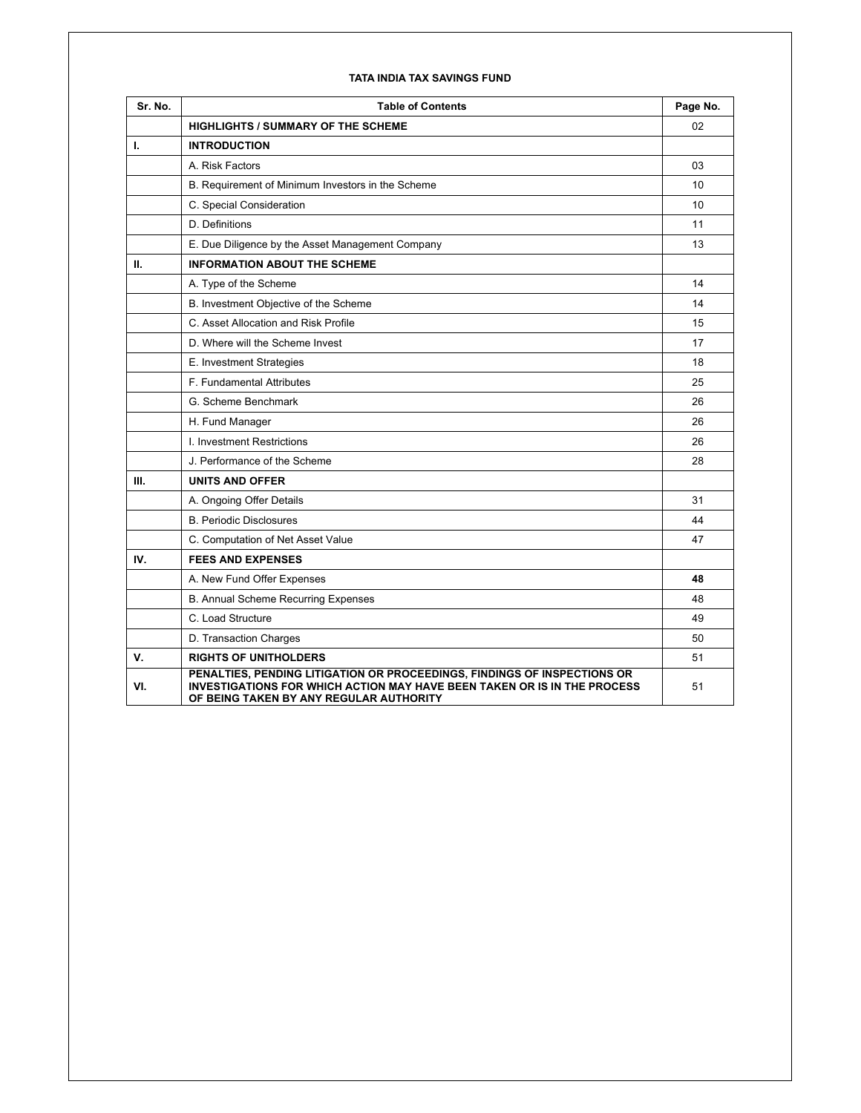| Sr. No. | <b>Table of Contents</b>                                                                                                                                                                               | Page No. |
|---------|--------------------------------------------------------------------------------------------------------------------------------------------------------------------------------------------------------|----------|
|         | <b>HIGHLIGHTS / SUMMARY OF THE SCHEME</b>                                                                                                                                                              | 02       |
| L.      | <b>INTRODUCTION</b>                                                                                                                                                                                    |          |
|         | A. Risk Factors                                                                                                                                                                                        | 03       |
|         | B. Requirement of Minimum Investors in the Scheme                                                                                                                                                      | 10       |
|         | C. Special Consideration                                                                                                                                                                               | 10       |
|         | D. Definitions                                                                                                                                                                                         | 11       |
|         | E. Due Diligence by the Asset Management Company                                                                                                                                                       | 13       |
| Ш.      | <b>INFORMATION ABOUT THE SCHEME</b>                                                                                                                                                                    |          |
|         | A. Type of the Scheme                                                                                                                                                                                  | 14       |
|         | B. Investment Objective of the Scheme                                                                                                                                                                  | 14       |
|         | C. Asset Allocation and Risk Profile                                                                                                                                                                   | 15       |
|         | D. Where will the Scheme Invest                                                                                                                                                                        | 17       |
|         | E. Investment Strategies                                                                                                                                                                               | 18       |
|         | F. Fundamental Attributes                                                                                                                                                                              | 25       |
|         | G. Scheme Benchmark                                                                                                                                                                                    | 26       |
|         | H. Fund Manager                                                                                                                                                                                        | 26       |
|         | <b>I. Investment Restrictions</b>                                                                                                                                                                      | 26       |
|         | J. Performance of the Scheme                                                                                                                                                                           | 28       |
| III.    | <b>UNITS AND OFFER</b>                                                                                                                                                                                 |          |
|         | A. Ongoing Offer Details                                                                                                                                                                               | 31       |
|         | <b>B. Periodic Disclosures</b>                                                                                                                                                                         | 44       |
|         | C. Computation of Net Asset Value                                                                                                                                                                      | 47       |
| IV.     | <b>FEES AND EXPENSES</b>                                                                                                                                                                               |          |
|         | A. New Fund Offer Expenses                                                                                                                                                                             | 48       |
|         | B. Annual Scheme Recurring Expenses                                                                                                                                                                    | 48       |
|         | C. Load Structure                                                                                                                                                                                      | 49       |
|         | D. Transaction Charges                                                                                                                                                                                 | 50       |
| V.      | <b>RIGHTS OF UNITHOLDERS</b>                                                                                                                                                                           | 51       |
| VI.     | PENALTIES, PENDING LITIGATION OR PROCEEDINGS, FINDINGS OF INSPECTIONS OR<br><b>INVESTIGATIONS FOR WHICH ACTION MAY HAVE BEEN TAKEN OR IS IN THE PROCESS</b><br>OF BEING TAKEN BY ANY REGULAR AUTHORITY | 51       |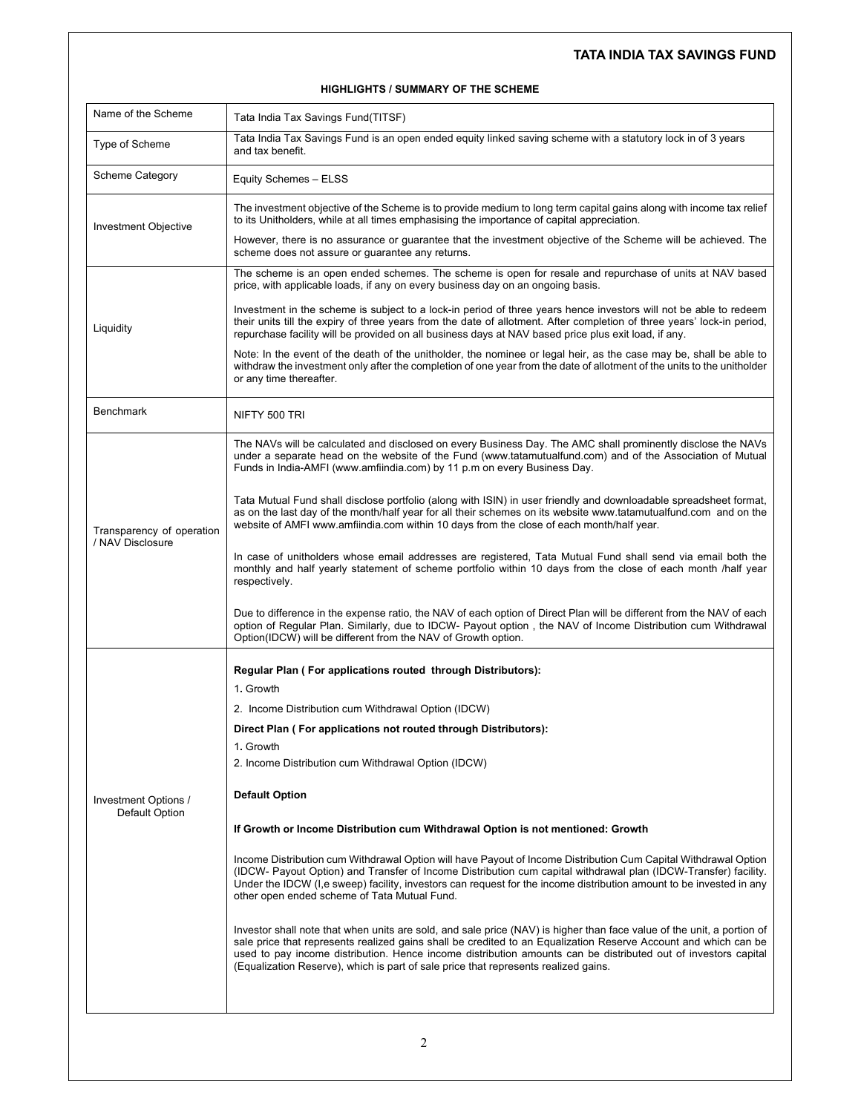### **HIGHLIGHTS / SUMMARY OF THE SCHEME**

| Name of the Scheme        | Tata India Tax Savings Fund(TITSF)                                                                                                                                                                                                                                                                                                                                                                                                                 |
|---------------------------|----------------------------------------------------------------------------------------------------------------------------------------------------------------------------------------------------------------------------------------------------------------------------------------------------------------------------------------------------------------------------------------------------------------------------------------------------|
| Type of Scheme            | Tata India Tax Savings Fund is an open ended equity linked saving scheme with a statutory lock in of 3 years<br>and tax benefit.                                                                                                                                                                                                                                                                                                                   |
| Scheme Category           | Equity Schemes - ELSS                                                                                                                                                                                                                                                                                                                                                                                                                              |
| Investment Objective      | The investment objective of the Scheme is to provide medium to long term capital gains along with income tax relief<br>to its Unitholders, while at all times emphasising the importance of capital appreciation.                                                                                                                                                                                                                                  |
|                           | However, there is no assurance or guarantee that the investment objective of the Scheme will be achieved. The<br>scheme does not assure or guarantee any returns.                                                                                                                                                                                                                                                                                  |
|                           | The scheme is an open ended schemes. The scheme is open for resale and repurchase of units at NAV based<br>price, with applicable loads, if any on every business day on an ongoing basis.                                                                                                                                                                                                                                                         |
| Liquidity                 | Investment in the scheme is subject to a lock-in period of three years hence investors will not be able to redeem<br>their units till the expiry of three years from the date of allotment. After completion of three years' lock-in period,<br>repurchase facility will be provided on all business days at NAV based price plus exit load, if any.                                                                                               |
|                           | Note: In the event of the death of the unitholder, the nominee or legal heir, as the case may be, shall be able to<br>withdraw the investment only after the completion of one year from the date of allotment of the units to the unitholder<br>or any time thereafter.                                                                                                                                                                           |
| <b>Benchmark</b>          | NIFTY 500 TRI                                                                                                                                                                                                                                                                                                                                                                                                                                      |
|                           | The NAVs will be calculated and disclosed on every Business Day. The AMC shall prominently disclose the NAVs<br>under a separate head on the website of the Fund (www.tatamutualfund.com) and of the Association of Mutual<br>Funds in India-AMFI (www.amfiindia.com) by 11 p.m on every Business Day.                                                                                                                                             |
| Transparency of operation | Tata Mutual Fund shall disclose portfolio (along with ISIN) in user friendly and downloadable spreadsheet format,<br>as on the last day of the month/half year for all their schemes on its website www.tatamutualfund.com and on the<br>website of AMFI www.amfiindia.com within 10 days from the close of each month/half year.                                                                                                                  |
| / NAV Disclosure          | In case of unitholders whose email addresses are registered, Tata Mutual Fund shall send via email both the<br>monthly and half yearly statement of scheme portfolio within 10 days from the close of each month /half year<br>respectively.                                                                                                                                                                                                       |
|                           | Due to difference in the expense ratio, the NAV of each option of Direct Plan will be different from the NAV of each<br>option of Regular Plan. Similarly, due to IDCW- Payout option, the NAV of Income Distribution cum Withdrawal<br>Option(IDCW) will be different from the NAV of Growth option.                                                                                                                                              |
|                           | Regular Plan (For applications routed through Distributors):                                                                                                                                                                                                                                                                                                                                                                                       |
|                           | 1. Growth                                                                                                                                                                                                                                                                                                                                                                                                                                          |
|                           | 2. Income Distribution cum Withdrawal Option (IDCW)                                                                                                                                                                                                                                                                                                                                                                                                |
|                           | Direct Plan (For applications not routed through Distributors):<br>1. Growth                                                                                                                                                                                                                                                                                                                                                                       |
|                           | 2. Income Distribution cum Withdrawal Option (IDCW)                                                                                                                                                                                                                                                                                                                                                                                                |
| Investment Options /      | <b>Default Option</b>                                                                                                                                                                                                                                                                                                                                                                                                                              |
| Default Option            | If Growth or Income Distribution cum Withdrawal Option is not mentioned: Growth                                                                                                                                                                                                                                                                                                                                                                    |
|                           | Income Distribution cum Withdrawal Option will have Payout of Income Distribution Cum Capital Withdrawal Option<br>(IDCW- Payout Option) and Transfer of Income Distribution cum capital withdrawal plan (IDCW-Transfer) facility.<br>Under the IDCW (I,e sweep) facility, investors can request for the income distribution amount to be invested in any<br>other open ended scheme of Tata Mutual Fund.                                          |
|                           | Investor shall note that when units are sold, and sale price (NAV) is higher than face value of the unit, a portion of<br>sale price that represents realized gains shall be credited to an Equalization Reserve Account and which can be<br>used to pay income distribution. Hence income distribution amounts can be distributed out of investors capital<br>(Equalization Reserve), which is part of sale price that represents realized gains. |
|                           |                                                                                                                                                                                                                                                                                                                                                                                                                                                    |
|                           |                                                                                                                                                                                                                                                                                                                                                                                                                                                    |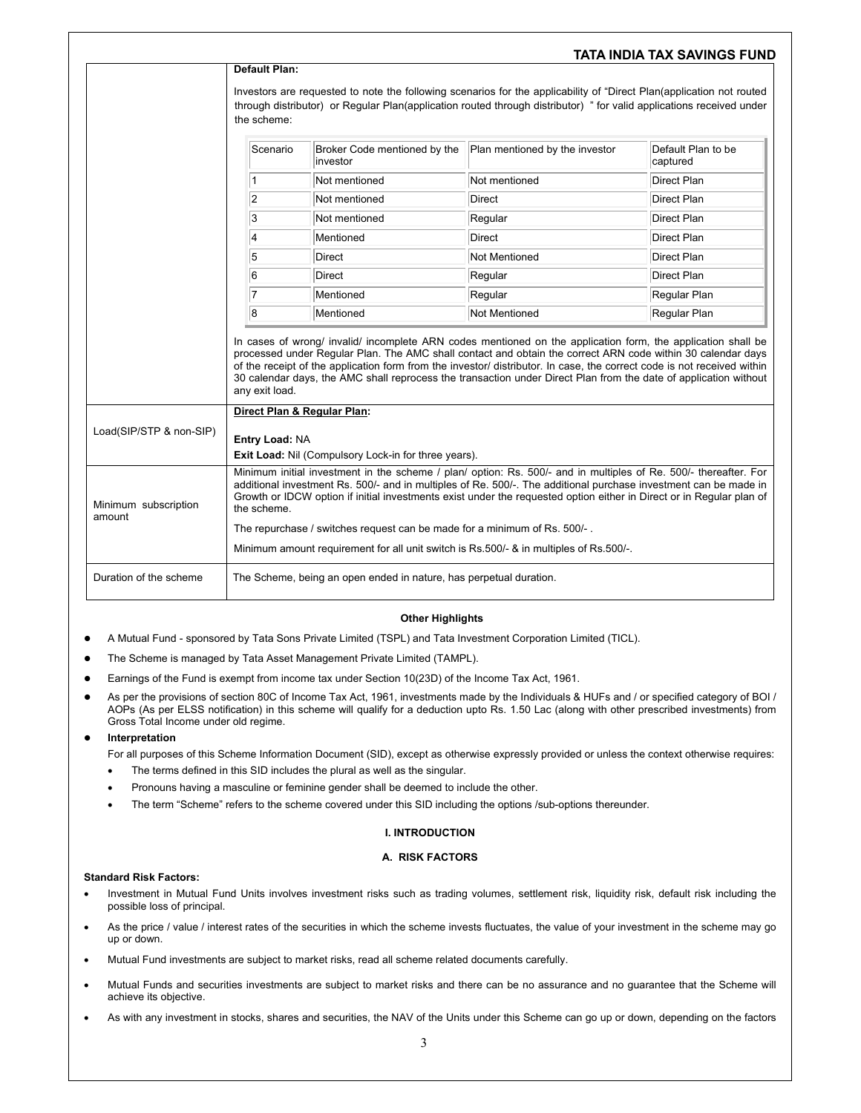|                                | <b>Default Plan:</b>                                            |                                                                           |                                                                                                                                                                                                                                                                                                                                                              |                                |
|--------------------------------|-----------------------------------------------------------------|---------------------------------------------------------------------------|--------------------------------------------------------------------------------------------------------------------------------------------------------------------------------------------------------------------------------------------------------------------------------------------------------------------------------------------------------------|--------------------------------|
|                                | the scheme:                                                     |                                                                           | Investors are requested to note the following scenarios for the applicability of "Direct Plan(application not routed<br>through distributor) or Regular Plan(application routed through distributor) " for valid applications received under                                                                                                                 |                                |
|                                | Scenario                                                        | Broker Code mentioned by the<br>investor                                  | Plan mentioned by the investor                                                                                                                                                                                                                                                                                                                               | Default Plan to be<br>captured |
|                                | 1                                                               | Not mentioned                                                             | Not mentioned                                                                                                                                                                                                                                                                                                                                                | Direct Plan                    |
|                                | 2                                                               | Not mentioned                                                             | Direct                                                                                                                                                                                                                                                                                                                                                       | Direct Plan                    |
|                                | 3                                                               | Not mentioned                                                             | Regular                                                                                                                                                                                                                                                                                                                                                      | Direct Plan                    |
|                                | 4                                                               | Mentioned                                                                 | Direct                                                                                                                                                                                                                                                                                                                                                       | Direct Plan                    |
|                                | 5                                                               | Direct                                                                    | Not Mentioned                                                                                                                                                                                                                                                                                                                                                | <b>Direct Plan</b>             |
|                                | 6                                                               | Direct                                                                    | Regular                                                                                                                                                                                                                                                                                                                                                      | Direct Plan                    |
|                                | 17                                                              | Mentioned                                                                 | Regular                                                                                                                                                                                                                                                                                                                                                      | Regular Plan                   |
|                                |                                                                 |                                                                           |                                                                                                                                                                                                                                                                                                                                                              |                                |
|                                | 8                                                               | Mentioned                                                                 | Not Mentioned<br>In cases of wrong/ invalid/ incomplete ARN codes mentioned on the application form, the application shall be                                                                                                                                                                                                                                | Regular Plan                   |
|                                | any exit load.<br>Direct Plan & Regular Plan:<br>Entry Load: NA |                                                                           | processed under Regular Plan. The AMC shall contact and obtain the correct ARN code within 30 calendar days<br>of the receipt of the application form from the investor/ distributor. In case, the correct code is not received within<br>30 calendar days, the AMC shall reprocess the transaction under Direct Plan from the date of application without   |                                |
| Load(SIP/STP & non-SIP)        |                                                                 | Exit Load: Nil (Compulsory Lock-in for three years).                      |                                                                                                                                                                                                                                                                                                                                                              |                                |
| Minimum subscription<br>amount | the scheme.                                                     | The repurchase / switches request can be made for a minimum of Rs. 500/-. | Minimum initial investment in the scheme / plan/ option: Rs. 500/- and in multiples of Re. 500/- thereafter. For<br>additional investment Rs. 500/- and in multiples of Re. 500/-. The additional purchase investment can be made in<br>Growth or IDCW option if initial investments exist under the requested option either in Direct or in Regular plan of |                                |
|                                |                                                                 |                                                                           | Minimum amount requirement for all unit switch is Rs.500/- & in multiples of Rs.500/-.                                                                                                                                                                                                                                                                       |                                |

#### **Other Highlights**

- A Mutual Fund sponsored by Tata Sons Private Limited (TSPL) and Tata Investment Corporation Limited (TICL).
- The Scheme is managed by Tata Asset Management Private Limited (TAMPL).
- Earnings of the Fund is exempt from income tax under Section 10(23D) of the Income Tax Act, 1961.
- As per the provisions of section 80C of Income Tax Act, 1961, investments made by the Individuals & HUFs and / or specified category of BOI / AOPs (As per ELSS notification) in this scheme will qualify for a deduction upto Rs. 1.50 Lac (along with other prescribed investments) from Gross Total Income under old regime.

#### **Interpretation**

For all purposes of this Scheme Information Document (SID), except as otherwise expressly provided or unless the context otherwise requires:

- The terms defined in this SID includes the plural as well as the singular.
- Pronouns having a masculine or feminine gender shall be deemed to include the other.
- The term "Scheme" refers to the scheme covered under this SID including the options /sub-options thereunder.

#### **I. INTRODUCTION**

### **A. RISK FACTORS**

#### **Standard Risk Factors:**

- Investment in Mutual Fund Units involves investment risks such as trading volumes, settlement risk, liquidity risk, default risk including the possible loss of principal.
- As the price / value / interest rates of the securities in which the scheme invests fluctuates, the value of your investment in the scheme may go up or down.
- Mutual Fund investments are subject to market risks, read all scheme related documents carefully.
- Mutual Funds and securities investments are subject to market risks and there can be no assurance and no guarantee that the Scheme will achieve its objective.
- As with any investment in stocks, shares and securities, the NAV of the Units under this Scheme can go up or down, depending on the factors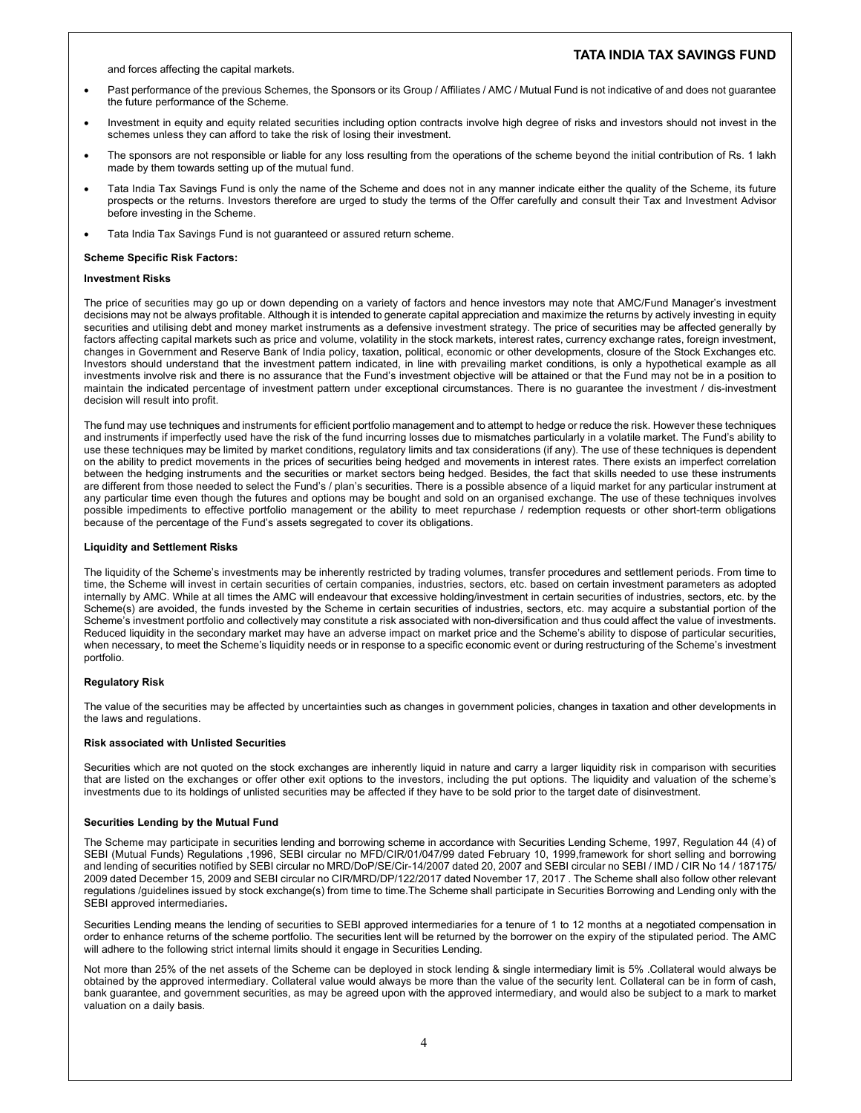and forces affecting the capital markets.

- Past performance of the previous Schemes, the Sponsors or its Group / Affiliates / AMC / Mutual Fund is not indicative of and does not guarantee the future performance of the Scheme.
- Investment in equity and equity related securities including option contracts involve high degree of risks and investors should not invest in the schemes unless they can afford to take the risk of losing their investment.
- The sponsors are not responsible or liable for any loss resulting from the operations of the scheme beyond the initial contribution of Rs. 1 lakh made by them towards setting up of the mutual fund.
- Tata India Tax Savings Fund is only the name of the Scheme and does not in any manner indicate either the quality of the Scheme, its future prospects or the returns. Investors therefore are urged to study the terms of the Offer carefully and consult their Tax and Investment Advisor before investing in the Scheme.
- Tata India Tax Savings Fund is not guaranteed or assured return scheme.

#### **Scheme Specific Risk Factors:**

#### **Investment Risks**

The price of securities may go up or down depending on a variety of factors and hence investors may note that AMC/Fund Manager's investment decisions may not be always profitable. Although it is intended to generate capital appreciation and maximize the returns by actively investing in equity securities and utilising debt and money market instruments as a defensive investment strategy. The price of securities may be affected generally by factors affecting capital markets such as price and volume, volatility in the stock markets, interest rates, currency exchange rates, foreign investment, changes in Government and Reserve Bank of India policy, taxation, political, economic or other developments, closure of the Stock Exchanges etc. Investors should understand that the investment pattern indicated, in line with prevailing market conditions, is only a hypothetical example as all investments involve risk and there is no assurance that the Fund's investment objective will be attained or that the Fund may not be in a position to maintain the indicated percentage of investment pattern under exceptional circumstances. There is no guarantee the investment / dis-investment decision will result into profit.

The fund may use techniques and instruments for efficient portfolio management and to attempt to hedge or reduce the risk. However these techniques and instruments if imperfectly used have the risk of the fund incurring losses due to mismatches particularly in a volatile market. The Fund's ability to use these techniques may be limited by market conditions, regulatory limits and tax considerations (if any). The use of these techniques is dependent on the ability to predict movements in the prices of securities being hedged and movements in interest rates. There exists an imperfect correlation between the hedging instruments and the securities or market sectors being hedged. Besides, the fact that skills needed to use these instruments are different from those needed to select the Fund's / plan's securities. There is a possible absence of a liquid market for any particular instrument at any particular time even though the futures and options may be bought and sold on an organised exchange. The use of these techniques involves possible impediments to effective portfolio management or the ability to meet repurchase / redemption requests or other short-term obligations because of the percentage of the Fund's assets segregated to cover its obligations.

#### **Liquidity and Settlement Risks**

The liquidity of the Scheme's investments may be inherently restricted by trading volumes, transfer procedures and settlement periods. From time to time, the Scheme will invest in certain securities of certain companies, industries, sectors, etc. based on certain investment parameters as adopted internally by AMC. While at all times the AMC will endeavour that excessive holding/investment in certain securities of industries, sectors, etc. by the Scheme(s) are avoided, the funds invested by the Scheme in certain securities of industries, sectors, etc. may acquire a substantial portion of the Scheme's investment portfolio and collectively may constitute a risk associated with non-diversification and thus could affect the value of investments. Reduced liquidity in the secondary market may have an adverse impact on market price and the Scheme's ability to dispose of particular securities, when necessary, to meet the Scheme's liquidity needs or in response to a specific economic event or during restructuring of the Scheme's investment portfolio.

#### **Regulatory Risk**

The value of the securities may be affected by uncertainties such as changes in government policies, changes in taxation and other developments in the laws and regulations.

#### **Risk associated with Unlisted Securities**

Securities which are not quoted on the stock exchanges are inherently liquid in nature and carry a larger liquidity risk in comparison with securities that are listed on the exchanges or offer other exit options to the investors, including the put options. The liquidity and valuation of the scheme's investments due to its holdings of unlisted securities may be affected if they have to be sold prior to the target date of disinvestment.

#### **Securities Lending by the Mutual Fund**

The Scheme may participate in securities lending and borrowing scheme in accordance with Securities Lending Scheme, 1997, Regulation 44 (4) of SEBI (Mutual Funds) Regulations ,1996, SEBI circular no MFD/CIR/01/047/99 dated February 10, 1999,framework for short selling and borrowing and lending of securities notified by SEBI circular no MRD/DoP/SE/Cir-14/2007 dated 20, 2007 and SEBI circular no SEBI / IMD / CIR No 14 / 187175/ 2009 dated December 15, 2009 and SEBI circular no CIR/MRD/DP/122/2017 dated November 17, 2017 . The Scheme shall also follow other relevant regulations /guidelines issued by stock exchange(s) from time to time.The Scheme shall participate in Securities Borrowing and Lending only with the SEBI approved intermediaries**.** 

Securities Lending means the lending of securities to SEBI approved intermediaries for a tenure of 1 to 12 months at a negotiated compensation in order to enhance returns of the scheme portfolio. The securities lent will be returned by the borrower on the expiry of the stipulated period. The AMC will adhere to the following strict internal limits should it engage in Securities Lending.

Not more than 25% of the net assets of the Scheme can be deployed in stock lending & single intermediary limit is 5% .Collateral would always be obtained by the approved intermediary. Collateral value would always be more than the value of the security lent. Collateral can be in form of cash, bank guarantee, and government securities, as may be agreed upon with the approved intermediary, and would also be subject to a mark to market valuation on a daily basis.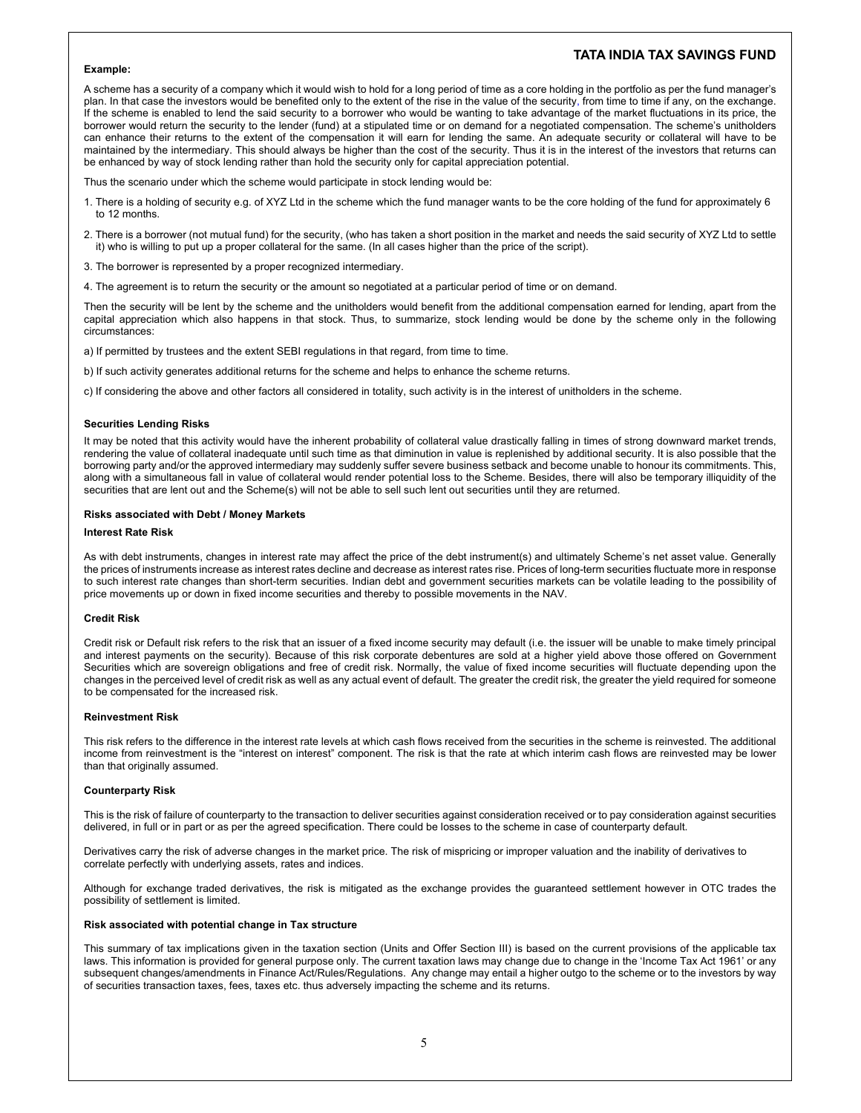#### **Example:**

A scheme has a security of a company which it would wish to hold for a long period of time as a core holding in the portfolio as per the fund manager's plan. In that case the investors would be benefited only to the extent of the rise in the value of the security, from time to time if any, on the exchange. If the scheme is enabled to lend the said security to a borrower who would be wanting to take advantage of the market fluctuations in its price, the borrower would return the security to the lender (fund) at a stipulated time or on demand for a negotiated compensation. The scheme's unitholders can enhance their returns to the extent of the compensation it will earn for lending the same. An adequate security or collateral will have to be maintained by the intermediary. This should always be higher than the cost of the security. Thus it is in the interest of the investors that returns can be enhanced by way of stock lending rather than hold the security only for capital appreciation potential.

Thus the scenario under which the scheme would participate in stock lending would be:

- 1. There is a holding of security e.g. of XYZ Ltd in the scheme which the fund manager wants to be the core holding of the fund for approximately 6 to 12 months.
- 2. There is a borrower (not mutual fund) for the security, (who has taken a short position in the market and needs the said security of XYZ Ltd to settle it) who is willing to put up a proper collateral for the same. (In all cases higher than the price of the script).
- 3. The borrower is represented by a proper recognized intermediary.
- 4. The agreement is to return the security or the amount so negotiated at a particular period of time or on demand.

Then the security will be lent by the scheme and the unitholders would benefit from the additional compensation earned for lending, apart from the capital appreciation which also happens in that stock. Thus, to summarize, stock lending would be done by the scheme only in the following circumstances:

a) If permitted by trustees and the extent SEBI regulations in that regard, from time to time.

b) If such activity generates additional returns for the scheme and helps to enhance the scheme returns.

c) If considering the above and other factors all considered in totality, such activity is in the interest of unitholders in the scheme.

#### **Securities Lending Risks**

It may be noted that this activity would have the inherent probability of collateral value drastically falling in times of strong downward market trends, rendering the value of collateral inadequate until such time as that diminution in value is replenished by additional security. It is also possible that the borrowing party and/or the approved intermediary may suddenly suffer severe business setback and become unable to honour its commitments. This, along with a simultaneous fall in value of collateral would render potential loss to the Scheme. Besides, there will also be temporary illiquidity of the securities that are lent out and the Scheme(s) will not be able to sell such lent out securities until they are returned.

#### **Risks associated with Debt / Money Markets**

#### **Interest Rate Risk**

As with debt instruments, changes in interest rate may affect the price of the debt instrument(s) and ultimately Scheme's net asset value. Generally the prices of instruments increase as interest rates decline and decrease as interest rates rise. Prices of long-term securities fluctuate more in response to such interest rate changes than short-term securities. Indian debt and government securities markets can be volatile leading to the possibility of price movements up or down in fixed income securities and thereby to possible movements in the NAV.

#### **Credit Risk**

Credit risk or Default risk refers to the risk that an issuer of a fixed income security may default (i.e. the issuer will be unable to make timely principal and interest payments on the security). Because of this risk corporate debentures are sold at a higher yield above those offered on Government Securities which are sovereign obligations and free of credit risk. Normally, the value of fixed income securities will fluctuate depending upon the changes in the perceived level of credit risk as well as any actual event of default. The greater the credit risk, the greater the yield required for someone to be compensated for the increased risk.

#### **Reinvestment Risk**

This risk refers to the difference in the interest rate levels at which cash flows received from the securities in the scheme is reinvested. The additional income from reinvestment is the "interest on interest" component. The risk is that the rate at which interim cash flows are reinvested may be lower than that originally assumed.

#### **Counterparty Risk**

This is the risk of failure of counterparty to the transaction to deliver securities against consideration received or to pay consideration against securities delivered, in full or in part or as per the agreed specification. There could be losses to the scheme in case of counterparty default.

Derivatives carry the risk of adverse changes in the market price. The risk of mispricing or improper valuation and the inability of derivatives to correlate perfectly with underlying assets, rates and indices.

Although for exchange traded derivatives, the risk is mitigated as the exchange provides the guaranteed settlement however in OTC trades the possibility of settlement is limited.

### **Risk associated with potential change in Tax structure**

This summary of tax implications given in the taxation section (Units and Offer Section III) is based on the current provisions of the applicable tax laws. This information is provided for general purpose only. The current taxation laws may change due to change in the 'Income Tax Act 1961' or any subsequent changes/amendments in Finance Act/Rules/Regulations. Any change may entail a higher outgo to the scheme or to the investors by way of securities transaction taxes, fees, taxes etc. thus adversely impacting the scheme and its returns.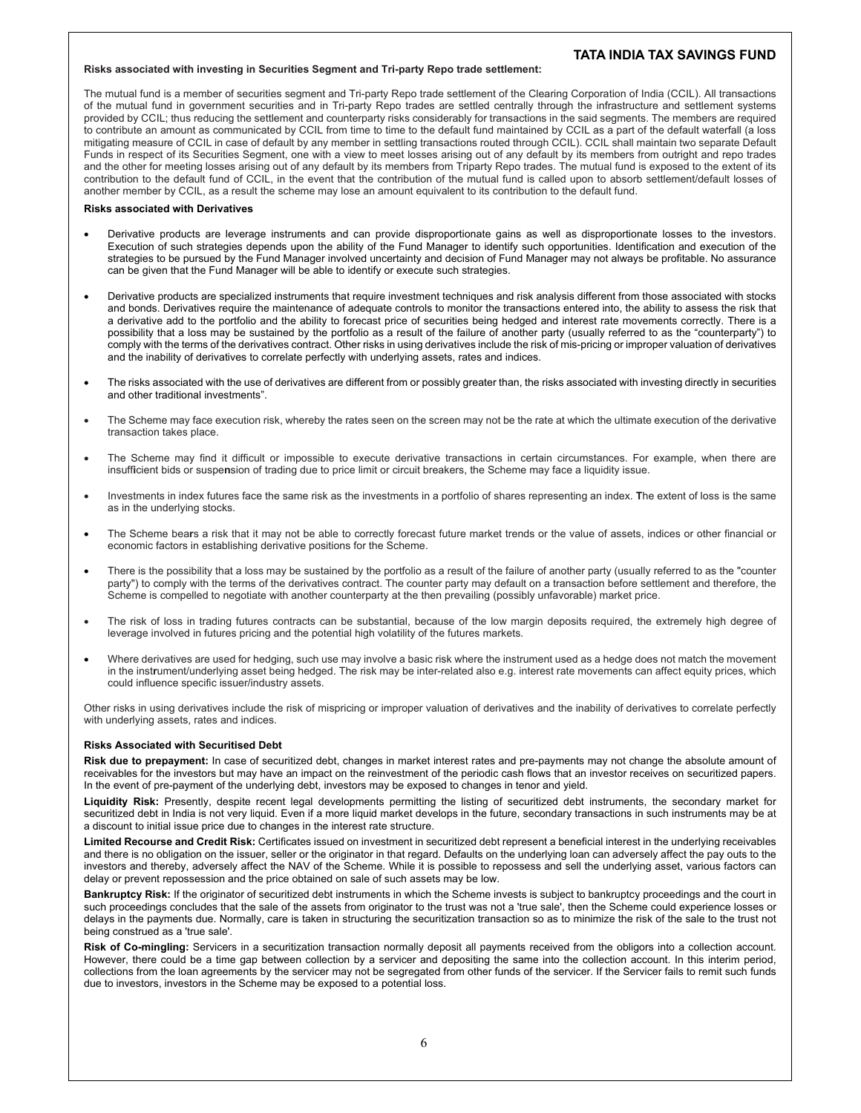#### **Risks associated with investing in Securities Segment and Tri-party Repo trade settlement:**

### **TATA INDIA TAX SAVINGS FUND**

The mutual fund is a member of securities segment and Tri-party Repo trade settlement of the Clearing Corporation of India (CCIL). All transactions of the mutual fund in government securities and in Tri-party Repo trades are settled centrally through the infrastructure and settlement systems provided by CCIL; thus reducing the settlement and counterparty risks considerably for transactions in the said segments. The members are required to contribute an amount as communicated by CCIL from time to time to the default fund maintained by CCIL as a part of the default waterfall (a loss mitigating measure of CCIL in case of default by any member in settling transactions routed through CCIL). CCIL shall maintain two separate Default Funds in respect of its Securities Segment, one with a view to meet losses arising out of any default by its members from outright and repo trades and the other for meeting losses arising out of any default by its members from Triparty Repo trades. The mutual fund is exposed to the extent of its contribution to the default fund of CCIL, in the event that the contribution of the mutual fund is called upon to absorb settlement/default losses of another member by CCIL, as a result the scheme may lose an amount equivalent to its contribution to the default fund.

### **Risks associated with Derivatives**

- Derivative products are leverage instruments and can provide disproportionate gains as well as disproportionate losses to the investors. Execution of such strategies depends upon the ability of the Fund Manager to identify such opportunities. Identification and execution of the strategies to be pursued by the Fund Manager involved uncertainty and decision of Fund Manager may not always be profitable. No assurance can be given that the Fund Manager will be able to identify or execute such strategies.
- Derivative products are specialized instruments that require investment techniques and risk analysis different from those associated with stocks and bonds. Derivatives require the maintenance of adequate controls to monitor the transactions entered into, the ability to assess the risk that a derivative add to the portfolio and the ability to forecast price of securities being hedged and interest rate movements correctly. There is a possibility that a loss may be sustained by the portfolio as a result of the failure of another party (usually referred to as the "counterparty") to comply with the terms of the derivatives contract. Other risks in using derivatives include the risk of mis-pricing or improper valuation of derivatives and the inability of derivatives to correlate perfectly with underlying assets, rates and indices.
- The risks associated with the use of derivatives are different from or possibly greater than, the risks associated with investing directly in securities and other traditional investments".
- The Scheme may face execution risk, whereby the rates seen on the screen may not be the rate at which the ultimate execution of the derivative transaction takes place.
- The Scheme may find it difficult or impossible to execute derivative transactions in certain circumstances. For example, when there are insuff**i**cient bids or suspe**n**sion of trading due to price limit or circuit breakers, the Scheme may face a liquidity issue.
- Investments in index futures face the same risk as the investments in a portfolio of shares representing an index. **T**he extent of loss is the same as in the underlying stocks.
- The Scheme bea**r**s a risk that it may not be able to correctly forecast future market trends or the value of assets, indices or other financial or economic factors in establishing derivative positions for the Scheme.
- There is the possibility that a loss may be sustained by the portfolio as a result of the failure of another party (usually referred to as the "counter party") to comply with the terms of the derivatives contract. The counter party may default on a transaction before settlement and therefore, the Scheme is compelled to negotiate with another counterparty at the then prevailing (possibly unfavorable) market price.
- The risk of loss in trading futures contracts can be substantial, because of the low margin deposits required, the extremely high degree of leverage involved in futures pricing and the potential high volatility of the futures markets.
- Where derivatives are used for hedging, such use may involve a basic risk where the instrument used as a hedge does not match the movement in the inst**r**ument/underlying asset being hedged. The risk may be inter-related also e.g. interest rate movements can affect equity prices, which could influence specific issuer/industry assets.

Other risks in using derivatives include the risk of mispricing or improper valuation of derivatives and the inability of derivatives to correlate perfectly with underlying assets, rates and indices.

#### **Risks Associated with Securitised Debt**

**Risk due to prepayment:** In case of securitized debt, changes in market interest rates and pre-payments may not change the absolute amount of receivables for the investors but may have an impact on the reinvestment of the periodic cash flows that an investor receives on securitized papers. In the event of pre-payment of the underlying debt, investors may be exposed to changes in tenor and yield.

**Liquidity Risk:** Presently, despite recent legal developments permitting the listing of securitized debt instruments, the secondary market for securitized debt in India is not very liquid. Even if a more liquid market develops in the future, secondary transactions in such instruments may be at a discount to initial issue price due to changes in the interest rate structure.

**Limited Recourse and Credit Risk:** Certificates issued on investment in securitized debt represent a beneficial interest in the underlying receivables and there is no obligation on the issuer, seller or the originator in that regard. Defaults on the underlying loan can adversely affect the pay outs to the investors and thereby, adversely affect the NAV of the Scheme. While it is possible to repossess and sell the underlying asset, various factors can delay or prevent repossession and the price obtained on sale of such assets may be low.

**Bankruptcy Risk:** If the originator of securitized debt instruments in which the Scheme invests is subject to bankruptcy proceedings and the court in such proceedings concludes that the sale of the assets from originator to the trust was not a 'true sale', then the Scheme could experience losses or delays in the payments due. Normally, care is taken in structuring the securitization transaction so as to minimize the risk of the sale to the trust not being construed as a 'true sale'.

**Risk of Co-mingling:** Servicers in a securitization transaction normally deposit all payments received from the obligors into a collection account. However, there could be a time gap between collection by a servicer and depositing the same into the collection account. In this interim period, collections from the loan agreements by the servicer may not be segregated from other funds of the servicer. If the Servicer fails to remit such funds due to investors, investors in the Scheme may be exposed to a potential loss.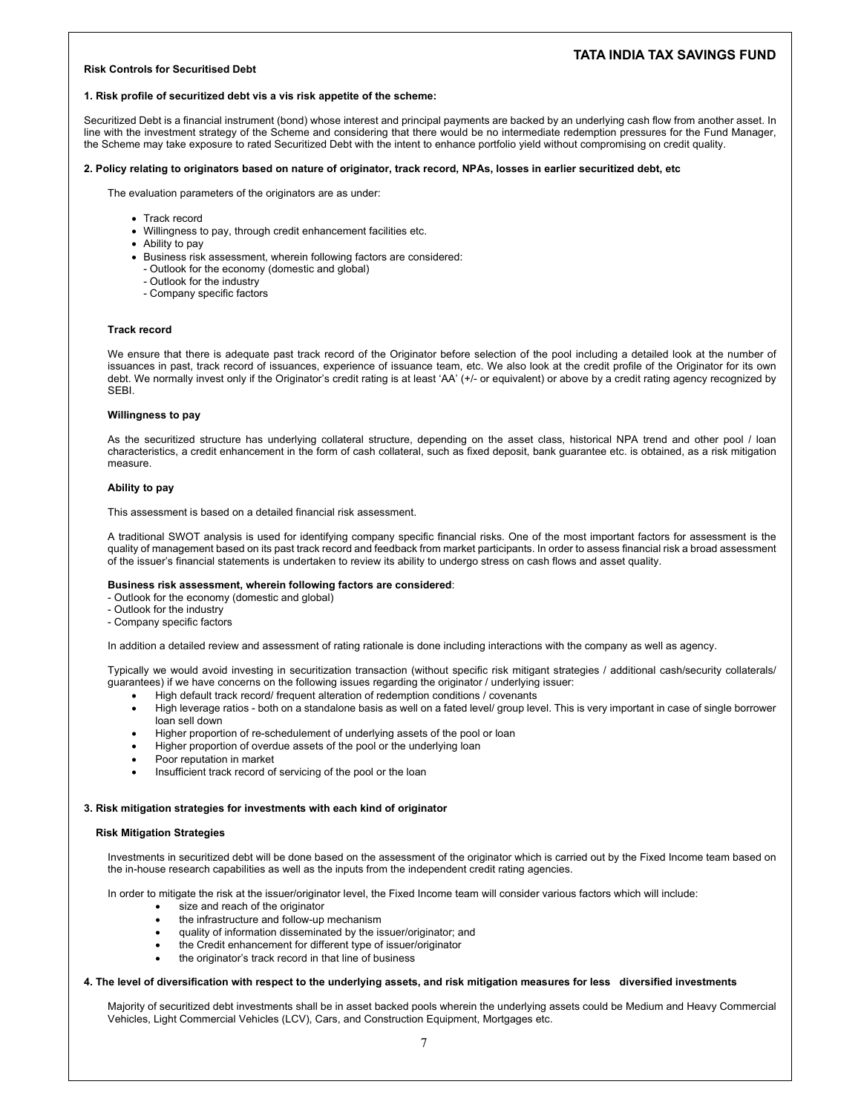#### **Risk Controls for Securitised Debt**

#### **1. Risk profile of securitized debt vis a vis risk appetite of the scheme:**

Securitized Debt is a financial instrument (bond) whose interest and principal payments are backed by an underlying cash flow from another asset. In line with the investment strategy of the Scheme and considering that there would be no intermediate redemption pressures for the Fund Manager, the Scheme may take exposure to rated Securitized Debt with the intent to enhance portfolio yield without compromising on credit quality.

#### **2. Policy relating to originators based on nature of originator, track record, NPAs, losses in earlier securitized debt, etc**

The evaluation parameters of the originators are as under:

- Track record
- Willingness to pay, through credit enhancement facilities etc.
- Ability to pay
- Business risk assessment, wherein following factors are considered:
	- Outlook for the economy (domestic and global)
	- Outlook for the industry
	- Company specific factors

#### **Track record**

We ensure that there is adequate past track record of the Originator before selection of the pool including a detailed look at the number of issuances in past, track record of issuances, experience of issuance team, etc. We also look at the credit profile of the Originator for its own debt. We normally invest only if the Originator's credit rating is at least 'AA' (+/- or equivalent) or above by a credit rating agency recognized by SEBI.

#### **Willingness to pay**

As the securitized structure has underlying collateral structure, depending on the asset class, historical NPA trend and other pool / loan characteristics, a credit enhancement in the form of cash collateral, such as fixed deposit, bank guarantee etc. is obtained, as a risk mitigation measure.

#### **Ability to pay**

This assessment is based on a detailed financial risk assessment.

A traditional SWOT analysis is used for identifying company specific financial risks. One of the most important factors for assessment is the quality of management based on its past track record and feedback from market participants. In order to assess financial risk a broad assessment of the issuer's financial statements is undertaken to review its ability to undergo stress on cash flows and asset quality.

#### **Business risk assessment, wherein following factors are considered**:

- Outlook for the economy (domestic and global)

- Outlook for the industry
- Company specific factors

In addition a detailed review and assessment of rating rationale is done including interactions with the company as well as agency.

Typically we would avoid investing in securitization transaction (without specific risk mitigant strategies / additional cash/security collaterals/ guarantees) if we have concerns on the following issues regarding the originator / underlying issuer:

- High default track record/ frequent alteration of redemption conditions / covenants
- High leverage ratios both on a standalone basis as well on a fated level/ group level. This is very important in case of single borrower loan sell down
- Higher proportion of re-schedulement of underlying assets of the pool or loan
- Higher proportion of overdue assets of the pool or the underlying loan
- Poor reputation in market
- Insufficient track record of servicing of the pool or the loan

#### **3. Risk mitigation strategies for investments with each kind of originator**

#### **Risk Mitigation Strategies**

Investments in securitized debt will be done based on the assessment of the originator which is carried out by the Fixed Income team based on the in-house research capabilities as well as the inputs from the independent credit rating agencies.

In order to mitigate the risk at the issuer/originator level, the Fixed Income team will consider various factors which will include:

- size and reach of the originator
- the infrastructure and follow-up mechanism
- quality of information disseminated by the issuer/originator; and
- the Credit enhancement for different type of issuer/originator
- the originator's track record in that line of business

#### **4. The level of diversification with respect to the underlying assets, and risk mitigation measures for less diversified investments**

Majority of securitized debt investments shall be in asset backed pools wherein the underlying assets could be Medium and Heavy Commercial Vehicles, Light Commercial Vehicles (LCV), Cars, and Construction Equipment, Mortgages etc.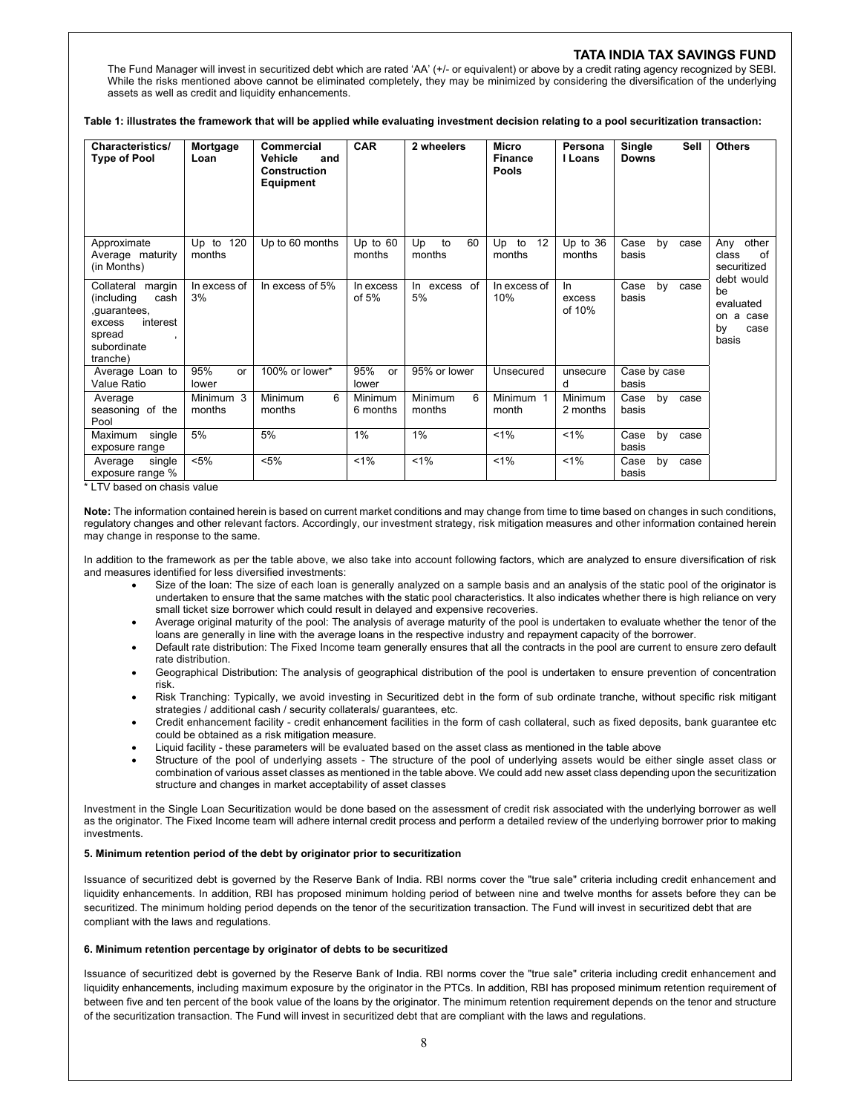The Fund Manager will invest in securitized debt which are rated 'AA' (+/- or equivalent) or above by a credit rating agency recognized by SEBI. While the risks mentioned above cannot be eliminated completely, they may be minimized by considering the diversification of the underlying assets as well as credit and liquidity enhancements.

|  |  | Table 1: illustrates the framework that will be applied while evaluating investment decision relating to a pool securitization transaction: |
|--|--|---------------------------------------------------------------------------------------------------------------------------------------------|
|  |  |                                                                                                                                             |

| Characteristics/<br><b>Type of Pool</b>                                                                                | Mortgage<br>Loan    | Commercial<br>Vehicle<br>and<br>Construction<br>Equipment | <b>CAR</b>           | 2 wheelers               | <b>Micro</b><br><b>Finance</b><br><b>Pools</b> | Persona<br>I Loans            | Single<br><b>Downs</b> | Sell | <b>Others</b>                                            |
|------------------------------------------------------------------------------------------------------------------------|---------------------|-----------------------------------------------------------|----------------------|--------------------------|------------------------------------------------|-------------------------------|------------------------|------|----------------------------------------------------------|
| Approximate<br>Average maturity<br>(in Months)                                                                         | Up to 120<br>months | Up to 60 months                                           | Up to $60$<br>months | Up<br>to<br>60<br>months | Up to<br>12<br>months                          | Up to $36$<br>months          | Case<br>by<br>basis    | case | other<br>Any<br>class<br>of<br>securitized<br>debt would |
| Collateral<br>margin<br>(including<br>cash<br>, guarantees,<br>interest<br>excess<br>spread<br>subordinate<br>tranche) | In excess of<br>3%  | In excess of 5%                                           | In excess<br>of $5%$ | In excess of<br>5%       | In excess of<br>10%                            | <b>In</b><br>excess<br>of 10% | Case<br>by<br>basis    | case | be<br>evaluated<br>on a case<br>by<br>case<br>basis      |
| Average Loan to<br>Value Ratio                                                                                         | 95%<br>or<br>lower  | 100% or lower*                                            | 95%<br>or<br>lower   | 95% or lower             | Unsecured                                      | unsecure<br>d                 | Case by case<br>basis  |      |                                                          |
| Average<br>seasoning of the<br>Pool                                                                                    | Minimum 3<br>months | Minimum<br>6<br>months                                    | Minimum<br>6 months  | Minimum<br>6<br>months   | Minimum 1<br>month                             | Minimum<br>2 months           | Case<br>by<br>basis    | case |                                                          |
| Maximum<br>single<br>exposure range                                                                                    | 5%                  | 5%                                                        | $1\%$                | 1%                       | $1\%$                                          | $1\%$                         | Case<br>by<br>basis    | case |                                                          |
| Average<br>single<br>exposure range %                                                                                  | $< 5\%$             | $< 5\%$                                                   | 1%                   | 1%                       | 1%                                             | 1%                            | by<br>Case<br>basis    | case |                                                          |

\* LTV based on chasis value

**Note:** The information contained herein is based on current market conditions and may change from time to time based on changes in such conditions, regulatory changes and other relevant factors. Accordingly, our investment strategy, risk mitigation measures and other information contained herein may change in response to the same.

In addition to the framework as per the table above, we also take into account following factors, which are analyzed to ensure diversification of risk and measures identified for less diversified investments:

- Size of the loan: The size of each loan is generally analyzed on a sample basis and an analysis of the static pool of the originator is undertaken to ensure that the same matches with the static pool characteristics. It also indicates whether there is high reliance on very small ticket size borrower which could result in delayed and expensive recoveries.
- Average original maturity of the pool: The analysis of average maturity of the pool is undertaken to evaluate whether the tenor of the loans are generally in line with the average loans in the respective industry and repayment capacity of the borrower.
- Default rate distribution: The Fixed Income team generally ensures that all the contracts in the pool are current to ensure zero default rate distribution.
- Geographical Distribution: The analysis of geographical distribution of the pool is undertaken to ensure prevention of concentration risk.
- Risk Tranching: Typically, we avoid investing in Securitized debt in the form of sub ordinate tranche, without specific risk mitigant strategies / additional cash / security collaterals/ guarantees, etc.
- Credit enhancement facility credit enhancement facilities in the form of cash collateral, such as fixed deposits, bank guarantee etc could be obtained as a risk mitigation measure.
- Liquid facility these parameters will be evaluated based on the asset class as mentioned in the table above
- Structure of the pool of underlying assets The structure of the pool of underlying assets would be either single asset class or combination of various asset classes as mentioned in the table above. We could add new asset class depending upon the securitization structure and changes in market acceptability of asset classes

Investment in the Single Loan Securitization would be done based on the assessment of credit risk associated with the underlying borrower as well as the originator. The Fixed Income team will adhere internal credit process and perform a detailed review of the underlying borrower prior to making investments.

#### **5. Minimum retention period of the debt by originator prior to securitization**

Issuance of securitized debt is governed by the Reserve Bank of India. RBI norms cover the "true sale" criteria including credit enhancement and liquidity enhancements. In addition, RBI has proposed minimum holding period of between nine and twelve months for assets before they can be securitized. The minimum holding period depends on the tenor of the securitization transaction. The Fund will invest in securitized debt that are compliant with the laws and regulations.

#### **6. Minimum retention percentage by originator of debts to be securitized**

Issuance of securitized debt is governed by the Reserve Bank of India. RBI norms cover the "true sale" criteria including credit enhancement and liquidity enhancements, including maximum exposure by the originator in the PTCs. In addition, RBI has proposed minimum retention requirement of between five and ten percent of the book value of the loans by the originator. The minimum retention requirement depends on the tenor and structure of the securitization transaction. The Fund will invest in securitized debt that are compliant with the laws and regulations.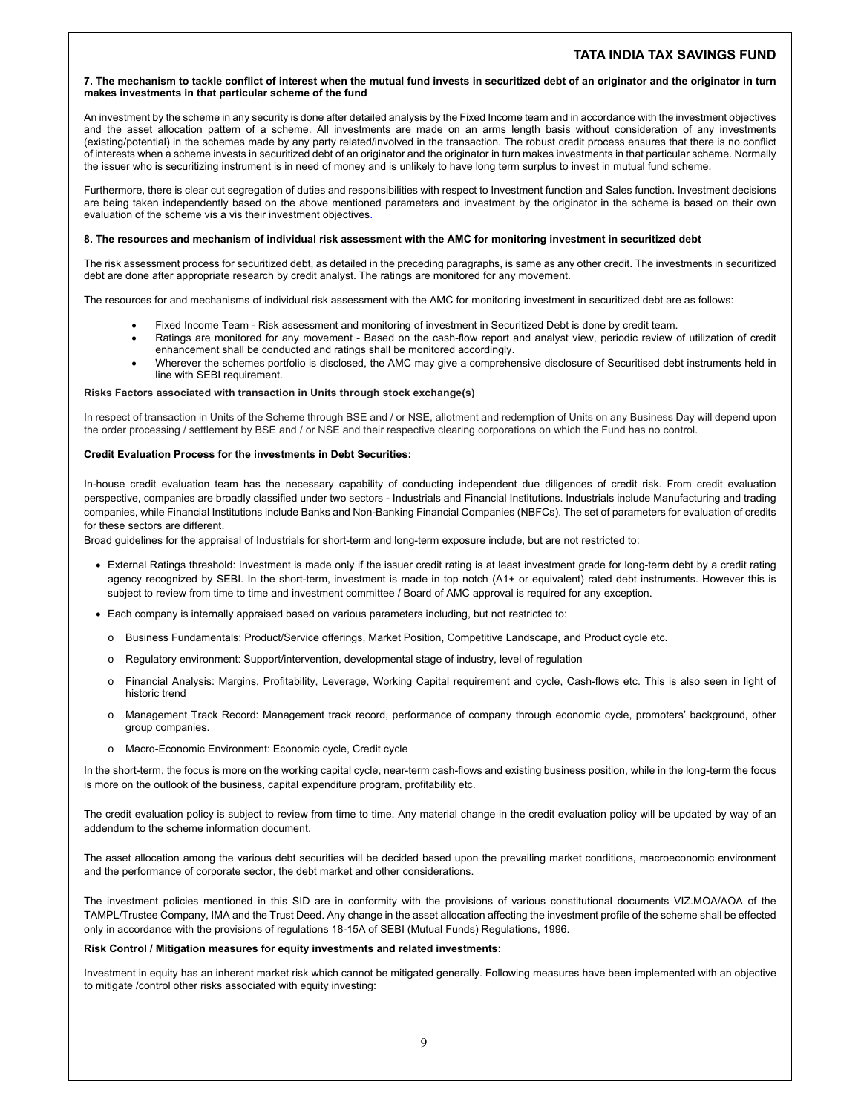#### **7. The mechanism to tackle conflict of interest when the mutual fund invests in securitized debt of an originator and the originator in turn makes investments in that particular scheme of the fund**

An investment by the scheme in any security is done after detailed analysis by the Fixed Income team and in accordance with the investment objectives and the asset allocation pattern of a scheme. All investments are made on an arms length basis without consideration of any investments (existing/potential) in the schemes made by any party related/involved in the transaction. The robust credit process ensures that there is no conflict of interests when a scheme invests in securitized debt of an originator and the originator in turn makes investments in that particular scheme. Normally the issuer who is securitizing instrument is in need of money and is unlikely to have long term surplus to invest in mutual fund scheme.

Furthermore, there is clear cut segregation of duties and responsibilities with respect to Investment function and Sales function. Investment decisions are being taken independently based on the above mentioned parameters and investment by the originator in the scheme is based on their own evaluation of the scheme vis a vis their investment objectives.

#### **8. The resources and mechanism of individual risk assessment with the AMC for monitoring investment in securitized debt**

The risk assessment process for securitized debt, as detailed in the preceding paragraphs, is same as any other credit. The investments in securitized debt are done after appropriate research by credit analyst. The ratings are monitored for any movement.

The resources for and mechanisms of individual risk assessment with the AMC for monitoring investment in securitized debt are as follows:

- Fixed Income Team Risk assessment and monitoring of investment in Securitized Debt is done by credit team.
- Ratings are monitored for any movement Based on the cash-flow report and analyst view, periodic review of utilization of credit enhancement shall be conducted and ratings shall be monitored accordingly.
- Wherever the schemes portfolio is disclosed, the AMC may give a comprehensive disclosure of Securitised debt instruments held in line with SEBI requirement.

#### **Risks Factors associated with transaction in Units through stock exchange(s)**

In respect of transaction in Units of the Scheme through BSE and / or NSE, allotment and redemption of Units on any Business Day will depend upon the order processing / settlement by BSE and / or NSE and their respective clearing corporations on which the Fund has no control.

#### **Credit Evaluation Process for the investments in Debt Securities:**

In-house credit evaluation team has the necessary capability of conducting independent due diligences of credit risk. From credit evaluation perspective, companies are broadly classified under two sectors - Industrials and Financial Institutions. Industrials include Manufacturing and trading companies, while Financial Institutions include Banks and Non-Banking Financial Companies (NBFCs). The set of parameters for evaluation of credits for these sectors are different.

Broad guidelines for the appraisal of Industrials for short-term and long-term exposure include, but are not restricted to:

- External Ratings threshold: Investment is made only if the issuer credit rating is at least investment grade for long-term debt by a credit rating agency recognized by SEBI. In the short-term, investment is made in top notch (A1+ or equivalent) rated debt instruments. However this is subject to review from time to time and investment committee / Board of AMC approval is required for any exception.
- Each company is internally appraised based on various parameters including, but not restricted to:
	- o Business Fundamentals: Product/Service offerings, Market Position, Competitive Landscape, and Product cycle etc.
	- o Regulatory environment: Support/intervention, developmental stage of industry, level of regulation
	- o Financial Analysis: Margins, Profitability, Leverage, Working Capital requirement and cycle, Cash-flows etc. This is also seen in light of historic trend
	- o Management Track Record: Management track record, performance of company through economic cycle, promoters' background, other group companies.
	- o Macro-Economic Environment: Economic cycle, Credit cycle

In the short-term, the focus is more on the working capital cycle, near-term cash-flows and existing business position, while in the long-term the focus is more on the outlook of the business, capital expenditure program, profitability etc.

The credit evaluation policy is subject to review from time to time. Any material change in the credit evaluation policy will be updated by way of an addendum to the scheme information document.

The asset allocation among the various debt securities will be decided based upon the prevailing market conditions, macroeconomic environment and the performance of corporate sector, the debt market and other considerations.

The investment policies mentioned in this SID are in conformity with the provisions of various constitutional documents VIZ.MOA/AOA of the TAMPL/Trustee Company, IMA and the Trust Deed. Any change in the asset allocation affecting the investment profile of the scheme shall be effected only in accordance with the provisions of regulations 18-15A of SEBI (Mutual Funds) Regulations, 1996.

#### **Risk Control / Mitigation measures for equity investments and related investments:**

Investment in equity has an inherent market risk which cannot be mitigated generally. Following measures have been implemented with an objective to mitigate /control other risks associated with equity investing: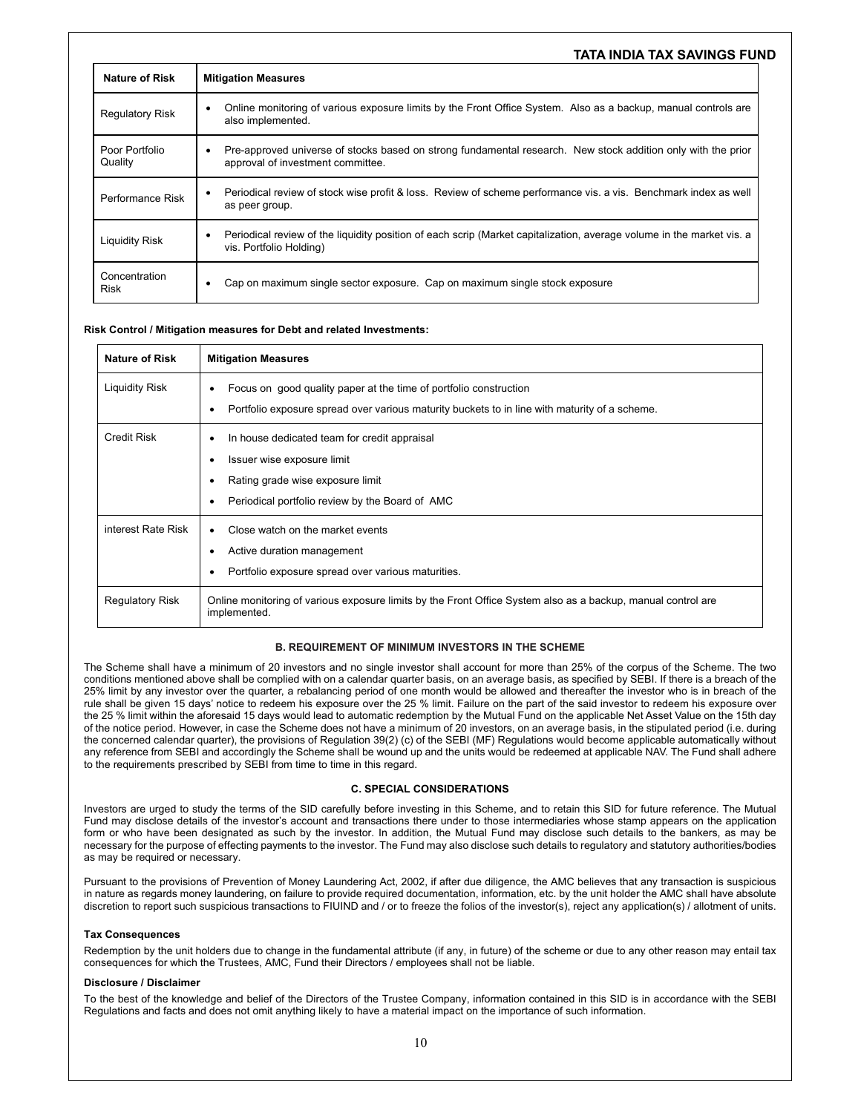|                           | TATA INDIA TAX SAVINGS FUND                                                                                                                       |
|---------------------------|---------------------------------------------------------------------------------------------------------------------------------------------------|
| Nature of Risk            | <b>Mitigation Measures</b>                                                                                                                        |
| <b>Regulatory Risk</b>    | Online monitoring of various exposure limits by the Front Office System. Also as a backup, manual controls are<br>also implemented.               |
| Poor Portfolio<br>Quality | Pre-approved universe of stocks based on strong fundamental research. New stock addition only with the prior<br>approval of investment committee. |
| Performance Risk          | Periodical review of stock wise profit & loss. Review of scheme performance vis. a vis. Benchmark index as well<br>as peer group.                 |
| Liquidity Risk            | Periodical review of the liquidity position of each scrip (Market capitalization, average volume in the market vis. a<br>vis. Portfolio Holding)  |
| Concentration<br>Risk     | Cap on maximum single sector exposure. Cap on maximum single stock exposure                                                                       |

#### **Risk Control / Mitigation measures for Debt and related Investments:**

| Nature of Risk         | <b>Mitigation Measures</b>                                                                                                                                                   |
|------------------------|------------------------------------------------------------------------------------------------------------------------------------------------------------------------------|
| Liquidity Risk         | Focus on good quality paper at the time of portfolio construction<br>٠<br>Portfolio exposure spread over various maturity buckets to in line with maturity of a scheme.<br>٠ |
| <b>Credit Risk</b>     | In house dedicated team for credit appraisal<br>٠<br>Issuer wise exposure limit<br>Rating grade wise exposure limit<br>Periodical portfolio review by the Board of AMC<br>٠  |
| interest Rate Risk     | Close watch on the market events<br>٠<br>Active duration management<br>٠<br>Portfolio exposure spread over various maturities.<br>٠                                          |
| <b>Regulatory Risk</b> | Online monitoring of various exposure limits by the Front Office System also as a backup, manual control are<br>implemented.                                                 |

#### **B. REQUIREMENT OF MINIMUM INVESTORS IN THE SCHEME**

The Scheme shall have a minimum of 20 investors and no single investor shall account for more than 25% of the corpus of the Scheme. The two conditions mentioned above shall be complied with on a calendar quarter basis, on an average basis, as specified by SEBI. If there is a breach of the 25% limit by any investor over the quarter, a rebalancing period of one month would be allowed and thereafter the investor who is in breach of the rule shall be given 15 days' notice to redeem his exposure over the 25 % limit. Failure on the part of the said investor to redeem his exposure over the 25 % limit within the aforesaid 15 days would lead to automatic redemption by the Mutual Fund on the applicable Net Asset Value on the 15th day of the notice period. However, in case the Scheme does not have a minimum of 20 investors, on an average basis, in the stipulated period (i.e. during the concerned calendar quarter), the provisions of Regulation 39(2) (c) of the SEBI (MF) Regulations would become applicable automatically without any reference from SEBI and accordingly the Scheme shall be wound up and the units would be redeemed at applicable NAV. The Fund shall adhere to the requirements prescribed by SEBI from time to time in this regard.

#### **C. SPECIAL CONSIDERATIONS**

Investors are urged to study the terms of the SID carefully before investing in this Scheme, and to retain this SID for future reference. The Mutual Fund may disclose details of the investor's account and transactions there under to those intermediaries whose stamp appears on the application form or who have been designated as such by the investor. In addition, the Mutual Fund may disclose such details to the bankers, as may be necessary for the purpose of effecting payments to the investor. The Fund may also disclose such details to regulatory and statutory authorities/bodies as may be required or necessary.

Pursuant to the provisions of Prevention of Money Laundering Act, 2002, if after due diligence, the AMC believes that any transaction is suspicious in nature as regards money laundering, on failure to provide required documentation, information, etc. by the unit holder the AMC shall have absolute discretion to report such suspicious transactions to FIUIND and / or to freeze the folios of the investor(s), reject any application(s) / allotment of units.

#### **Tax Consequences**

Redemption by the unit holders due to change in the fundamental attribute (if any, in future) of the scheme or due to any other reason may entail tax consequences for which the Trustees, AMC, Fund their Directors / employees shall not be liable.

#### **Disclosure / Disclaimer**

To the best of the knowledge and belief of the Directors of the Trustee Company, information contained in this SID is in accordance with the SEBI Regulations and facts and does not omit anything likely to have a material impact on the importance of such information.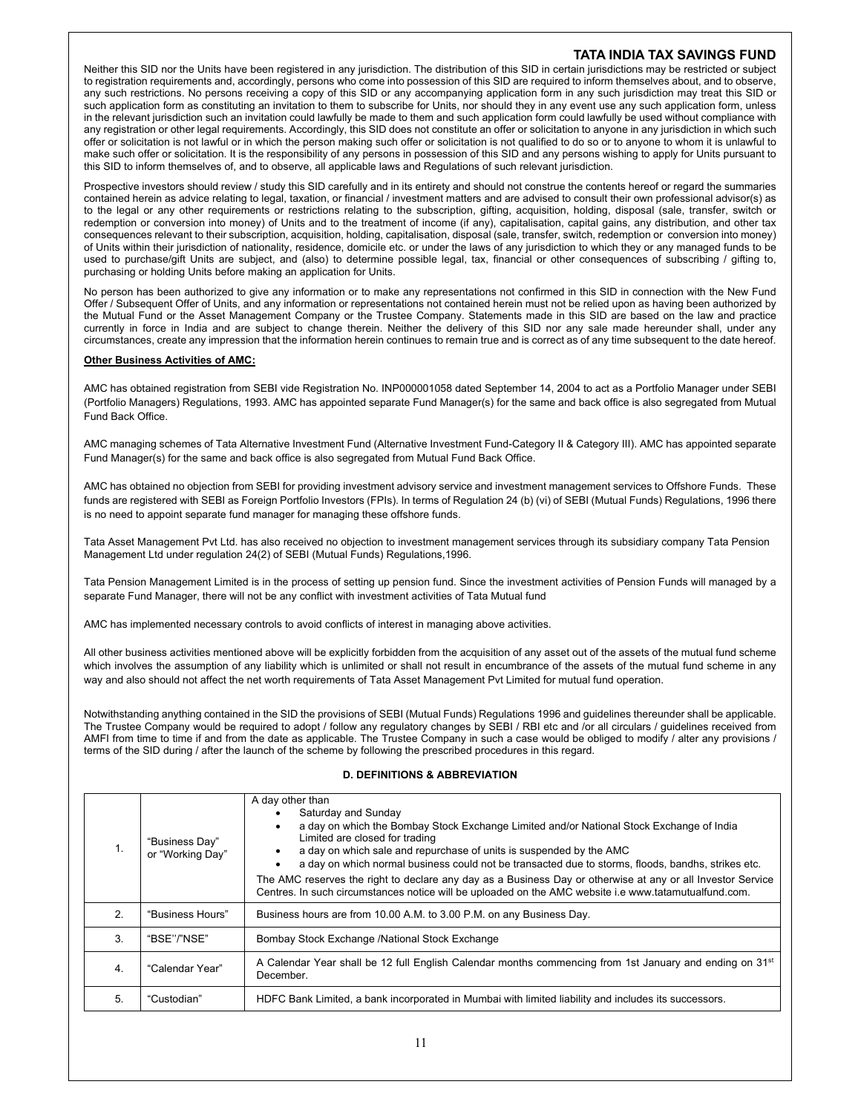Neither this SID nor the Units have been registered in any jurisdiction. The distribution of this SID in certain jurisdictions may be restricted or subject to registration requirements and, accordingly, persons who come into possession of this SID are required to inform themselves about, and to observe, any such restrictions. No persons receiving a copy of this SID or any accompanying application form in any such jurisdiction may treat this SID or such application form as constituting an invitation to them to subscribe for Units, nor should they in any event use any such application form, unless in the relevant jurisdiction such an invitation could lawfully be made to them and such application form could lawfully be used without compliance with any registration or other legal requirements. Accordingly, this SID does not constitute an offer or solicitation to anyone in any jurisdiction in which such offer or solicitation is not lawful or in which the person making such offer or solicitation is not qualified to do so or to anyone to whom it is unlawful to make such offer or solicitation. It is the responsibility of any persons in possession of this SID and any persons wishing to apply for Units pursuant to this SID to inform themselves of, and to observe, all applicable laws and Regulations of such relevant jurisdiction.

Prospective investors should review / study this SID carefully and in its entirety and should not construe the contents hereof or regard the summaries contained herein as advice relating to legal, taxation, or financial / investment matters and are advised to consult their own professional advisor(s) as to the legal or any other requirements or restrictions relating to the subscription, gifting, acquisition, holding, disposal (sale, transfer, switch or redemption or conversion into money) of Units and to the treatment of income (if any), capitalisation, capital gains, any distribution, and other tax consequences relevant to their subscription, acquisition, holding, capitalisation, disposal (sale, transfer, switch, redemption or conversion into money) of Units within their jurisdiction of nationality, residence, domicile etc. or under the laws of any jurisdiction to which they or any managed funds to be used to purchase/gift Units are subject, and (also) to determine possible legal, tax, financial or other consequences of subscribing / gifting to, purchasing or holding Units before making an application for Units.

No person has been authorized to give any information or to make any representations not confirmed in this SID in connection with the New Fund Offer / Subsequent Offer of Units, and any information or representations not contained herein must not be relied upon as having been authorized by the Mutual Fund or the Asset Management Company or the Trustee Company. Statements made in this SID are based on the law and practice currently in force in India and are subject to change therein. Neither the delivery of this SID nor any sale made hereunder shall, under any circumstances, create any impression that the information herein continues to remain true and is correct as of any time subsequent to the date hereof.

#### **Other Business Activities of AMC:**

AMC has obtained registration from SEBI vide Registration No. INP000001058 dated September 14, 2004 to act as a Portfolio Manager under SEBI (Portfolio Managers) Regulations, 1993. AMC has appointed separate Fund Manager(s) for the same and back office is also segregated from Mutual Fund Back Office.

AMC managing schemes of Tata Alternative Investment Fund (Alternative Investment Fund-Category II & Category III). AMC has appointed separate Fund Manager(s) for the same and back office is also segregated from Mutual Fund Back Office.

AMC has obtained no objection from SEBI for providing investment advisory service and investment management services to Offshore Funds. These funds are registered with SEBI as Foreign Portfolio Investors (FPIs). In terms of Regulation 24 (b) (vi) of SEBI (Mutual Funds) Regulations, 1996 there is no need to appoint separate fund manager for managing these offshore funds.

Tata Asset Management Pvt Ltd. has also received no objection to investment management services through its subsidiary company Tata Pension Management Ltd under regulation 24(2) of SEBI (Mutual Funds) Regulations,1996.

Tata Pension Management Limited is in the process of setting up pension fund. Since the investment activities of Pension Funds will managed by a separate Fund Manager, there will not be any conflict with investment activities of Tata Mutual fund

AMC has implemented necessary controls to avoid conflicts of interest in managing above activities.

All other business activities mentioned above will be explicitly forbidden from the acquisition of any asset out of the assets of the mutual fund scheme which involves the assumption of any liability which is unlimited or shall not result in encumbrance of the assets of the mutual fund scheme in any way and also should not affect the net worth requirements of Tata Asset Management Pvt Limited for mutual fund operation.

Notwithstanding anything contained in the SID the provisions of SEBI (Mutual Funds) Regulations 1996 and guidelines thereunder shall be applicable. The Trustee Company would be required to adopt / follow any regulatory changes by SEBI / RBI etc and /or all circulars / guidelines received from AMFI from time to time if and from the date as applicable. The Trustee Company in such a case would be obliged to modify / alter any provisions / terms of the SID during / after the launch of the scheme by following the prescribed procedures in this regard.

#### **D. DEFINITIONS & ABBREVIATION**

|               | "Business Day"<br>or "Working Day" | A day other than<br>Saturday and Sunday<br>a day on which the Bombay Stock Exchange Limited and/or National Stock Exchange of India<br>Limited are closed for trading<br>a day on which sale and repurchase of units is suspended by the AMC<br>a day on which normal business could not be transacted due to storms, floods, bandhs, strikes etc.<br>The AMC reserves the right to declare any day as a Business Day or otherwise at any or all Investor Service<br>Centres. In such circumstances notice will be uploaded on the AMC website i.e www.tatamutualfund.com. |  |  |
|---------------|------------------------------------|----------------------------------------------------------------------------------------------------------------------------------------------------------------------------------------------------------------------------------------------------------------------------------------------------------------------------------------------------------------------------------------------------------------------------------------------------------------------------------------------------------------------------------------------------------------------------|--|--|
| $\mathcal{P}$ | "Business Hours"                   | Business hours are from 10.00 A.M. to 3.00 P.M. on any Business Day.                                                                                                                                                                                                                                                                                                                                                                                                                                                                                                       |  |  |
| 3.            | "BSE"/"NSE"                        | Bombay Stock Exchange /National Stock Exchange                                                                                                                                                                                                                                                                                                                                                                                                                                                                                                                             |  |  |
| $\mathbf{4}$  | "Calendar Year"                    | A Calendar Year shall be 12 full English Calendar months commencing from 1st January and ending on 31 <sup>st</sup><br>December.                                                                                                                                                                                                                                                                                                                                                                                                                                           |  |  |
| 5.            | "Custodian"                        | HDFC Bank Limited, a bank incorporated in Mumbai with limited liability and includes its successors.                                                                                                                                                                                                                                                                                                                                                                                                                                                                       |  |  |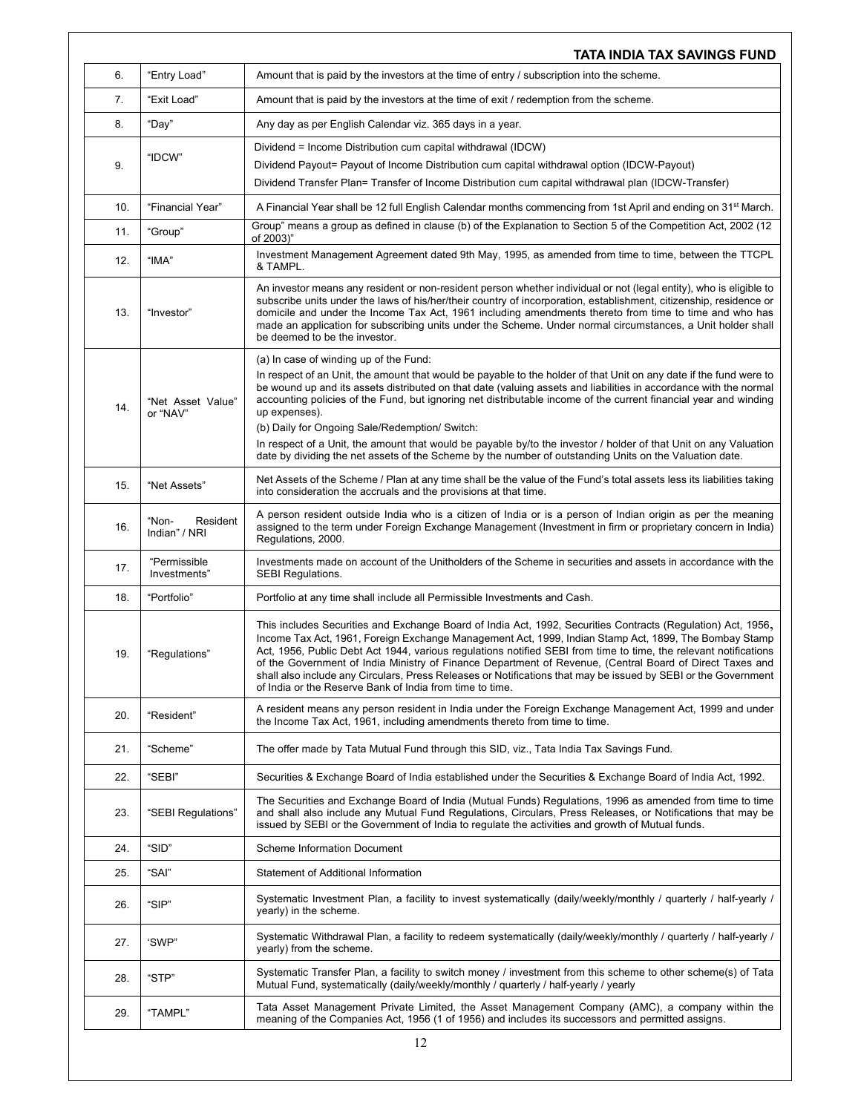| 6.  | "Entry Load"                       | <b>TATA INDIA TAX SAVINGS FUND</b><br>Amount that is paid by the investors at the time of entry / subscription into the scheme.                                                                                                                                                                                                                                                                                                                                                                                                                                                                                                                                                                         |
|-----|------------------------------------|---------------------------------------------------------------------------------------------------------------------------------------------------------------------------------------------------------------------------------------------------------------------------------------------------------------------------------------------------------------------------------------------------------------------------------------------------------------------------------------------------------------------------------------------------------------------------------------------------------------------------------------------------------------------------------------------------------|
| 7.  | "Exit Load"                        | Amount that is paid by the investors at the time of exit / redemption from the scheme.                                                                                                                                                                                                                                                                                                                                                                                                                                                                                                                                                                                                                  |
|     |                                    |                                                                                                                                                                                                                                                                                                                                                                                                                                                                                                                                                                                                                                                                                                         |
| 8.  | "Day"                              | Any day as per English Calendar viz. 365 days in a year.                                                                                                                                                                                                                                                                                                                                                                                                                                                                                                                                                                                                                                                |
| 9.  | "IDCW"                             | Dividend = Income Distribution cum capital withdrawal (IDCW)<br>Dividend Payout= Payout of Income Distribution cum capital withdrawal option (IDCW-Payout)                                                                                                                                                                                                                                                                                                                                                                                                                                                                                                                                              |
|     |                                    | Dividend Transfer Plan= Transfer of Income Distribution cum capital withdrawal plan (IDCW-Transfer)                                                                                                                                                                                                                                                                                                                                                                                                                                                                                                                                                                                                     |
| 10. | "Financial Year"                   | A Financial Year shall be 12 full English Calendar months commencing from 1st April and ending on 31 <sup>st</sup> March.                                                                                                                                                                                                                                                                                                                                                                                                                                                                                                                                                                               |
| 11. | "Group"                            | Group" means a group as defined in clause (b) of the Explanation to Section 5 of the Competition Act, 2002 (12<br>of 2003)"                                                                                                                                                                                                                                                                                                                                                                                                                                                                                                                                                                             |
| 12. | "IMA"                              | Investment Management Agreement dated 9th May, 1995, as amended from time to time, between the TTCPL<br>& TAMPL.                                                                                                                                                                                                                                                                                                                                                                                                                                                                                                                                                                                        |
| 13. | "Investor"                         | An investor means any resident or non-resident person whether individual or not (legal entity), who is eligible to<br>subscribe units under the laws of his/her/their country of incorporation, establishment, citizenship, residence or<br>domicile and under the Income Tax Act, 1961 including amendments thereto from time to time and who has<br>made an application for subscribing units under the Scheme. Under normal circumstances, a Unit holder shall<br>be deemed to be the investor.                                                                                                                                                                                                      |
| 14. | "Net Asset Value"<br>or "NAV"      | (a) In case of winding up of the Fund:<br>In respect of an Unit, the amount that would be payable to the holder of that Unit on any date if the fund were to<br>be wound up and its assets distributed on that date (valuing assets and liabilities in accordance with the normal<br>accounting policies of the Fund, but ignoring net distributable income of the current financial year and winding<br>up expenses).<br>(b) Daily for Ongoing Sale/Redemption/ Switch:<br>In respect of a Unit, the amount that would be payable by/to the investor / holder of that Unit on any Valuation<br>date by dividing the net assets of the Scheme by the number of outstanding Units on the Valuation date. |
| 15. | "Net Assets"                       | Net Assets of the Scheme / Plan at any time shall be the value of the Fund's total assets less its liabilities taking<br>into consideration the accruals and the provisions at that time.                                                                                                                                                                                                                                                                                                                                                                                                                                                                                                               |
| 16. | Resident<br>"Non-<br>Indian" / NRI | A person resident outside India who is a citizen of India or is a person of Indian origin as per the meaning<br>assigned to the term under Foreign Exchange Management (Investment in firm or proprietary concern in India)<br>Regulations, 2000.                                                                                                                                                                                                                                                                                                                                                                                                                                                       |
| 17. | "Permissible<br>Investments"       | Investments made on account of the Unitholders of the Scheme in securities and assets in accordance with the<br>SEBI Regulations.                                                                                                                                                                                                                                                                                                                                                                                                                                                                                                                                                                       |
| 18. | "Portfolio"                        | Portfolio at any time shall include all Permissible Investments and Cash.                                                                                                                                                                                                                                                                                                                                                                                                                                                                                                                                                                                                                               |
| 19. | "Regulations"                      | This includes Securities and Exchange Board of India Act, 1992, Securities Contracts (Regulation) Act, 1956,<br>Income Tax Act, 1961, Foreign Exchange Management Act, 1999, Indian Stamp Act, 1899, The Bombay Stamp<br>Act, 1956, Public Debt Act 1944, various regulations notified SEBI from time to time, the relevant notifications<br>of the Government of India Ministry of Finance Department of Revenue, (Central Board of Direct Taxes and<br>shall also include any Circulars, Press Releases or Notifications that may be issued by SEBI or the Government<br>of India or the Reserve Bank of India from time to time.                                                                     |
| 20. | "Resident"                         | A resident means any person resident in India under the Foreign Exchange Management Act, 1999 and under<br>the Income Tax Act, 1961, including amendments thereto from time to time.                                                                                                                                                                                                                                                                                                                                                                                                                                                                                                                    |
| 21. | "Scheme"                           | The offer made by Tata Mutual Fund through this SID, viz., Tata India Tax Savings Fund.                                                                                                                                                                                                                                                                                                                                                                                                                                                                                                                                                                                                                 |
| 22. | "SEBI"                             | Securities & Exchange Board of India established under the Securities & Exchange Board of India Act, 1992.                                                                                                                                                                                                                                                                                                                                                                                                                                                                                                                                                                                              |
| 23. | "SEBI Regulations"                 | The Securities and Exchange Board of India (Mutual Funds) Regulations, 1996 as amended from time to time<br>and shall also include any Mutual Fund Regulations, Circulars, Press Releases, or Notifications that may be<br>issued by SEBI or the Government of India to regulate the activities and growth of Mutual funds.                                                                                                                                                                                                                                                                                                                                                                             |
| 24. | "SID"                              | <b>Scheme Information Document</b>                                                                                                                                                                                                                                                                                                                                                                                                                                                                                                                                                                                                                                                                      |
| 25. | "SAI"                              | Statement of Additional Information                                                                                                                                                                                                                                                                                                                                                                                                                                                                                                                                                                                                                                                                     |
| 26. | "SIP"                              | Systematic Investment Plan, a facility to invest systematically (daily/weekly/monthly / quarterly / half-yearly /<br>yearly) in the scheme.                                                                                                                                                                                                                                                                                                                                                                                                                                                                                                                                                             |
| 27. | 'SWP"                              | Systematic Withdrawal Plan, a facility to redeem systematically (daily/weekly/monthly / quarterly / half-yearly /<br>yearly) from the scheme.                                                                                                                                                                                                                                                                                                                                                                                                                                                                                                                                                           |
| 28. | "STP"                              | Systematic Transfer Plan, a facility to switch money / investment from this scheme to other scheme(s) of Tata<br>Mutual Fund, systematically (daily/weekly/monthly / quarterly / half-yearly / yearly                                                                                                                                                                                                                                                                                                                                                                                                                                                                                                   |
| 29. | "TAMPL"                            | Tata Asset Management Private Limited, the Asset Management Company (AMC), a company within the<br>meaning of the Companies Act, 1956 (1 of 1956) and includes its successors and permitted assigns.                                                                                                                                                                                                                                                                                                                                                                                                                                                                                                    |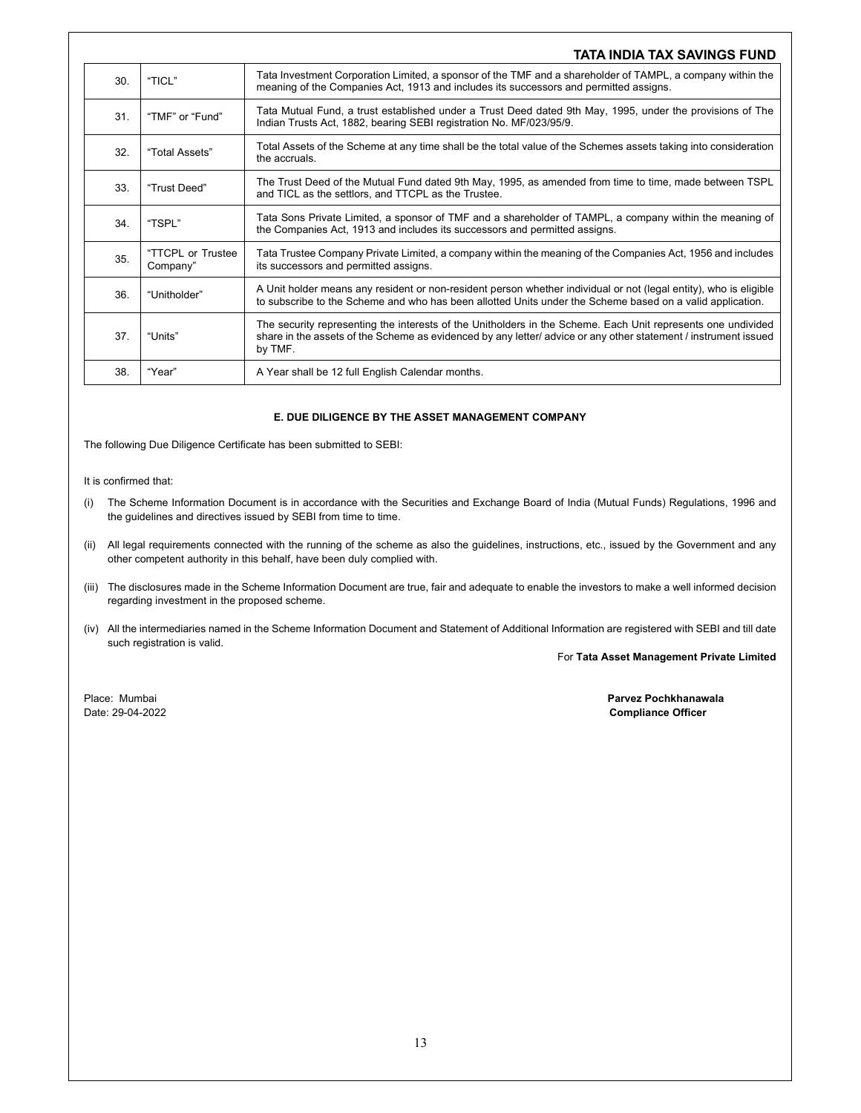|     |                               | TATA INDIA TAX SAVINGS FUND                                                                                                                                                                                                                |
|-----|-------------------------------|--------------------------------------------------------------------------------------------------------------------------------------------------------------------------------------------------------------------------------------------|
| 30. | "TICL"                        | Tata Investment Corporation Limited, a sponsor of the TMF and a shareholder of TAMPL, a company within the<br>meaning of the Companies Act, 1913 and includes its successors and permitted assigns.                                        |
| 31. | "TMF" or "Fund"               | Tata Mutual Fund, a trust established under a Trust Deed dated 9th May, 1995, under the provisions of The<br>Indian Trusts Act, 1882, bearing SEBI registration No. MF/023/95/9.                                                           |
| 32. | "Total Assets"                | Total Assets of the Scheme at any time shall be the total value of the Schemes assets taking into consideration<br>the accruals.                                                                                                           |
| 33. | "Trust Deed"                  | The Trust Deed of the Mutual Fund dated 9th May, 1995, as amended from time to time, made between TSPL<br>and TICL as the settlors, and TTCPL as the Trustee.                                                                              |
| 34. | "TSPL"                        | Tata Sons Private Limited, a sponsor of TMF and a shareholder of TAMPL, a company within the meaning of<br>the Companies Act, 1913 and includes its successors and permitted assigns.                                                      |
| 35. | "TTCPL or Trustee<br>Company" | Tata Trustee Company Private Limited, a company within the meaning of the Companies Act, 1956 and includes<br>its successors and permitted assigns.                                                                                        |
| 36. | "Unitholder"                  | A Unit holder means any resident or non-resident person whether individual or not (legal entity), who is eligible<br>to subscribe to the Scheme and who has been allotted Units under the Scheme based on a valid application.             |
| 37. | "Units"                       | The security representing the interests of the Unitholders in the Scheme. Each Unit represents one undivided<br>share in the assets of the Scheme as evidenced by any letter/ advice or any other statement / instrument issued<br>by TMF. |
| 38  | "Year"                        | A Year shall be 12 full English Calendar months.                                                                                                                                                                                           |

### **E. DUE DILIGENCE BY THE ASSET MANAGEMENT COMPANY**

The following Due Diligence Certificate has been submitted to SEBI:

It is confirmed that:

- (i) The Scheme Information Document is in accordance with the Securities and Exchange Board of India (Mutual Funds) Regulations, 1996 and the guidelines and directives issued by SEBI from time to time.
- (ii) All legal requirements connected with the running of the scheme as also the guidelines, instructions, etc., issued by the Government and any other competent authority in this behalf, have been duly complied with.
- (iii) The disclosures made in the Scheme Information Document are true, fair and adequate to enable the investors to make a well informed decision regarding investment in the proposed scheme.
- (iv) All the intermediaries named in the Scheme Information Document and Statement of Additional Information are registered with SEBI and till date such registration is valid.

For **Tata Asset Management Private Limited** 

Place: Mumbai **Parvez Pochkhanawala** Date: 29-04-2022 **Compliance Officer**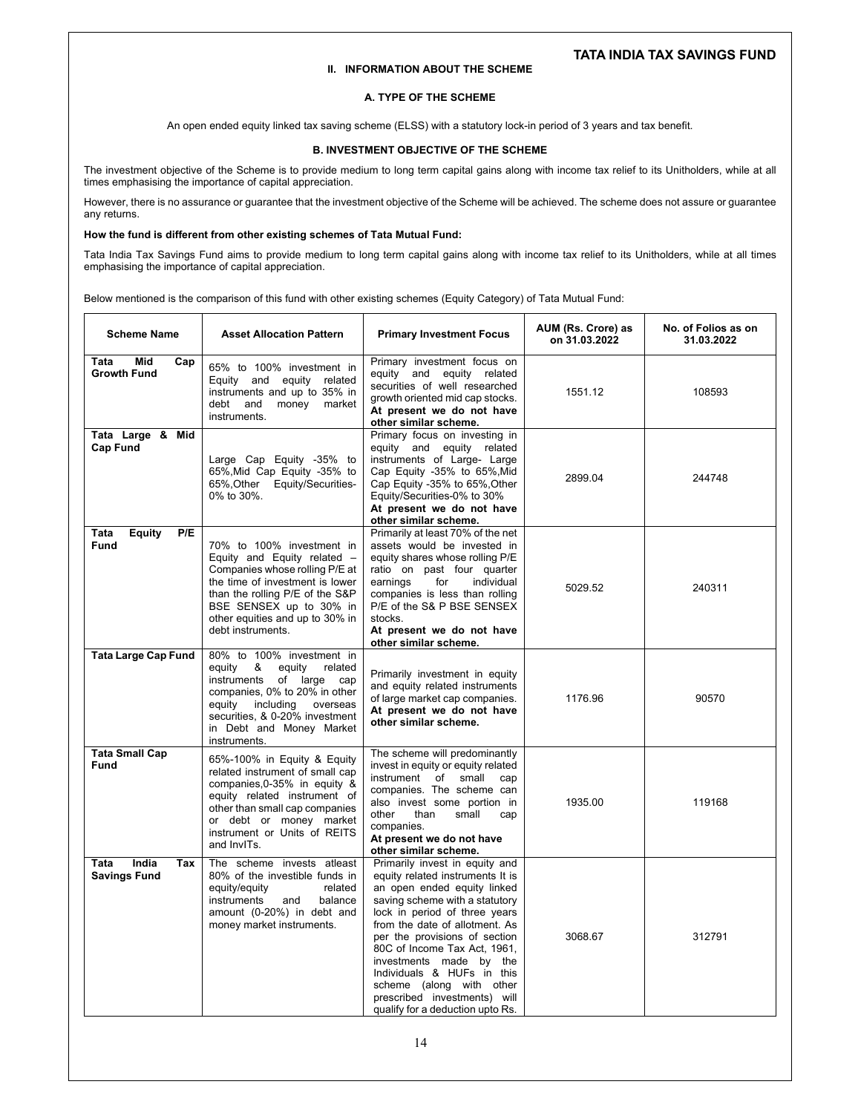### **II. INFORMATION ABOUT THE SCHEME**

### **A. TYPE OF THE SCHEME**

An open ended equity linked tax saving scheme (ELSS) with a statutory lock-in period of 3 years and tax benefit.

### **B. INVESTMENT OBJECTIVE OF THE SCHEME**

The investment objective of the Scheme is to provide medium to long term capital gains along with income tax relief to its Unitholders, while at all times emphasising the importance of capital appreciation.

However, there is no assurance or guarantee that the investment objective of the Scheme will be achieved. The scheme does not assure or guarantee any returns.

#### **How the fund is different from other existing schemes of Tata Mutual Fund:**

Tata India Tax Savings Fund aims to provide medium to long term capital gains along with income tax relief to its Unitholders, while at all times emphasising the importance of capital appreciation.

Below mentioned is the comparison of this fund with other existing schemes (Equity Category) of Tata Mutual Fund:

| <b>Scheme Name</b>                          | <b>Asset Allocation Pattern</b>                                                                                                                                                                                                                                                                                                                                                                                                                                                                                                                                         | AUM (Rs. Crore) as<br><b>Primary Investment Focus</b><br>on 31.03.2022                                                                                                                                                                                                                                                                                                                                                           |         | No. of Folios as on<br>31.03.2022 |
|---------------------------------------------|-------------------------------------------------------------------------------------------------------------------------------------------------------------------------------------------------------------------------------------------------------------------------------------------------------------------------------------------------------------------------------------------------------------------------------------------------------------------------------------------------------------------------------------------------------------------------|----------------------------------------------------------------------------------------------------------------------------------------------------------------------------------------------------------------------------------------------------------------------------------------------------------------------------------------------------------------------------------------------------------------------------------|---------|-----------------------------------|
| Mid<br>Tata<br>Cap<br><b>Growth Fund</b>    | 65% to 100% investment in<br>Equity and equity related<br>instruments and up to 35% in<br>debt and<br>money<br>market<br>instruments.                                                                                                                                                                                                                                                                                                                                                                                                                                   | Primary investment focus on<br>equity and equity related<br>securities of well researched<br>growth oriented mid cap stocks.<br>At present we do not have<br>other similar scheme.                                                                                                                                                                                                                                               | 1551.12 | 108593                            |
| Tata Large & Mid<br><b>Cap Fund</b>         | Large Cap Equity -35% to<br>65%, Mid Cap Equity -35% to<br>65%, Other Equity/Securities-<br>0% to 30%.                                                                                                                                                                                                                                                                                                                                                                                                                                                                  | Primary focus on investing in<br>equity and equity related<br>instruments of Large- Large<br>Cap Equity -35% to 65%, Mid<br>Cap Equity -35% to 65%, Other<br>Equity/Securities-0% to 30%<br>At present we do not have<br>other similar scheme.                                                                                                                                                                                   | 2899.04 | 244748                            |
| Tata<br>Equity<br>P/E<br>Fund               | Primarily at least 70% of the net<br>70% to 100% investment in<br>assets would be invested in<br>Equity and Equity related $-$<br>equity shares whose rolling P/E<br>Companies whose rolling P/E at<br>ratio on past four quarter<br>the time of investment is lower<br>individual<br>earnings<br>for<br>5029.52<br>than the rolling P/E of the S&P<br>companies is less than rolling<br>P/E of the S& P BSE SENSEX<br>BSE SENSEX up to 30% in<br>other equities and up to 30% in<br>stocks.<br>debt instruments.<br>At present we do not have<br>other similar scheme. |                                                                                                                                                                                                                                                                                                                                                                                                                                  | 240311  |                                   |
| <b>Tata Large Cap Fund</b>                  | 80% to 100% investment in<br>&<br>equity<br>equity<br>related<br>instruments of large cap<br>companies, 0% to 20% in other<br>including<br>overseas<br>equity<br>securities, & 0-20% investment<br>in Debt and Money Market<br>instruments.                                                                                                                                                                                                                                                                                                                             | Primarily investment in equity<br>and equity related instruments<br>of large market cap companies.<br>At present we do not have<br>other similar scheme.                                                                                                                                                                                                                                                                         | 1176.96 | 90570                             |
| <b>Tata Small Cap</b><br><b>Fund</b>        | 65%-100% in Equity & Equity<br>related instrument of small cap<br>companies, 0-35% in equity &<br>equity related instrument of<br>other than small cap companies<br>or debt or money market<br>instrument or Units of REITS<br>and InvITs.                                                                                                                                                                                                                                                                                                                              | The scheme will predominantly<br>invest in equity or equity related<br>instrument of small<br>cap<br>companies. The scheme can<br>also invest some portion in<br>small<br>other<br>than<br>cap<br>companies.<br>At present we do not have<br>other similar scheme.                                                                                                                                                               | 1935.00 | 119168                            |
| Tata<br>India<br>Tax<br><b>Savings Fund</b> | The scheme invests atleast<br>80% of the investible funds in<br>related<br>equity/equity<br>instruments<br>balance<br>and<br>amount (0-20%) in debt and<br>money market instruments.                                                                                                                                                                                                                                                                                                                                                                                    | Primarily invest in equity and<br>equity related instruments It is<br>an open ended equity linked<br>saving scheme with a statutory<br>lock in period of three years<br>from the date of allotment. As<br>per the provisions of section<br>80C of Income Tax Act, 1961,<br>investments made by the<br>Individuals & HUFs in this<br>scheme (along with other<br>prescribed investments) will<br>qualify for a deduction upto Rs. | 3068.67 | 312791                            |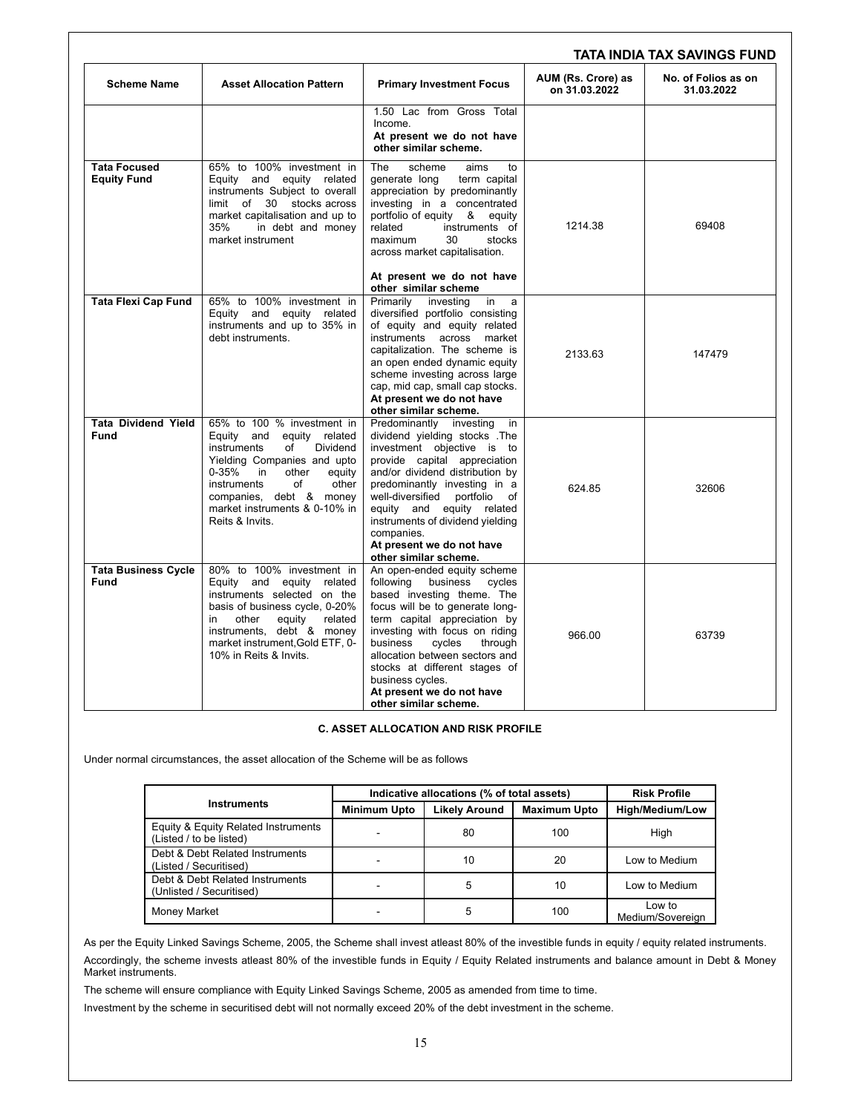|                                           |                                                                                                                                                                                                                                                                                      |                                                                                                                                                                                                                                                                                                                                                                                 |                                     | TATA INDIA TAX SAVINGS FUND       |
|-------------------------------------------|--------------------------------------------------------------------------------------------------------------------------------------------------------------------------------------------------------------------------------------------------------------------------------------|---------------------------------------------------------------------------------------------------------------------------------------------------------------------------------------------------------------------------------------------------------------------------------------------------------------------------------------------------------------------------------|-------------------------------------|-----------------------------------|
| <b>Scheme Name</b>                        | <b>Asset Allocation Pattern</b>                                                                                                                                                                                                                                                      | <b>Primary Investment Focus</b>                                                                                                                                                                                                                                                                                                                                                 | AUM (Rs. Crore) as<br>on 31.03.2022 | No. of Folios as on<br>31.03.2022 |
|                                           |                                                                                                                                                                                                                                                                                      | 1.50 Lac from Gross Total<br>Income.<br>At present we do not have<br>other similar scheme.                                                                                                                                                                                                                                                                                      |                                     |                                   |
| <b>Tata Focused</b><br><b>Equity Fund</b> | 65% to 100% investment in<br>Equity and equity related<br>instruments Subject to overall<br>limit of 30 stocks across<br>market capitalisation and up to<br>in debt and money<br>35%<br>market instrument                                                                            | The<br>scheme<br>aims<br>to<br>generate long<br>term capital<br>appreciation by predominantly<br>investing in a concentrated<br>portfolio of equity & equity<br>instruments of<br>related<br>maximum<br>30<br>stocks<br>across market capitalisation.                                                                                                                           | 1214.38                             | 69408                             |
|                                           |                                                                                                                                                                                                                                                                                      | At present we do not have<br>other similar scheme                                                                                                                                                                                                                                                                                                                               |                                     |                                   |
| <b>Tata Flexi Cap Fund</b>                | 65% to 100% investment in<br>Equity and equity related<br>instruments and up to 35% in<br>debt instruments.                                                                                                                                                                          | Primarily<br>investing<br>in<br>a<br>diversified portfolio consisting<br>of equity and equity related<br>instruments across market<br>capitalization. The scheme is<br>an open ended dynamic equity<br>scheme investing across large<br>cap, mid cap, small cap stocks.<br>At present we do not have<br>other similar scheme.                                                   | 2133.63                             | 147479                            |
| <b>Tata Dividend Yield</b><br><b>Fund</b> | 65% to 100 % investment in<br>Equity and<br>equity related<br><b>Dividend</b><br>instruments<br>of<br>Yielding Companies and upto<br>$0 - 35%$<br>in<br>other<br>equity<br>other<br>instruments<br>of<br>companies, debt & money<br>market instruments & 0-10% in<br>Reits & Invits. | Predominantly investing<br>in<br>dividend yielding stocks .The<br>investment objective is to<br>provide capital appreciation<br>and/or dividend distribution by<br>predominantly investing in a<br>well-diversified portfolio of<br>equity and equity related<br>instruments of dividend yielding<br>companies.<br>At present we do not have<br>other similar scheme.           | 624.85                              | 32606                             |
| <b>Tata Business Cycle</b><br>Fund        | 80% to 100% investment in<br>Equity and equity<br>related<br>instruments selected on the<br>basis of business cycle, 0-20%<br>related<br>other<br>equity<br>in<br>instruments, debt & money<br>market instrument, Gold ETF, 0-<br>10% in Reits & Invits.                             | An open-ended equity scheme<br>following<br>business<br>cycles<br>based investing theme. The<br>focus will be to generate long-<br>term capital appreciation by<br>investing with focus on riding<br>business<br>cycles<br>through<br>allocation between sectors and<br>stocks at different stages of<br>business cycles.<br>At present we do not have<br>other similar scheme. | 966.00                              | 63739                             |

### **C. ASSET ALLOCATION AND RISK PROFILE**

Under normal circumstances, the asset allocation of the Scheme will be as follows

|                                                                | Indicative allocations (% of total assets) | <b>Risk Profile</b>  |                     |                            |
|----------------------------------------------------------------|--------------------------------------------|----------------------|---------------------|----------------------------|
| <b>Instruments</b>                                             | <b>Minimum Upto</b>                        | <b>Likely Around</b> | <b>Maximum Upto</b> | High/Medium/Low            |
| Equity & Equity Related Instruments<br>(Listed / to be listed) | 80                                         |                      | 100                 | High                       |
| Debt & Debt Related Instruments<br>(Listed / Securitised)      |                                            | 10                   | 20                  | Low to Medium              |
| Debt & Debt Related Instruments<br>(Unlisted / Securitised)    |                                            | 5                    | 10                  | Low to Medium              |
| Money Market                                                   |                                            | 5                    | 100                 | Low to<br>Medium/Sovereign |

As per the Equity Linked Savings Scheme, 2005, the Scheme shall invest atleast 80% of the investible funds in equity / equity related instruments.

Accordingly, the scheme invests atleast 80% of the investible funds in Equity / Equity Related instruments and balance amount in Debt & Money Market instruments.

The scheme will ensure compliance with Equity Linked Savings Scheme, 2005 as amended from time to time.

Investment by the scheme in securitised debt will not normally exceed 20% of the debt investment in the scheme.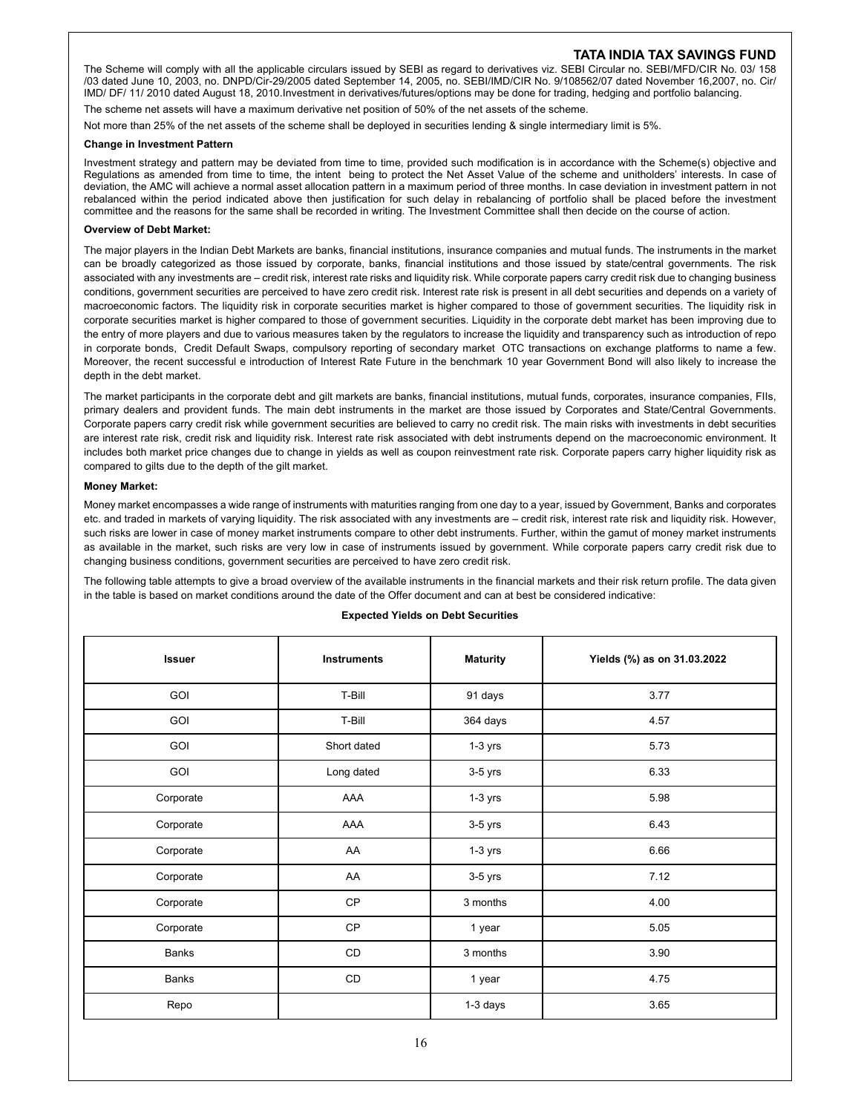The Scheme will comply with all the applicable circulars issued by SEBI as regard to derivatives viz. SEBI Circular no. SEBI/MFD/CIR No. 03/ 158 /03 dated June 10, 2003, no. DNPD/Cir-29/2005 dated September 14, 2005, no. SEBI/IMD/CIR No. 9/108562/07 dated November 16,2007, no. Cir/ IMD/ DF/ 11/ 2010 dated August 18, 2010.Investment in derivatives/futures/options may be done for trading, hedging and portfolio balancing.

The scheme net assets will have a maximum derivative net position of 50% of the net assets of the scheme.

Not more than 25% of the net assets of the scheme shall be deployed in securities lending & single intermediary limit is 5%.

#### **Change in Investment Pattern**

Investment strategy and pattern may be deviated from time to time, provided such modification is in accordance with the Scheme(s) objective and Regulations as amended from time to time, the intent being to protect the Net Asset Value of the scheme and unitholders' interests. In case of deviation, the AMC will achieve a normal asset allocation pattern in a maximum period of three months. In case deviation in investment pattern in not rebalanced within the period indicated above then justification for such delay in rebalancing of portfolio shall be placed before the investment committee and the reasons for the same shall be recorded in writing. The Investment Committee shall then decide on the course of action.

#### **Overview of Debt Market:**

The major players in the Indian Debt Markets are banks, financial institutions, insurance companies and mutual funds. The instruments in the market can be broadly categorized as those issued by corporate, banks, financial institutions and those issued by state/central governments. The risk associated with any investments are – credit risk, interest rate risks and liquidity risk. While corporate papers carry credit risk due to changing business conditions, government securities are perceived to have zero credit risk. Interest rate risk is present in all debt securities and depends on a variety of macroeconomic factors. The liquidity risk in corporate securities market is higher compared to those of government securities. The liquidity risk in corporate securities market is higher compared to those of government securities. Liquidity in the corporate debt market has been improving due to the entry of more players and due to various measures taken by the regulators to increase the liquidity and transparency such as introduction of repo in corporate bonds, Credit Default Swaps, compulsory reporting of secondary market OTC transactions on exchange platforms to name a few. Moreover, the recent successful e introduction of Interest Rate Future in the benchmark 10 year Government Bond will also likely to increase the depth in the debt market.

The market participants in the corporate debt and gilt markets are banks, financial institutions, mutual funds, corporates, insurance companies, FIIs, primary dealers and provident funds. The main debt instruments in the market are those issued by Corporates and State/Central Governments. Corporate papers carry credit risk while government securities are believed to carry no credit risk. The main risks with investments in debt securities are interest rate risk, credit risk and liquidity risk. Interest rate risk associated with debt instruments depend on the macroeconomic environment. It includes both market price changes due to change in yields as well as coupon reinvestment rate risk. Corporate papers carry higher liquidity risk as compared to gilts due to the depth of the gilt market.

#### **Money Market:**

Money market encompasses a wide range of instruments with maturities ranging from one day to a year, issued by Government, Banks and corporates etc. and traded in markets of varying liquidity. The risk associated with any investments are – credit risk, interest rate risk and liquidity risk. However, such risks are lower in case of money market instruments compare to other debt instruments. Further, within the gamut of money market instruments as available in the market, such risks are very low in case of instruments issued by government. While corporate papers carry credit risk due to changing business conditions, government securities are perceived to have zero credit risk.

The following table attempts to give a broad overview of the available instruments in the financial markets and their risk return profile. The data given in the table is based on market conditions around the date of the Offer document and can at best be considered indicative:

| <b>Expected Yields on Debt Securities</b> |  |
|-------------------------------------------|--|
|-------------------------------------------|--|

| <b>Issuer</b> | <b>Instruments</b> | <b>Maturity</b> | Yields (%) as on 31.03.2022 |
|---------------|--------------------|-----------------|-----------------------------|
| <b>GOI</b>    | T-Bill             | 91 days         | 3.77                        |
| GOI           | T-Bill             | 364 days        | 4.57                        |
| <b>GOI</b>    | Short dated        | $1-3$ yrs       | 5.73                        |
| GOI           | Long dated         | $3-5$ yrs       | 6.33                        |
| Corporate     | AAA                | $1-3$ yrs       | 5.98                        |
| Corporate     | AAA                | $3-5$ yrs       | 6.43                        |
| Corporate     | AA                 | $1-3$ yrs       | 6.66                        |
| Corporate     | AA                 | $3-5$ yrs       | 7.12                        |
| Corporate     | <b>CP</b>          | 3 months        | 4.00                        |
| Corporate     | CP                 | 1 year          | 5.05                        |
| <b>Banks</b>  | $\mathsf{CD}$      | 3 months        | 3.90                        |
| Banks         | $\mathsf{CD}$      | 1 year          | 4.75                        |
| Repo          |                    | 1-3 days        | 3.65                        |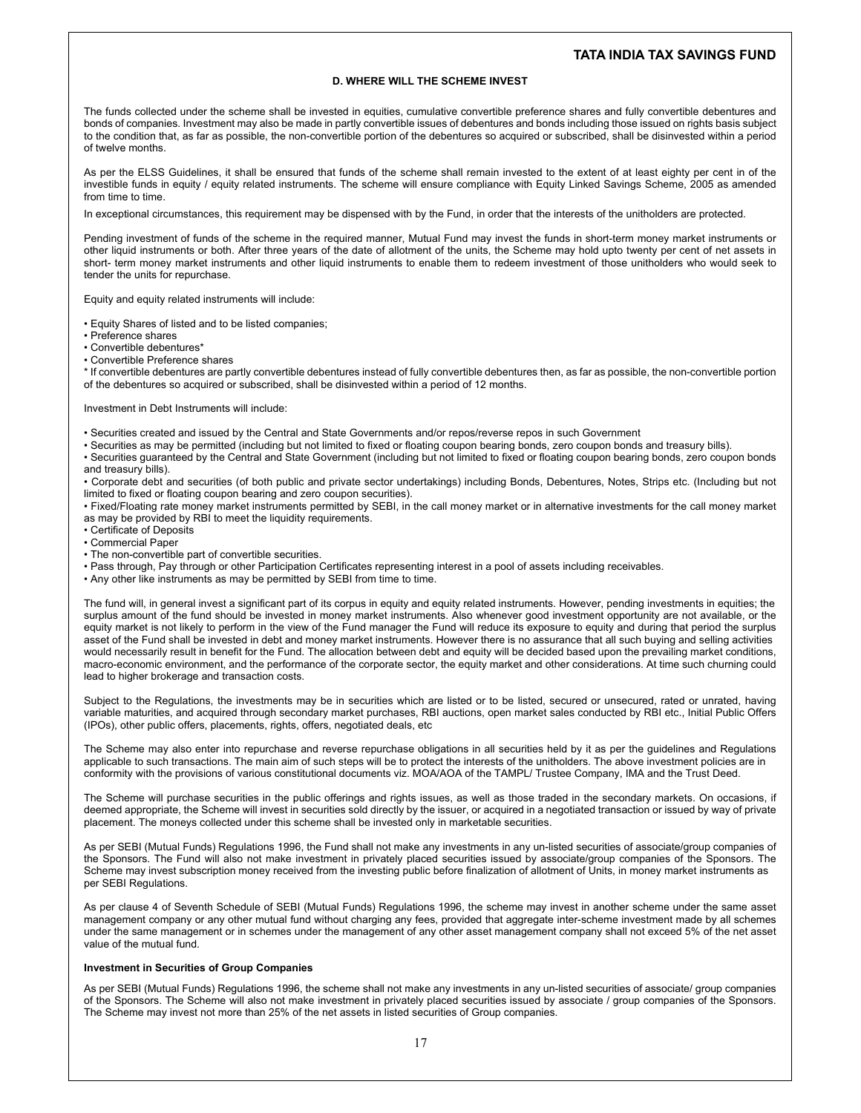#### **D. WHERE WILL THE SCHEME INVEST**

The funds collected under the scheme shall be invested in equities, cumulative convertible preference shares and fully convertible debentures and bonds of companies. Investment may also be made in partly convertible issues of debentures and bonds including those issued on rights basis subject to the condition that, as far as possible, the non-convertible portion of the debentures so acquired or subscribed, shall be disinvested within a period of twelve months.

As per the ELSS Guidelines, it shall be ensured that funds of the scheme shall remain invested to the extent of at least eighty per cent in of the investible funds in equity / equity related instruments. The scheme will ensure compliance with Equity Linked Savings Scheme, 2005 as amended from time to time.

In exceptional circumstances, this requirement may be dispensed with by the Fund, in order that the interests of the unitholders are protected.

Pending investment of funds of the scheme in the required manner, Mutual Fund may invest the funds in short-term money market instruments or other liquid instruments or both. After three years of the date of allotment of the units, the Scheme may hold upto twenty per cent of net assets in short- term money market instruments and other liquid instruments to enable them to redeem investment of those unitholders who would seek to tender the units for repurchase.

Equity and equity related instruments will include:

• Equity Shares of listed and to be listed companies;

- Preference shares
- Convertible debentures\*
- Convertible Preference shares

\* If convertible debentures are partly convertible debentures instead of fully convertible debentures then, as far as possible, the non-convertible portion of the debentures so acquired or subscribed, shall be disinvested within a period of 12 months.

Investment in Debt Instruments will include:

• Securities created and issued by the Central and State Governments and/or repos/reverse repos in such Government

• Securities as may be permitted (including but not limited to fixed or floating coupon bearing bonds, zero coupon bonds and treasury bills).

• Securities guaranteed by the Central and State Government (including but not limited to fixed or floating coupon bearing bonds, zero coupon bonds and treasury bills).

• Corporate debt and securities (of both public and private sector undertakings) including Bonds, Debentures, Notes, Strips etc. (Including but not limited to fixed or floating coupon bearing and zero coupon securities).

• Fixed/Floating rate money market instruments permitted by SEBI, in the call money market or in alternative investments for the call money market as may be provided by RBI to meet the liquidity requirements.

- Certificate of Deposits
- Commercial Paper
- The non-convertible part of convertible securities.
- Pass through, Pay through or other Participation Certificates representing interest in a pool of assets including receivables.
- Any other like instruments as may be permitted by SEBI from time to time.

The fund will, in general invest a significant part of its corpus in equity and equity related instruments. However, pending investments in equities; the surplus amount of the fund should be invested in money market instruments. Also whenever good investment opportunity are not available, or the equity market is not likely to perform in the view of the Fund manager the Fund will reduce its exposure to equity and during that period the surplus asset of the Fund shall be invested in debt and money market instruments. However there is no assurance that all such buying and selling activities would necessarily result in benefit for the Fund. The allocation between debt and equity will be decided based upon the prevailing market conditions, macro-economic environment, and the performance of the corporate sector, the equity market and other considerations. At time such churning could lead to higher brokerage and transaction costs.

Subject to the Regulations, the investments may be in securities which are listed or to be listed, secured or unsecured, rated or unrated, having variable maturities, and acquired through secondary market purchases, RBI auctions, open market sales conducted by RBI etc., Initial Public Offers (IPOs), other public offers, placements, rights, offers, negotiated deals, etc

The Scheme may also enter into repurchase and reverse repurchase obligations in all securities held by it as per the guidelines and Regulations applicable to such transactions. The main aim of such steps will be to protect the interests of the unitholders. The above investment policies are in conformity with the provisions of various constitutional documents viz. MOA/AOA of the TAMPL/ Trustee Company, IMA and the Trust Deed.

The Scheme will purchase securities in the public offerings and rights issues, as well as those traded in the secondary markets. On occasions, if deemed appropriate, the Scheme will invest in securities sold directly by the issuer, or acquired in a negotiated transaction or issued by way of private placement. The moneys collected under this scheme shall be invested only in marketable securities.

As per SEBI (Mutual Funds) Regulations 1996, the Fund shall not make any investments in any un-listed securities of associate/group companies of the Sponsors. The Fund will also not make investment in privately placed securities issued by associate/group companies of the Sponsors. The Scheme may invest subscription money received from the investing public before finalization of allotment of Units, in money market instruments as per SEBI Regulations.

As per clause 4 of Seventh Schedule of SEBI (Mutual Funds) Regulations 1996, the scheme may invest in another scheme under the same asset management company or any other mutual fund without charging any fees, provided that aggregate inter-scheme investment made by all schemes under the same management or in schemes under the management of any other asset management company shall not exceed 5% of the net asset value of the mutual fund.

#### **Investment in Securities of Group Companies**

As per SEBI (Mutual Funds) Regulations 1996, the scheme shall not make any investments in any un-listed securities of associate/ group companies of the Sponsors. The Scheme will also not make investment in privately placed securities issued by associate / group companies of the Sponsors. The Scheme may invest not more than 25% of the net assets in listed securities of Group companies.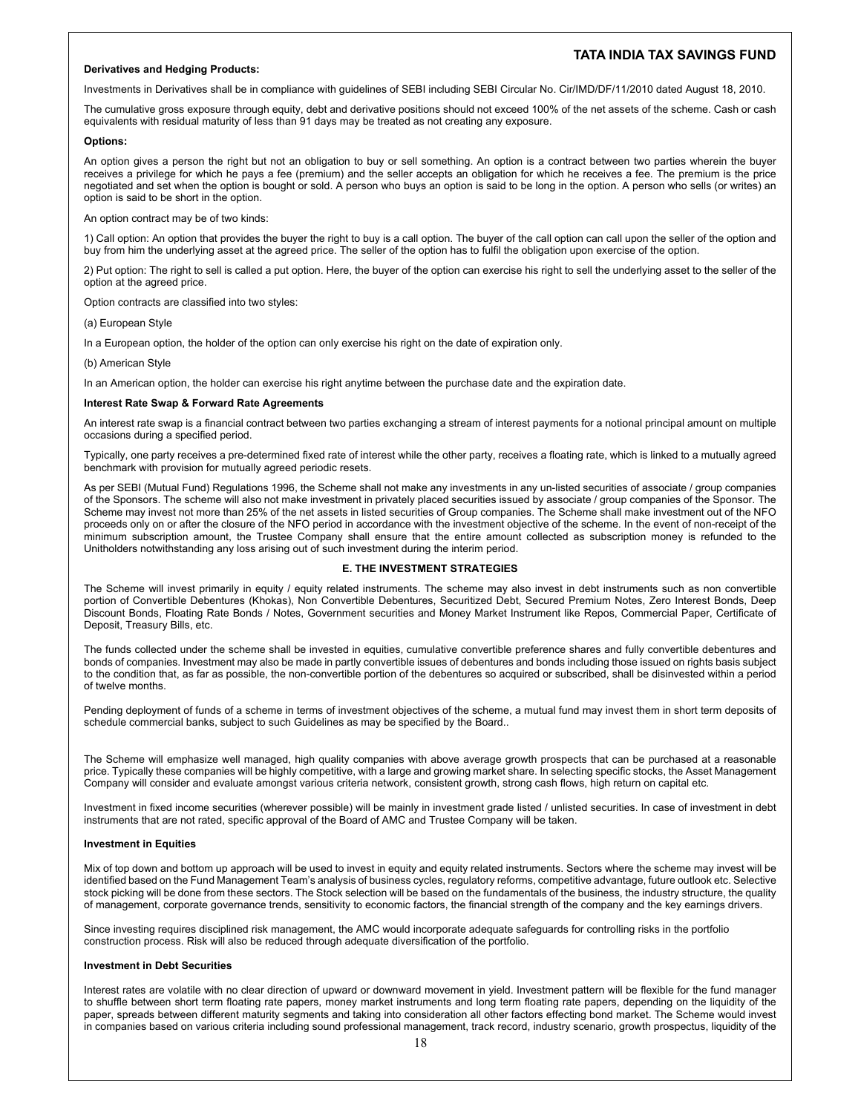#### **Derivatives and Hedging Products:**

Investments in Derivatives shall be in compliance with guidelines of SEBI including SEBI Circular No. Cir/IMD/DF/11/2010 dated August 18, 2010.

The cumulative gross exposure through equity, debt and derivative positions should not exceed 100% of the net assets of the scheme. Cash or cash equivalents with residual maturity of less than 91 days may be treated as not creating any exposure.

#### **Options:**

An option gives a person the right but not an obligation to buy or sell something. An option is a contract between two parties wherein the buyer receives a privilege for which he pays a fee (premium) and the seller accepts an obligation for which he receives a fee. The premium is the price negotiated and set when the option is bought or sold. A person who buys an option is said to be long in the option. A person who sells (or writes) an option is said to be short in the option.

#### An option contract may be of two kinds:

1) Call option: An option that provides the buyer the right to buy is a call option. The buyer of the call option can call upon the seller of the option and buy from him the underlying asset at the agreed price. The seller of the option has to fulfil the obligation upon exercise of the option.

2) Put option: The right to sell is called a put option. Here, the buyer of the option can exercise his right to sell the underlying asset to the seller of the option at the agreed price.

Option contracts are classified into two styles:

(a) European Style

In a European option, the holder of the option can only exercise his right on the date of expiration only.

(b) American Style

In an American option, the holder can exercise his right anytime between the purchase date and the expiration date.

#### **Interest Rate Swap & Forward Rate Agreements**

An interest rate swap is a financial contract between two parties exchanging a stream of interest payments for a notional principal amount on multiple occasions during a specified period.

Typically, one party receives a pre-determined fixed rate of interest while the other party, receives a floating rate, which is linked to a mutually agreed benchmark with provision for mutually agreed periodic resets.

As per SEBI (Mutual Fund) Regulations 1996, the Scheme shall not make any investments in any un-listed securities of associate / group companies of the Sponsors. The scheme will also not make investment in privately placed securities issued by associate / group companies of the Sponsor. The Scheme may invest not more than 25% of the net assets in listed securities of Group companies. The Scheme shall make investment out of the NFO proceeds only on or after the closure of the NFO period in accordance with the investment objective of the scheme. In the event of non-receipt of the minimum subscription amount, the Trustee Company shall ensure that the entire amount collected as subscription money is refunded to the Unitholders notwithstanding any loss arising out of such investment during the interim period.

#### **E. THE INVESTMENT STRATEGIES**

The Scheme will invest primarily in equity / equity related instruments. The scheme may also invest in debt instruments such as non convertible portion of Convertible Debentures (Khokas), Non Convertible Debentures, Securitized Debt, Secured Premium Notes, Zero Interest Bonds, Deep Discount Bonds, Floating Rate Bonds / Notes, Government securities and Money Market Instrument like Repos, Commercial Paper, Certificate of Deposit, Treasury Bills, etc.

The funds collected under the scheme shall be invested in equities, cumulative convertible preference shares and fully convertible debentures and bonds of companies. Investment may also be made in partly convertible issues of debentures and bonds including those issued on rights basis subject to the condition that, as far as possible, the non-convertible portion of the debentures so acquired or subscribed, shall be disinvested within a period of twelve months.

Pending deployment of funds of a scheme in terms of investment objectives of the scheme, a mutual fund may invest them in short term deposits of schedule commercial banks, subject to such Guidelines as may be specified by the Board..

The Scheme will emphasize well managed, high quality companies with above average growth prospects that can be purchased at a reasonable price. Typically these companies will be highly competitive, with a large and growing market share. In selecting specific stocks, the Asset Management Company will consider and evaluate amongst various criteria network, consistent growth, strong cash flows, high return on capital etc.

Investment in fixed income securities (wherever possible) will be mainly in investment grade listed / unlisted securities. In case of investment in debt instruments that are not rated, specific approval of the Board of AMC and Trustee Company will be taken.

#### **Investment in Equities**

Mix of top down and bottom up approach will be used to invest in equity and equity related instruments. Sectors where the scheme may invest will be identified based on the Fund Management Team's analysis of business cycles, regulatory reforms, competitive advantage, future outlook etc. Selective stock picking will be done from these sectors. The Stock selection will be based on the fundamentals of the business, the industry structure, the quality of management, corporate governance trends, sensitivity to economic factors, the financial strength of the company and the key earnings drivers.

Since investing requires disciplined risk management, the AMC would incorporate adequate safeguards for controlling risks in the portfolio construction process. Risk will also be reduced through adequate diversification of the portfolio.

#### **Investment in Debt Securities**

Interest rates are volatile with no clear direction of upward or downward movement in yield. Investment pattern will be flexible for the fund manager to shuffle between short term floating rate papers, money market instruments and long term floating rate papers, depending on the liquidity of the paper, spreads between different maturity segments and taking into consideration all other factors effecting bond market. The Scheme would invest in companies based on various criteria including sound professional management, track record, industry scenario, growth prospectus, liquidity of the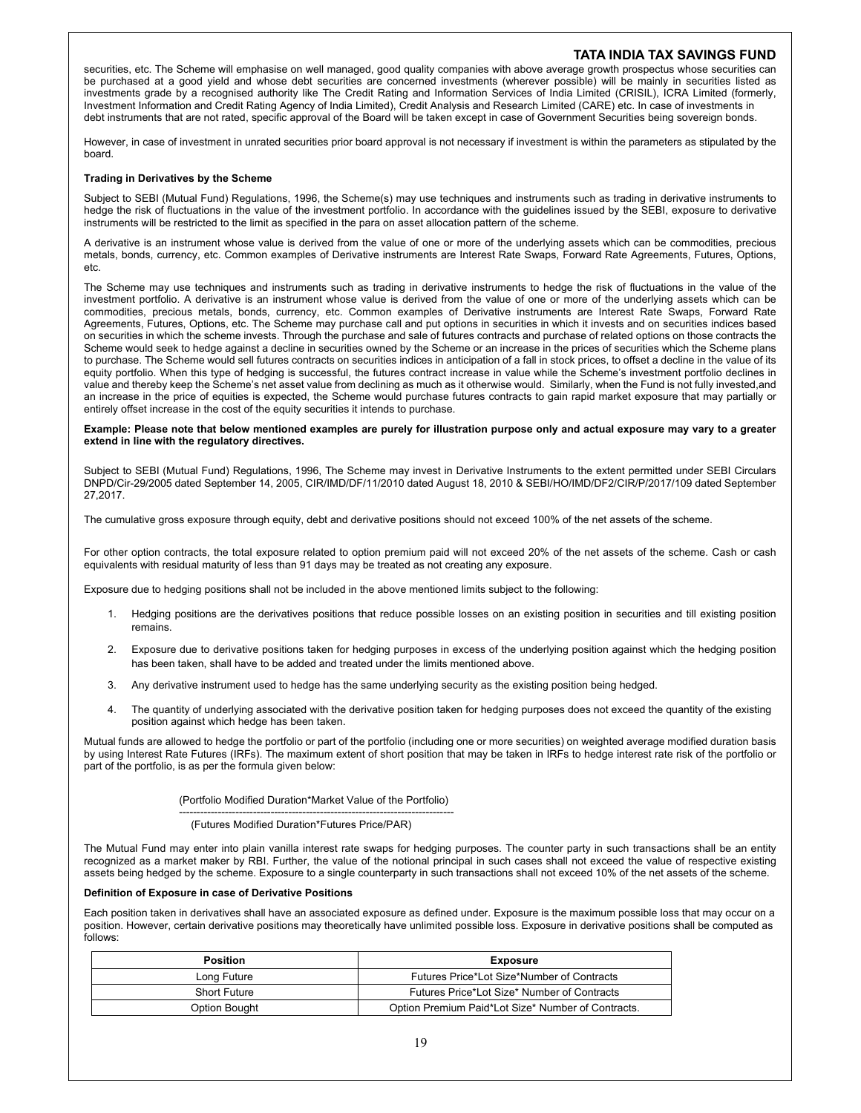securities, etc. The Scheme will emphasise on well managed, good quality companies with above average growth prospectus whose securities can be purchased at a good yield and whose debt securities are concerned investments (wherever possible) will be mainly in securities listed as investments grade by a recognised authority like The Credit Rating and Information Services of India Limited (CRISIL), ICRA Limited (formerly, Investment Information and Credit Rating Agency of India Limited), Credit Analysis and Research Limited (CARE) etc. In case of investments in debt instruments that are not rated, specific approval of the Board will be taken except in case of Government Securities being sovereign bonds.

However, in case of investment in unrated securities prior board approval is not necessary if investment is within the parameters as stipulated by the board.

#### **Trading in Derivatives by the Scheme**

Subject to SEBI (Mutual Fund) Regulations, 1996, the Scheme(s) may use techniques and instruments such as trading in derivative instruments to hedge the risk of fluctuations in the value of the investment portfolio. In accordance with the guidelines issued by the SEBI, exposure to derivative instruments will be restricted to the limit as specified in the para on asset allocation pattern of the scheme.

A derivative is an instrument whose value is derived from the value of one or more of the underlying assets which can be commodities, precious metals, bonds, currency, etc. Common examples of Derivative instruments are Interest Rate Swaps, Forward Rate Agreements, Futures, Options, etc.

The Scheme may use techniques and instruments such as trading in derivative instruments to hedge the risk of fluctuations in the value of the investment portfolio. A derivative is an instrument whose value is derived from the value of one or more of the underlying assets which can be commodities, precious metals, bonds, currency, etc. Common examples of Derivative instruments are Interest Rate Swaps, Forward Rate Agreements, Futures, Options, etc. The Scheme may purchase call and put options in securities in which it invests and on securities indices based on securities in which the scheme invests. Through the purchase and sale of futures contracts and purchase of related options on those contracts the Scheme would seek to hedge against a decline in securities owned by the Scheme or an increase in the prices of securities which the Scheme plans to purchase. The Scheme would sell futures contracts on securities indices in anticipation of a fall in stock prices, to offset a decline in the value of its equity portfolio. When this type of hedging is successful, the futures contract increase in value while the Scheme's investment portfolio declines in value and thereby keep the Scheme's net asset value from declining as much as it otherwise would. Similarly, when the Fund is not fully invested,and an increase in the price of equities is expected, the Scheme would purchase futures contracts to gain rapid market exposure that may partially or entirely offset increase in the cost of the equity securities it intends to purchase.

#### **Example: Please note that below mentioned examples are purely for illustration purpose only and actual exposure may vary to a greater extend in line with the regulatory directives.**

Subject to SEBI (Mutual Fund) Regulations, 1996, The Scheme may invest in Derivative Instruments to the extent permitted under SEBI Circulars DNPD/Cir-29/2005 dated September 14, 2005, CIR/IMD/DF/11/2010 dated August 18, 2010 & SEBI/HO/IMD/DF2/CIR/P/2017/109 dated September 27,2017.

The cumulative gross exposure through equity, debt and derivative positions should not exceed 100% of the net assets of the scheme.

For other option contracts, the total exposure related to option premium paid will not exceed 20% of the net assets of the scheme. Cash or cash equivalents with residual maturity of less than 91 days may be treated as not creating any exposure.

Exposure due to hedging positions shall not be included in the above mentioned limits subject to the following:

- 1. Hedging positions are the derivatives positions that reduce possible losses on an existing position in securities and till existing position remains.
- 2. Exposure due to derivative positions taken for hedging purposes in excess of the underlying position against which the hedging position has been taken, shall have to be added and treated under the limits mentioned above.
- 3. Any derivative instrument used to hedge has the same underlying security as the existing position being hedged.
- 4. The quantity of underlying associated with the derivative position taken for hedging purposes does not exceed the quantity of the existing position against which hedge has been taken.

Mutual funds are allowed to hedge the portfolio or part of the portfolio (including one or more securities) on weighted average modified duration basis by using Interest Rate Futures (IRFs). The maximum extent of short position that may be taken in IRFs to hedge interest rate risk of the portfolio or part of the portfolio, is as per the formula given below:

(Portfolio Modified Duration\*Market Value of the Portfolio)

------------------------------------------------------------------------------ (Futures Modified Duration\*Futures Price/PAR)

The Mutual Fund may enter into plain vanilla interest rate swaps for hedging purposes. The counter party in such transactions shall be an entity recognized as a market maker by RBI. Further, the value of the notional principal in such cases shall not exceed the value of respective existing assets being hedged by the scheme. Exposure to a single counterparty in such transactions shall not exceed 10% of the net assets of the scheme.

#### **Definition of Exposure in case of Derivative Positions**

Each position taken in derivatives shall have an associated exposure as defined under. Exposure is the maximum possible loss that may occur on a position. However, certain derivative positions may theoretically have unlimited possible loss. Exposure in derivative positions shall be computed as follows:

| <b>Position</b>     | <b>Exposure</b>                                    |
|---------------------|----------------------------------------------------|
| Long Future         | Futures Price*Lot Size*Number of Contracts         |
| <b>Short Future</b> | Futures Price*Lot Size* Number of Contracts        |
| Option Bought       | Option Premium Paid*Lot Size* Number of Contracts. |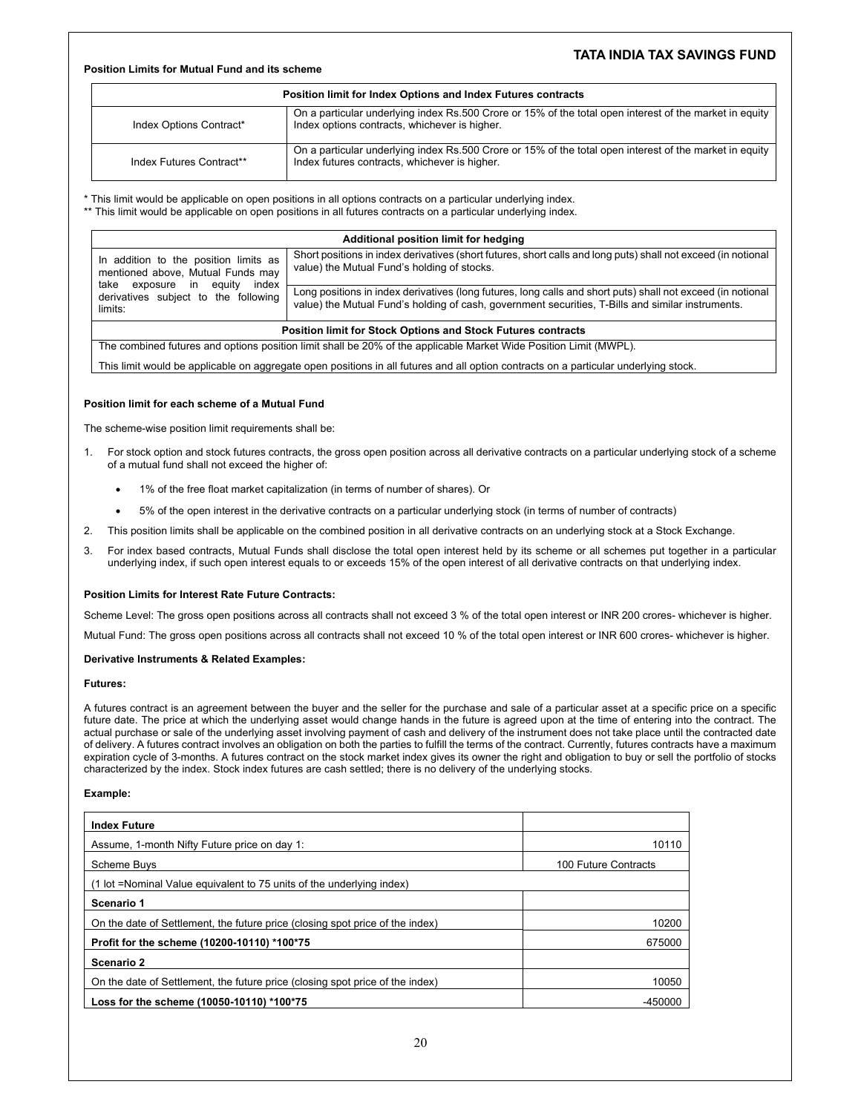#### **Position Limits for Mutual Fund and its scheme**

| Position limit for Index Options and Index Futures contracts |                                                                                                                                                          |  |  |
|--------------------------------------------------------------|----------------------------------------------------------------------------------------------------------------------------------------------------------|--|--|
| Index Options Contract*                                      | On a particular underlying index Rs.500 Crore or 15% of the total open interest of the market in equity<br>Index options contracts, whichever is higher. |  |  |
| Index Futures Contract**                                     | On a particular underlying index Rs.500 Crore or 15% of the total open interest of the market in equity<br>Index futures contracts, whichever is higher. |  |  |

\* This limit would be applicable on open positions in all options contracts on a particular underlying index.

|  |  |  |  |  |  |  | ** This limit would be applicable on open positions in all futures contracts on a particular underlying index. |
|--|--|--|--|--|--|--|----------------------------------------------------------------------------------------------------------------|
|--|--|--|--|--|--|--|----------------------------------------------------------------------------------------------------------------|

| Additional position limit for hedging                                                                          |                                                                                                                                                                                                                  |  |  |  |
|----------------------------------------------------------------------------------------------------------------|------------------------------------------------------------------------------------------------------------------------------------------------------------------------------------------------------------------|--|--|--|
| In addition to the position limits as<br>mentioned above, Mutual Funds may<br>index<br>take exposure in equity | Short positions in index derivatives (short futures, short calls and long puts) shall not exceed (in notional<br>value) the Mutual Fund's holding of stocks.                                                     |  |  |  |
| derivatives subject to the following<br>limits:                                                                | Long positions in index derivatives (long futures, long calls and short puts) shall not exceed (in notional<br>value) the Mutual Fund's holding of cash, government securities, T-Bills and similar instruments. |  |  |  |
| <b>Position limit for Stock Options and Stock Futures contracts</b>                                            |                                                                                                                                                                                                                  |  |  |  |

The combined futures and options position limit shall be 20% of the applicable Market Wide Position Limit (MWPL).

This limit would be applicable on aggregate open positions in all futures and all option contracts on a particular underlying stock.

#### **Position limit for each scheme of a Mutual Fund**

The scheme-wise position limit requirements shall be:

- 1. For stock option and stock futures contracts, the gross open position across all derivative contracts on a particular underlying stock of a scheme of a mutual fund shall not exceed the higher of:
	- 1% of the free float market capitalization (in terms of number of shares). Or
	- 5% of the open interest in the derivative contracts on a particular underlying stock (in terms of number of contracts)
- 2. This position limits shall be applicable on the combined position in all derivative contracts on an underlying stock at a Stock Exchange.
- 3. For index based contracts, Mutual Funds shall disclose the total open interest held by its scheme or all schemes put together in a particular underlying index, if such open interest equals to or exceeds 15% of the open interest of all derivative contracts on that underlying index.

#### **Position Limits for Interest Rate Future Contracts:**

Scheme Level: The gross open positions across all contracts shall not exceed 3 % of the total open interest or INR 200 crores- whichever is higher.

Mutual Fund: The gross open positions across all contracts shall not exceed 10 % of the total open interest or INR 600 crores- whichever is higher.

#### **Derivative Instruments & Related Examples:**

#### **Futures:**

A futures contract is an agreement between the buyer and the seller for the purchase and sale of a particular asset at a specific price on a specific future date. The price at which the underlying asset would change hands in the future is agreed upon at the time of entering into the contract. The actual purchase or sale of the underlying asset involving payment of cash and delivery of the instrument does not take place until the contracted date of delivery. A futures contract involves an obligation on both the parties to fulfill the terms of the contract. Currently, futures contracts have a maximum expiration cycle of 3-months. A futures contract on the stock market index gives its owner the right and obligation to buy or sell the portfolio of stocks characterized by the index. Stock index futures are cash settled; there is no delivery of the underlying stocks.

#### **Example:**

| <b>Index Future</b>                                                           |                      |
|-------------------------------------------------------------------------------|----------------------|
| Assume, 1-month Nifty Future price on day 1:                                  | 10110                |
| <b>Scheme Buvs</b>                                                            | 100 Future Contracts |
| (1 lot = Nominal Value equivalent to 75 units of the underlying index)        |                      |
| Scenario 1                                                                    |                      |
| On the date of Settlement, the future price (closing spot price of the index) | 10200                |
| Profit for the scheme (10200-10110) *100*75                                   | 675000               |
| Scenario 2                                                                    |                      |
| On the date of Settlement, the future price (closing spot price of the index) | 10050                |
| Loss for the scheme (10050-10110) *100*75                                     | $-450000$            |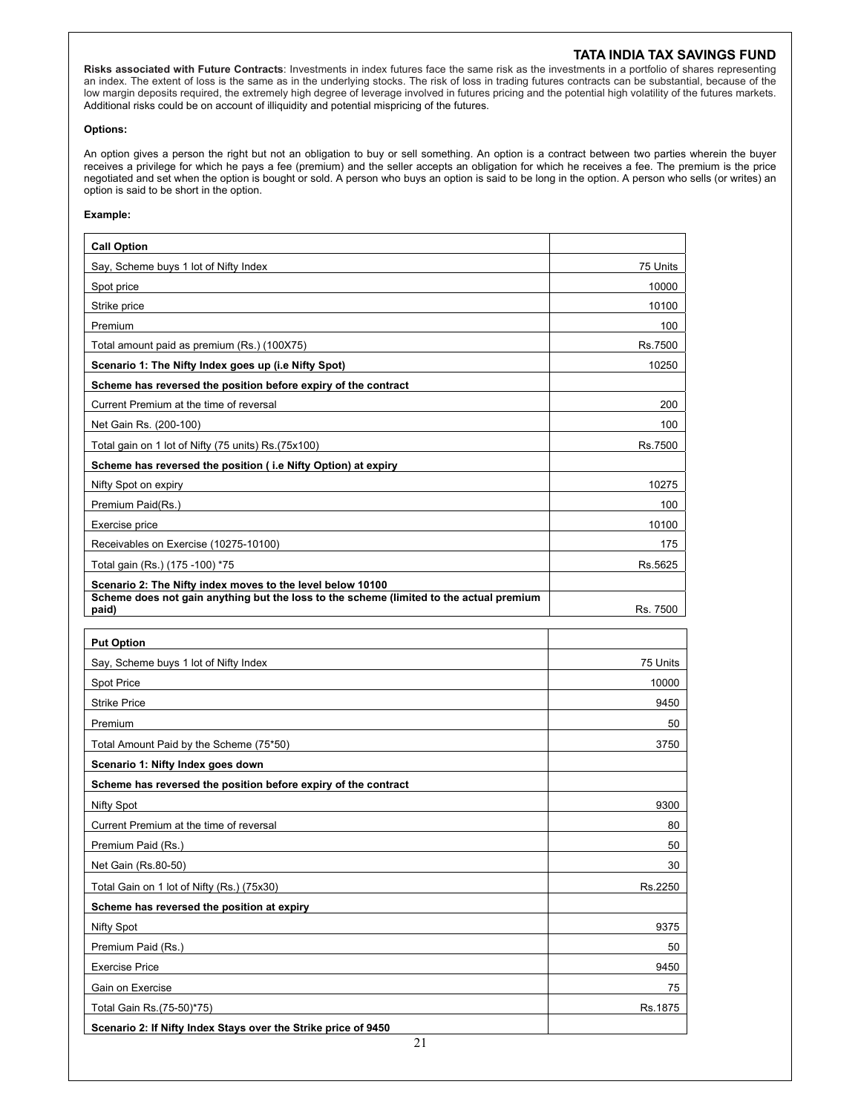**Risks associated with Future Contracts**: Investments in index futures face the same risk as the investments in a portfolio of shares representing an index. The extent of loss is the same as in the underlying stocks. The risk of loss in trading futures contracts can be substantial, because of the low margin deposits required, the extremely high degree of leverage involved in futures pricing and the potential high volatility of the futures markets. Additional risks could be on account of illiquidity and potential mispricing of the futures.

### **Options:**

An option gives a person the right but not an obligation to buy or sell something. An option is a contract between two parties wherein the buyer receives a privilege for which he pays a fee (premium) and the seller accepts an obligation for which he receives a fee. The premium is the price negotiated and set when the option is bought or sold. A person who buys an option is said to be long in the option. A person who sells (or writes) an option is said to be short in the option.

#### **Example:**

| <b>Call Option</b>                                                                               |          |
|--------------------------------------------------------------------------------------------------|----------|
| Say, Scheme buys 1 lot of Nifty Index                                                            | 75 Units |
| Spot price                                                                                       | 10000    |
| Strike price                                                                                     | 10100    |
| Premium                                                                                          | 100      |
| Total amount paid as premium (Rs.) (100X75)                                                      | Rs.7500  |
| Scenario 1: The Nifty Index goes up (i.e Nifty Spot)                                             | 10250    |
| Scheme has reversed the position before expiry of the contract                                   |          |
| Current Premium at the time of reversal                                                          | 200      |
| Net Gain Rs. (200-100)                                                                           | 100      |
| Total gain on 1 lot of Nifty (75 units) Rs.(75x100)                                              | Rs.7500  |
| Scheme has reversed the position (i.e Nifty Option) at expiry                                    |          |
| Nifty Spot on expiry                                                                             | 10275    |
| Premium Paid(Rs.)                                                                                | 100      |
| Exercise price                                                                                   | 10100    |
| Receivables on Exercise (10275-10100)                                                            | 175      |
| Total gain (Rs.) (175 -100) *75                                                                  | Rs.5625  |
| Scenario 2: The Nifty index moves to the level below 10100                                       |          |
| Scheme does not gain anything but the loss to the scheme (limited to the actual premium<br>paid) | Rs. 7500 |
|                                                                                                  |          |
| <b>Put Option</b>                                                                                |          |
| Say, Scheme buys 1 lot of Nifty Index                                                            | 75 Units |
| <b>Spot Price</b>                                                                                | 10000    |
| <b>Strike Price</b>                                                                              | 9450     |
| Premium                                                                                          | 50       |
| Total Amount Paid by the Scheme (75*50)                                                          | 3750     |
| Scenario 1: Nifty Index goes down                                                                |          |
| Scheme has reversed the position before expiry of the contract                                   |          |
| Nifty Spot                                                                                       | 9300     |
| Current Premium at the time of reversal                                                          | 80       |
| Premium Paid (Rs.)                                                                               | 50       |
| Net Gain (Rs.80-50)                                                                              | 30       |
| Total Gain on 1 lot of Nifty (Rs.) (75x30)                                                       | Rs.2250  |
| Scheme has reversed the position at expiry                                                       |          |
| <b>Nifty Spot</b>                                                                                | 9375     |
| Premium Paid (Rs.)                                                                               | 50       |
| <b>Exercise Price</b>                                                                            | 9450     |
| Gain on Exercise                                                                                 | 75       |
| Total Gain Rs.(75-50)*75)                                                                        | Rs.1875  |
| Scenario 2: If Nifty Index Stays over the Strike price of 9450                                   |          |
| 21                                                                                               |          |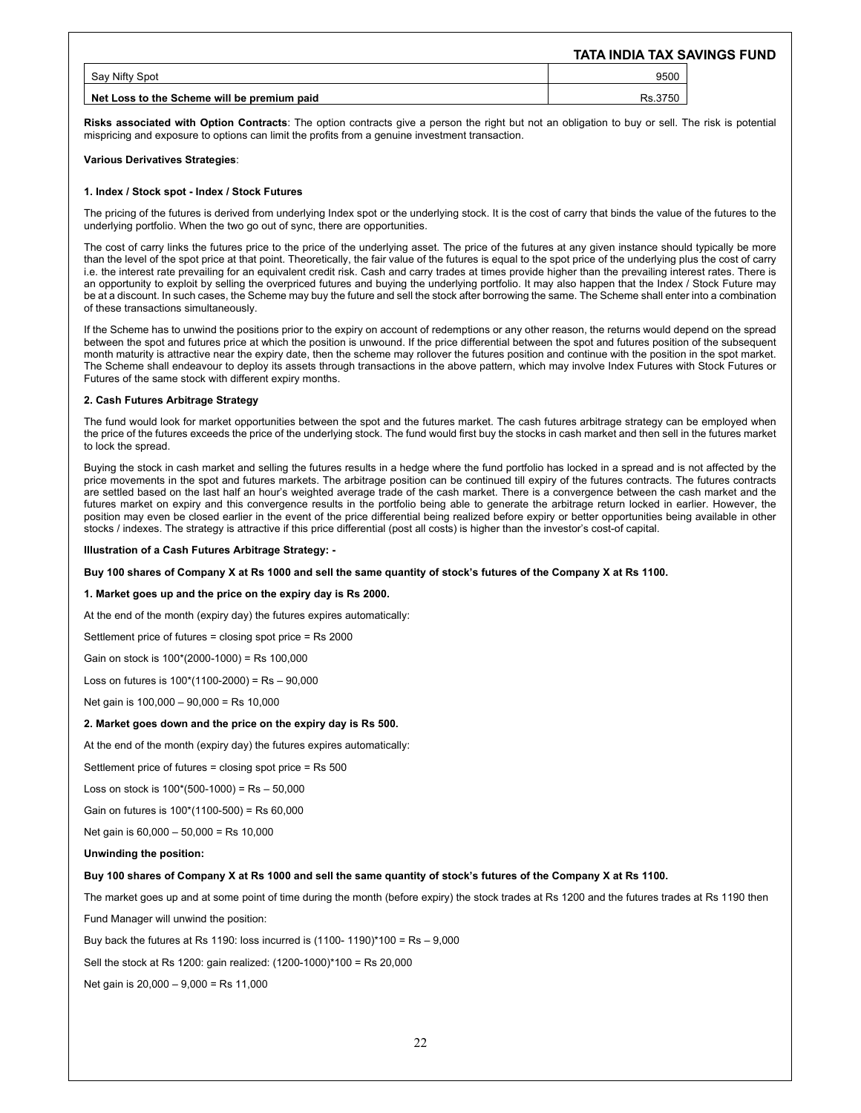|                                             | TATA INDIA TAX SAVINGS FUND |  |
|---------------------------------------------|-----------------------------|--|
| Sav Nifty Spot                              | 9500                        |  |
| Net Loss to the Scheme will be premium paid | Rs.3750                     |  |

**Risks associated with Option Contracts**: The option contracts give a person the right but not an obligation to buy or sell. The risk is potential mispricing and exposure to options can limit the profits from a genuine investment transaction.

#### **Various Derivatives Strategies**:

#### **1. Index / Stock spot - Index / Stock Futures**

The pricing of the futures is derived from underlying Index spot or the underlying stock. It is the cost of carry that binds the value of the futures to the underlying portfolio. When the two go out of sync, there are opportunities.

The cost of carry links the futures price to the price of the underlying asset. The price of the futures at any given instance should typically be more than the level of the spot price at that point. Theoretically, the fair value of the futures is equal to the spot price of the underlying plus the cost of carry i.e. the interest rate prevailing for an equivalent credit risk. Cash and carry trades at times provide higher than the prevailing interest rates. There is an opportunity to exploit by selling the overpriced futures and buying the underlying portfolio. It may also happen that the Index / Stock Future may be at a discount. In such cases, the Scheme may buy the future and sell the stock after borrowing the same. The Scheme shall enter into a combination of these transactions simultaneously.

If the Scheme has to unwind the positions prior to the expiry on account of redemptions or any other reason, the returns would depend on the spread between the spot and futures price at which the position is unwound. If the price differential between the spot and futures position of the subsequent month maturity is attractive near the expiry date, then the scheme may rollover the futures position and continue with the position in the spot market. The Scheme shall endeavour to deploy its assets through transactions in the above pattern, which may involve Index Futures with Stock Futures or Futures of the same stock with different expiry months.

#### **2. Cash Futures Arbitrage Strategy**

The fund would look for market opportunities between the spot and the futures market. The cash futures arbitrage strategy can be employed when the price of the futures exceeds the price of the underlying stock. The fund would first buy the stocks in cash market and then sell in the futures market to lock the spread.

Buying the stock in cash market and selling the futures results in a hedge where the fund portfolio has locked in a spread and is not affected by the price movements in the spot and futures markets. The arbitrage position can be continued till expiry of the futures contracts. The futures contracts are settled based on the last half an hour's weighted average trade of the cash market. There is a convergence between the cash market and the futures market on expiry and this convergence results in the portfolio being able to generate the arbitrage return locked in earlier. However, the position may even be closed earlier in the event of the price differential being realized before expiry or better opportunities being available in other stocks / indexes. The strategy is attractive if this price differential (post all costs) is higher than the investor's cost-of capital.

#### **Illustration of a Cash Futures Arbitrage Strategy: -**

**Buy 100 shares of Company X at Rs 1000 and sell the same quantity of stock's futures of the Company X at Rs 1100.** 

**1. Market goes up and the price on the expiry day is Rs 2000.** 

At the end of the month (expiry day) the futures expires automatically:

Settlement price of futures = closing spot price = Rs 2000

Gain on stock is 100\*(2000-1000) = Rs 100,000

Loss on futures is  $100^*(1100-2000) = Rs - 90,000$ 

Net gain is 100,000 – 90,000 = Rs 10,000

#### **2. Market goes down and the price on the expiry day is Rs 500.**

At the end of the month (expiry day) the futures expires automatically:

Settlement price of futures = closing spot price = Rs 500

Loss on stock is  $100*(500-1000) = Rs - 50,000$ 

Gain on futures is 100\*(1100-500) = Rs 60,000

Net gain is 60,000 – 50,000 = Rs 10,000

#### **Unwinding the position:**

#### **Buy 100 shares of Company X at Rs 1000 and sell the same quantity of stock's futures of the Company X at Rs 1100.**

The market goes up and at some point of time during the month (before expiry) the stock trades at Rs 1200 and the futures trades at Rs 1190 then Fund Manager will unwind the position:

Buy back the futures at Rs 1190: loss incurred is  $(1100 - 1190)^*100 = Rs - 9,000$ 

Sell the stock at Rs 1200: gain realized: (1200-1000)\*100 = Rs 20,000

Net gain is 20,000 – 9,000 = Rs 11,000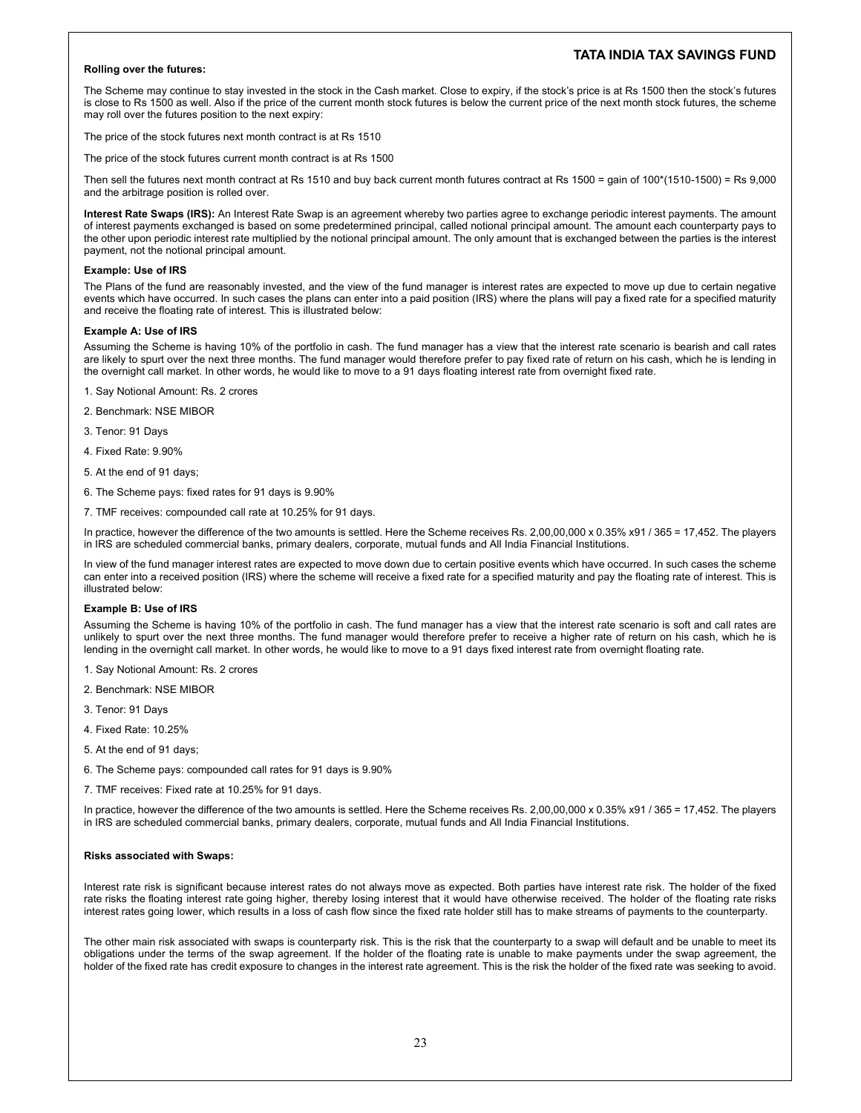#### **Rolling over the futures:**

The Scheme may continue to stay invested in the stock in the Cash market. Close to expiry, if the stock's price is at Rs 1500 then the stock's futures is close to Rs 1500 as well. Also if the price of the current month stock futures is below the current price of the next month stock futures, the scheme may roll over the futures position to the next expiry:

The price of the stock futures next month contract is at Rs 1510

The price of the stock futures current month contract is at Rs 1500

Then sell the futures next month contract at Rs 1510 and buy back current month futures contract at Rs 1500 = gain of 100\*(1510-1500) = Rs 9,000 and the arbitrage position is rolled over.

**Interest Rate Swaps (IRS):** An Interest Rate Swap is an agreement whereby two parties agree to exchange periodic interest payments. The amount of interest payments exchanged is based on some predetermined principal, called notional principal amount. The amount each counterparty pays to the other upon periodic interest rate multiplied by the notional principal amount. The only amount that is exchanged between the parties is the interest payment, not the notional principal amount.

#### **Example: Use of IRS**

The Plans of the fund are reasonably invested, and the view of the fund manager is interest rates are expected to move up due to certain negative events which have occurred. In such cases the plans can enter into a paid position (IRS) where the plans will pay a fixed rate for a specified maturity and receive the floating rate of interest. This is illustrated below:

#### **Example A: Use of IRS**

Assuming the Scheme is having 10% of the portfolio in cash. The fund manager has a view that the interest rate scenario is bearish and call rates are likely to spurt over the next three months. The fund manager would therefore prefer to pay fixed rate of return on his cash, which he is lending in the overnight call market. In other words, he would like to move to a 91 days floating interest rate from overnight fixed rate.

1. Say Notional Amount: Rs. 2 crores

- 2. Benchmark: NSE MIBOR
- 3. Tenor: 91 Days
- 4. Fixed Rate: 9.90%
- 5. At the end of 91 days;
- 6. The Scheme pays: fixed rates for 91 days is 9.90%
- 7. TMF receives: compounded call rate at 10.25% for 91 days.

In practice, however the difference of the two amounts is settled. Here the Scheme receives Rs. 2,00,00,000 x 0.35% x91 / 365 = 17,452. The players in IRS are scheduled commercial banks, primary dealers, corporate, mutual funds and All India Financial Institutions.

In view of the fund manager interest rates are expected to move down due to certain positive events which have occurred. In such cases the scheme can enter into a received position (IRS) where the scheme will receive a fixed rate for a specified maturity and pay the floating rate of interest. This is illustrated below:

#### **Example B: Use of IRS**

Assuming the Scheme is having 10% of the portfolio in cash. The fund manager has a view that the interest rate scenario is soft and call rates are unlikely to spurt over the next three months. The fund manager would therefore prefer to receive a higher rate of return on his cash, which he is lending in the overnight call market. In other words, he would like to move to a 91 days fixed interest rate from overnight floating rate.

1. Say Notional Amount: Rs. 2 crores

- 2. Benchmark: NSE MIBOR
- 3. Tenor: 91 Days
- 4. Fixed Rate: 10.25%
- 5. At the end of 91 days;
- 6. The Scheme pays: compounded call rates for 91 days is 9.90%
- 7. TMF receives: Fixed rate at 10.25% for 91 days.

In practice, however the difference of the two amounts is settled. Here the Scheme receives Rs. 2,00,00,000 x 0.35% x91 / 365 = 17,452. The players in IRS are scheduled commercial banks, primary dealers, corporate, mutual funds and All India Financial Institutions.

#### **Risks associated with Swaps:**

Interest rate risk is significant because interest rates do not always move as expected. Both parties have interest rate risk. The holder of the fixed rate risks the floating interest rate going higher, thereby losing interest that it would have otherwise received. The holder of the floating rate risks interest rates going lower, which results in a loss of cash flow since the fixed rate holder still has to make streams of payments to the counterparty.

The other main risk associated with swaps is counterparty risk. This is the risk that the counterparty to a swap will default and be unable to meet its obligations under the terms of the swap agreement. If the holder of the floating rate is unable to make payments under the swap agreement, the holder of the fixed rate has credit exposure to changes in the interest rate agreement. This is the risk the holder of the fixed rate was seeking to avoid.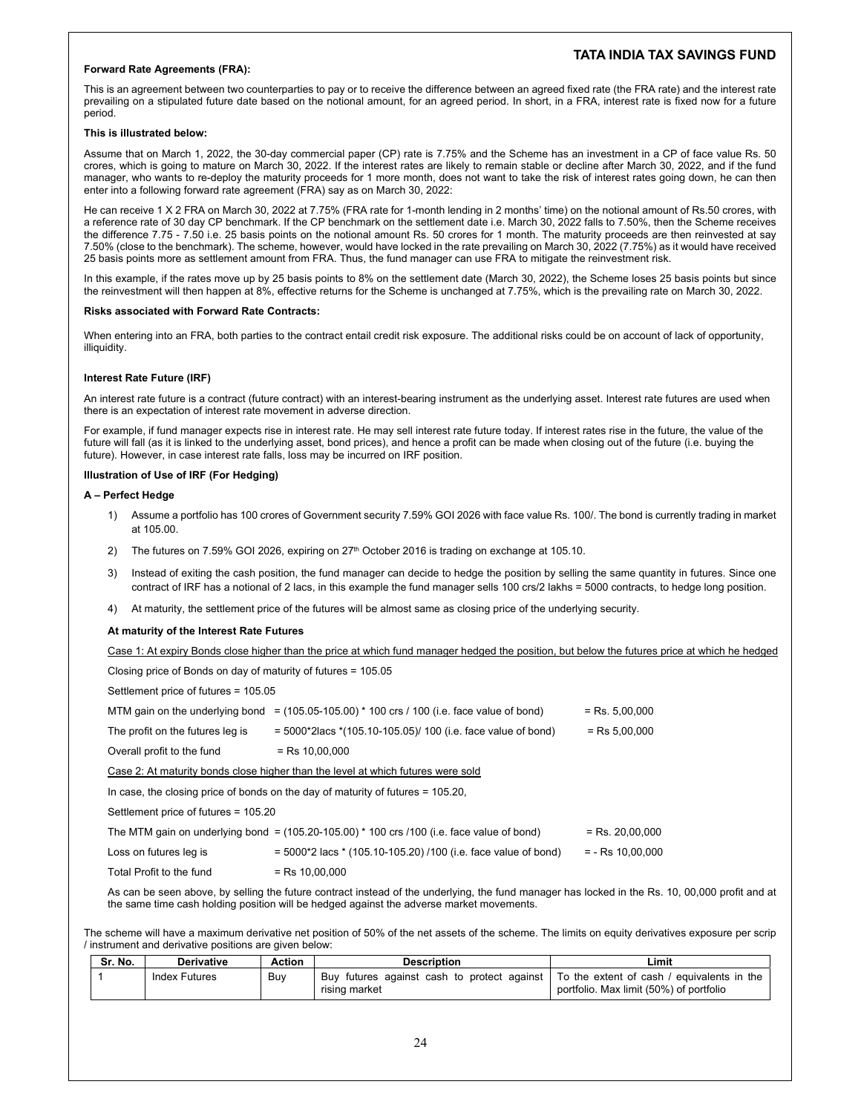#### **Forward Rate Agreements (FRA):**

This is an agreement between two counterparties to pay or to receive the difference between an agreed fixed rate (the FRA rate) and the interest rate prevailing on a stipulated future date based on the notional amount, for an agreed period. In short, in a FRA, interest rate is fixed now for a future period.

#### **This is illustrated below:**

Assume that on March 1, 2022, the 30-day commercial paper (CP) rate is 7.75% and the Scheme has an investment in a CP of face value Rs. 50 crores, which is going to mature on March 30, 2022. If the interest rates are likely to remain stable or decline after March 30, 2022, and if the fund manager, who wants to re-deploy the maturity proceeds for 1 more month, does not want to take the risk of interest rates going down, he can then enter into a following forward rate agreement (FRA) say as on March 30, 2022:

He can receive 1 X 2 FRA on March 30, 2022 at 7.75% (FRA rate for 1-month lending in 2 months' time) on the notional amount of Rs.50 crores, with a reference rate of 30 day CP benchmark. If the CP benchmark on the settlement date i.e. March 30, 2022 falls to 7.50%, then the Scheme receives the difference 7.75 - 7.50 i.e. 25 basis points on the notional amount Rs. 50 crores for 1 month. The maturity proceeds are then reinvested at say 7.50% (close to the benchmark). The scheme, however, would have locked in the rate prevailing on March 30, 2022 (7.75%) as it would have received 25 basis points more as settlement amount from FRA. Thus, the fund manager can use FRA to mitigate the reinvestment risk.

In this example, if the rates move up by 25 basis points to 8% on the settlement date (March 30, 2022), the Scheme loses 25 basis points but since the reinvestment will then happen at 8%, effective returns for the Scheme is unchanged at 7.75%, which is the prevailing rate on March 30, 2022.

#### **Risks associated with Forward Rate Contracts:**

When entering into an FRA, both parties to the contract entail credit risk exposure. The additional risks could be on account of lack of opportunity, illiquidity.

#### **Interest Rate Future (IRF)**

An interest rate future is a contract (future contract) with an interest-bearing instrument as the underlying asset. Interest rate futures are used when there is an expectation of interest rate movement in adverse direction.

For example, if fund manager expects rise in interest rate. He may sell interest rate future today. If interest rates rise in the future, the value of the future will fall (as it is linked to the underlying asset, bond prices), and hence a profit can be made when closing out of the future (i.e. buying the future). However, in case interest rate falls, loss may be incurred on IRF position.

#### **Illustration of Use of IRF (For Hedging)**

#### **A – Perfect Hedge**

- 1) Assume a portfolio has 100 crores of Government security 7.59% GOI 2026 with face value Rs. 100/. The bond is currently trading in market at 105.00.
- 2) The futures on 7.59% GOI 2026, expiring on 27<sup>th</sup> October 2016 is trading on exchange at 105.10.
- 3) Instead of exiting the cash position, the fund manager can decide to hedge the position by selling the same quantity in futures. Since one contract of IRF has a notional of 2 lacs, in this example the fund manager sells 100 crs/2 lakhs = 5000 contracts, to hedge long position.
- 4) At maturity, the settlement price of the futures will be almost same as closing price of the underlying security.

#### **At maturity of the Interest Rate Futures**

Case 1: At expiry Bonds close higher than the price at which fund manager hedged the position, but below the futures price at which he hedged

Closing price of Bonds on day of maturity of futures = 105.05

| Settlement price of futures = 105.05 |                                                                                              |                    |
|--------------------------------------|----------------------------------------------------------------------------------------------|--------------------|
| MTM gain on the underlying bond      | $=$ (105.05-105.00) $*$ 100 crs / 100 (i.e. face value of bond)                              | $=$ Rs. 5,00,000   |
| The profit on the futures leg is     | $=$ 5000*2lacs *(105.10-105.05)/ 100 (i.e. face value of bond)                               | $=$ Rs 5.00.000    |
| Overall profit to the fund           | $=$ Rs 10.00.000                                                                             |                    |
|                                      | Case 2: At maturity bonds close higher than the level at which futures were sold             |                    |
|                                      | In case, the closing price of bonds on the day of maturity of futures $= 105.20$ ,           |                    |
| Settlement price of futures = 105.20 |                                                                                              |                    |
|                                      | The MTM gain on underlying bond = $(105.20-105.00)$ * 100 crs /100 (i.e. face value of bond) | $=$ Rs. 20.00.000  |
| Loss on futures leg is               | $=$ 5000*2 lacs * (105.10-105.20)/100 (i.e. face value of bond)                              | $= -$ Rs 10.00.000 |
| Total Profit to the fund             | $=$ Rs 10.00.000                                                                             |                    |

As can be seen above, by selling the future contract instead of the underlying, the fund manager has locked in the Rs. 10, 00,000 profit and at the same time cash holding position will be hedged against the adverse market movements.

The scheme will have a maximum derivative net position of 50% of the net assets of the scheme. The limits on equity derivatives exposure per scrip / instrument and derivative positions are given below:

| Sr. No. | Derivative           | Action | <b>Description</b>                                                                                        | ∟imit                                   |
|---------|----------------------|--------|-----------------------------------------------------------------------------------------------------------|-----------------------------------------|
|         | <b>Index Futures</b> | Buv    | Buy futures against cash to protect against I To the extent of cash / equivalents in the<br>rising market | portfolio. Max limit (50%) of portfolio |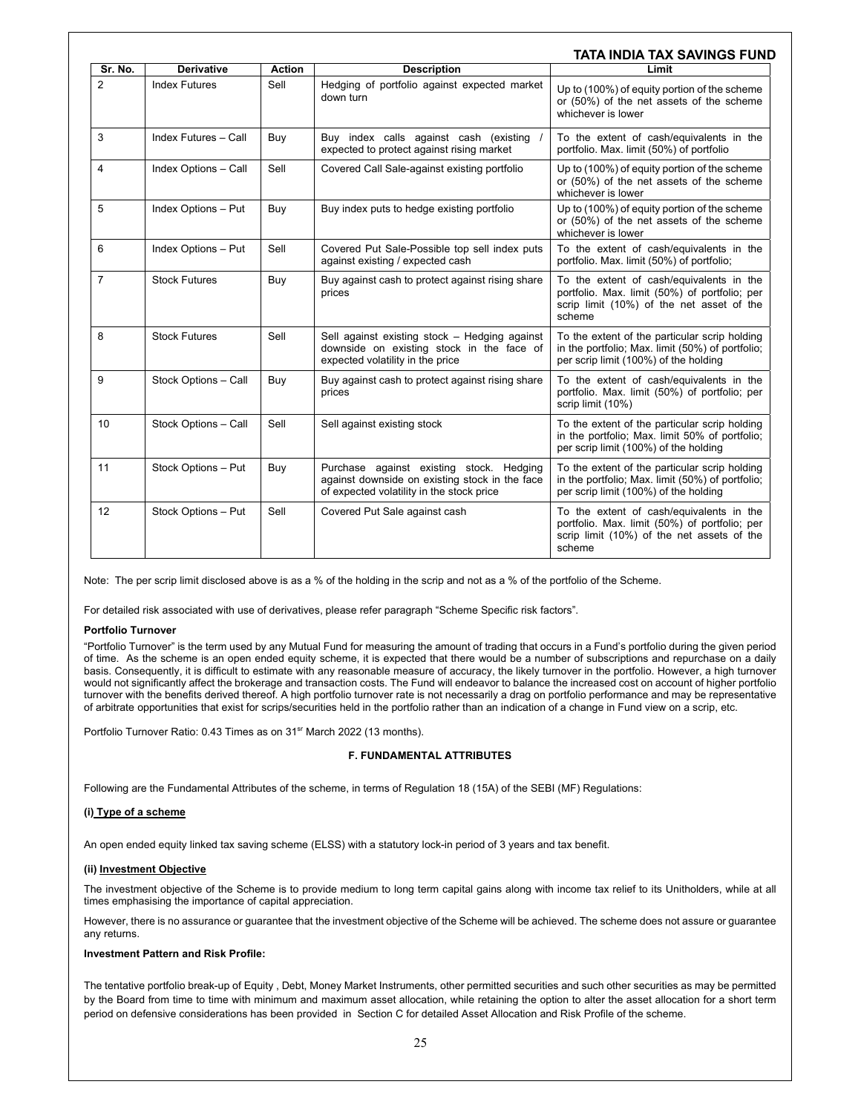|                |                      |               |                                                                                                                                         | <b>TATA INDIA TAX SAVINGS FUND</b>                                                                                                                |
|----------------|----------------------|---------------|-----------------------------------------------------------------------------------------------------------------------------------------|---------------------------------------------------------------------------------------------------------------------------------------------------|
| Sr. No.        | <b>Derivative</b>    | <b>Action</b> | <b>Description</b>                                                                                                                      | Limit                                                                                                                                             |
| $\overline{2}$ | <b>Index Futures</b> | Sell          | Hedging of portfolio against expected market<br>down turn                                                                               | Up to (100%) of equity portion of the scheme<br>or (50%) of the net assets of the scheme<br>whichever is lower                                    |
| 3              | Index Futures - Call | Buy           | Buy index calls against cash (existing<br>expected to protect against rising market                                                     | To the extent of cash/equivalents in the<br>portfolio. Max. limit (50%) of portfolio                                                              |
| 4              | Index Options - Call | Sell          | Covered Call Sale-against existing portfolio                                                                                            | Up to (100%) of equity portion of the scheme<br>or (50%) of the net assets of the scheme<br>whichever is lower                                    |
| 5              | Index Options - Put  | Buy           | Buy index puts to hedge existing portfolio                                                                                              | Up to (100%) of equity portion of the scheme<br>or (50%) of the net assets of the scheme<br>whichever is lower                                    |
| 6              | Index Options - Put  | Sell          | Covered Put Sale-Possible top sell index puts<br>against existing / expected cash                                                       | To the extent of cash/equivalents in the<br>portfolio. Max. limit (50%) of portfolio;                                                             |
| $\overline{7}$ | <b>Stock Futures</b> | Buy           | Buy against cash to protect against rising share<br>prices                                                                              | To the extent of cash/equivalents in the<br>portfolio. Max. limit (50%) of portfolio; per<br>scrip limit (10%) of the net asset of the<br>scheme  |
| 8              | <b>Stock Futures</b> | Sell          | Sell against existing stock - Hedging against<br>downside on existing stock in the face of<br>expected volatility in the price          | To the extent of the particular scrip holding<br>in the portfolio; Max. limit (50%) of portfolio;<br>per scrip limit (100%) of the holding        |
| 9              | Stock Options - Call | Buy           | Buy against cash to protect against rising share<br>prices                                                                              | To the extent of cash/equivalents in the<br>portfolio. Max. limit (50%) of portfolio; per<br>scrip limit (10%)                                    |
| 10             | Stock Options - Call | Sell          | Sell against existing stock                                                                                                             | To the extent of the particular scrip holding<br>in the portfolio; Max. limit 50% of portfolio;<br>per scrip limit (100%) of the holding          |
| 11             | Stock Options - Put  | Buy           | Purchase against existing stock. Hedging<br>against downside on existing stock in the face<br>of expected volatility in the stock price | To the extent of the particular scrip holding<br>in the portfolio; Max. limit (50%) of portfolio;<br>per scrip limit (100%) of the holding        |
| 12             | Stock Options - Put  | Sell          | Covered Put Sale against cash                                                                                                           | To the extent of cash/equivalents in the<br>portfolio. Max. limit (50%) of portfolio; per<br>scrip limit (10%) of the net assets of the<br>scheme |

Note: The per scrip limit disclosed above is as a % of the holding in the scrip and not as a % of the portfolio of the Scheme.

For detailed risk associated with use of derivatives, please refer paragraph "Scheme Specific risk factors".

#### **Portfolio Turnover**

"Portfolio Turnover" is the term used by any Mutual Fund for measuring the amount of trading that occurs in a Fund's portfolio during the given period of time. As the scheme is an open ended equity scheme, it is expected that there would be a number of subscriptions and repurchase on a daily basis. Consequently, it is difficult to estimate with any reasonable measure of accuracy, the likely turnover in the portfolio. However, a high turnover would not significantly affect the brokerage and transaction costs. The Fund will endeavor to balance the increased cost on account of higher portfolio turnover with the benefits derived thereof. A high portfolio turnover rate is not necessarily a drag on portfolio performance and may be representative of arbitrate opportunities that exist for scrips/securities held in the portfolio rather than an indication of a change in Fund view on a scrip, etc.

Portfolio Turnover Ratio: 0.43 Times as on 31<sup>sr</sup> March 2022 (13 months).

#### **F. FUNDAMENTAL ATTRIBUTES**

Following are the Fundamental Attributes of the scheme, in terms of Regulation 18 (15A) of the SEBI (MF) Regulations:

#### **(i) Type of a scheme**

An open ended equity linked tax saving scheme (ELSS) with a statutory lock-in period of 3 years and tax benefit.

#### **(ii) Investment Objective**

The investment objective of the Scheme is to provide medium to long term capital gains along with income tax relief to its Unitholders, while at all times emphasising the importance of capital appreciation.

However, there is no assurance or guarantee that the investment objective of the Scheme will be achieved. The scheme does not assure or guarantee any returns.

#### **Investment Pattern and Risk Profile:**

The tentative portfolio break-up of Equity , Debt, Money Market Instruments, other permitted securities and such other securities as may be permitted by the Board from time to time with minimum and maximum asset allocation, while retaining the option to alter the asset allocation for a short term period on defensive considerations has been provided in Section C for detailed Asset Allocation and Risk Profile of the scheme.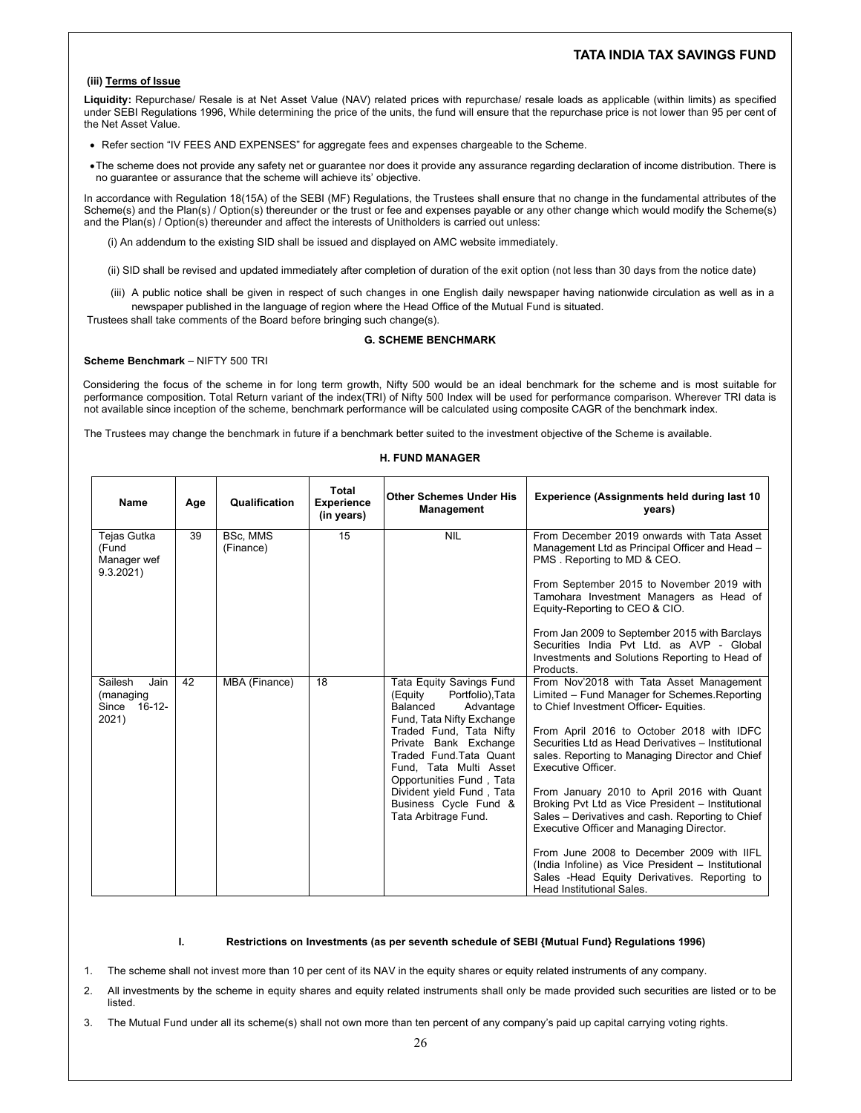### **(iii) Terms of Issue**

**Liquidity:** Repurchase/ Resale is at Net Asset Value (NAV) related prices with repurchase/ resale loads as applicable (within limits) as specified under SEBI Regulations 1996, While determining the price of the units, the fund will ensure that the repurchase price is not lower than 95 per cent of the Net Asset Value.

- Refer section "IV FEES AND EXPENSES" for aggregate fees and expenses chargeable to the Scheme.
- The scheme does not provide any safety net or guarantee nor does it provide any assurance regarding declaration of income distribution. There is no guarantee or assurance that the scheme will achieve its' objective.

In accordance with Regulation 18(15A) of the SEBI (MF) Regulations, the Trustees shall ensure that no change in the fundamental attributes of the Scheme(s) and the Plan(s) / Option(s) thereunder or the trust or fee and expenses payable or any other change which would modify the Scheme(s) and the Plan(s) / Option(s) thereunder and affect the interests of Unitholders is carried out unless:

- (i) An addendum to the existing SID shall be issued and displayed on AMC website immediately.
- (ii) SID shall be revised and updated immediately after completion of duration of the exit option (not less than 30 days from the notice date)
- (iii) A public notice shall be given in respect of such changes in one English daily newspaper having nationwide circulation as well as in a newspaper published in the language of region where the Head Office of the Mutual Fund is situated.
- Trustees shall take comments of the Board before bringing such change(s).

#### **G. SCHEME BENCHMARK**

#### **Scheme Benchmark** – NIFTY 500 TRI

Considering the focus of the scheme in for long term growth, Nifty 500 would be an ideal benchmark for the scheme and is most suitable for performance composition. Total Return variant of the index(TRI) of Nifty 500 Index will be used for performance comparison. Wherever TRI data is not available since inception of the scheme, benchmark performance will be calculated using composite CAGR of the benchmark index.

The Trustees may change the benchmark in future if a benchmark better suited to the investment objective of the Scheme is available.

### **H. FUND MANAGER**

| Name                                                  | Age | Qualification         | Total<br><b>Experience</b><br>(in years) | <b>Other Schemes Under His</b><br><b>Management</b>                                                                               | <b>Experience (Assignments held during last 10</b><br>years)                                                                                                                                    |
|-------------------------------------------------------|-----|-----------------------|------------------------------------------|-----------------------------------------------------------------------------------------------------------------------------------|-------------------------------------------------------------------------------------------------------------------------------------------------------------------------------------------------|
| Tejas Gutka<br>(Fund<br>Manager wef<br>9.3.2021       | 39  | BSc, MMS<br>(Finance) | 15                                       | <b>NIL</b>                                                                                                                        | From December 2019 onwards with Tata Asset<br>Management Ltd as Principal Officer and Head -<br>PMS. Reporting to MD & CEO.                                                                     |
|                                                       |     |                       |                                          |                                                                                                                                   | From September 2015 to November 2019 with<br>Tamohara Investment Managers as Head of<br>Equity-Reporting to CEO & CIO.                                                                          |
|                                                       |     |                       |                                          |                                                                                                                                   | From Jan 2009 to September 2015 with Barclays<br>Securities India Pvt Ltd. as AVP - Global<br>Investments and Solutions Reporting to Head of<br>Products.                                       |
| Sailesh<br>Jain<br>(managing<br>Since 16-12-<br>2021) | 42  | MBA (Finance)         | 18                                       | Tata Equity Savings Fund<br>(Equity<br>Portfolio), Tata<br>Balanced<br>Advantage<br>Fund, Tata Nifty Exchange                     | From Nov'2018 with Tata Asset Management<br>Limited - Fund Manager for Schemes. Reporting<br>to Chief Investment Officer- Equities.                                                             |
|                                                       |     |                       |                                          | Traded Fund, Tata Nifty<br>Private Bank Exchange<br>Traded Fund. Tata Quant<br>Fund. Tata Multi Asset<br>Opportunities Fund, Tata | From April 2016 to October 2018 with IDFC<br>Securities Ltd as Head Derivatives - Institutional<br>sales. Reporting to Managing Director and Chief<br>Executive Officer.                        |
|                                                       |     |                       |                                          | Divident yield Fund, Tata<br>Business Cycle Fund &<br>Tata Arbitrage Fund.                                                        | From January 2010 to April 2016 with Quant<br>Broking Pvt Ltd as Vice President - Institutional<br>Sales - Derivatives and cash. Reporting to Chief<br>Executive Officer and Managing Director. |
|                                                       |     |                       |                                          |                                                                                                                                   | From June 2008 to December 2009 with IIFL<br>(India Infoline) as Vice President - Institutional<br>Sales - Head Equity Derivatives. Reporting to<br>Head Institutional Sales.                   |

#### **I. Restrictions on Investments (as per seventh schedule of SEBI {Mutual Fund} Regulations 1996)**

1. The scheme shall not invest more than 10 per cent of its NAV in the equity shares or equity related instruments of any company.

- 2. All investments by the scheme in equity shares and equity related instruments shall only be made provided such securities are listed or to be listed.
- 3. The Mutual Fund under all its scheme(s) shall not own more than ten percent of any company's paid up capital carrying voting rights.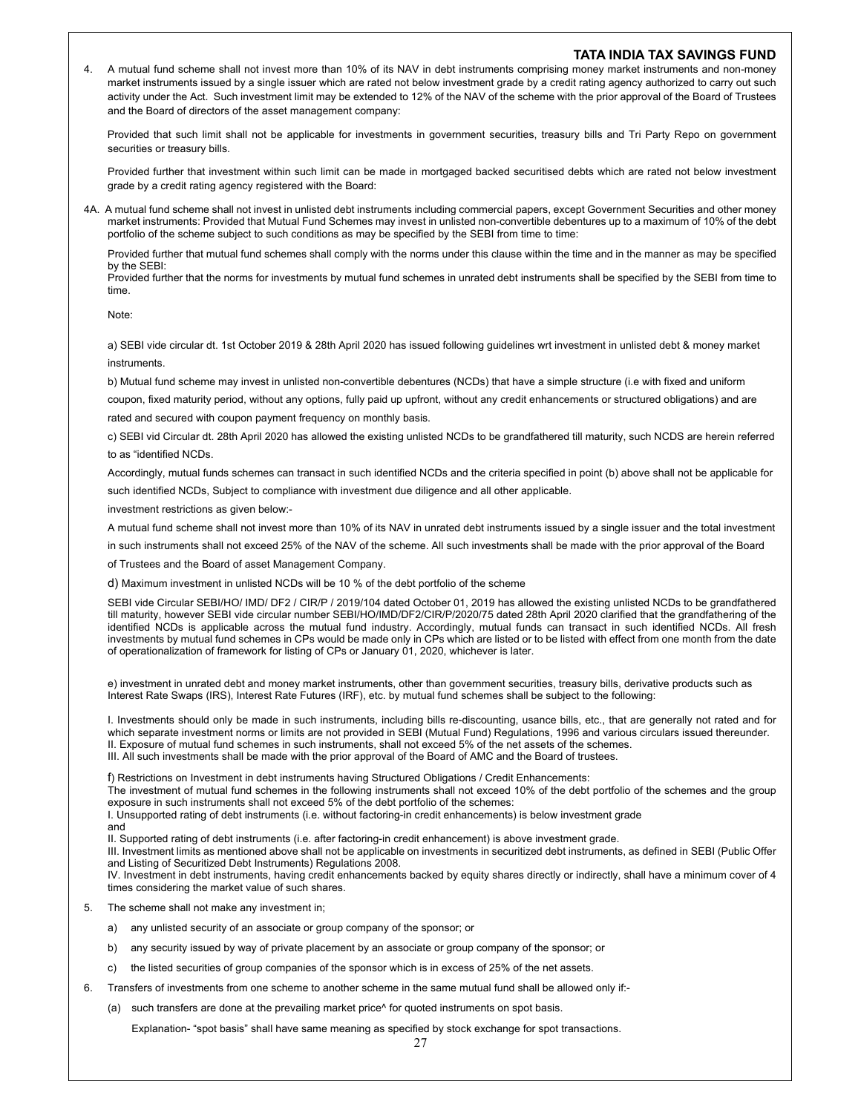4. A mutual fund scheme shall not invest more than 10% of its NAV in debt instruments comprising money market instruments and non-money market instruments issued by a single issuer which are rated not below investment grade by a credit rating agency authorized to carry out such activity under the Act. Such investment limit may be extended to 12% of the NAV of the scheme with the prior approval of the Board of Trustees and the Board of directors of the asset management company:

Provided that such limit shall not be applicable for investments in government securities, treasury bills and Tri Party Repo on government securities or treasury bills.

 Provided further that investment within such limit can be made in mortgaged backed securitised debts which are rated not below investment grade by a credit rating agency registered with the Board:

4A. A mutual fund scheme shall not invest in unlisted debt instruments including commercial papers, except Government Securities and other money market instruments: Provided that Mutual Fund Schemes may invest in unlisted non-convertible debentures up to a maximum of 10% of the debt portfolio of the scheme subject to such conditions as may be specified by the SEBI from time to time:

Provided further that mutual fund schemes shall comply with the norms under this clause within the time and in the manner as may be specified by the SEBI:

Provided further that the norms for investments by mutual fund schemes in unrated debt instruments shall be specified by the SEBI from time to time.

Note:

a) SEBI vide circular dt. 1st October 2019 & 28th April 2020 has issued following guidelines wrt investment in unlisted debt & money market instruments.

b) Mutual fund scheme may invest in unlisted non-convertible debentures (NCDs) that have a simple structure (i.e with fixed and uniform

coupon, fixed maturity period, without any options, fully paid up upfront, without any credit enhancements or structured obligations) and are rated and secured with coupon payment frequency on monthly basis.

c) SEBI vid Circular dt. 28th April 2020 has allowed the existing unlisted NCDs to be grandfathered till maturity, such NCDS are herein referred to as "identified NCDs.

Accordingly, mutual funds schemes can transact in such identified NCDs and the criteria specified in point (b) above shall not be applicable for such identified NCDs, Subject to compliance with investment due diligence and all other applicable.

investment restrictions as given below:-

A mutual fund scheme shall not invest more than 10% of its NAV in unrated debt instruments issued by a single issuer and the total investment

in such instruments shall not exceed 25% of the NAV of the scheme. All such investments shall be made with the prior approval of the Board

of Trustees and the Board of asset Management Company.

d) Maximum investment in unlisted NCDs will be 10 % of the debt portfolio of the scheme

SEBI vide Circular SEBI/HO/ IMD/ DF2 / CIR/P / 2019/104 dated October 01, 2019 has allowed the existing unlisted NCDs to be grandfathered till maturity, however SEBI vide circular number SEBI/HO/IMD/DF2/CIR/P/2020/75 dated 28th April 2020 clarified that the grandfathering of the identified NCDs is applicable across the mutual fund industry. Accordingly, mutual funds can transact in such identified NCDs. All fresh investments by mutual fund schemes in CPs would be made only in CPs which are listed or to be listed with effect from one month from the date of operationalization of framework for listing of CPs or January 01, 2020, whichever is later.

e) investment in unrated debt and money market instruments, other than government securities, treasury bills, derivative products such as Interest Rate Swaps (IRS), Interest Rate Futures (IRF), etc. by mutual fund schemes shall be subject to the following:

I. Investments should only be made in such instruments, including bills re-discounting, usance bills, etc., that are generally not rated and for which separate investment norms or limits are not provided in SEBI (Mutual Fund) Regulations, 1996 and various circulars issued thereunder. II. Exposure of mutual fund schemes in such instruments, shall not exceed 5% of the net assets of the schemes. III. All such investments shall be made with the prior approval of the Board of AMC and the Board of trustees.

f) Restrictions on Investment in debt instruments having Structured Obligations / Credit Enhancements:

The investment of mutual fund schemes in the following instruments shall not exceed 10% of the debt portfolio of the schemes and the group exposure in such instruments shall not exceed 5% of the debt portfolio of the schemes:

I. Unsupported rating of debt instruments (i.e. without factoring-in credit enhancements) is below investment grade and

II. Supported rating of debt instruments (i.e. after factoring-in credit enhancement) is above investment grade.

III. Investment limits as mentioned above shall not be applicable on investments in securitized debt instruments, as defined in SEBI (Public Offer and Listing of Securitized Debt Instruments) Regulations 2008.

IV. Investment in debt instruments, having credit enhancements backed by equity shares directly or indirectly, shall have a minimum cover of 4 times considering the market value of such shares.

5. The scheme shall not make any investment in;

- a) any unlisted security of an associate or group company of the sponsor; or
- b) any security issued by way of private placement by an associate or group company of the sponsor; or
- c) the listed securities of group companies of the sponsor which is in excess of 25% of the net assets.
- 6. Transfers of investments from one scheme to another scheme in the same mutual fund shall be allowed only if:-
	- (a) such transfers are done at the prevailing market price^ for quoted instruments on spot basis.

Explanation- "spot basis" shall have same meaning as specified by stock exchange for spot transactions.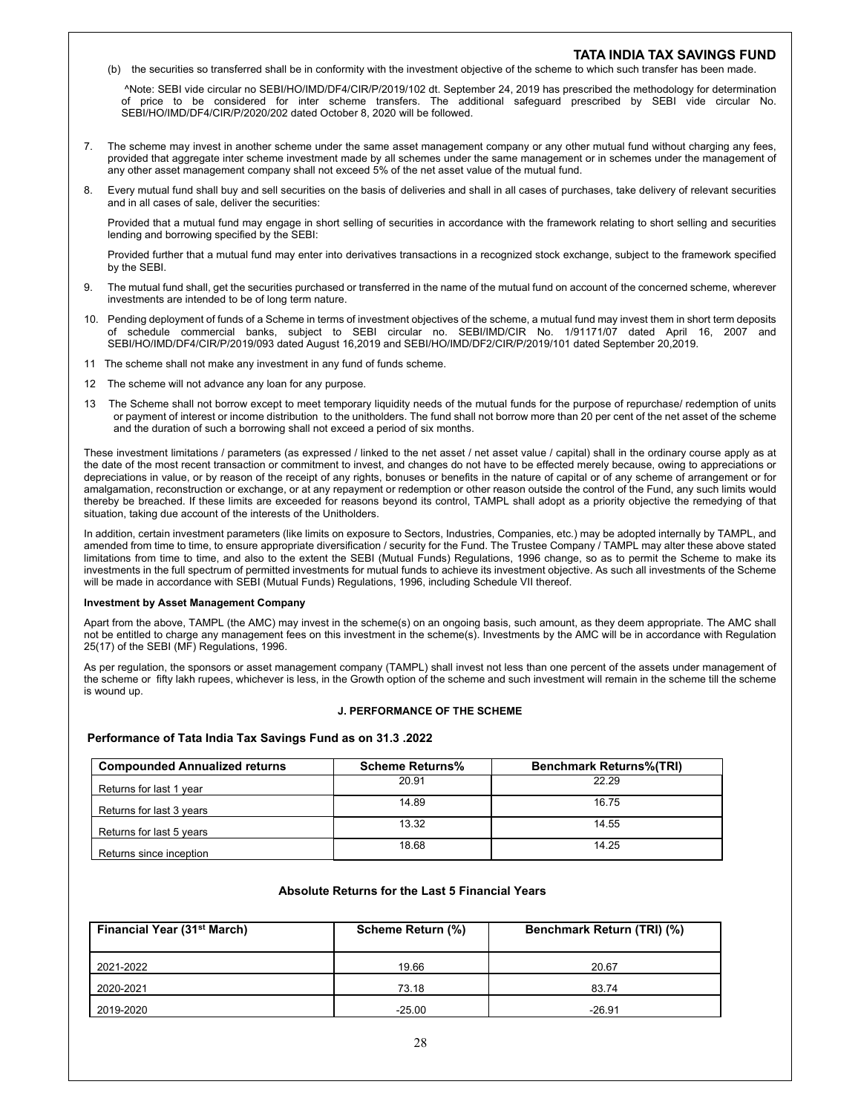(b) the securities so transferred shall be in conformity with the investment objective of the scheme to which such transfer has been made.

 ^Note: SEBI vide circular no SEBI/HO/IMD/DF4/CIR/P/2019/102 dt. September 24, 2019 has prescribed the methodology for determination of price to be considered for inter scheme transfers. The additional safeguard prescribed by SEBI vide circular No. SEBI/HO/IMD/DF4/CIR/P/2020/202 dated October 8, 2020 will be followed.

- 7. The scheme may invest in another scheme under the same asset management company or any other mutual fund without charging any fees, provided that aggregate inter scheme investment made by all schemes under the same management or in schemes under the management of any other asset management company shall not exceed 5% of the net asset value of the mutual fund.
- 8. Every mutual fund shall buy and sell securities on the basis of deliveries and shall in all cases of purchases, take delivery of relevant securities and in all cases of sale, deliver the securities:

Provided that a mutual fund may engage in short selling of securities in accordance with the framework relating to short selling and securities lending and borrowing specified by the SEBI:

Provided further that a mutual fund may enter into derivatives transactions in a recognized stock exchange, subject to the framework specified by the SEBI.

- 9. The mutual fund shall, get the securities purchased or transferred in the name of the mutual fund on account of the concerned scheme, wherever investments are intended to be of long term nature.
- 10. Pending deployment of funds of a Scheme in terms of investment objectives of the scheme, a mutual fund may invest them in short term deposits of schedule commercial banks, subject to SEBI circular no. SEBI/IMD/CIR No. 1/91171/07 dated April 16, 2007 and SEBI/HO/IMD/DF4/CIR/P/2019/093 dated August 16,2019 and SEBI/HO/IMD/DF2/CIR/P/2019/101 dated September 20,2019.
- 11 The scheme shall not make any investment in any fund of funds scheme.
- 12 The scheme will not advance any loan for any purpose.
- 13 The Scheme shall not borrow except to meet temporary liquidity needs of the mutual funds for the purpose of repurchase/ redemption of units or payment of interest or income distribution to the unitholders. The fund shall not borrow more than 20 per cent of the net asset of the scheme and the duration of such a borrowing shall not exceed a period of six months.

These investment limitations / parameters (as expressed / linked to the net asset / net asset value / capital) shall in the ordinary course apply as at the date of the most recent transaction or commitment to invest, and changes do not have to be effected merely because, owing to appreciations or depreciations in value, or by reason of the receipt of any rights, bonuses or benefits in the nature of capital or of any scheme of arrangement or for amalgamation, reconstruction or exchange, or at any repayment or redemption or other reason outside the control of the Fund, any such limits would thereby be breached. If these limits are exceeded for reasons beyond its control, TAMPL shall adopt as a priority objective the remedying of that situation, taking due account of the interests of the Unitholders.

In addition, certain investment parameters (like limits on exposure to Sectors, Industries, Companies, etc.) may be adopted internally by TAMPL, and amended from time to time, to ensure appropriate diversification / security for the Fund. The Trustee Company / TAMPL may alter these above stated limitations from time to time, and also to the extent the SEBI (Mutual Funds) Regulations, 1996 change, so as to permit the Scheme to make its investments in the full spectrum of permitted investments for mutual funds to achieve its investment objective. As such all investments of the Scheme will be made in accordance with SEBI (Mutual Funds) Regulations, 1996, including Schedule VII thereof.

#### **Investment by Asset Management Company**

Apart from the above, TAMPL (the AMC) may invest in the scheme(s) on an ongoing basis, such amount, as they deem appropriate. The AMC shall not be entitled to charge any management fees on this investment in the scheme(s). Investments by the AMC will be in accordance with Regulation 25(17) of the SEBI (MF) Regulations, 1996.

As per regulation, the sponsors or asset management company (TAMPL) shall invest not less than one percent of the assets under management of the scheme or fifty lakh rupees, whichever is less, in the Growth option of the scheme and such investment will remain in the scheme till the scheme is wound up.

#### **J. PERFORMANCE OF THE SCHEME**

#### **Performance of Tata India Tax Savings Fund as on 31.3 .2022**

| <b>Compounded Annualized returns</b> | <b>Scheme Returns%</b> | <b>Benchmark Returns%(TRI)</b> |
|--------------------------------------|------------------------|--------------------------------|
| Returns for last 1 year              | 20.91                  | 22.29                          |
| Returns for last 3 years             | 14.89                  | 16.75                          |
| Returns for last 5 years             | 13.32                  | 14.55                          |
| Returns since inception              | 18.68                  | 14.25                          |

#### **Absolute Returns for the Last 5 Financial Years**

| Financial Year (31 <sup>st</sup> March) | Scheme Return (%) | Benchmark Return (TRI) (%) |
|-----------------------------------------|-------------------|----------------------------|
| 2021-2022                               | 19.66             | 20.67                      |
| 2020-2021                               | 73.18             | 83.74                      |
| 2019-2020                               | $-25.00$          | $-26.91$                   |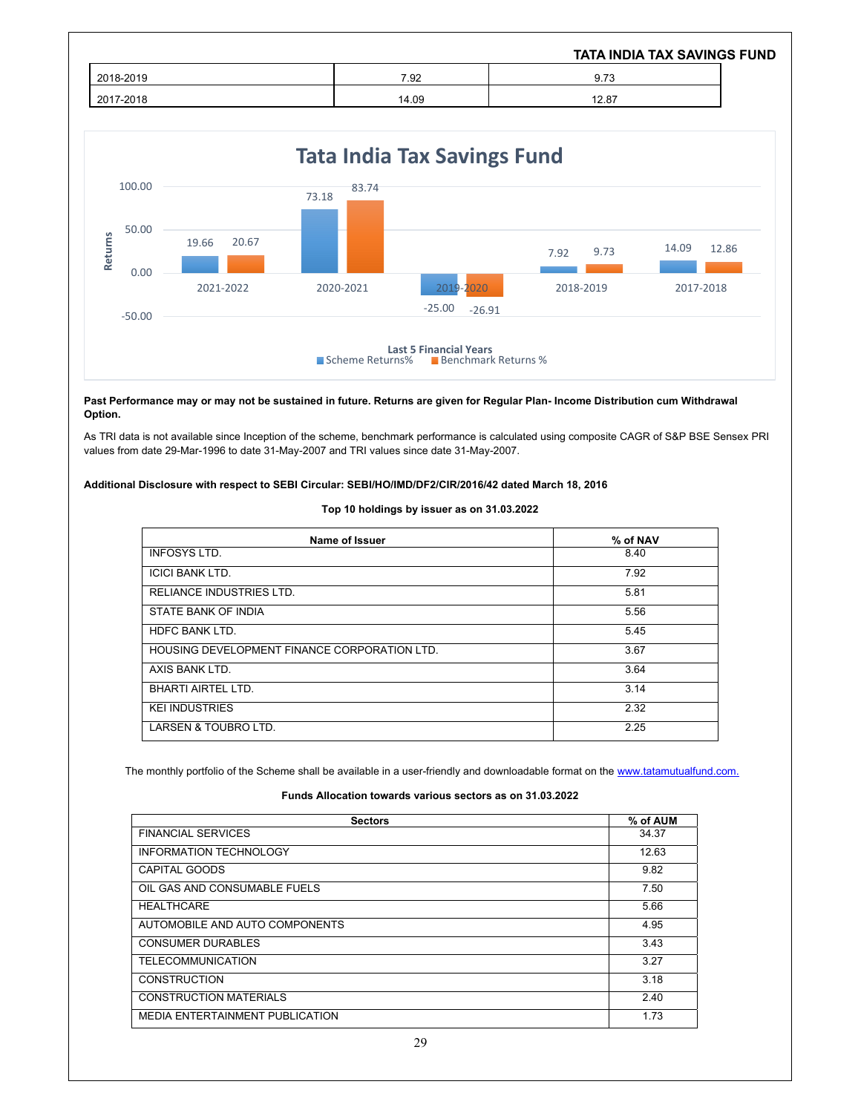

### **Past Performance may or may not be sustained in future. Returns are given for Regular Plan- Income Distribution cum Withdrawal Option.**

As TRI data is not available since Inception of the scheme, benchmark performance is calculated using composite CAGR of S&P BSE Sensex PRI values from date 29-Mar-1996 to date 31-May-2007 and TRI values since date 31-May-2007.

### **Additional Disclosure with respect to SEBI Circular: SEBI/HO/IMD/DF2/CIR/2016/42 dated March 18, 2016**

### **Top 10 holdings by issuer as on 31.03.2022**

| Name of Issuer                               | % of NAV |
|----------------------------------------------|----------|
| <b>INFOSYS LTD.</b>                          | 8.40     |
| <b>ICICI BANK LTD.</b>                       | 7.92     |
| <b>RELIANCE INDUSTRIES LTD.</b>              | 5.81     |
| STATE BANK OF INDIA                          | 5.56     |
| <b>HDFC BANK LTD.</b>                        | 5.45     |
| HOUSING DEVELOPMENT FINANCE CORPORATION LTD. | 3.67     |
| AXIS BANK LTD.                               | 3.64     |
| <b>BHARTI AIRTEL LTD.</b>                    | 3.14     |
| <b>KEI INDUSTRIES</b>                        | 2.32     |
| LARSEN & TOUBRO LTD.                         | 2.25     |

The monthly portfolio of the Scheme shall be available in a user-friendly and downloadable format on the www.tatamutualfund.com.

#### **Funds Allocation towards various sectors as on 31.03.2022**

| <b>Sectors</b>                         | % of AUM |
|----------------------------------------|----------|
| <b>FINANCIAL SERVICES</b>              | 34.37    |
| <b>INFORMATION TECHNOLOGY</b>          | 12.63    |
| CAPITAL GOODS                          | 9.82     |
| OIL GAS AND CONSUMABLE FUELS           | 7.50     |
| <b>HEALTHCARE</b>                      | 5.66     |
| AUTOMOBILE AND AUTO COMPONENTS         | 4.95     |
| <b>CONSUMER DURABLES</b>               | 3.43     |
| <b>TELECOMMUNICATION</b>               | 3.27     |
| <b>CONSTRUCTION</b>                    | 3.18     |
| <b>CONSTRUCTION MATERIALS</b>          | 2.40     |
| <b>MEDIA ENTERTAINMENT PUBLICATION</b> | 1.73     |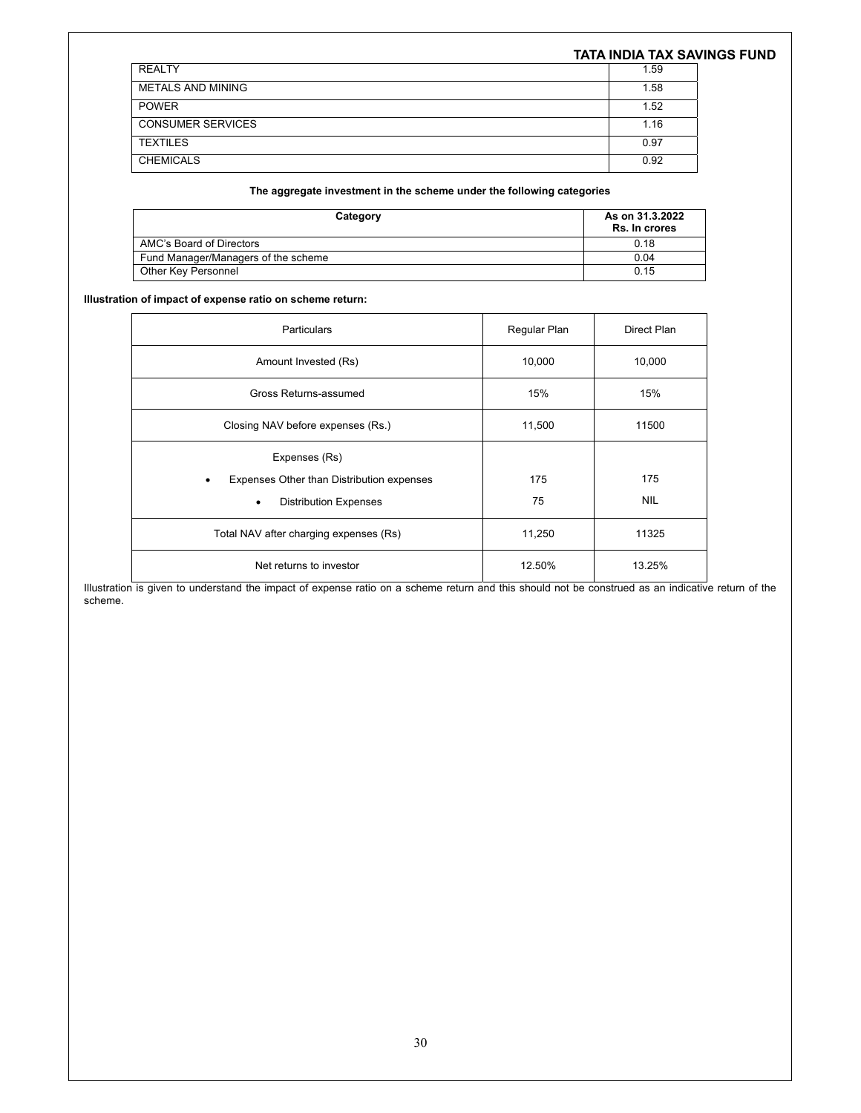## **TATA INDIA TAX SAVINGS FUND**   $R$ EALTY  $\hskip1.6cm \vert$  1.59 METALS AND MINING 1.58 POWER 2.52 and 2.52 and 2.52 and 2.52 and 2.52 and 2.52 and 2.52 and 2.52 and 2.52 and 2.52 and 2.52 and 2.52 and 2.52 and 2.52 and 2.52 and 2.52 and 2.52 and 2.52 and 2.52 and 2.52 and 2.52 and 2.52 and 2.52 and 2.52 and CONSUMER SERVICES 1.16 TEXTILES 0.97 CHEMICALS 0.92

### **The aggregate investment in the scheme under the following categories**

| Category                            | As on 31.3.2022<br>Rs. In crores |
|-------------------------------------|----------------------------------|
| AMC's Board of Directors            | 0.18                             |
| Fund Manager/Managers of the scheme | 0.04                             |
| Other Key Personnel                 | 0.15                             |

### **Illustration of impact of expense ratio on scheme return:**

| <b>Particulars</b>                        | Regular Plan | Direct Plan |
|-------------------------------------------|--------------|-------------|
| Amount Invested (Rs)                      | 10,000       | 10,000      |
| Gross Returns-assumed                     | 15%          | 15%         |
| Closing NAV before expenses (Rs.)         | 11,500       | 11500       |
| Expenses (Rs)                             |              |             |
| Expenses Other than Distribution expenses | 175          | 175         |
| <b>Distribution Expenses</b><br>$\bullet$ | 75           | <b>NIL</b>  |
| Total NAV after charging expenses (Rs)    | 11,250       | 11325       |
| Net returns to investor                   | 12.50%       | 13.25%      |

Illustration is given to understand the impact of expense ratio on a scheme return and this should not be construed as an indicative return of the scheme.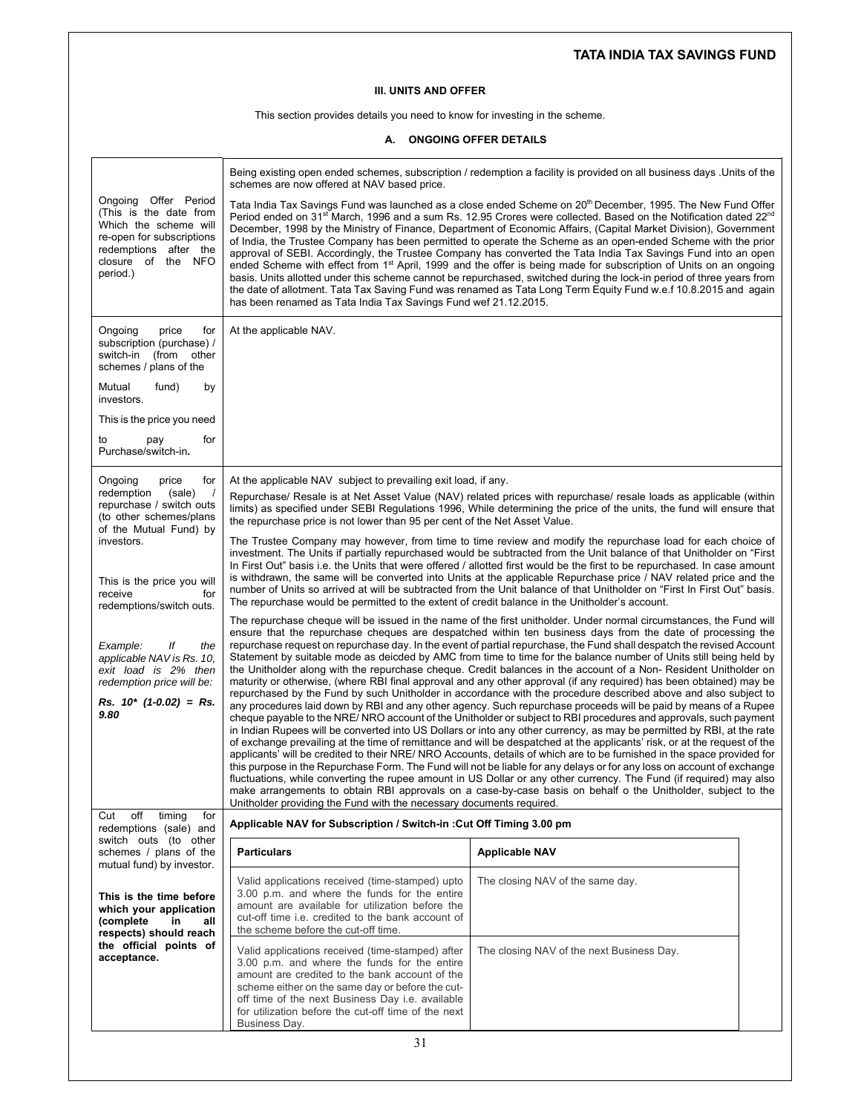### **III. UNITS AND OFFER**

This section provides details you need to know for investing in the scheme.

### **A. ONGOING OFFER DETAILS**

|                                                                                                                                                                 | schemes are now offered at NAV based price.                                                                                                                                                                                                                                                                                        | Being existing open ended schemes, subscription / redemption a facility is provided on all business days .Units of the                                                                                                                                                                                                                                                                                                                                                                                                                                                                                                                                                                                                                                                                                                                                                                                                                                                                                                                                                                                                                                                                                                                                                                                                                                                                                                                                                                                                                                                                                                                                                                                                                                                                                                                 |  |
|-----------------------------------------------------------------------------------------------------------------------------------------------------------------|------------------------------------------------------------------------------------------------------------------------------------------------------------------------------------------------------------------------------------------------------------------------------------------------------------------------------------|----------------------------------------------------------------------------------------------------------------------------------------------------------------------------------------------------------------------------------------------------------------------------------------------------------------------------------------------------------------------------------------------------------------------------------------------------------------------------------------------------------------------------------------------------------------------------------------------------------------------------------------------------------------------------------------------------------------------------------------------------------------------------------------------------------------------------------------------------------------------------------------------------------------------------------------------------------------------------------------------------------------------------------------------------------------------------------------------------------------------------------------------------------------------------------------------------------------------------------------------------------------------------------------------------------------------------------------------------------------------------------------------------------------------------------------------------------------------------------------------------------------------------------------------------------------------------------------------------------------------------------------------------------------------------------------------------------------------------------------------------------------------------------------------------------------------------------------|--|
| Ongoing Offer Period<br>(This is the date from<br>Which the scheme will<br>re-open for subscriptions<br>redemptions after the<br>closure of the NFO<br>period.) | has been renamed as Tata India Tax Savings Fund wef 21.12.2015.                                                                                                                                                                                                                                                                    | Tata India Tax Savings Fund was launched as a close ended Scheme on 20th December, 1995. The New Fund Offer<br>Period ended on 31 <sup>st</sup> March, 1996 and a sum Rs. 12.95 Crores were collected. Based on the Notification dated 22 <sup>nd</sup><br>December, 1998 by the Ministry of Finance, Department of Economic Affairs, (Capital Market Division), Government<br>of India, the Trustee Company has been permitted to operate the Scheme as an open-ended Scheme with the prior<br>approval of SEBI. Accordingly, the Trustee Company has converted the Tata India Tax Savings Fund into an open<br>ended Scheme with effect from 1 <sup>st</sup> April, 1999 and the offer is being made for subscription of Units on an ongoing<br>basis. Units allotted under this scheme cannot be repurchased, switched during the lock-in period of three years from<br>the date of allotment. Tata Tax Saving Fund was renamed as Tata Long Term Equity Fund w.e.f 10.8.2015 and again                                                                                                                                                                                                                                                                                                                                                                                                                                                                                                                                                                                                                                                                                                                                                                                                                                             |  |
| Ongoing<br>for<br>price<br>subscription (purchase) /<br>switch-in<br>(from other<br>schemes / plans of the                                                      | At the applicable NAV.                                                                                                                                                                                                                                                                                                             |                                                                                                                                                                                                                                                                                                                                                                                                                                                                                                                                                                                                                                                                                                                                                                                                                                                                                                                                                                                                                                                                                                                                                                                                                                                                                                                                                                                                                                                                                                                                                                                                                                                                                                                                                                                                                                        |  |
| Mutual<br>fund)<br>by<br>investors.                                                                                                                             |                                                                                                                                                                                                                                                                                                                                    |                                                                                                                                                                                                                                                                                                                                                                                                                                                                                                                                                                                                                                                                                                                                                                                                                                                                                                                                                                                                                                                                                                                                                                                                                                                                                                                                                                                                                                                                                                                                                                                                                                                                                                                                                                                                                                        |  |
| This is the price you need<br>for<br>to<br>pay                                                                                                                  |                                                                                                                                                                                                                                                                                                                                    |                                                                                                                                                                                                                                                                                                                                                                                                                                                                                                                                                                                                                                                                                                                                                                                                                                                                                                                                                                                                                                                                                                                                                                                                                                                                                                                                                                                                                                                                                                                                                                                                                                                                                                                                                                                                                                        |  |
| Purchase/switch-in.                                                                                                                                             |                                                                                                                                                                                                                                                                                                                                    |                                                                                                                                                                                                                                                                                                                                                                                                                                                                                                                                                                                                                                                                                                                                                                                                                                                                                                                                                                                                                                                                                                                                                                                                                                                                                                                                                                                                                                                                                                                                                                                                                                                                                                                                                                                                                                        |  |
| Ongoing<br>price<br>for<br>redemption<br>(sale)<br>repurchase / switch outs<br>(to other schemes/plans<br>of the Mutual Fund) by                                | At the applicable NAV subject to prevailing exit load, if any.<br>the repurchase price is not lower than 95 per cent of the Net Asset Value.                                                                                                                                                                                       | Repurchase/ Resale is at Net Asset Value (NAV) related prices with repurchase/ resale loads as applicable (within<br>limits) as specified under SEBI Regulations 1996, While determining the price of the units, the fund will ensure that                                                                                                                                                                                                                                                                                                                                                                                                                                                                                                                                                                                                                                                                                                                                                                                                                                                                                                                                                                                                                                                                                                                                                                                                                                                                                                                                                                                                                                                                                                                                                                                             |  |
| investors.<br>This is the price you will<br>receive<br>for<br>redemptions/switch outs.                                                                          | The repurchase would be permitted to the extent of credit balance in the Unitholder's account.                                                                                                                                                                                                                                     | The Trustee Company may however, from time to time review and modify the repurchase load for each choice of<br>investment. The Units if partially repurchased would be subtracted from the Unit balance of that Unitholder on "First<br>In First Out" basis i.e. the Units that were offered / allotted first would be the first to be repurchased. In case amount<br>is withdrawn, the same will be converted into Units at the applicable Repurchase price / NAV related price and the<br>number of Units so arrived at will be subtracted from the Unit balance of that Unitholder on "First In First Out" basis.                                                                                                                                                                                                                                                                                                                                                                                                                                                                                                                                                                                                                                                                                                                                                                                                                                                                                                                                                                                                                                                                                                                                                                                                                   |  |
| Example:<br>lf<br>the<br>applicable NAV is Rs. 10,<br>exit load is 2% then<br>redemption price will be:<br>$Rs.$ 10* (1-0.02) = Rs.<br>9.80                     | Unitholder providing the Fund with the necessary documents required.                                                                                                                                                                                                                                                               | The repurchase cheque will be issued in the name of the first unitholder. Under normal circumstances, the Fund will<br>ensure that the repurchase cheques are despatched within ten business days from the date of processing the<br>repurchase request on repurchase day. In the event of partial repurchase, the Fund shall despatch the revised Account<br>Statement by suitable mode as deicded by AMC from time to time for the balance number of Units still being held by<br>the Unitholder along with the repurchase cheque. Credit balances in the account of a Non-Resident Unitholder on<br>maturity or otherwise, (where RBI final approval and any other approval (if any required) has been obtained) may be<br>repurchased by the Fund by such Unitholder in accordance with the procedure described above and also subject to<br>any procedures laid down by RBI and any other agency. Such repurchase proceeds will be paid by means of a Rupee<br>cheque payable to the NRE/NRO account of the Unitholder or subject to RBI procedures and approvals, such payment<br>in Indian Rupees will be converted into US Dollars or into any other currency, as may be permitted by RBI, at the rate<br>of exchange prevailing at the time of remittance and will be despatched at the applicants' risk, or at the request of the<br>applicants' will be credited to their NRE/NRO Accounts, details of which are to be furnished in the space provided for<br>this purpose in the Repurchase Form. The Fund will not be liable for any delays or for any loss on account of exchange<br>fluctuations, while converting the rupee amount in US Dollar or any other currency. The Fund (if required) may also<br>make arrangements to obtain RBI approvals on a case-by-case basis on behalf o the Unitholder, subject to the |  |
| off<br>timing<br>for<br>Cut<br>redemptions (sale) and                                                                                                           | Applicable NAV for Subscription / Switch-in : Cut Off Timing 3.00 pm                                                                                                                                                                                                                                                               |                                                                                                                                                                                                                                                                                                                                                                                                                                                                                                                                                                                                                                                                                                                                                                                                                                                                                                                                                                                                                                                                                                                                                                                                                                                                                                                                                                                                                                                                                                                                                                                                                                                                                                                                                                                                                                        |  |
| switch outs (to other<br>schemes / plans of the<br>mutual fund) by investor.                                                                                    | <b>Particulars</b>                                                                                                                                                                                                                                                                                                                 | <b>Applicable NAV</b>                                                                                                                                                                                                                                                                                                                                                                                                                                                                                                                                                                                                                                                                                                                                                                                                                                                                                                                                                                                                                                                                                                                                                                                                                                                                                                                                                                                                                                                                                                                                                                                                                                                                                                                                                                                                                  |  |
| This is the time before<br>which your application<br>(complete<br>in<br>all<br>respects) should reach                                                           | Valid applications received (time-stamped) upto<br>3.00 p.m. and where the funds for the entire<br>amount are available for utilization before the<br>cut-off time i.e. credited to the bank account of<br>the scheme before the cut-off time.                                                                                     | The closing NAV of the same day.                                                                                                                                                                                                                                                                                                                                                                                                                                                                                                                                                                                                                                                                                                                                                                                                                                                                                                                                                                                                                                                                                                                                                                                                                                                                                                                                                                                                                                                                                                                                                                                                                                                                                                                                                                                                       |  |
| the official points of<br>acceptance.                                                                                                                           | Valid applications received (time-stamped) after<br>3.00 p.m. and where the funds for the entire<br>amount are credited to the bank account of the<br>scheme either on the same day or before the cut-<br>off time of the next Business Day i.e. available<br>for utilization before the cut-off time of the next<br>Business Day. | The closing NAV of the next Business Day.                                                                                                                                                                                                                                                                                                                                                                                                                                                                                                                                                                                                                                                                                                                                                                                                                                                                                                                                                                                                                                                                                                                                                                                                                                                                                                                                                                                                                                                                                                                                                                                                                                                                                                                                                                                              |  |
|                                                                                                                                                                 | 31                                                                                                                                                                                                                                                                                                                                 |                                                                                                                                                                                                                                                                                                                                                                                                                                                                                                                                                                                                                                                                                                                                                                                                                                                                                                                                                                                                                                                                                                                                                                                                                                                                                                                                                                                                                                                                                                                                                                                                                                                                                                                                                                                                                                        |  |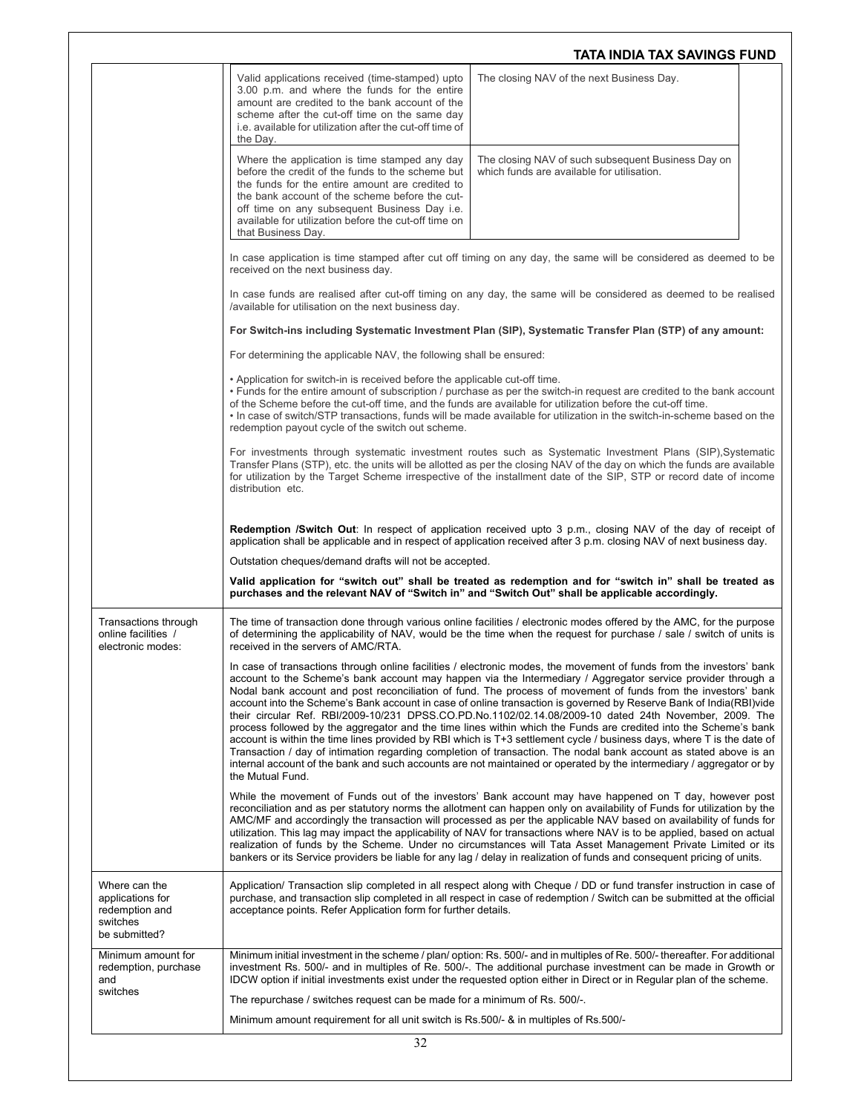|                                                                                                                      |                                                                                                                                                                                                                                                                                                                                      | <b>TATA INDIA TAX SAVINGS FUND</b>                                                                                                                                                                                                                                                                                                                                                                                                                                                                                                                                                                                                                                                                                                                                                                                                                                                                                                                                                                                                                                               |
|----------------------------------------------------------------------------------------------------------------------|--------------------------------------------------------------------------------------------------------------------------------------------------------------------------------------------------------------------------------------------------------------------------------------------------------------------------------------|----------------------------------------------------------------------------------------------------------------------------------------------------------------------------------------------------------------------------------------------------------------------------------------------------------------------------------------------------------------------------------------------------------------------------------------------------------------------------------------------------------------------------------------------------------------------------------------------------------------------------------------------------------------------------------------------------------------------------------------------------------------------------------------------------------------------------------------------------------------------------------------------------------------------------------------------------------------------------------------------------------------------------------------------------------------------------------|
|                                                                                                                      | Valid applications received (time-stamped) upto<br>3.00 p.m. and where the funds for the entire<br>amount are credited to the bank account of the<br>scheme after the cut-off time on the same day<br>i.e. available for utilization after the cut-off time of<br>the Dav.                                                           | The closing NAV of the next Business Day.                                                                                                                                                                                                                                                                                                                                                                                                                                                                                                                                                                                                                                                                                                                                                                                                                                                                                                                                                                                                                                        |
|                                                                                                                      | Where the application is time stamped any day<br>before the credit of the funds to the scheme but<br>the funds for the entire amount are credited to<br>the bank account of the scheme before the cut-<br>off time on any subsequent Business Day i.e.<br>available for utilization before the cut-off time on<br>that Business Day. | The closing NAV of such subsequent Business Day on<br>which funds are available for utilisation.                                                                                                                                                                                                                                                                                                                                                                                                                                                                                                                                                                                                                                                                                                                                                                                                                                                                                                                                                                                 |
|                                                                                                                      | received on the next business day.                                                                                                                                                                                                                                                                                                   | In case application is time stamped after cut off timing on any day, the same will be considered as deemed to be                                                                                                                                                                                                                                                                                                                                                                                                                                                                                                                                                                                                                                                                                                                                                                                                                                                                                                                                                                 |
|                                                                                                                      | /available for utilisation on the next business day.                                                                                                                                                                                                                                                                                 | In case funds are realised after cut-off timing on any day, the same will be considered as deemed to be realised                                                                                                                                                                                                                                                                                                                                                                                                                                                                                                                                                                                                                                                                                                                                                                                                                                                                                                                                                                 |
|                                                                                                                      |                                                                                                                                                                                                                                                                                                                                      | For Switch-ins including Systematic Investment Plan (SIP), Systematic Transfer Plan (STP) of any amount:                                                                                                                                                                                                                                                                                                                                                                                                                                                                                                                                                                                                                                                                                                                                                                                                                                                                                                                                                                         |
|                                                                                                                      | For determining the applicable NAV, the following shall be ensured:                                                                                                                                                                                                                                                                  |                                                                                                                                                                                                                                                                                                                                                                                                                                                                                                                                                                                                                                                                                                                                                                                                                                                                                                                                                                                                                                                                                  |
|                                                                                                                      | . Application for switch-in is received before the applicable cut-off time.<br>of the Scheme before the cut-off time, and the funds are available for utilization before the cut-off time.<br>redemption payout cycle of the switch out scheme.                                                                                      | • Funds for the entire amount of subscription / purchase as per the switch-in request are credited to the bank account<br>. In case of switch/STP transactions, funds will be made available for utilization in the switch-in-scheme based on the                                                                                                                                                                                                                                                                                                                                                                                                                                                                                                                                                                                                                                                                                                                                                                                                                                |
|                                                                                                                      | distribution etc.                                                                                                                                                                                                                                                                                                                    | For investments through systematic investment routes such as Systematic Investment Plans (SIP), Systematic<br>Transfer Plans (STP), etc. the units will be allotted as per the closing NAV of the day on which the funds are available<br>for utilization by the Target Scheme irrespective of the installment date of the SIP, STP or record date of income                                                                                                                                                                                                                                                                                                                                                                                                                                                                                                                                                                                                                                                                                                                     |
|                                                                                                                      |                                                                                                                                                                                                                                                                                                                                      |                                                                                                                                                                                                                                                                                                                                                                                                                                                                                                                                                                                                                                                                                                                                                                                                                                                                                                                                                                                                                                                                                  |
|                                                                                                                      |                                                                                                                                                                                                                                                                                                                                      | Redemption /Switch Out: In respect of application received upto 3 p.m., closing NAV of the day of receipt of<br>application shall be applicable and in respect of application received after 3 p.m. closing NAV of next business day.                                                                                                                                                                                                                                                                                                                                                                                                                                                                                                                                                                                                                                                                                                                                                                                                                                            |
|                                                                                                                      | Outstation cheques/demand drafts will not be accepted.                                                                                                                                                                                                                                                                               |                                                                                                                                                                                                                                                                                                                                                                                                                                                                                                                                                                                                                                                                                                                                                                                                                                                                                                                                                                                                                                                                                  |
|                                                                                                                      |                                                                                                                                                                                                                                                                                                                                      | Valid application for "switch out" shall be treated as redemption and for "switch in" shall be treated as<br>purchases and the relevant NAV of "Switch in" and "Switch Out" shall be applicable accordingly.                                                                                                                                                                                                                                                                                                                                                                                                                                                                                                                                                                                                                                                                                                                                                                                                                                                                     |
| Transactions through<br>online facilities /<br>electronic modes:                                                     | received in the servers of AMC/RTA.                                                                                                                                                                                                                                                                                                  | The time of transaction done through various online facilities / electronic modes offered by the AMC, for the purpose<br>of determining the applicability of NAV, would be the time when the request for purchase / sale / switch of units is                                                                                                                                                                                                                                                                                                                                                                                                                                                                                                                                                                                                                                                                                                                                                                                                                                    |
|                                                                                                                      | the Mutual Fund.                                                                                                                                                                                                                                                                                                                     | In case of transactions through online facilities / electronic modes, the movement of funds from the investors' bank<br>account to the Scheme's bank account may happen via the Intermediary / Aggregator service provider through a<br>Nodal bank account and post reconciliation of fund. The process of movement of funds from the investors' bank<br>account into the Scheme's Bank account in case of online transaction is governed by Reserve Bank of India(RBI)vide<br>their circular Ref. RBI/2009-10/231 DPSS.CO.PD.No.1102/02.14.08/2009-10 dated 24th November, 2009. The<br>process followed by the aggregator and the time lines within which the Funds are credited into the Scheme's bank<br>account is within the time lines provided by RBI which is T+3 settlement cycle / business days, where T is the date of<br>Transaction / day of intimation regarding completion of transaction. The nodal bank account as stated above is an<br>internal account of the bank and such accounts are not maintained or operated by the intermediary / aggregator or by |
|                                                                                                                      |                                                                                                                                                                                                                                                                                                                                      | While the movement of Funds out of the investors' Bank account may have happened on T day, however post<br>reconciliation and as per statutory norms the allotment can happen only on availability of Funds for utilization by the<br>AMC/MF and accordingly the transaction will processed as per the applicable NAV based on availability of funds for<br>utilization. This lag may impact the applicability of NAV for transactions where NAV is to be applied, based on actual<br>realization of funds by the Scheme. Under no circumstances will Tata Asset Management Private Limited or its<br>bankers or its Service providers be liable for any lag / delay in realization of funds and consequent pricing of units.                                                                                                                                                                                                                                                                                                                                                    |
| Where can the                                                                                                        | acceptance points. Refer Application form for further details.                                                                                                                                                                                                                                                                       | Application/ Transaction slip completed in all respect along with Cheque / DD or fund transfer instruction in case of<br>purchase, and transaction slip completed in all respect in case of redemption / Switch can be submitted at the official                                                                                                                                                                                                                                                                                                                                                                                                                                                                                                                                                                                                                                                                                                                                                                                                                                 |
| applications for<br>redemption and<br>switches<br>be submitted?<br>Minimum amount for<br>redemption, purchase<br>and |                                                                                                                                                                                                                                                                                                                                      | Minimum initial investment in the scheme / plan/ option: Rs. 500/- and in multiples of Re. 500/- thereafter. For additional<br>investment Rs. 500/- and in multiples of Re. 500/-. The additional purchase investment can be made in Growth or                                                                                                                                                                                                                                                                                                                                                                                                                                                                                                                                                                                                                                                                                                                                                                                                                                   |
| switches                                                                                                             | The repurchase / switches request can be made for a minimum of Rs. 500/-.                                                                                                                                                                                                                                                            | IDCW option if initial investments exist under the requested option either in Direct or in Regular plan of the scheme.                                                                                                                                                                                                                                                                                                                                                                                                                                                                                                                                                                                                                                                                                                                                                                                                                                                                                                                                                           |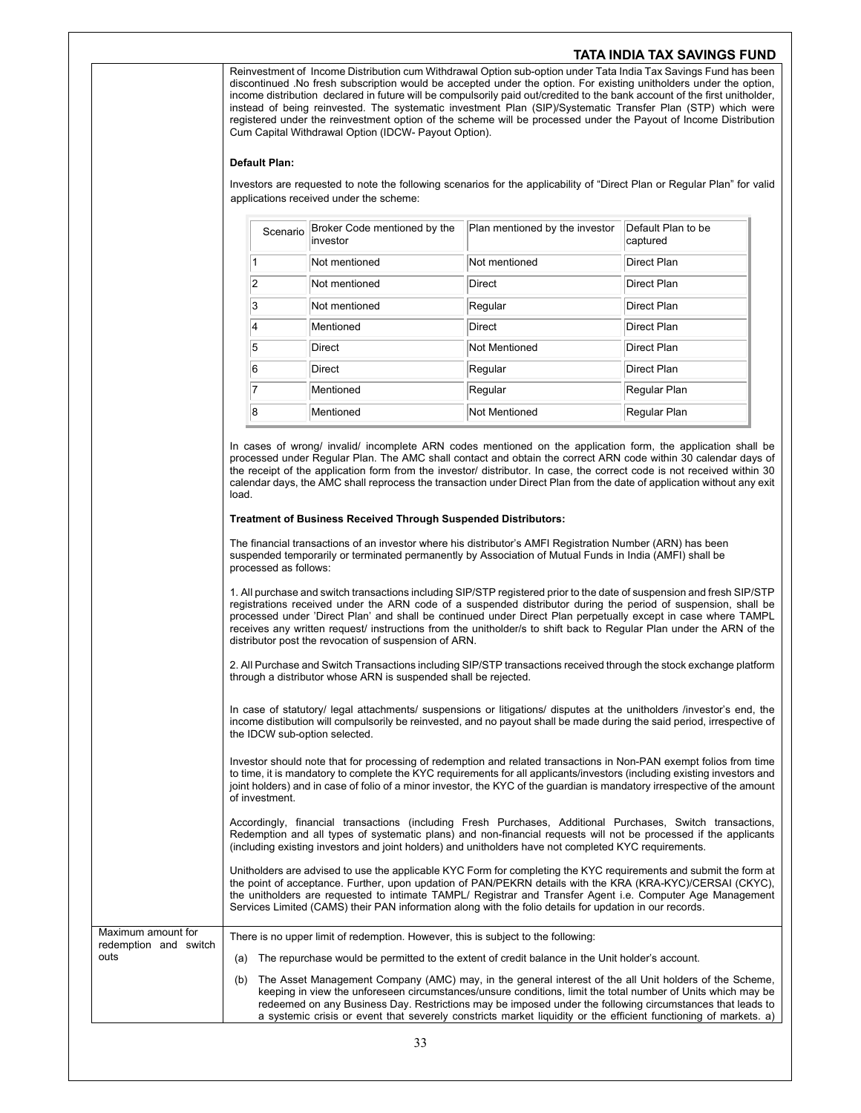Reinvestment of Income Distribution cum Withdrawal Option sub-option under Tata India Tax Savings Fund has been discontinued .No fresh subscription would be accepted under the option. For existing unitholders under the option, income distribution declared in future will be compulsorily paid out/credited to the bank account of the first unitholder, instead of being reinvested. The systematic investment Plan (SIP)/Systematic Transfer Plan (STP) which were registered under the reinvestment option of the scheme will be processed under the Payout of Income Distribution Cum Capital Withdrawal Option (IDCW- Payout Option).

#### **Default Plan:**

Investors are requested to note the following scenarios for the applicability of "Direct Plan or Regular Plan" for valid applications received under the scheme:

| Scenario | Broker Code mentioned by the<br>investor | Plan mentioned by the investor | Default Plan to be<br>captured |
|----------|------------------------------------------|--------------------------------|--------------------------------|
|          | Not mentioned                            | Not mentioned                  | Direct Plan                    |
| 2        | Not mentioned                            | Direct                         | Direct Plan                    |
| 3        | Not mentioned                            | Regular                        | Direct Plan                    |
| 14       | Mentioned                                | <b>Direct</b>                  | Direct Plan                    |
| 5        | <b>Direct</b>                            | Not Mentioned                  | Direct Plan                    |
| 6        | <b>Direct</b>                            | Regular                        | Direct Plan                    |
| 7        | Mentioned                                | Regular                        | Regular Plan                   |
| 8        | Mentioned                                | Not Mentioned                  | Regular Plan                   |

In cases of wrong/ invalid/ incomplete ARN codes mentioned on the application form, the application shall be processed under Regular Plan. The AMC shall contact and obtain the correct ARN code within 30 calendar days of the receipt of the application form from the investor/ distributor. In case, the correct code is not received within 30 calendar days, the AMC shall reprocess the transaction under Direct Plan from the date of application without any exit load.

#### **Treatment of Business Received Through Suspended Distributors:**

The financial transactions of an investor where his distributor's AMFI Registration Number (ARN) has been suspended temporarily or terminated permanently by Association of Mutual Funds in India (AMFI) shall be processed as follows:

1. All purchase and switch transactions including SIP/STP registered prior to the date of suspension and fresh SIP/STP registrations received under the ARN code of a suspended distributor during the period of suspension, shall be processed under 'Direct Plan' and shall be continued under Direct Plan perpetually except in case where TAMPL receives any written request/ instructions from the unitholder/s to shift back to Regular Plan under the ARN of the distributor post the revocation of suspension of ARN.

2. All Purchase and Switch Transactions including SIP/STP transactions received through the stock exchange platform through a distributor whose ARN is suspended shall be rejected.

In case of statutory/ legal attachments/ suspensions or litigations/ disputes at the unitholders /investor's end, the income distibution will compulsorily be reinvested, and no payout shall be made during the said period, irrespective of the IDCW sub-option selected.

Investor should note that for processing of redemption and related transactions in Non-PAN exempt folios from time to time, it is mandatory to complete the KYC requirements for all applicants/investors (including existing investors and joint holders) and in case of folio of a minor investor, the KYC of the guardian is mandatory irrespective of the amount of investment.

Accordingly, financial transactions (including Fresh Purchases, Additional Purchases, Switch transactions, Redemption and all types of systematic plans) and non-financial requests will not be processed if the applicants (including existing investors and joint holders) and unitholders have not completed KYC requirements.

Unitholders are advised to use the applicable KYC Form for completing the KYC requirements and submit the form at the point of acceptance. Further, upon updation of PAN/PEKRN details with the KRA (KRA-KYC)/CERSAI (CKYC), the unitholders are requested to intimate TAMPL/ Registrar and Transfer Agent i.e. Computer Age Management Services Limited (CAMS) their PAN information along with the folio details for updation in our records.

Maximum amount for redemption and switch There is no upper limit of redemption. However, this is subject to the following:

outs

- (a) The repurchase would be permitted to the extent of credit balance in the Unit holder's account.
- (b) The Asset Management Company (AMC) may, in the general interest of the all Unit holders of the Scheme, keeping in view the unforeseen circumstances/unsure conditions, limit the total number of Units which may be redeemed on any Business Day. Restrictions may be imposed under the following circumstances that leads to a systemic crisis or event that severely constricts market liquidity or the efficient functioning of markets. a)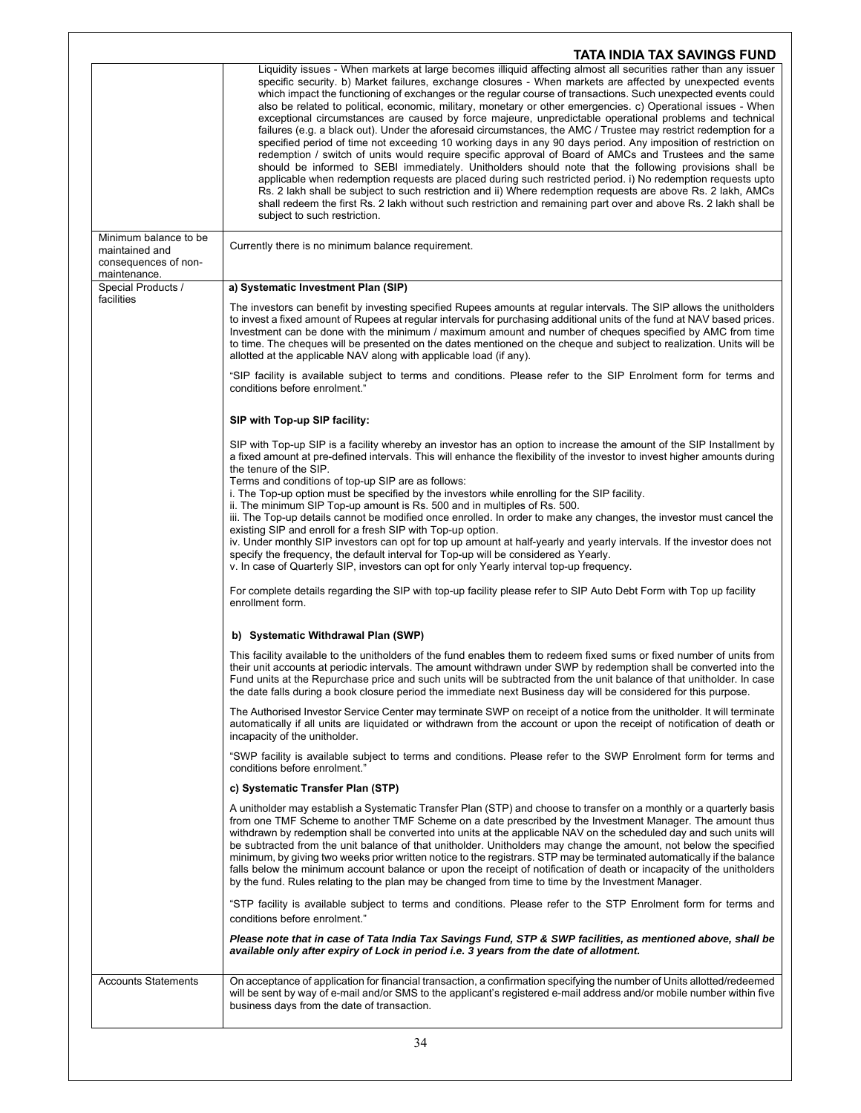|                                                                                 | <b>TATA INDIA TAX SAVINGS FUND</b>                                                                                                                                                                                                                                                                                                                                                                                                                                                                                                                                                                                                                                                                                                                                                                                                                                                                                                                                                                                                                                                                                                                                                                                                                                                                                                                                                                                       |
|---------------------------------------------------------------------------------|--------------------------------------------------------------------------------------------------------------------------------------------------------------------------------------------------------------------------------------------------------------------------------------------------------------------------------------------------------------------------------------------------------------------------------------------------------------------------------------------------------------------------------------------------------------------------------------------------------------------------------------------------------------------------------------------------------------------------------------------------------------------------------------------------------------------------------------------------------------------------------------------------------------------------------------------------------------------------------------------------------------------------------------------------------------------------------------------------------------------------------------------------------------------------------------------------------------------------------------------------------------------------------------------------------------------------------------------------------------------------------------------------------------------------|
|                                                                                 | Liquidity issues - When markets at large becomes illiquid affecting almost all securities rather than any issuer<br>specific security. b) Market failures, exchange closures - When markets are affected by unexpected events<br>which impact the functioning of exchanges or the regular course of transactions. Such unexpected events could<br>also be related to political, economic, military, monetary or other emergencies. c) Operational issues - When<br>exceptional circumstances are caused by force majeure, unpredictable operational problems and technical<br>failures (e.g. a black out). Under the aforesaid circumstances, the AMC / Trustee may restrict redemption for a<br>specified period of time not exceeding 10 working days in any 90 days period. Any imposition of restriction on<br>redemption / switch of units would require specific approval of Board of AMCs and Trustees and the same<br>should be informed to SEBI immediately. Unitholders should note that the following provisions shall be<br>applicable when redemption requests are placed during such restricted period. i) No redemption requests upto<br>Rs. 2 lakh shall be subject to such restriction and ii) Where redemption requests are above Rs. 2 lakh, AMCs<br>shall redeem the first Rs. 2 lakh without such restriction and remaining part over and above Rs. 2 lakh shall be<br>subject to such restriction. |
| Minimum balance to be<br>maintained and<br>consequences of non-<br>maintenance. | Currently there is no minimum balance requirement.                                                                                                                                                                                                                                                                                                                                                                                                                                                                                                                                                                                                                                                                                                                                                                                                                                                                                                                                                                                                                                                                                                                                                                                                                                                                                                                                                                       |
| Special Products /                                                              | a) Systematic Investment Plan (SIP)                                                                                                                                                                                                                                                                                                                                                                                                                                                                                                                                                                                                                                                                                                                                                                                                                                                                                                                                                                                                                                                                                                                                                                                                                                                                                                                                                                                      |
| facilities                                                                      | The investors can benefit by investing specified Rupees amounts at regular intervals. The SIP allows the unitholders<br>to invest a fixed amount of Rupees at regular intervals for purchasing additional units of the fund at NAV based prices.<br>Investment can be done with the minimum / maximum amount and number of cheques specified by AMC from time<br>to time. The cheques will be presented on the dates mentioned on the cheque and subject to realization. Units will be<br>allotted at the applicable NAV along with applicable load (if any).                                                                                                                                                                                                                                                                                                                                                                                                                                                                                                                                                                                                                                                                                                                                                                                                                                                            |
|                                                                                 | "SIP facility is available subject to terms and conditions. Please refer to the SIP Enrolment form for terms and<br>conditions before enrolment."                                                                                                                                                                                                                                                                                                                                                                                                                                                                                                                                                                                                                                                                                                                                                                                                                                                                                                                                                                                                                                                                                                                                                                                                                                                                        |
|                                                                                 | SIP with Top-up SIP facility:                                                                                                                                                                                                                                                                                                                                                                                                                                                                                                                                                                                                                                                                                                                                                                                                                                                                                                                                                                                                                                                                                                                                                                                                                                                                                                                                                                                            |
|                                                                                 | SIP with Top-up SIP is a facility whereby an investor has an option to increase the amount of the SIP Installment by<br>a fixed amount at pre-defined intervals. This will enhance the flexibility of the investor to invest higher amounts during<br>the tenure of the SIP.<br>Terms and conditions of top-up SIP are as follows:<br>i. The Top-up option must be specified by the investors while enrolling for the SIP facility.<br>ii. The minimum SIP Top-up amount is Rs. 500 and in multiples of Rs. 500.<br>iii. The Top-up details cannot be modified once enrolled. In order to make any changes, the investor must cancel the<br>existing SIP and enroll for a fresh SIP with Top-up option.<br>iv. Under monthly SIP investors can opt for top up amount at half-yearly and yearly intervals. If the investor does not<br>specify the frequency, the default interval for Top-up will be considered as Yearly.<br>v. In case of Quarterly SIP, investors can opt for only Yearly interval top-up frequency.                                                                                                                                                                                                                                                                                                                                                                                                  |
|                                                                                 | For complete details regarding the SIP with top-up facility please refer to SIP Auto Debt Form with Top up facility<br>enrollment form.                                                                                                                                                                                                                                                                                                                                                                                                                                                                                                                                                                                                                                                                                                                                                                                                                                                                                                                                                                                                                                                                                                                                                                                                                                                                                  |
|                                                                                 | b) Systematic Withdrawal Plan (SWP)                                                                                                                                                                                                                                                                                                                                                                                                                                                                                                                                                                                                                                                                                                                                                                                                                                                                                                                                                                                                                                                                                                                                                                                                                                                                                                                                                                                      |
|                                                                                 | This facility available to the unitholders of the fund enables them to redeem fixed sums or fixed number of units from<br>their unit accounts at periodic intervals. The amount withdrawn under SWP by redemption shall be converted into the<br>Fund units at the Repurchase price and such units will be subtracted from the unit balance of that unitholder. In case<br>the date falls during a book closure period the immediate next Business day will be considered for this purpose.                                                                                                                                                                                                                                                                                                                                                                                                                                                                                                                                                                                                                                                                                                                                                                                                                                                                                                                              |
|                                                                                 | The Authorised Investor Service Center may terminate SWP on receipt of a notice from the unitholder. It will terminate<br>automatically if all units are liquidated or withdrawn from the account or upon the receipt of notification of death or<br>incapacity of the unitholder.                                                                                                                                                                                                                                                                                                                                                                                                                                                                                                                                                                                                                                                                                                                                                                                                                                                                                                                                                                                                                                                                                                                                       |
|                                                                                 | "SWP facility is available subject to terms and conditions. Please refer to the SWP Enrolment form for terms and<br>conditions before enrolment."                                                                                                                                                                                                                                                                                                                                                                                                                                                                                                                                                                                                                                                                                                                                                                                                                                                                                                                                                                                                                                                                                                                                                                                                                                                                        |
|                                                                                 | c) Systematic Transfer Plan (STP)                                                                                                                                                                                                                                                                                                                                                                                                                                                                                                                                                                                                                                                                                                                                                                                                                                                                                                                                                                                                                                                                                                                                                                                                                                                                                                                                                                                        |
|                                                                                 | A unitholder may establish a Systematic Transfer Plan (STP) and choose to transfer on a monthly or a quarterly basis<br>from one TMF Scheme to another TMF Scheme on a date prescribed by the Investment Manager. The amount thus<br>withdrawn by redemption shall be converted into units at the applicable NAV on the scheduled day and such units will<br>be subtracted from the unit balance of that unitholder. Unitholders may change the amount, not below the specified<br>minimum, by giving two weeks prior written notice to the registrars. STP may be terminated automatically if the balance<br>falls below the minimum account balance or upon the receipt of notification of death or incapacity of the unitholders<br>by the fund. Rules relating to the plan may be changed from time to time by the Investment Manager.                                                                                                                                                                                                                                                                                                                                                                                                                                                                                                                                                                               |
|                                                                                 | "STP facility is available subject to terms and conditions. Please refer to the STP Enrolment form for terms and<br>conditions before enrolment."                                                                                                                                                                                                                                                                                                                                                                                                                                                                                                                                                                                                                                                                                                                                                                                                                                                                                                                                                                                                                                                                                                                                                                                                                                                                        |
|                                                                                 | Please note that in case of Tata India Tax Savings Fund, STP & SWP facilities, as mentioned above, shall be<br>available only after expiry of Lock in period i.e. 3 years from the date of allotment.                                                                                                                                                                                                                                                                                                                                                                                                                                                                                                                                                                                                                                                                                                                                                                                                                                                                                                                                                                                                                                                                                                                                                                                                                    |
| <b>Accounts Statements</b>                                                      | On acceptance of application for financial transaction, a confirmation specifying the number of Units allotted/redeemed<br>will be sent by way of e-mail and/or SMS to the applicant's registered e-mail address and/or mobile number within five<br>business days from the date of transaction.                                                                                                                                                                                                                                                                                                                                                                                                                                                                                                                                                                                                                                                                                                                                                                                                                                                                                                                                                                                                                                                                                                                         |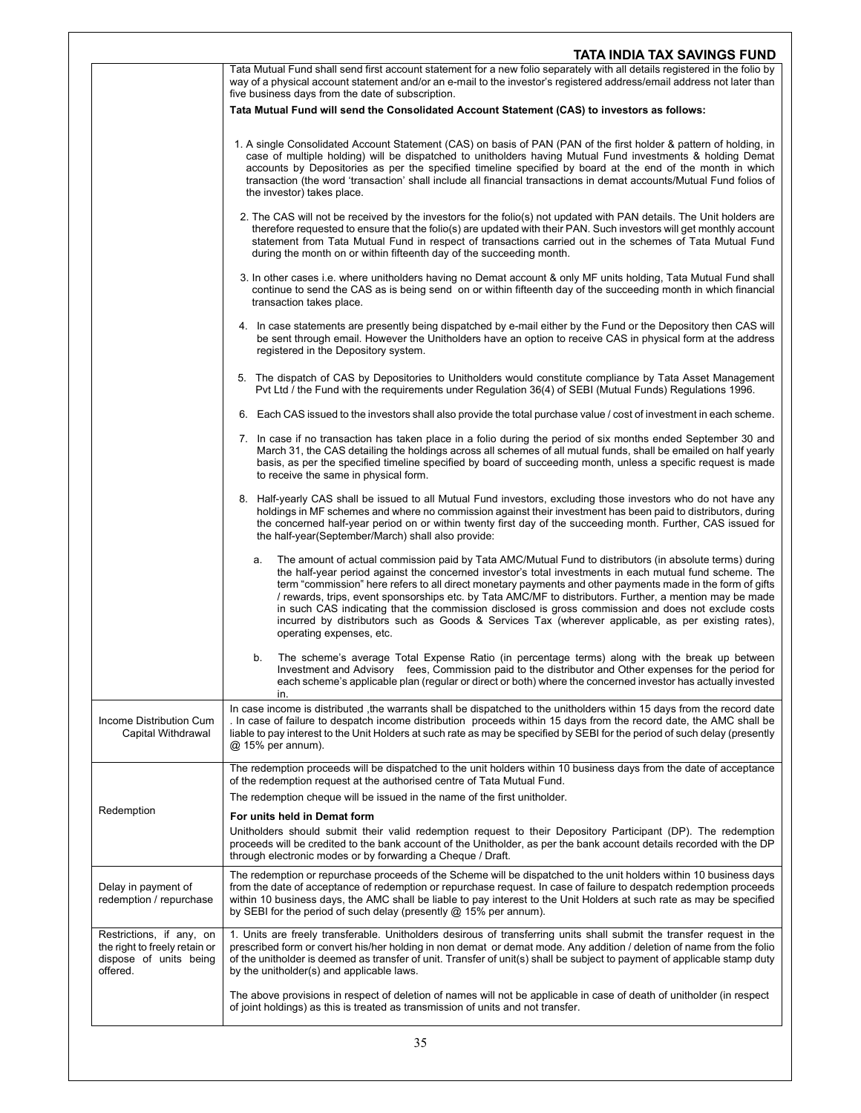|                                                                                                 | <b>TATA INDIA TAX SAVINGS FUND</b>                                                                                                                                                                                                                                                                                                                                                                                                                                                                                                                                                                                                                                                           |
|-------------------------------------------------------------------------------------------------|----------------------------------------------------------------------------------------------------------------------------------------------------------------------------------------------------------------------------------------------------------------------------------------------------------------------------------------------------------------------------------------------------------------------------------------------------------------------------------------------------------------------------------------------------------------------------------------------------------------------------------------------------------------------------------------------|
|                                                                                                 | Tata Mutual Fund shall send first account statement for a new folio separately with all details registered in the folio by<br>way of a physical account statement and/or an e-mail to the investor's registered address/email address not later than<br>five business days from the date of subscription.<br>Tata Mutual Fund will send the Consolidated Account Statement (CAS) to investors as follows:                                                                                                                                                                                                                                                                                    |
|                                                                                                 | 1. A single Consolidated Account Statement (CAS) on basis of PAN (PAN of the first holder & pattern of holding, in<br>case of multiple holding) will be dispatched to unitholders having Mutual Fund investments & holding Demat<br>accounts by Depositories as per the specified timeline specified by board at the end of the month in which<br>transaction (the word 'transaction' shall include all financial transactions in demat accounts/Mutual Fund folios of<br>the investor) takes place.                                                                                                                                                                                         |
|                                                                                                 | 2. The CAS will not be received by the investors for the folio(s) not updated with PAN details. The Unit holders are<br>therefore requested to ensure that the folio(s) are updated with their PAN. Such investors will get monthly account<br>statement from Tata Mutual Fund in respect of transactions carried out in the schemes of Tata Mutual Fund<br>during the month on or within fifteenth day of the succeeding month.                                                                                                                                                                                                                                                             |
|                                                                                                 | 3. In other cases i.e. where unitholders having no Demat account & only MF units holding, Tata Mutual Fund shall<br>continue to send the CAS as is being send on or within fifteenth day of the succeeding month in which financial<br>transaction takes place.                                                                                                                                                                                                                                                                                                                                                                                                                              |
|                                                                                                 | 4. In case statements are presently being dispatched by e-mail either by the Fund or the Depository then CAS will<br>be sent through email. However the Unitholders have an option to receive CAS in physical form at the address<br>registered in the Depository system.                                                                                                                                                                                                                                                                                                                                                                                                                    |
|                                                                                                 | 5. The dispatch of CAS by Depositories to Unitholders would constitute compliance by Tata Asset Management<br>Pvt Ltd / the Fund with the requirements under Regulation 36(4) of SEBI (Mutual Funds) Regulations 1996.                                                                                                                                                                                                                                                                                                                                                                                                                                                                       |
|                                                                                                 | 6. Each CAS issued to the investors shall also provide the total purchase value / cost of investment in each scheme.                                                                                                                                                                                                                                                                                                                                                                                                                                                                                                                                                                         |
|                                                                                                 | 7. In case if no transaction has taken place in a folio during the period of six months ended September 30 and<br>March 31, the CAS detailing the holdings across all schemes of all mutual funds, shall be emailed on half yearly<br>basis, as per the specified timeline specified by board of succeeding month, unless a specific request is made<br>to receive the same in physical form.                                                                                                                                                                                                                                                                                                |
|                                                                                                 | 8. Half-yearly CAS shall be issued to all Mutual Fund investors, excluding those investors who do not have any<br>holdings in MF schemes and where no commission against their investment has been paid to distributors, during<br>the concerned half-year period on or within twenty first day of the succeeding month. Further, CAS issued for<br>the half-year(September/March) shall also provide:                                                                                                                                                                                                                                                                                       |
|                                                                                                 | The amount of actual commission paid by Tata AMC/Mutual Fund to distributors (in absolute terms) during<br>a.<br>the half-year period against the concerned investor's total investments in each mutual fund scheme. The<br>term "commission" here refers to all direct monetary payments and other payments made in the form of gifts<br>rewards, trips, event sponsorships etc. by Tata AMC/MF to distributors. Further, a mention may be made /<br>in such CAS indicating that the commission disclosed is gross commission and does not exclude costs<br>incurred by distributors such as Goods & Services Tax (wherever applicable, as per existing rates),<br>operating expenses, etc. |
|                                                                                                 | The scheme's average Total Expense Ratio (in percentage terms) along with the break up between<br>b.<br>Investment and Advisory fees, Commission paid to the distributor and Other expenses for the period for<br>each scheme's applicable plan (regular or direct or both) where the concerned investor has actually invested<br>in.                                                                                                                                                                                                                                                                                                                                                        |
| Income Distribution Cum<br>Capital Withdrawal                                                   | In case income is distributed , the warrants shall be dispatched to the unitholders within 15 days from the record date<br>. In case of failure to despatch income distribution proceeds within 15 days from the record date, the AMC shall be<br>liable to pay interest to the Unit Holders at such rate as may be specified by SEBI for the period of such delay (presently<br>@ 15% per annum).                                                                                                                                                                                                                                                                                           |
|                                                                                                 | The redemption proceeds will be dispatched to the unit holders within 10 business days from the date of acceptance<br>of the redemption request at the authorised centre of Tata Mutual Fund.<br>The redemption cheque will be issued in the name of the first unitholder.                                                                                                                                                                                                                                                                                                                                                                                                                   |
| Redemption                                                                                      | For units held in Demat form                                                                                                                                                                                                                                                                                                                                                                                                                                                                                                                                                                                                                                                                 |
|                                                                                                 | Unitholders should submit their valid redemption request to their Depository Participant (DP). The redemption<br>proceeds will be credited to the bank account of the Unitholder, as per the bank account details recorded with the DP<br>through electronic modes or by forwarding a Cheque / Draft.                                                                                                                                                                                                                                                                                                                                                                                        |
| Delay in payment of<br>redemption / repurchase                                                  | The redemption or repurchase proceeds of the Scheme will be dispatched to the unit holders within 10 business days<br>from the date of acceptance of redemption or repurchase request. In case of failure to despatch redemption proceeds<br>within 10 business days, the AMC shall be liable to pay interest to the Unit Holders at such rate as may be specified<br>by SEBI for the period of such delay (presently @ 15% per annum).                                                                                                                                                                                                                                                      |
| Restrictions, if any, on<br>the right to freely retain or<br>dispose of units being<br>offered. | 1. Units are freely transferable. Unitholders desirous of transferring units shall submit the transfer request in the<br>prescribed form or convert his/her holding in non demat or demat mode. Any addition / deletion of name from the folio<br>of the unitholder is deemed as transfer of unit. Transfer of unit(s) shall be subject to payment of applicable stamp duty<br>by the unitholder(s) and applicable laws.                                                                                                                                                                                                                                                                     |
|                                                                                                 | The above provisions in respect of deletion of names will not be applicable in case of death of unitholder (in respect<br>of joint holdings) as this is treated as transmission of units and not transfer.                                                                                                                                                                                                                                                                                                                                                                                                                                                                                   |
|                                                                                                 | 35                                                                                                                                                                                                                                                                                                                                                                                                                                                                                                                                                                                                                                                                                           |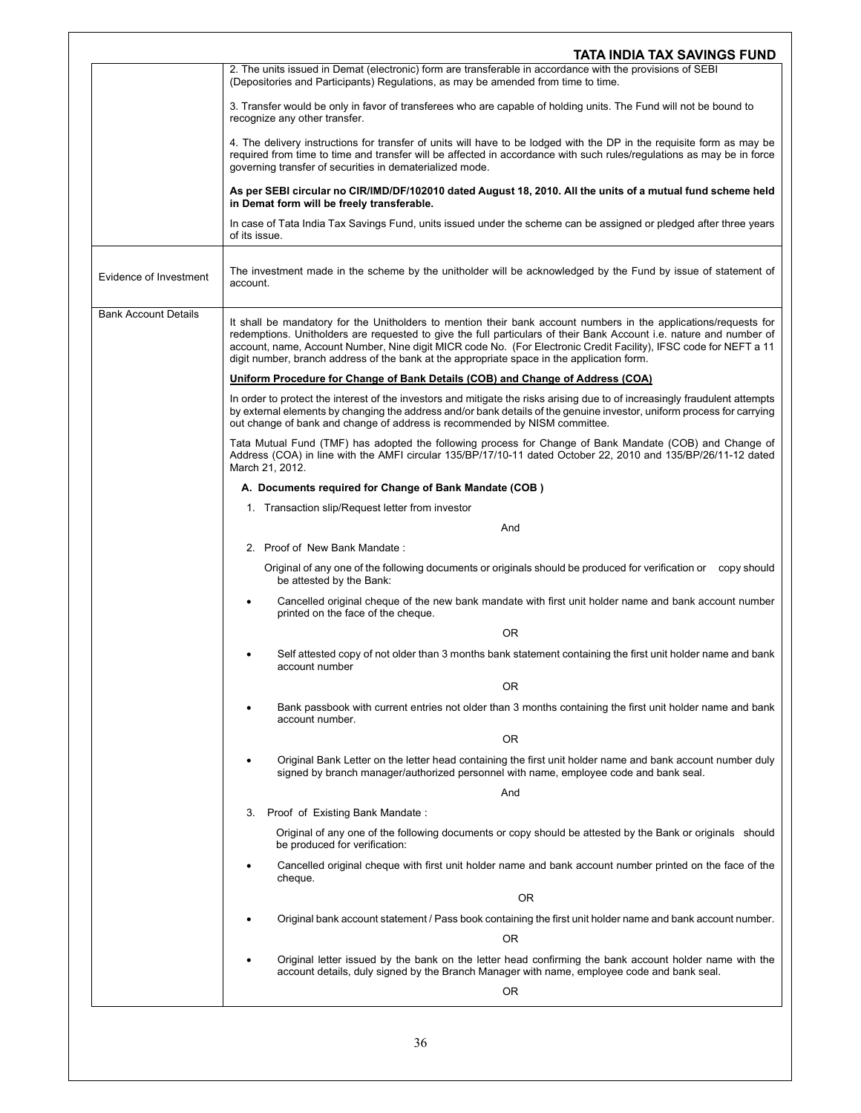|                             | TATA INDIA TAX SAVINGS FUND                                                                                                                                                                                                                                                                                                                                                                                                                                |  |  |
|-----------------------------|------------------------------------------------------------------------------------------------------------------------------------------------------------------------------------------------------------------------------------------------------------------------------------------------------------------------------------------------------------------------------------------------------------------------------------------------------------|--|--|
|                             | 2. The units issued in Demat (electronic) form are transferable in accordance with the provisions of SEBI<br>(Depositories and Participants) Regulations, as may be amended from time to time.                                                                                                                                                                                                                                                             |  |  |
|                             | 3. Transfer would be only in favor of transferees who are capable of holding units. The Fund will not be bound to<br>recognize any other transfer.                                                                                                                                                                                                                                                                                                         |  |  |
|                             | 4. The delivery instructions for transfer of units will have to be lodged with the DP in the requisite form as may be<br>required from time to time and transfer will be affected in accordance with such rules/regulations as may be in force<br>governing transfer of securities in dematerialized mode.                                                                                                                                                 |  |  |
|                             | As per SEBI circular no CIR/IMD/DF/102010 dated August 18, 2010. All the units of a mutual fund scheme held<br>in Demat form will be freely transferable.                                                                                                                                                                                                                                                                                                  |  |  |
|                             | In case of Tata India Tax Savings Fund, units issued under the scheme can be assigned or pledged after three years<br>of its issue.                                                                                                                                                                                                                                                                                                                        |  |  |
| Evidence of Investment      | The investment made in the scheme by the unitholder will be acknowledged by the Fund by issue of statement of<br>account.                                                                                                                                                                                                                                                                                                                                  |  |  |
| <b>Bank Account Details</b> | It shall be mandatory for the Unitholders to mention their bank account numbers in the applications/requests for<br>redemptions. Unitholders are requested to give the full particulars of their Bank Account i.e. nature and number of<br>account, name, Account Number, Nine digit MICR code No. (For Electronic Credit Facility), IFSC code for NEFT a 11<br>digit number, branch address of the bank at the appropriate space in the application form. |  |  |
|                             | Uniform Procedure for Change of Bank Details (COB) and Change of Address (COA)                                                                                                                                                                                                                                                                                                                                                                             |  |  |
|                             | In order to protect the interest of the investors and mitigate the risks arising due to of increasingly fraudulent attempts<br>by external elements by changing the address and/or bank details of the genuine investor, uniform process for carrying<br>out change of bank and change of address is recommended by NISM committee.                                                                                                                        |  |  |
|                             | Tata Mutual Fund (TMF) has adopted the following process for Change of Bank Mandate (COB) and Change of<br>Address (COA) in line with the AMFI circular 135/BP/17/10-11 dated October 22, 2010 and 135/BP/26/11-12 dated<br>March 21, 2012.                                                                                                                                                                                                                |  |  |
|                             | A. Documents required for Change of Bank Mandate (COB)                                                                                                                                                                                                                                                                                                                                                                                                     |  |  |
|                             | 1. Transaction slip/Request letter from investor                                                                                                                                                                                                                                                                                                                                                                                                           |  |  |
|                             | And                                                                                                                                                                                                                                                                                                                                                                                                                                                        |  |  |
|                             | 2. Proof of New Bank Mandate:                                                                                                                                                                                                                                                                                                                                                                                                                              |  |  |
|                             | Original of any one of the following documents or originals should be produced for verification or copy should<br>be attested by the Bank:                                                                                                                                                                                                                                                                                                                 |  |  |
|                             | Cancelled original cheque of the new bank mandate with first unit holder name and bank account number<br>٠<br>printed on the face of the cheque.                                                                                                                                                                                                                                                                                                           |  |  |
|                             | 0R                                                                                                                                                                                                                                                                                                                                                                                                                                                         |  |  |
|                             | Self attested copy of not older than 3 months bank statement containing the first unit holder name and bank<br>account number                                                                                                                                                                                                                                                                                                                              |  |  |
|                             | 0R                                                                                                                                                                                                                                                                                                                                                                                                                                                         |  |  |
|                             | Bank passbook with current entries not older than 3 months containing the first unit holder name and bank<br>account number.                                                                                                                                                                                                                                                                                                                               |  |  |
|                             | 0R                                                                                                                                                                                                                                                                                                                                                                                                                                                         |  |  |
|                             | Original Bank Letter on the letter head containing the first unit holder name and bank account number duly<br>signed by branch manager/authorized personnel with name, employee code and bank seal.                                                                                                                                                                                                                                                        |  |  |
|                             | And                                                                                                                                                                                                                                                                                                                                                                                                                                                        |  |  |
|                             | Proof of Existing Bank Mandate:<br>3.                                                                                                                                                                                                                                                                                                                                                                                                                      |  |  |
|                             | Original of any one of the following documents or copy should be attested by the Bank or originals should<br>be produced for verification:                                                                                                                                                                                                                                                                                                                 |  |  |
|                             | Cancelled original cheque with first unit holder name and bank account number printed on the face of the<br>cheque.                                                                                                                                                                                                                                                                                                                                        |  |  |
|                             | 0R                                                                                                                                                                                                                                                                                                                                                                                                                                                         |  |  |
|                             | Original bank account statement / Pass book containing the first unit holder name and bank account number.<br>0R                                                                                                                                                                                                                                                                                                                                           |  |  |
|                             | Original letter issued by the bank on the letter head confirming the bank account holder name with the                                                                                                                                                                                                                                                                                                                                                     |  |  |
|                             | account details, duly signed by the Branch Manager with name, employee code and bank seal.<br>0R                                                                                                                                                                                                                                                                                                                                                           |  |  |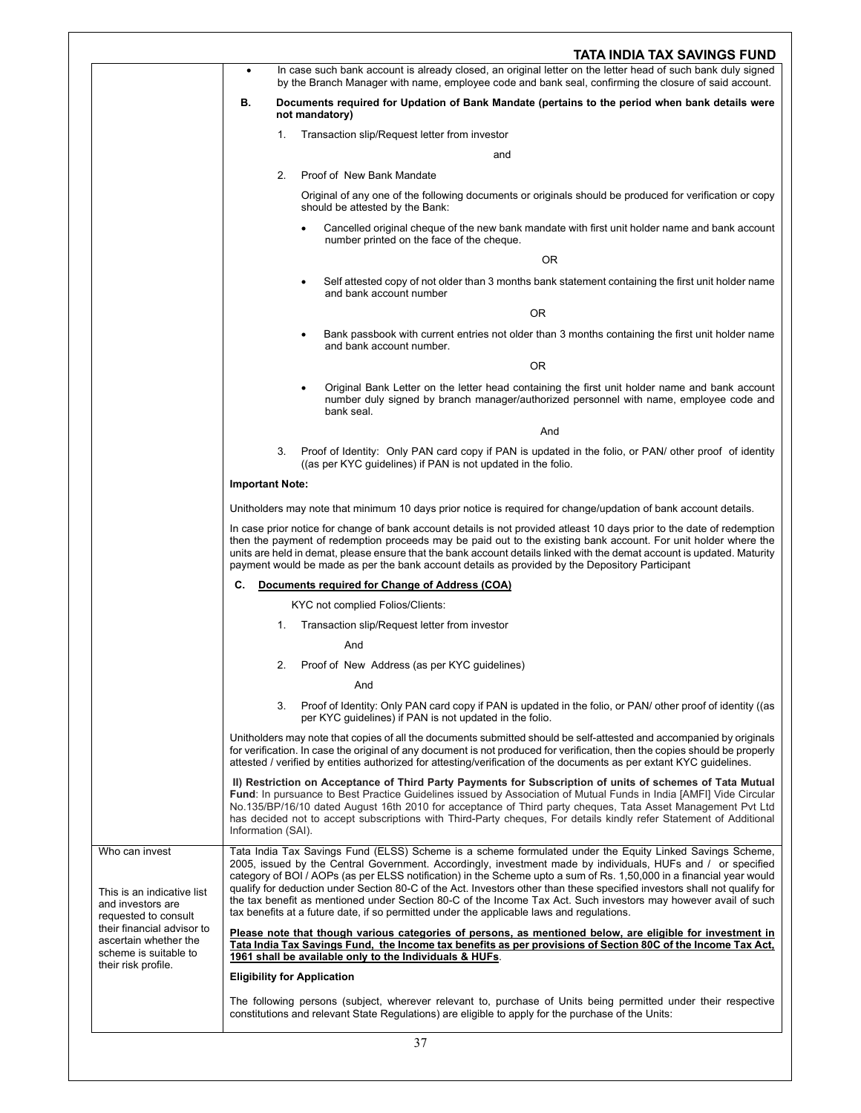|                                                                                           |                                                      |    | TATA INDIA TAX SAVINGS FUND                                                                                                                                                                                                                                                                                                                                                                                                                                                                                                                                                                                                                                                                   |
|-------------------------------------------------------------------------------------------|------------------------------------------------------|----|-----------------------------------------------------------------------------------------------------------------------------------------------------------------------------------------------------------------------------------------------------------------------------------------------------------------------------------------------------------------------------------------------------------------------------------------------------------------------------------------------------------------------------------------------------------------------------------------------------------------------------------------------------------------------------------------------|
|                                                                                           | ٠                                                    |    | In case such bank account is already closed, an original letter on the letter head of such bank duly signed<br>by the Branch Manager with name, employee code and bank seal, confirming the closure of said account.                                                                                                                                                                                                                                                                                                                                                                                                                                                                          |
|                                                                                           | В.                                                   |    | Documents required for Updation of Bank Mandate (pertains to the period when bank details were<br>not mandatory)                                                                                                                                                                                                                                                                                                                                                                                                                                                                                                                                                                              |
|                                                                                           |                                                      | 1. | Transaction slip/Request letter from investor                                                                                                                                                                                                                                                                                                                                                                                                                                                                                                                                                                                                                                                 |
|                                                                                           |                                                      |    | and                                                                                                                                                                                                                                                                                                                                                                                                                                                                                                                                                                                                                                                                                           |
|                                                                                           |                                                      | 2. | Proof of New Bank Mandate                                                                                                                                                                                                                                                                                                                                                                                                                                                                                                                                                                                                                                                                     |
|                                                                                           |                                                      |    | Original of any one of the following documents or originals should be produced for verification or copy<br>should be attested by the Bank:                                                                                                                                                                                                                                                                                                                                                                                                                                                                                                                                                    |
|                                                                                           |                                                      |    | Cancelled original cheque of the new bank mandate with first unit holder name and bank account<br>number printed on the face of the cheque.                                                                                                                                                                                                                                                                                                                                                                                                                                                                                                                                                   |
|                                                                                           |                                                      |    | 0R                                                                                                                                                                                                                                                                                                                                                                                                                                                                                                                                                                                                                                                                                            |
|                                                                                           |                                                      |    | Self attested copy of not older than 3 months bank statement containing the first unit holder name<br>and bank account number                                                                                                                                                                                                                                                                                                                                                                                                                                                                                                                                                                 |
|                                                                                           |                                                      |    | 0R                                                                                                                                                                                                                                                                                                                                                                                                                                                                                                                                                                                                                                                                                            |
|                                                                                           |                                                      |    | Bank passbook with current entries not older than 3 months containing the first unit holder name<br>and bank account number.                                                                                                                                                                                                                                                                                                                                                                                                                                                                                                                                                                  |
|                                                                                           |                                                      |    | 0R                                                                                                                                                                                                                                                                                                                                                                                                                                                                                                                                                                                                                                                                                            |
|                                                                                           |                                                      |    | Original Bank Letter on the letter head containing the first unit holder name and bank account<br>number duly signed by branch manager/authorized personnel with name, employee code and<br>bank seal.                                                                                                                                                                                                                                                                                                                                                                                                                                                                                        |
|                                                                                           |                                                      |    | And                                                                                                                                                                                                                                                                                                                                                                                                                                                                                                                                                                                                                                                                                           |
|                                                                                           |                                                      | 3. | Proof of Identity: Only PAN card copy if PAN is updated in the folio, or PAN/ other proof of identity<br>((as per KYC guidelines) if PAN is not updated in the folio.                                                                                                                                                                                                                                                                                                                                                                                                                                                                                                                         |
|                                                                                           | <b>Important Note:</b>                               |    |                                                                                                                                                                                                                                                                                                                                                                                                                                                                                                                                                                                                                                                                                               |
|                                                                                           |                                                      |    | Unitholders may note that minimum 10 days prior notice is required for change/updation of bank account details.                                                                                                                                                                                                                                                                                                                                                                                                                                                                                                                                                                               |
|                                                                                           |                                                      |    | In case prior notice for change of bank account details is not provided atleast 10 days prior to the date of redemption<br>then the payment of redemption proceeds may be paid out to the existing bank account. For unit holder where the<br>units are held in demat, please ensure that the bank account details linked with the demat account is updated. Maturity<br>payment would be made as per the bank account details as provided by the Depository Participant                                                                                                                                                                                                                      |
|                                                                                           | Documents required for Change of Address (COA)<br>C. |    |                                                                                                                                                                                                                                                                                                                                                                                                                                                                                                                                                                                                                                                                                               |
|                                                                                           |                                                      |    | KYC not complied Folios/Clients:                                                                                                                                                                                                                                                                                                                                                                                                                                                                                                                                                                                                                                                              |
|                                                                                           |                                                      | 1. | Transaction slip/Request letter from investor                                                                                                                                                                                                                                                                                                                                                                                                                                                                                                                                                                                                                                                 |
|                                                                                           |                                                      |    | And                                                                                                                                                                                                                                                                                                                                                                                                                                                                                                                                                                                                                                                                                           |
|                                                                                           |                                                      |    | Proof of New Address (as per KYC guidelines)                                                                                                                                                                                                                                                                                                                                                                                                                                                                                                                                                                                                                                                  |
|                                                                                           |                                                      |    | And                                                                                                                                                                                                                                                                                                                                                                                                                                                                                                                                                                                                                                                                                           |
|                                                                                           |                                                      | 3. | Proof of Identity: Only PAN card copy if PAN is updated in the folio, or PAN/ other proof of identity ((as<br>per KYC guidelines) if PAN is not updated in the folio.                                                                                                                                                                                                                                                                                                                                                                                                                                                                                                                         |
|                                                                                           |                                                      |    | Unitholders may note that copies of all the documents submitted should be self-attested and accompanied by originals<br>for verification. In case the original of any document is not produced for verification, then the copies should be properly<br>attested / verified by entities authorized for attesting/verification of the documents as per extant KYC quidelines.                                                                                                                                                                                                                                                                                                                   |
|                                                                                           | Information (SAI).                                   |    | II) Restriction on Acceptance of Third Party Payments for Subscription of units of schemes of Tata Mutual<br>Fund: In pursuance to Best Practice Guidelines issued by Association of Mutual Funds in India [AMFI] Vide Circular<br>No.135/BP/16/10 dated August 16th 2010 for acceptance of Third party cheques, Tata Asset Management Pvt Ltd<br>has decided not to accept subscriptions with Third-Party cheques, For details kindly refer Statement of Additional                                                                                                                                                                                                                          |
| Who can invest<br>This is an indicative list<br>and investors are<br>requested to consult |                                                      |    | Tata India Tax Savings Fund (ELSS) Scheme is a scheme formulated under the Equity Linked Savings Scheme,<br>2005, issued by the Central Government. Accordingly, investment made by individuals, HUFs and / or specified<br>category of BOI / AOPs (as per ELSS notification) in the Scheme upto a sum of Rs. 1,50,000 in a financial year would<br>qualify for deduction under Section 80-C of the Act. Investors other than these specified investors shall not qualify for<br>the tax benefit as mentioned under Section 80-C of the Income Tax Act. Such investors may however avail of such<br>tax benefits at a future date, if so permitted under the applicable laws and regulations. |
| their financial advisor to<br>ascertain whether the<br>scheme is suitable to              |                                                      |    | Please note that though various categories of persons, as mentioned below, are eligible for investment in<br>Tata India Tax Savings Fund, the Income tax benefits as per provisions of Section 80C of the Income Tax Act,<br>1961 shall be available only to the Individuals & HUFs.                                                                                                                                                                                                                                                                                                                                                                                                          |
| their risk profile.                                                                       |                                                      |    | <b>Eligibility for Application</b>                                                                                                                                                                                                                                                                                                                                                                                                                                                                                                                                                                                                                                                            |
|                                                                                           |                                                      |    | The following persons (subject, wherever relevant to, purchase of Units being permitted under their respective<br>constitutions and relevant State Regulations) are eligible to apply for the purchase of the Units:                                                                                                                                                                                                                                                                                                                                                                                                                                                                          |
|                                                                                           |                                                      |    | 37                                                                                                                                                                                                                                                                                                                                                                                                                                                                                                                                                                                                                                                                                            |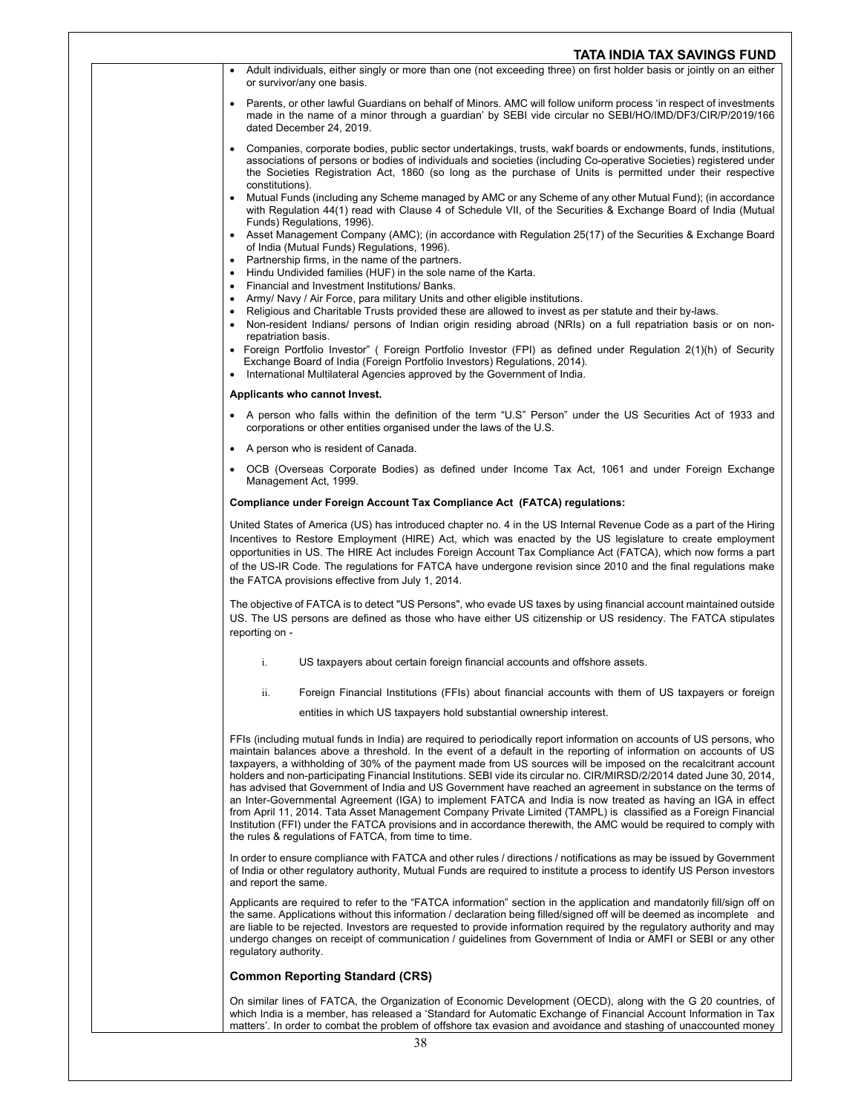| TATA INDIA TAX SAVINGS FUND                                                                                                                                                                                                                                                                                                                                                                                                                                                                                                                                                                                                                                                                                                                                                                                                                                                                                                                                                                                               |
|---------------------------------------------------------------------------------------------------------------------------------------------------------------------------------------------------------------------------------------------------------------------------------------------------------------------------------------------------------------------------------------------------------------------------------------------------------------------------------------------------------------------------------------------------------------------------------------------------------------------------------------------------------------------------------------------------------------------------------------------------------------------------------------------------------------------------------------------------------------------------------------------------------------------------------------------------------------------------------------------------------------------------|
| Adult individuals, either singly or more than one (not exceeding three) on first holder basis or jointly on an either<br>$\bullet$<br>or survivor/any one basis.                                                                                                                                                                                                                                                                                                                                                                                                                                                                                                                                                                                                                                                                                                                                                                                                                                                          |
| • Parents, or other lawful Guardians on behalf of Minors. AMC will follow uniform process 'in respect of investments<br>made in the name of a minor through a guardian' by SEBI vide circular no SEBI/HO/IMD/DF3/CIR/P/2019/166<br>dated December 24, 2019.                                                                                                                                                                                                                                                                                                                                                                                                                                                                                                                                                                                                                                                                                                                                                               |
| Companies, corporate bodies, public sector undertakings, trusts, wakf boards or endowments, funds, institutions,<br>associations of persons or bodies of individuals and societies (including Co-operative Societies) registered under<br>the Societies Registration Act, 1860 (so long as the purchase of Units is permitted under their respective<br>constitutions).                                                                                                                                                                                                                                                                                                                                                                                                                                                                                                                                                                                                                                                   |
| Mutual Funds (including any Scheme managed by AMC or any Scheme of any other Mutual Fund); (in accordance<br>$\bullet$<br>with Regulation 44(1) read with Clause 4 of Schedule VII, of the Securities & Exchange Board of India (Mutual<br>Funds) Regulations, 1996).                                                                                                                                                                                                                                                                                                                                                                                                                                                                                                                                                                                                                                                                                                                                                     |
| Asset Management Company (AMC); (in accordance with Regulation 25(17) of the Securities & Exchange Board<br>of India (Mutual Funds) Regulations, 1996).<br>Partnership firms, in the name of the partners.                                                                                                                                                                                                                                                                                                                                                                                                                                                                                                                                                                                                                                                                                                                                                                                                                |
| Hindu Undivided families (HUF) in the sole name of the Karta.<br>$\bullet$<br>Financial and Investment Institutions/ Banks.                                                                                                                                                                                                                                                                                                                                                                                                                                                                                                                                                                                                                                                                                                                                                                                                                                                                                               |
| ٠<br>Army/ Navy / Air Force, para military Units and other eligible institutions.<br>$\bullet$                                                                                                                                                                                                                                                                                                                                                                                                                                                                                                                                                                                                                                                                                                                                                                                                                                                                                                                            |
| Religious and Charitable Trusts provided these are allowed to invest as per statute and their by-laws.<br>Non-resident Indians/ persons of Indian origin residing abroad (NRIs) on a full repatriation basis or on non-<br>$\bullet$<br>repatriation basis.                                                                                                                                                                                                                                                                                                                                                                                                                                                                                                                                                                                                                                                                                                                                                               |
| • Foreign Portfolio Investor" (Foreign Portfolio Investor (FPI) as defined under Regulation 2(1)(h) of Security<br>Exchange Board of India (Foreign Portfolio Investors) Regulations, 2014).<br>International Multilateral Agencies approved by the Government of India.<br>$\bullet$                                                                                                                                                                                                                                                                                                                                                                                                                                                                                                                                                                                                                                                                                                                                     |
| Applicants who cannot Invest.                                                                                                                                                                                                                                                                                                                                                                                                                                                                                                                                                                                                                                                                                                                                                                                                                                                                                                                                                                                             |
| • A person who falls within the definition of the term "U.S" Person" under the US Securities Act of 1933 and<br>corporations or other entities organised under the laws of the U.S.                                                                                                                                                                                                                                                                                                                                                                                                                                                                                                                                                                                                                                                                                                                                                                                                                                       |
| A person who is resident of Canada.<br>٠                                                                                                                                                                                                                                                                                                                                                                                                                                                                                                                                                                                                                                                                                                                                                                                                                                                                                                                                                                                  |
| OCB (Overseas Corporate Bodies) as defined under Income Tax Act, 1061 and under Foreign Exchange<br>٠<br>Management Act, 1999.                                                                                                                                                                                                                                                                                                                                                                                                                                                                                                                                                                                                                                                                                                                                                                                                                                                                                            |
| Compliance under Foreign Account Tax Compliance Act (FATCA) regulations:                                                                                                                                                                                                                                                                                                                                                                                                                                                                                                                                                                                                                                                                                                                                                                                                                                                                                                                                                  |
| United States of America (US) has introduced chapter no. 4 in the US Internal Revenue Code as a part of the Hiring<br>Incentives to Restore Employment (HIRE) Act, which was enacted by the US legislature to create employment<br>opportunities in US. The HIRE Act includes Foreign Account Tax Compliance Act (FATCA), which now forms a part<br>of the US-IR Code. The regulations for FATCA have undergone revision since 2010 and the final regulations make<br>the FATCA provisions effective from July 1, 2014.                                                                                                                                                                                                                                                                                                                                                                                                                                                                                                   |
| The objective of FATCA is to detect "US Persons", who evade US taxes by using financial account maintained outside<br>US. The US persons are defined as those who have either US citizenship or US residency. The FATCA stipulates<br>reporting on -                                                                                                                                                                                                                                                                                                                                                                                                                                                                                                                                                                                                                                                                                                                                                                      |
| US taxpayers about certain foreign financial accounts and offshore assets.<br>i.                                                                                                                                                                                                                                                                                                                                                                                                                                                                                                                                                                                                                                                                                                                                                                                                                                                                                                                                          |
| ii.<br>Foreign Financial Institutions (FFIs) about financial accounts with them of US taxpayers or foreign                                                                                                                                                                                                                                                                                                                                                                                                                                                                                                                                                                                                                                                                                                                                                                                                                                                                                                                |
| entities in which US taxpayers hold substantial ownership interest.                                                                                                                                                                                                                                                                                                                                                                                                                                                                                                                                                                                                                                                                                                                                                                                                                                                                                                                                                       |
| FFIs (including mutual funds in India) are required to periodically report information on accounts of US persons, who<br>maintain balances above a threshold. In the event of a default in the reporting of information on accounts of US<br>taxpayers, a withholding of 30% of the payment made from US sources will be imposed on the recalcitrant account<br>holders and non-participating Financial Institutions. SEBI vide its circular no. CIR/MIRSD/2/2014 dated June 30, 2014,<br>has advised that Government of India and US Government have reached an agreement in substance on the terms of<br>an Inter-Governmental Agreement (IGA) to implement FATCA and India is now treated as having an IGA in effect<br>from April 11, 2014. Tata Asset Management Company Private Limited (TAMPL) is  classified as a Foreign Financial<br>Institution (FFI) under the FATCA provisions and in accordance therewith, the AMC would be required to comply with<br>the rules & regulations of FATCA, from time to time. |
| In order to ensure compliance with FATCA and other rules / directions / notifications as may be issued by Government<br>of India or other regulatory authority, Mutual Funds are required to institute a process to identify US Person investors<br>and report the same.                                                                                                                                                                                                                                                                                                                                                                                                                                                                                                                                                                                                                                                                                                                                                  |
| Applicants are required to refer to the "FATCA information" section in the application and mandatorily fill/sign off on<br>the same. Applications without this information / declaration being filled/signed off will be deemed as incomplete and<br>are liable to be rejected. Investors are requested to provide information required by the regulatory authority and may<br>undergo changes on receipt of communication / guidelines from Government of India or AMFI or SEBI or any other<br>regulatory authority.                                                                                                                                                                                                                                                                                                                                                                                                                                                                                                    |
| <b>Common Reporting Standard (CRS)</b>                                                                                                                                                                                                                                                                                                                                                                                                                                                                                                                                                                                                                                                                                                                                                                                                                                                                                                                                                                                    |
| On similar lines of FATCA, the Organization of Economic Development (OECD), along with the G 20 countries, of<br>which India is a member, has released a 'Standard for Automatic Exchange of Financial Account Information in Tax<br>matters'. In order to combat the problem of offshore tax evasion and avoidance and stashing of unaccounted money                                                                                                                                                                                                                                                                                                                                                                                                                                                                                                                                                                                                                                                                     |
| 38                                                                                                                                                                                                                                                                                                                                                                                                                                                                                                                                                                                                                                                                                                                                                                                                                                                                                                                                                                                                                        |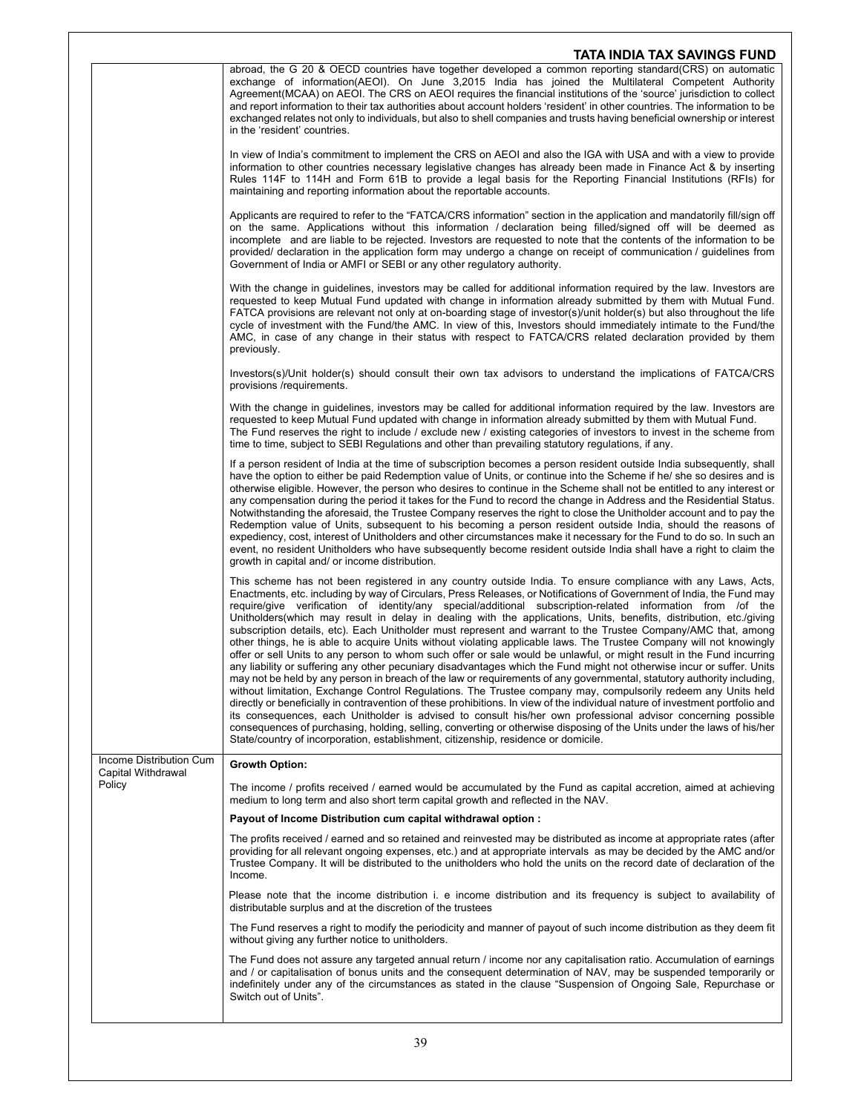|                                               | TATA INDIA TAX SAVINGS FUND                                                                                                                                                                                                                                                                                                                                                                                                                                                                                                                                                                                                                                                                                                                                                                                                                                                                                                                                                                                                                                                                                                                                                                                                                                                                                                                                                                                                                                                                                                                                                                                                                                                     |
|-----------------------------------------------|---------------------------------------------------------------------------------------------------------------------------------------------------------------------------------------------------------------------------------------------------------------------------------------------------------------------------------------------------------------------------------------------------------------------------------------------------------------------------------------------------------------------------------------------------------------------------------------------------------------------------------------------------------------------------------------------------------------------------------------------------------------------------------------------------------------------------------------------------------------------------------------------------------------------------------------------------------------------------------------------------------------------------------------------------------------------------------------------------------------------------------------------------------------------------------------------------------------------------------------------------------------------------------------------------------------------------------------------------------------------------------------------------------------------------------------------------------------------------------------------------------------------------------------------------------------------------------------------------------------------------------------------------------------------------------|
|                                               | abroad, the G 20 & OECD countries have together developed a common reporting standard(CRS) on automatic<br>exchange of information(AEOI). On June 3,2015 India has joined the Multilateral Competent Authority<br>Agreement(MCAA) on AEOI. The CRS on AEOI requires the financial institutions of the 'source' jurisdiction to collect<br>and report information to their tax authorities about account holders 'resident' in other countries. The information to be<br>exchanged relates not only to individuals, but also to shell companies and trusts having beneficial ownership or interest<br>in the 'resident' countries.                                                                                                                                                                                                                                                                                                                                                                                                                                                                                                                                                                                                                                                                                                                                                                                                                                                                                                                                                                                                                                               |
|                                               | In view of India's commitment to implement the CRS on AEOI and also the IGA with USA and with a view to provide<br>information to other countries necessary legislative changes has already been made in Finance Act & by inserting<br>Rules 114F to 114H and Form 61B to provide a legal basis for the Reporting Financial Institutions (RFIs) for<br>maintaining and reporting information about the reportable accounts.                                                                                                                                                                                                                                                                                                                                                                                                                                                                                                                                                                                                                                                                                                                                                                                                                                                                                                                                                                                                                                                                                                                                                                                                                                                     |
|                                               | Applicants are required to refer to the "FATCA/CRS information" section in the application and mandatorily fill/sign off<br>on the same. Applications without this information / declaration being filled/signed off will be deemed as<br>incomplete and are liable to be rejected. Investors are requested to note that the contents of the information to be<br>provided/ declaration in the application form may undergo a change on receipt of communication / guidelines from<br>Government of India or AMFI or SEBI or any other regulatory authority.                                                                                                                                                                                                                                                                                                                                                                                                                                                                                                                                                                                                                                                                                                                                                                                                                                                                                                                                                                                                                                                                                                                    |
|                                               | With the change in guidelines, investors may be called for additional information required by the law. Investors are<br>requested to keep Mutual Fund updated with change in information already submitted by them with Mutual Fund.<br>FATCA provisions are relevant not only at on-boarding stage of investor(s)/unit holder(s) but also throughout the life<br>cycle of investment with the Fund/the AMC. In view of this, Investors should immediately intimate to the Fund/the<br>AMC, in case of any change in their status with respect to FATCA/CRS related declaration provided by them<br>previously.                                                                                                                                                                                                                                                                                                                                                                                                                                                                                                                                                                                                                                                                                                                                                                                                                                                                                                                                                                                                                                                                 |
|                                               | Investors(s)/Unit holder(s) should consult their own tax advisors to understand the implications of FATCA/CRS<br>provisions /requirements.                                                                                                                                                                                                                                                                                                                                                                                                                                                                                                                                                                                                                                                                                                                                                                                                                                                                                                                                                                                                                                                                                                                                                                                                                                                                                                                                                                                                                                                                                                                                      |
|                                               | With the change in guidelines, investors may be called for additional information required by the law. Investors are<br>requested to keep Mutual Fund updated with change in information already submitted by them with Mutual Fund.<br>The Fund reserves the right to include / exclude new / existing categories of investors to invest in the scheme from<br>time to time, subject to SEBI Regulations and other than prevailing statutory regulations, if any.                                                                                                                                                                                                                                                                                                                                                                                                                                                                                                                                                                                                                                                                                                                                                                                                                                                                                                                                                                                                                                                                                                                                                                                                              |
|                                               | If a person resident of India at the time of subscription becomes a person resident outside India subsequently, shall<br>have the option to either be paid Redemption value of Units, or continue into the Scheme if he/ she so desires and is<br>otherwise eligible. However, the person who desires to continue in the Scheme shall not be entitled to any interest or<br>any compensation during the period it takes for the Fund to record the change in Address and the Residential Status.<br>Notwithstanding the aforesaid, the Trustee Company reserves the right to close the Unitholder account and to pay the<br>Redemption value of Units, subsequent to his becoming a person resident outside India, should the reasons of<br>expediency, cost, interest of Unitholders and other circumstances make it necessary for the Fund to do so. In such an<br>event, no resident Unitholders who have subsequently become resident outside India shall have a right to claim the<br>growth in capital and/ or income distribution.                                                                                                                                                                                                                                                                                                                                                                                                                                                                                                                                                                                                                                       |
|                                               | This scheme has not been registered in any country outside India. To ensure compliance with any Laws, Acts,<br>Enactments, etc. including by way of Circulars, Press Releases, or Notifications of Government of India, the Fund may<br>require/give verification of identity/any special/additional subscription-related information from /of the<br>Unitholders(which may result in delay in dealing with the applications, Units, benefits, distribution, etc./giving<br>subscription details, etc). Each Unitholder must represent and warrant to the Trustee Company/AMC that, among<br>other things, he is able to acquire Units without violating applicable laws. The Trustee Company will not knowingly<br>offer or sell Units to any person to whom such offer or sale would be unlawful, or might result in the Fund incurring<br>any liability or suffering any other pecuniary disadvantages which the Fund might not otherwise incur or suffer. Units<br>may not be held by any person in breach of the law or requirements of any governmental, statutory authority including,<br>without limitation, Exchange Control Regulations. The Trustee company may, compulsorily redeem any Units held<br>directly or beneficially in contravention of these prohibitions. In view of the individual nature of investment portfolio and<br>its consequences, each Unitholder is advised to consult his/her own professional advisor concerning possible<br>consequences of purchasing, holding, selling, converting or otherwise disposing of the Units under the laws of his/her<br>State/country of incorporation, establishment, citizenship, residence or domicile. |
| Income Distribution Cum<br>Capital Withdrawal | <b>Growth Option:</b>                                                                                                                                                                                                                                                                                                                                                                                                                                                                                                                                                                                                                                                                                                                                                                                                                                                                                                                                                                                                                                                                                                                                                                                                                                                                                                                                                                                                                                                                                                                                                                                                                                                           |
| Policy                                        | The income / profits received / earned would be accumulated by the Fund as capital accretion, aimed at achieving<br>medium to long term and also short term capital growth and reflected in the NAV.                                                                                                                                                                                                                                                                                                                                                                                                                                                                                                                                                                                                                                                                                                                                                                                                                                                                                                                                                                                                                                                                                                                                                                                                                                                                                                                                                                                                                                                                            |
|                                               | Payout of Income Distribution cum capital withdrawal option:                                                                                                                                                                                                                                                                                                                                                                                                                                                                                                                                                                                                                                                                                                                                                                                                                                                                                                                                                                                                                                                                                                                                                                                                                                                                                                                                                                                                                                                                                                                                                                                                                    |
|                                               | The profits received / earned and so retained and reinvested may be distributed as income at appropriate rates (after<br>providing for all relevant ongoing expenses, etc.) and at appropriate intervals as may be decided by the AMC and/or<br>Trustee Company. It will be distributed to the unitholders who hold the units on the record date of declaration of the<br>Income.                                                                                                                                                                                                                                                                                                                                                                                                                                                                                                                                                                                                                                                                                                                                                                                                                                                                                                                                                                                                                                                                                                                                                                                                                                                                                               |
|                                               | Please note that the income distribution i. e income distribution and its frequency is subject to availability of<br>distributable surplus and at the discretion of the trustees                                                                                                                                                                                                                                                                                                                                                                                                                                                                                                                                                                                                                                                                                                                                                                                                                                                                                                                                                                                                                                                                                                                                                                                                                                                                                                                                                                                                                                                                                                |
|                                               | The Fund reserves a right to modify the periodicity and manner of payout of such income distribution as they deem fit<br>without giving any further notice to unitholders.                                                                                                                                                                                                                                                                                                                                                                                                                                                                                                                                                                                                                                                                                                                                                                                                                                                                                                                                                                                                                                                                                                                                                                                                                                                                                                                                                                                                                                                                                                      |
|                                               | The Fund does not assure any targeted annual return / income nor any capitalisation ratio. Accumulation of earnings<br>and / or capitalisation of bonus units and the consequent determination of NAV, may be suspended temporarily or<br>indefinitely under any of the circumstances as stated in the clause "Suspension of Ongoing Sale, Repurchase or<br>Switch out of Units".                                                                                                                                                                                                                                                                                                                                                                                                                                                                                                                                                                                                                                                                                                                                                                                                                                                                                                                                                                                                                                                                                                                                                                                                                                                                                               |
|                                               | 30                                                                                                                                                                                                                                                                                                                                                                                                                                                                                                                                                                                                                                                                                                                                                                                                                                                                                                                                                                                                                                                                                                                                                                                                                                                                                                                                                                                                                                                                                                                                                                                                                                                                              |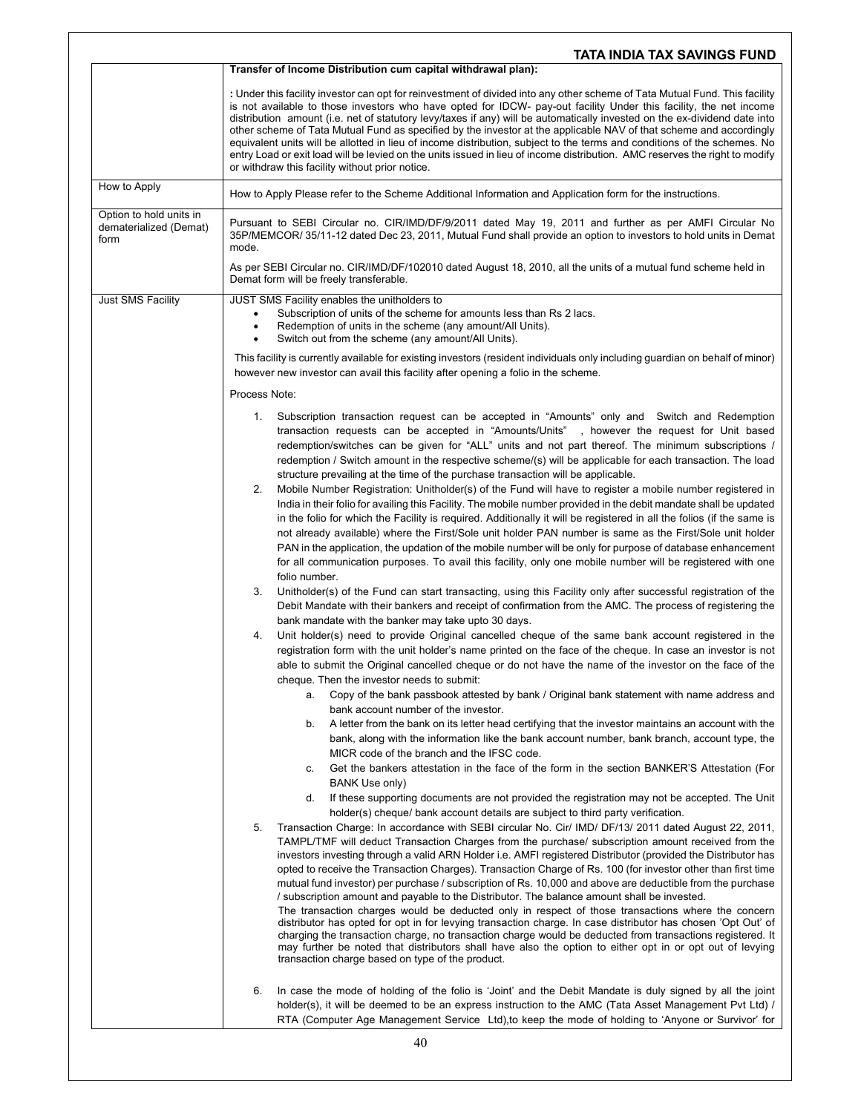|                                                           | <b>TATA INDIA TAX SAVINGS FUND</b><br>Transfer of Income Distribution cum capital withdrawal plan):                                                                                                                                                                                                                                                                                                                                                                                                                                                                                                                                                                                                                                                                                                                                                                                                                                                                                                                                                                                                                                                                                                                                                                                                                                                                                                                                                                                                                                                                                                                                                                                                                                                                                                                                                                                                                                                                                                                                                                                                                                                                                                                                                                                                                                                                                                                                                                                                                                                                                                                                                                                                                                                                                                                                                                                                                                                                                                                                                                                                                                                                                                                                                                                                                                                                                                                                                                                                                                                                                                                                                                                                                                                                                                                                         |
|-----------------------------------------------------------|---------------------------------------------------------------------------------------------------------------------------------------------------------------------------------------------------------------------------------------------------------------------------------------------------------------------------------------------------------------------------------------------------------------------------------------------------------------------------------------------------------------------------------------------------------------------------------------------------------------------------------------------------------------------------------------------------------------------------------------------------------------------------------------------------------------------------------------------------------------------------------------------------------------------------------------------------------------------------------------------------------------------------------------------------------------------------------------------------------------------------------------------------------------------------------------------------------------------------------------------------------------------------------------------------------------------------------------------------------------------------------------------------------------------------------------------------------------------------------------------------------------------------------------------------------------------------------------------------------------------------------------------------------------------------------------------------------------------------------------------------------------------------------------------------------------------------------------------------------------------------------------------------------------------------------------------------------------------------------------------------------------------------------------------------------------------------------------------------------------------------------------------------------------------------------------------------------------------------------------------------------------------------------------------------------------------------------------------------------------------------------------------------------------------------------------------------------------------------------------------------------------------------------------------------------------------------------------------------------------------------------------------------------------------------------------------------------------------------------------------------------------------------------------------------------------------------------------------------------------------------------------------------------------------------------------------------------------------------------------------------------------------------------------------------------------------------------------------------------------------------------------------------------------------------------------------------------------------------------------------------------------------------------------------------------------------------------------------------------------------------------------------------------------------------------------------------------------------------------------------------------------------------------------------------------------------------------------------------------------------------------------------------------------------------------------------------------------------------------------------------------------------------------------------------------------------------------------------|
|                                                           | : Under this facility investor can opt for reinvestment of divided into any other scheme of Tata Mutual Fund. This facility<br>is not available to those investors who have opted for IDCW- pay-out facility Under this facility, the net income<br>distribution amount (i.e. net of statutory levy/taxes if any) will be automatically invested on the ex-dividend date into<br>other scheme of Tata Mutual Fund as specified by the investor at the applicable NAV of that scheme and accordingly<br>equivalent units will be allotted in lieu of income distribution, subject to the terms and conditions of the schemes. No<br>entry Load or exit load will be levied on the units issued in lieu of income distribution. AMC reserves the right to modify<br>or withdraw this facility without prior notice.                                                                                                                                                                                                                                                                                                                                                                                                                                                                                                                                                                                                                                                                                                                                                                                                                                                                                                                                                                                                                                                                                                                                                                                                                                                                                                                                                                                                                                                                                                                                                                                                                                                                                                                                                                                                                                                                                                                                                                                                                                                                                                                                                                                                                                                                                                                                                                                                                                                                                                                                                                                                                                                                                                                                                                                                                                                                                                                                                                                                                           |
| How to Apply                                              | How to Apply Please refer to the Scheme Additional Information and Application form for the instructions.                                                                                                                                                                                                                                                                                                                                                                                                                                                                                                                                                                                                                                                                                                                                                                                                                                                                                                                                                                                                                                                                                                                                                                                                                                                                                                                                                                                                                                                                                                                                                                                                                                                                                                                                                                                                                                                                                                                                                                                                                                                                                                                                                                                                                                                                                                                                                                                                                                                                                                                                                                                                                                                                                                                                                                                                                                                                                                                                                                                                                                                                                                                                                                                                                                                                                                                                                                                                                                                                                                                                                                                                                                                                                                                                   |
| Option to hold units in<br>dematerialized (Demat)<br>form | Pursuant to SEBI Circular no. CIR/IMD/DF/9/2011 dated May 19, 2011 and further as per AMFI Circular No<br>35P/MEMCOR/35/11-12 dated Dec 23, 2011, Mutual Fund shall provide an option to investors to hold units in Demat<br>mode.                                                                                                                                                                                                                                                                                                                                                                                                                                                                                                                                                                                                                                                                                                                                                                                                                                                                                                                                                                                                                                                                                                                                                                                                                                                                                                                                                                                                                                                                                                                                                                                                                                                                                                                                                                                                                                                                                                                                                                                                                                                                                                                                                                                                                                                                                                                                                                                                                                                                                                                                                                                                                                                                                                                                                                                                                                                                                                                                                                                                                                                                                                                                                                                                                                                                                                                                                                                                                                                                                                                                                                                                          |
|                                                           | As per SEBI Circular no. CIR/IMD/DF/102010 dated August 18, 2010, all the units of a mutual fund scheme held in<br>Demat form will be freely transferable.                                                                                                                                                                                                                                                                                                                                                                                                                                                                                                                                                                                                                                                                                                                                                                                                                                                                                                                                                                                                                                                                                                                                                                                                                                                                                                                                                                                                                                                                                                                                                                                                                                                                                                                                                                                                                                                                                                                                                                                                                                                                                                                                                                                                                                                                                                                                                                                                                                                                                                                                                                                                                                                                                                                                                                                                                                                                                                                                                                                                                                                                                                                                                                                                                                                                                                                                                                                                                                                                                                                                                                                                                                                                                  |
| Just SMS Facility                                         | JUST SMS Facility enables the unitholders to<br>Subscription of units of the scheme for amounts less than Rs 2 lacs.<br>Redemption of units in the scheme (any amount/All Units).<br>Switch out from the scheme (any amount/All Units).                                                                                                                                                                                                                                                                                                                                                                                                                                                                                                                                                                                                                                                                                                                                                                                                                                                                                                                                                                                                                                                                                                                                                                                                                                                                                                                                                                                                                                                                                                                                                                                                                                                                                                                                                                                                                                                                                                                                                                                                                                                                                                                                                                                                                                                                                                                                                                                                                                                                                                                                                                                                                                                                                                                                                                                                                                                                                                                                                                                                                                                                                                                                                                                                                                                                                                                                                                                                                                                                                                                                                                                                     |
|                                                           | This facility is currently available for existing investors (resident individuals only including guardian on behalf of minor)<br>however new investor can avail this facility after opening a folio in the scheme.                                                                                                                                                                                                                                                                                                                                                                                                                                                                                                                                                                                                                                                                                                                                                                                                                                                                                                                                                                                                                                                                                                                                                                                                                                                                                                                                                                                                                                                                                                                                                                                                                                                                                                                                                                                                                                                                                                                                                                                                                                                                                                                                                                                                                                                                                                                                                                                                                                                                                                                                                                                                                                                                                                                                                                                                                                                                                                                                                                                                                                                                                                                                                                                                                                                                                                                                                                                                                                                                                                                                                                                                                          |
|                                                           | Process Note:<br>Subscription transaction request can be accepted in "Amounts" only and Switch and Redemption<br>1.<br>transaction requests can be accepted in "Amounts/Units", however the request for Unit based<br>redemption/switches can be given for "ALL" units and not part thereof. The minimum subscriptions /<br>redemption / Switch amount in the respective scheme/(s) will be applicable for each transaction. The load<br>structure prevailing at the time of the purchase transaction will be applicable.<br>Mobile Number Registration: Unitholder(s) of the Fund will have to register a mobile number registered in<br>2.<br>India in their folio for availing this Facility. The mobile number provided in the debit mandate shall be updated<br>in the folio for which the Facility is required. Additionally it will be registered in all the folios (if the same is<br>not already available) where the First/Sole unit holder PAN number is same as the First/Sole unit holder<br>PAN in the application, the updation of the mobile number will be only for purpose of database enhancement<br>for all communication purposes. To avail this facility, only one mobile number will be registered with one<br>folio number.<br>Unitholder(s) of the Fund can start transacting, using this Facility only after successful registration of the<br>3.<br>Debit Mandate with their bankers and receipt of confirmation from the AMC. The process of registering the<br>bank mandate with the banker may take upto 30 days.<br>Unit holder(s) need to provide Original cancelled cheque of the same bank account registered in the<br>4.<br>registration form with the unit holder's name printed on the face of the cheque. In case an investor is not<br>able to submit the Original cancelled cheque or do not have the name of the investor on the face of the<br>cheque. Then the investor needs to submit:<br>Copy of the bank passbook attested by bank / Original bank statement with name address and<br>а.<br>bank account number of the investor.<br>A letter from the bank on its letter head certifying that the investor maintains an account with the<br>b.<br>bank, along with the information like the bank account number, bank branch, account type, the<br>MICR code of the branch and the IFSC code.<br>Get the bankers attestation in the face of the form in the section BANKER'S Attestation (For<br>c.<br><b>BANK Use only)</b><br>If these supporting documents are not provided the registration may not be accepted. The Unit<br>d.<br>holder(s) cheque/ bank account details are subject to third party verification.<br>Transaction Charge: In accordance with SEBI circular No. Cir/ IMD/ DF/13/ 2011 dated August 22, 2011,<br>5.<br>TAMPL/TMF will deduct Transaction Charges from the purchase/ subscription amount received from the<br>investors investing through a valid ARN Holder i.e. AMFI registered Distributor (provided the Distributor has<br>opted to receive the Transaction Charges). Transaction Charge of Rs. 100 (for investor other than first time<br>mutual fund investor) per purchase / subscription of Rs. 10,000 and above are deductible from the purchase<br>/ subscription amount and payable to the Distributor. The balance amount shall be invested.<br>The transaction charges would be deducted only in respect of those transactions where the concern<br>distributor has opted for opt in for levying transaction charge. In case distributor has chosen 'Opt Out' of<br>charging the transaction charge, no transaction charge would be deducted from transactions registered. It<br>may further be noted that distributors shall have also the option to either opt in or opt out of levying<br>transaction charge based on type of the product. |
|                                                           | In case the mode of holding of the folio is 'Joint' and the Debit Mandate is duly signed by all the joint<br>6.<br>holder(s), it will be deemed to be an express instruction to the AMC (Tata Asset Management Pvt Ltd) /<br>RTA (Computer Age Management Service Ltd), to keep the mode of holding to 'Anyone or Survivor' for                                                                                                                                                                                                                                                                                                                                                                                                                                                                                                                                                                                                                                                                                                                                                                                                                                                                                                                                                                                                                                                                                                                                                                                                                                                                                                                                                                                                                                                                                                                                                                                                                                                                                                                                                                                                                                                                                                                                                                                                                                                                                                                                                                                                                                                                                                                                                                                                                                                                                                                                                                                                                                                                                                                                                                                                                                                                                                                                                                                                                                                                                                                                                                                                                                                                                                                                                                                                                                                                                                             |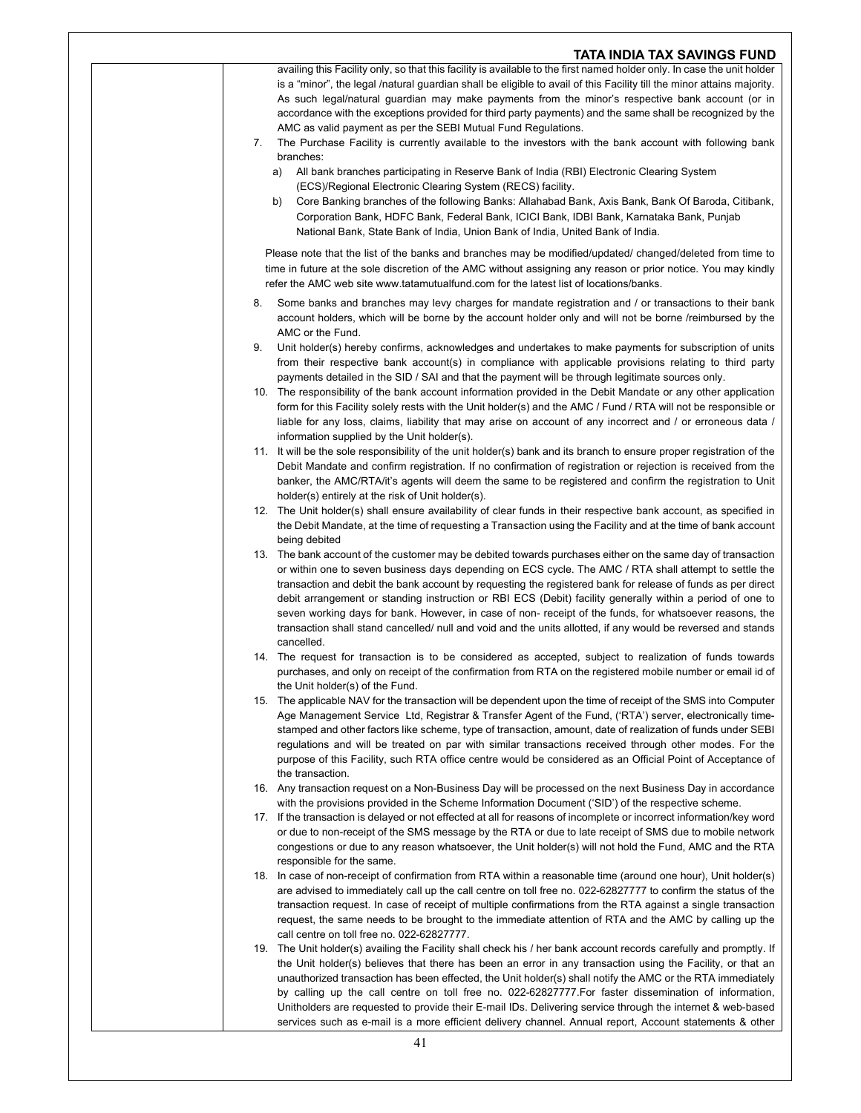|    | <b>TATA INDIA TAX SAVINGS FUND</b>                                                                                                                                                                                                                                                                                                                                                                                                                                                                                                                                                                                                                                                                                                                                                                                                              |
|----|-------------------------------------------------------------------------------------------------------------------------------------------------------------------------------------------------------------------------------------------------------------------------------------------------------------------------------------------------------------------------------------------------------------------------------------------------------------------------------------------------------------------------------------------------------------------------------------------------------------------------------------------------------------------------------------------------------------------------------------------------------------------------------------------------------------------------------------------------|
| 7. | availing this Facility only, so that this facility is available to the first named holder only. In case the unit holder<br>is a "minor", the legal /natural guardian shall be eligible to avail of this Facility till the minor attains majority.<br>As such legal/natural guardian may make payments from the minor's respective bank account (or in<br>accordance with the exceptions provided for third party payments) and the same shall be recognized by the<br>AMC as valid payment as per the SEBI Mutual Fund Regulations.<br>The Purchase Facility is currently available to the investors with the bank account with following bank                                                                                                                                                                                                  |
|    | branches:<br>All bank branches participating in Reserve Bank of India (RBI) Electronic Clearing System<br>a) -<br>(ECS)/Regional Electronic Clearing System (RECS) facility.<br>Core Banking branches of the following Banks: Allahabad Bank, Axis Bank, Bank Of Baroda, Citibank,<br>b)<br>Corporation Bank, HDFC Bank, Federal Bank, ICICI Bank, IDBI Bank, Karnataka Bank, Punjab<br>National Bank, State Bank of India, Union Bank of India, United Bank of India.                                                                                                                                                                                                                                                                                                                                                                          |
|    | Please note that the list of the banks and branches may be modified/updated/ changed/deleted from time to<br>time in future at the sole discretion of the AMC without assigning any reason or prior notice. You may kindly<br>refer the AMC web site www.tatamutualfund.com for the latest list of locations/banks.                                                                                                                                                                                                                                                                                                                                                                                                                                                                                                                             |
| 8. | Some banks and branches may levy charges for mandate registration and / or transactions to their bank<br>account holders, which will be borne by the account holder only and will not be borne /reimbursed by the<br>AMC or the Fund.                                                                                                                                                                                                                                                                                                                                                                                                                                                                                                                                                                                                           |
| 9. | Unit holder(s) hereby confirms, acknowledges and undertakes to make payments for subscription of units<br>from their respective bank account(s) in compliance with applicable provisions relating to third party<br>payments detailed in the SID / SAI and that the payment will be through legitimate sources only.<br>10. The responsibility of the bank account information provided in the Debit Mandate or any other application<br>form for this Facility solely rests with the Unit holder(s) and the AMC / Fund / RTA will not be responsible or<br>liable for any loss, claims, liability that may arise on account of any incorrect and / or erroneous data /<br>information supplied by the Unit holder(s).<br>11. It will be the sole responsibility of the unit holder(s) bank and its branch to ensure proper registration of the |
|    | Debit Mandate and confirm registration. If no confirmation of registration or rejection is received from the<br>banker, the AMC/RTA/it's agents will deem the same to be registered and confirm the registration to Unit<br>holder(s) entirely at the risk of Unit holder(s).                                                                                                                                                                                                                                                                                                                                                                                                                                                                                                                                                                   |
|    | 12. The Unit holder(s) shall ensure availability of clear funds in their respective bank account, as specified in<br>the Debit Mandate, at the time of requesting a Transaction using the Facility and at the time of bank account<br>being debited                                                                                                                                                                                                                                                                                                                                                                                                                                                                                                                                                                                             |
|    | 13. The bank account of the customer may be debited towards purchases either on the same day of transaction<br>or within one to seven business days depending on ECS cycle. The AMC / RTA shall attempt to settle the<br>transaction and debit the bank account by requesting the registered bank for release of funds as per direct<br>debit arrangement or standing instruction or RBI ECS (Debit) facility generally within a period of one to<br>seven working days for bank. However, in case of non- receipt of the funds, for whatsoever reasons, the<br>transaction shall stand cancelled/ null and void and the units allotted, if any would be reversed and stands<br>cancelled.                                                                                                                                                      |
|    | 14. The request for transaction is to be considered as accepted, subject to realization of funds towards<br>purchases, and only on receipt of the confirmation from RTA on the registered mobile number or email id of<br>the Unit holder(s) of the Fund.                                                                                                                                                                                                                                                                                                                                                                                                                                                                                                                                                                                       |
|    | 15. The applicable NAV for the transaction will be dependent upon the time of receipt of the SMS into Computer<br>Age Management Service Ltd, Registrar & Transfer Agent of the Fund, ('RTA') server, electronically time-<br>stamped and other factors like scheme, type of transaction, amount, date of realization of funds under SEBI<br>regulations and will be treated on par with similar transactions received through other modes. For the<br>purpose of this Facility, such RTA office centre would be considered as an Official Point of Acceptance of<br>the transaction.                                                                                                                                                                                                                                                           |
|    | 16. Any transaction request on a Non-Business Day will be processed on the next Business Day in accordance<br>with the provisions provided in the Scheme Information Document ('SID') of the respective scheme.<br>17. If the transaction is delayed or not effected at all for reasons of incomplete or incorrect information/key word<br>or due to non-receipt of the SMS message by the RTA or due to late receipt of SMS due to mobile network<br>congestions or due to any reason whatsoever, the Unit holder(s) will not hold the Fund, AMC and the RTA<br>responsible for the same.                                                                                                                                                                                                                                                      |
|    | 18. In case of non-receipt of confirmation from RTA within a reasonable time (around one hour), Unit holder(s)<br>are advised to immediately call up the call centre on toll free no. 022-62827777 to confirm the status of the<br>transaction request. In case of receipt of multiple confirmations from the RTA against a single transaction<br>request, the same needs to be brought to the immediate attention of RTA and the AMC by calling up the<br>call centre on toll free no. 022-62827777.                                                                                                                                                                                                                                                                                                                                           |
|    | 19. The Unit holder(s) availing the Facility shall check his / her bank account records carefully and promptly. If<br>the Unit holder(s) believes that there has been an error in any transaction using the Facility, or that an<br>unauthorized transaction has been effected, the Unit holder(s) shall notify the AMC or the RTA immediately<br>by calling up the call centre on toll free no. 022-62827777. For faster dissemination of information,<br>Unitholders are requested to provide their E-mail IDs. Delivering service through the internet & web-based<br>services such as e-mail is a more efficient delivery channel. Annual report, Account statements & other<br>41                                                                                                                                                          |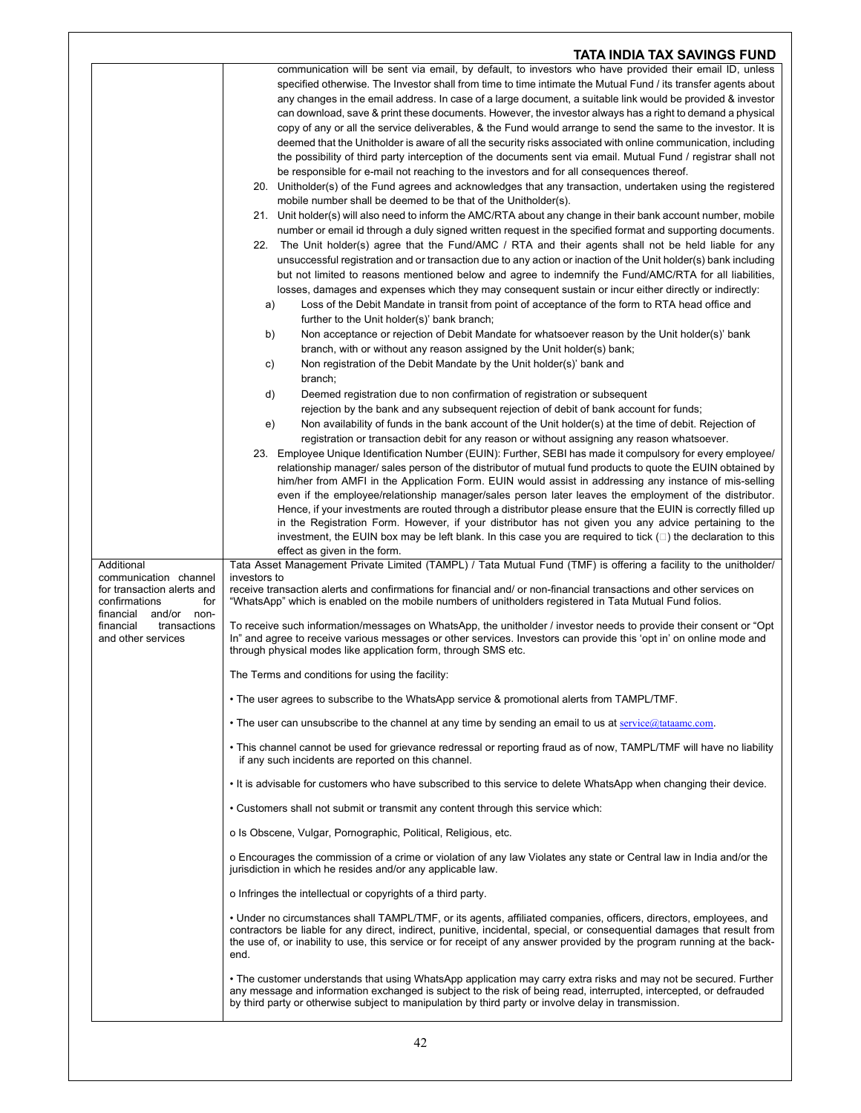|                                                                                                                                   | TATA INDIA TAX SAVINGS FUND                                                                                                                                                                                                                                                                                                                                                                                                                                                                                                                                                                                                                                                                                                                                                                                                                                                                                                                                                                                                                                                                                                                                                                                                                                                                                                                                                                                                                                                                                                                                                                                                                                                                                                                                                                                                                                                                                                                                                                                                                                                                                                                                                                         |
|-----------------------------------------------------------------------------------------------------------------------------------|-----------------------------------------------------------------------------------------------------------------------------------------------------------------------------------------------------------------------------------------------------------------------------------------------------------------------------------------------------------------------------------------------------------------------------------------------------------------------------------------------------------------------------------------------------------------------------------------------------------------------------------------------------------------------------------------------------------------------------------------------------------------------------------------------------------------------------------------------------------------------------------------------------------------------------------------------------------------------------------------------------------------------------------------------------------------------------------------------------------------------------------------------------------------------------------------------------------------------------------------------------------------------------------------------------------------------------------------------------------------------------------------------------------------------------------------------------------------------------------------------------------------------------------------------------------------------------------------------------------------------------------------------------------------------------------------------------------------------------------------------------------------------------------------------------------------------------------------------------------------------------------------------------------------------------------------------------------------------------------------------------------------------------------------------------------------------------------------------------------------------------------------------------------------------------------------------------|
|                                                                                                                                   | communication will be sent via email, by default, to investors who have provided their email ID, unless<br>specified otherwise. The Investor shall from time to time intimate the Mutual Fund / its transfer agents about<br>any changes in the email address. In case of a large document, a suitable link would be provided & investor<br>can download, save & print these documents. However, the investor always has a right to demand a physical<br>copy of any or all the service deliverables, & the Fund would arrange to send the same to the investor. It is<br>deemed that the Unitholder is aware of all the security risks associated with online communication, including<br>the possibility of third party interception of the documents sent via email. Mutual Fund / registrar shall not<br>be responsible for e-mail not reaching to the investors and for all consequences thereof.<br>20. Unitholder(s) of the Fund agrees and acknowledges that any transaction, undertaken using the registered<br>mobile number shall be deemed to be that of the Unitholder(s).<br>21. Unit holder(s) will also need to inform the AMC/RTA about any change in their bank account number, mobile<br>number or email id through a duly signed written request in the specified format and supporting documents.<br>22. The Unit holder(s) agree that the Fund/AMC / RTA and their agents shall not be held liable for any<br>unsuccessful registration and or transaction due to any action or inaction of the Unit holder(s) bank including<br>but not limited to reasons mentioned below and agree to indemnify the Fund/AMC/RTA for all liabilities,<br>losses, damages and expenses which they may consequent sustain or incur either directly or indirectly:<br>Loss of the Debit Mandate in transit from point of acceptance of the form to RTA head office and<br>a)<br>further to the Unit holder(s)' bank branch;<br>Non acceptance or rejection of Debit Mandate for whatsoever reason by the Unit holder(s)' bank<br>b)<br>branch, with or without any reason assigned by the Unit holder(s) bank;<br>Non registration of the Debit Mandate by the Unit holder(s)' bank and<br>C) |
|                                                                                                                                   | branch;<br>d)<br>Deemed registration due to non confirmation of registration or subsequent<br>rejection by the bank and any subsequent rejection of debit of bank account for funds;<br>Non availability of funds in the bank account of the Unit holder(s) at the time of debit. Rejection of<br>e)<br>registration or transaction debit for any reason or without assigning any reason whatsoever.<br>23. Employee Unique Identification Number (EUIN): Further, SEBI has made it compulsory for every employee/<br>relationship manager/ sales person of the distributor of mutual fund products to quote the EUIN obtained by<br>him/her from AMFI in the Application Form. EUIN would assist in addressing any instance of mis-selling<br>even if the employee/relationship manager/sales person later leaves the employment of the distributor.<br>Hence, if your investments are routed through a distributor please ensure that the EUIN is correctly filled up<br>in the Registration Form. However, if your distributor has not given you any advice pertaining to the<br>investment, the EUIN box may be left blank. In this case you are required to tick ( $\square$ ) the declaration to this<br>effect as given in the form.                                                                                                                                                                                                                                                                                                                                                                                                                                                                                                                                                                                                                                                                                                                                                                                                                                                                                                                                                         |
| Additional<br>communication channel                                                                                               | Tata Asset Management Private Limited (TAMPL) / Tata Mutual Fund (TMF) is offering a facility to the unitholder/<br>investors to                                                                                                                                                                                                                                                                                                                                                                                                                                                                                                                                                                                                                                                                                                                                                                                                                                                                                                                                                                                                                                                                                                                                                                                                                                                                                                                                                                                                                                                                                                                                                                                                                                                                                                                                                                                                                                                                                                                                                                                                                                                                    |
| for transaction alerts and<br>confirmations<br>for<br>financial<br>and/or non-<br>financial<br>transactions<br>and other services | receive transaction alerts and confirmations for financial and/or non-financial transactions and other services on<br>"WhatsApp" which is enabled on the mobile numbers of unitholders registered in Tata Mutual Fund folios.<br>To receive such information/messages on WhatsApp, the unitholder / investor needs to provide their consent or "Opt<br>In" and agree to receive various messages or other services. Investors can provide this 'opt in' on online mode and                                                                                                                                                                                                                                                                                                                                                                                                                                                                                                                                                                                                                                                                                                                                                                                                                                                                                                                                                                                                                                                                                                                                                                                                                                                                                                                                                                                                                                                                                                                                                                                                                                                                                                                          |
|                                                                                                                                   | through physical modes like application form, through SMS etc.                                                                                                                                                                                                                                                                                                                                                                                                                                                                                                                                                                                                                                                                                                                                                                                                                                                                                                                                                                                                                                                                                                                                                                                                                                                                                                                                                                                                                                                                                                                                                                                                                                                                                                                                                                                                                                                                                                                                                                                                                                                                                                                                      |
|                                                                                                                                   | The Terms and conditions for using the facility:                                                                                                                                                                                                                                                                                                                                                                                                                                                                                                                                                                                                                                                                                                                                                                                                                                                                                                                                                                                                                                                                                                                                                                                                                                                                                                                                                                                                                                                                                                                                                                                                                                                                                                                                                                                                                                                                                                                                                                                                                                                                                                                                                    |
|                                                                                                                                   | • The user agrees to subscribe to the WhatsApp service & promotional alerts from TAMPL/TMF.                                                                                                                                                                                                                                                                                                                                                                                                                                                                                                                                                                                                                                                                                                                                                                                                                                                                                                                                                                                                                                                                                                                                                                                                                                                                                                                                                                                                                                                                                                                                                                                                                                                                                                                                                                                                                                                                                                                                                                                                                                                                                                         |
|                                                                                                                                   | • The user can unsubscribe to the channel at any time by sending an email to us at service $@$ tataamc.com.                                                                                                                                                                                                                                                                                                                                                                                                                                                                                                                                                                                                                                                                                                                                                                                                                                                                                                                                                                                                                                                                                                                                                                                                                                                                                                                                                                                                                                                                                                                                                                                                                                                                                                                                                                                                                                                                                                                                                                                                                                                                                         |
|                                                                                                                                   | • This channel cannot be used for grievance redressal or reporting fraud as of now, TAMPL/TMF will have no liability<br>if any such incidents are reported on this channel.                                                                                                                                                                                                                                                                                                                                                                                                                                                                                                                                                                                                                                                                                                                                                                                                                                                                                                                                                                                                                                                                                                                                                                                                                                                                                                                                                                                                                                                                                                                                                                                                                                                                                                                                                                                                                                                                                                                                                                                                                         |
|                                                                                                                                   | . It is advisable for customers who have subscribed to this service to delete WhatsApp when changing their device.                                                                                                                                                                                                                                                                                                                                                                                                                                                                                                                                                                                                                                                                                                                                                                                                                                                                                                                                                                                                                                                                                                                                                                                                                                                                                                                                                                                                                                                                                                                                                                                                                                                                                                                                                                                                                                                                                                                                                                                                                                                                                  |
|                                                                                                                                   | . Customers shall not submit or transmit any content through this service which:                                                                                                                                                                                                                                                                                                                                                                                                                                                                                                                                                                                                                                                                                                                                                                                                                                                                                                                                                                                                                                                                                                                                                                                                                                                                                                                                                                                                                                                                                                                                                                                                                                                                                                                                                                                                                                                                                                                                                                                                                                                                                                                    |
|                                                                                                                                   | o Is Obscene, Vulgar, Pornographic, Political, Religious, etc.                                                                                                                                                                                                                                                                                                                                                                                                                                                                                                                                                                                                                                                                                                                                                                                                                                                                                                                                                                                                                                                                                                                                                                                                                                                                                                                                                                                                                                                                                                                                                                                                                                                                                                                                                                                                                                                                                                                                                                                                                                                                                                                                      |
|                                                                                                                                   | o Encourages the commission of a crime or violation of any law Violates any state or Central law in India and/or the<br>jurisdiction in which he resides and/or any applicable law.                                                                                                                                                                                                                                                                                                                                                                                                                                                                                                                                                                                                                                                                                                                                                                                                                                                                                                                                                                                                                                                                                                                                                                                                                                                                                                                                                                                                                                                                                                                                                                                                                                                                                                                                                                                                                                                                                                                                                                                                                 |
|                                                                                                                                   | o Infringes the intellectual or copyrights of a third party.                                                                                                                                                                                                                                                                                                                                                                                                                                                                                                                                                                                                                                                                                                                                                                                                                                                                                                                                                                                                                                                                                                                                                                                                                                                                                                                                                                                                                                                                                                                                                                                                                                                                                                                                                                                                                                                                                                                                                                                                                                                                                                                                        |
|                                                                                                                                   | • Under no circumstances shall TAMPL/TMF, or its agents, affiliated companies, officers, directors, employees, and<br>contractors be liable for any direct, indirect, punitive, incidental, special, or consequential damages that result from<br>the use of, or inability to use, this service or for receipt of any answer provided by the program running at the back-<br>end.                                                                                                                                                                                                                                                                                                                                                                                                                                                                                                                                                                                                                                                                                                                                                                                                                                                                                                                                                                                                                                                                                                                                                                                                                                                                                                                                                                                                                                                                                                                                                                                                                                                                                                                                                                                                                   |
|                                                                                                                                   | • The customer understands that using WhatsApp application may carry extra risks and may not be secured. Further<br>any message and information exchanged is subject to the risk of being read, interrupted, intercepted, or defrauded<br>by third party or otherwise subject to manipulation by third party or involve delay in transmission.                                                                                                                                                                                                                                                                                                                                                                                                                                                                                                                                                                                                                                                                                                                                                                                                                                                                                                                                                                                                                                                                                                                                                                                                                                                                                                                                                                                                                                                                                                                                                                                                                                                                                                                                                                                                                                                      |
|                                                                                                                                   | 42                                                                                                                                                                                                                                                                                                                                                                                                                                                                                                                                                                                                                                                                                                                                                                                                                                                                                                                                                                                                                                                                                                                                                                                                                                                                                                                                                                                                                                                                                                                                                                                                                                                                                                                                                                                                                                                                                                                                                                                                                                                                                                                                                                                                  |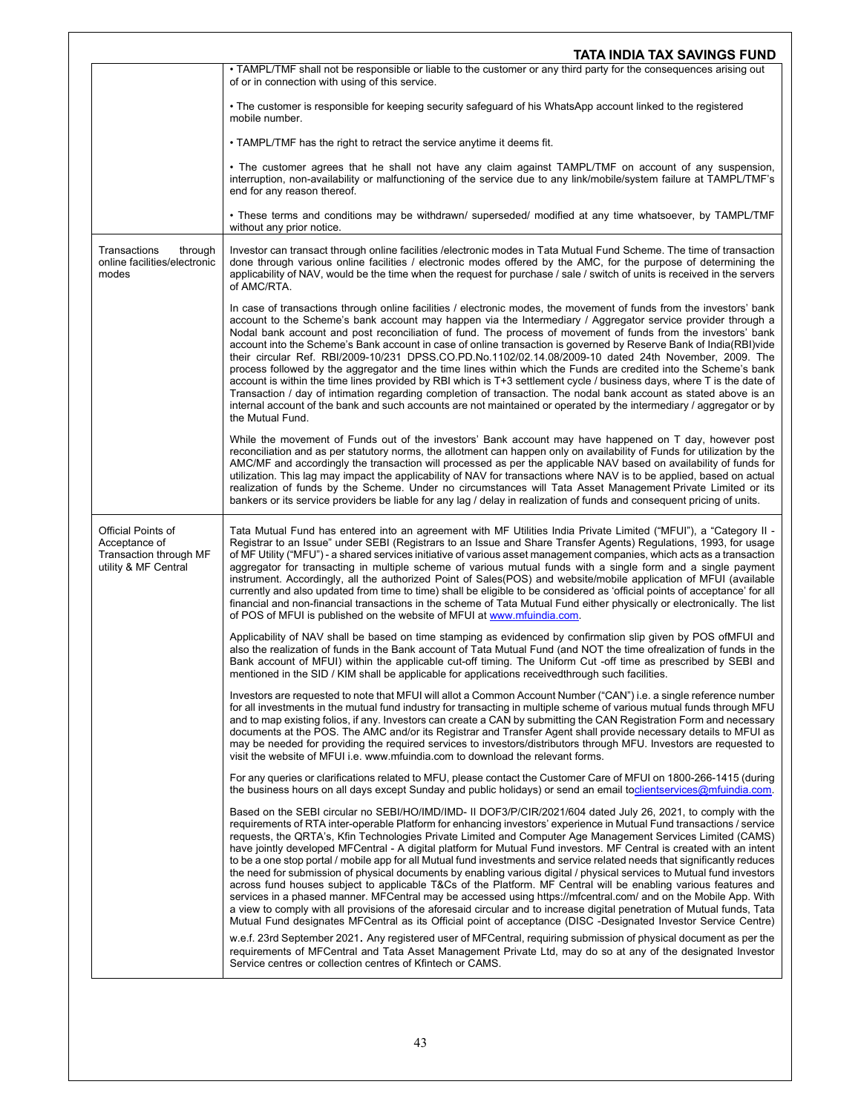|                                                                                       | <b>TATA INDIA TAX SAVINGS FUND</b>                                                                                                                                                                                                                                                                                                                                                                                                                                                                                                                                                                                                                                                                                                                                                                                                                                                                                                                                                                                                                                                                                                                                                                                         |
|---------------------------------------------------------------------------------------|----------------------------------------------------------------------------------------------------------------------------------------------------------------------------------------------------------------------------------------------------------------------------------------------------------------------------------------------------------------------------------------------------------------------------------------------------------------------------------------------------------------------------------------------------------------------------------------------------------------------------------------------------------------------------------------------------------------------------------------------------------------------------------------------------------------------------------------------------------------------------------------------------------------------------------------------------------------------------------------------------------------------------------------------------------------------------------------------------------------------------------------------------------------------------------------------------------------------------|
|                                                                                       | • TAMPL/TMF shall not be responsible or liable to the customer or any third party for the consequences arising out<br>of or in connection with using of this service.                                                                                                                                                                                                                                                                                                                                                                                                                                                                                                                                                                                                                                                                                                                                                                                                                                                                                                                                                                                                                                                      |
|                                                                                       | • The customer is responsible for keeping security safeguard of his WhatsApp account linked to the registered<br>mobile number.                                                                                                                                                                                                                                                                                                                                                                                                                                                                                                                                                                                                                                                                                                                                                                                                                                                                                                                                                                                                                                                                                            |
|                                                                                       | • TAMPL/TMF has the right to retract the service anytime it deems fit.                                                                                                                                                                                                                                                                                                                                                                                                                                                                                                                                                                                                                                                                                                                                                                                                                                                                                                                                                                                                                                                                                                                                                     |
|                                                                                       | • The customer agrees that he shall not have any claim against TAMPL/TMF on account of any suspension,<br>interruption, non-availability or malfunctioning of the service due to any link/mobile/system failure at TAMPL/TMF's<br>end for any reason thereof.                                                                                                                                                                                                                                                                                                                                                                                                                                                                                                                                                                                                                                                                                                                                                                                                                                                                                                                                                              |
|                                                                                       | . These terms and conditions may be withdrawn/ superseded/ modified at any time whatsoever, by TAMPL/TMF<br>without any prior notice.                                                                                                                                                                                                                                                                                                                                                                                                                                                                                                                                                                                                                                                                                                                                                                                                                                                                                                                                                                                                                                                                                      |
| Transactions<br>through<br>online facilities/electronic<br>modes                      | Investor can transact through online facilities /electronic modes in Tata Mutual Fund Scheme. The time of transaction<br>done through various online facilities / electronic modes offered by the AMC, for the purpose of determining the<br>applicability of NAV, would be the time when the request for purchase / sale / switch of units is received in the servers<br>of AMC/RTA.                                                                                                                                                                                                                                                                                                                                                                                                                                                                                                                                                                                                                                                                                                                                                                                                                                      |
|                                                                                       | In case of transactions through online facilities / electronic modes, the movement of funds from the investors' bank<br>account to the Scheme's bank account may happen via the Intermediary / Aggregator service provider through a<br>Nodal bank account and post reconciliation of fund. The process of movement of funds from the investors' bank<br>account into the Scheme's Bank account in case of online transaction is governed by Reserve Bank of India(RBI)vide<br>their circular Ref. RBI/2009-10/231 DPSS.CO.PD.No.1102/02.14.08/2009-10 dated 24th November, 2009. The<br>process followed by the aggregator and the time lines within which the Funds are credited into the Scheme's bank<br>account is within the time lines provided by RBI which is T+3 settlement cycle / business days, where T is the date of<br>Transaction / day of intimation regarding completion of transaction. The nodal bank account as stated above is an<br>internal account of the bank and such accounts are not maintained or operated by the intermediary / aggregator or by<br>the Mutual Fund.                                                                                                                       |
|                                                                                       | While the movement of Funds out of the investors' Bank account may have happened on T day, however post<br>reconciliation and as per statutory norms, the allotment can happen only on availability of Funds for utilization by the<br>AMC/MF and accordingly the transaction will processed as per the applicable NAV based on availability of funds for<br>utilization. This lag may impact the applicability of NAV for transactions where NAV is to be applied, based on actual<br>realization of funds by the Scheme. Under no circumstances will Tata Asset Management Private Limited or its<br>bankers or its service providers be liable for any lag / delay in realization of funds and consequent pricing of units.                                                                                                                                                                                                                                                                                                                                                                                                                                                                                             |
| Official Points of<br>Acceptance of<br>Transaction through MF<br>utility & MF Central | Tata Mutual Fund has entered into an agreement with MF Utilities India Private Limited ("MFUI"), a "Category II -<br>Registrar to an Issue" under SEBI (Registrars to an Issue and Share Transfer Agents) Regulations, 1993, for usage<br>of MF Utility ("MFU") - a shared services initiative of various asset management companies, which acts as a transaction<br>aggregator for transacting in multiple scheme of various mutual funds with a single form and a single payment<br>instrument. Accordingly, all the authorized Point of Sales(POS) and website/mobile application of MFUI (available<br>currently and also updated from time to time) shall be eligible to be considered as 'official points of acceptance' for all<br>financial and non-financial transactions in the scheme of Tata Mutual Fund either physically or electronically. The list<br>of POS of MFUI is published on the website of MFUI at www.mfuindia.com.                                                                                                                                                                                                                                                                              |
|                                                                                       | Applicability of NAV shall be based on time stamping as evidenced by confirmation slip given by POS ofMFUI and<br>also the realization of funds in the Bank account of Tata Mutual Fund (and NOT the time ofrealization of funds in the<br>Bank account of MFUI) within the applicable cut-off timing. The Uniform Cut -off time as prescribed by SEBI and<br>mentioned in the SID / KIM shall be applicable for applications received through such facilities.                                                                                                                                                                                                                                                                                                                                                                                                                                                                                                                                                                                                                                                                                                                                                            |
|                                                                                       | Investors are requested to note that MFUI will allot a Common Account Number ("CAN") i.e. a single reference number<br>for all investments in the mutual fund industry for transacting in multiple scheme of various mutual funds through MFU<br>and to map existing folios, if any. Investors can create a CAN by submitting the CAN Registration Form and necessary<br>documents at the POS. The AMC and/or its Registrar and Transfer Agent shall provide necessary details to MFUI as<br>may be needed for providing the required services to investors/distributors through MFU. Investors are requested to<br>visit the website of MFUI i.e. www.mfuindia.com to download the relevant forms.                                                                                                                                                                                                                                                                                                                                                                                                                                                                                                                        |
|                                                                                       | For any queries or clarifications related to MFU, please contact the Customer Care of MFUI on 1800-266-1415 (during<br>the business hours on all days except Sunday and public holidays) or send an email toclientservices@mfuindia.com.                                                                                                                                                                                                                                                                                                                                                                                                                                                                                                                                                                                                                                                                                                                                                                                                                                                                                                                                                                                   |
|                                                                                       | Based on the SEBI circular no SEBI/HO/IMD/IMD- II DOF3/P/CIR/2021/604 dated July 26, 2021, to comply with the<br>requirements of RTA inter-operable Platform for enhancing investors' experience in Mutual Fund transactions / service<br>requests, the QRTA's, Kfin Technologies Private Limited and Computer Age Management Services Limited (CAMS)<br>have jointly developed MFCentral - A digital platform for Mutual Fund investors. MF Central is created with an intent<br>to be a one stop portal / mobile app for all Mutual fund investments and service related needs that significantly reduces<br>the need for submission of physical documents by enabling various digital / physical services to Mutual fund investors<br>across fund houses subject to applicable T&Cs of the Platform. MF Central will be enabling various features and<br>services in a phased manner. MFCentral may be accessed using https://mfcentral.com/ and on the Mobile App. With<br>a view to comply with all provisions of the aforesaid circular and to increase digital penetration of Mutual funds, Tata<br>Mutual Fund designates MFCentral as its Official point of acceptance (DISC -Designated Investor Service Centre) |
|                                                                                       | w.e.f. 23rd September 2021. Any registered user of MFCentral, requiring submission of physical document as per the<br>requirements of MFCentral and Tata Asset Management Private Ltd, may do so at any of the designated Investor<br>Service centres or collection centres of Kfintech or CAMS.                                                                                                                                                                                                                                                                                                                                                                                                                                                                                                                                                                                                                                                                                                                                                                                                                                                                                                                           |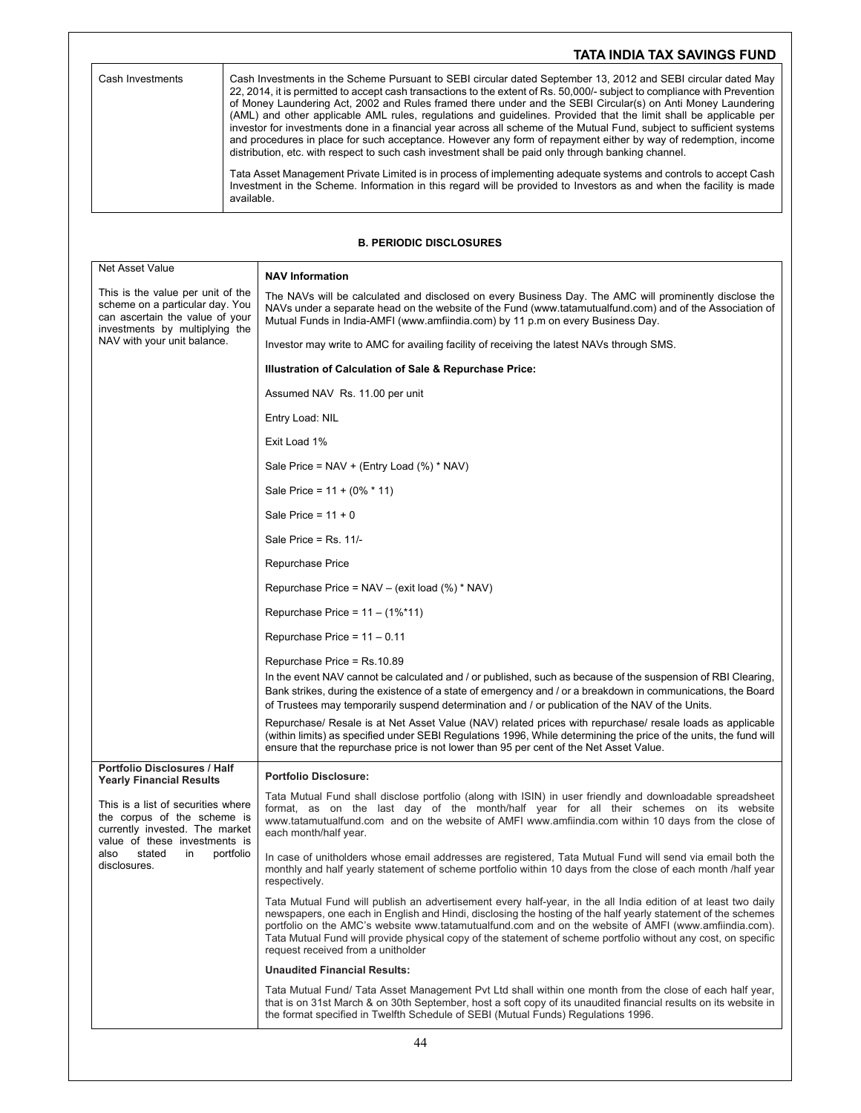### **TATA INDIA TAX SAVINGS FUND**  Cash Investments Cash Investments in the Scheme Pursuant to SEBI circular dated September 13, 2012 and SEBI circular dated May 22, 2014, it is permitted to accept cash transactions to the extent of Rs. 50,000/- subject to compliance with Prevention of Money Laundering Act, 2002 and Rules framed there under and the SEBI Circular(s) on Anti Money Laundering (AML) and other applicable AML rules, regulations and guidelines. Provided that the limit shall be applicable per investor for investments done in a financial year across all scheme of the Mutual Fund, subject to sufficient systems and procedures in place for such acceptance. However any form of repayment either by way of redemption, income distribution, etc. with respect to such cash investment shall be paid only through banking channel. Tata Asset Management Private Limited is in process of implementing adequate systems and controls to accept Cash Investment in the Scheme. Information in this regard will be provided to Investors as and when the facility is made available. **B. PERIODIC DISCLOSURES**  Net Asset Value This is the value per unit of the scheme on a particular day. You can ascertain the value of your investments by multiplying the NAV with your unit balance. **NAV Information**  The NAVs will be calculated and disclosed on every Business Day. The AMC will prominently disclose the NAVs under a separate head on the website of the Fund (www.tatamutualfund.com) and of the Association of Mutual Funds in India-AMFI (www.amfiindia.com) by 11 p.m on every Business Day. Investor may write to AMC for availing facility of receiving the latest NAVs through SMS. **Illustration of Calculation of Sale & Repurchase Price:**  Assumed NAV Rs. 11.00 per unit Entry Load: NIL Exit Load 1% Sale Price = NAV + (Entry Load (%) \* NAV) Sale Price =  $11 + (0\% * 11)$ Sale Price =  $11 + 0$ Sale Price = Rs. 11/- Repurchase Price Repurchase Price = NAV – (exit load (%) \* NAV) Repurchase Price = 11 – (1%\*11) Repurchase Price = 11 – 0.11 Repurchase Price = Rs.10.89 In the event NAV cannot be calculated and / or published, such as because of the suspension of RBI Clearing, Bank strikes, during the existence of a state of emergency and / or a breakdown in communications, the Board of Trustees may temporarily suspend determination and / or publication of the NAV of the Units. Repurchase/ Resale is at Net Asset Value (NAV) related prices with repurchase/ resale loads as applicable (within limits) as specified under SEBI Regulations 1996, While determining the price of the units, the fund will ensure that the repurchase price is not lower than 95 per cent of the Net Asset Value. **Portfolio Disclosures / Half Yearly Financial Results**  This is a list of securities where the corpus of the scheme is currently invested. The market value of these investments is also stated in portfolio disclosures. **Portfolio Disclosure:**  Tata Mutual Fund shall disclose portfolio (along with ISIN) in user friendly and downloadable spreadsheet format, as on the last day of the month/half year for all their schemes on its website www.tatamutualfund.com and on the website of AMFI www.amfiindia.com within 10 days from the close of each month/half year. In case of unitholders whose email addresses are registered, Tata Mutual Fund will send via email both the monthly and half yearly statement of scheme portfolio within 10 days from the close of each month /half year respectively. Tata Mutual Fund will publish an advertisement every half-year, in the all India edition of at least two daily newspapers, one each in English and Hindi, disclosing the hosting of the half yearly statement of the schemes portfolio on the AMC's website www.tatamutualfund.com and on the website of AMFI (www.amfiindia.com). Tata Mutual Fund will provide physical copy of the statement of scheme portfolio without any cost, on specific request received from a unitholder **Unaudited Financial Results:**  Tata Mutual Fund/ Tata Asset Management Pvt Ltd shall within one month from the close of each half year, that is on 31st March & on 30th September, host a soft copy of its unaudited financial results on its website in the format specified in Twelfth Schedule of SEBI (Mutual Funds) Regulations 1996.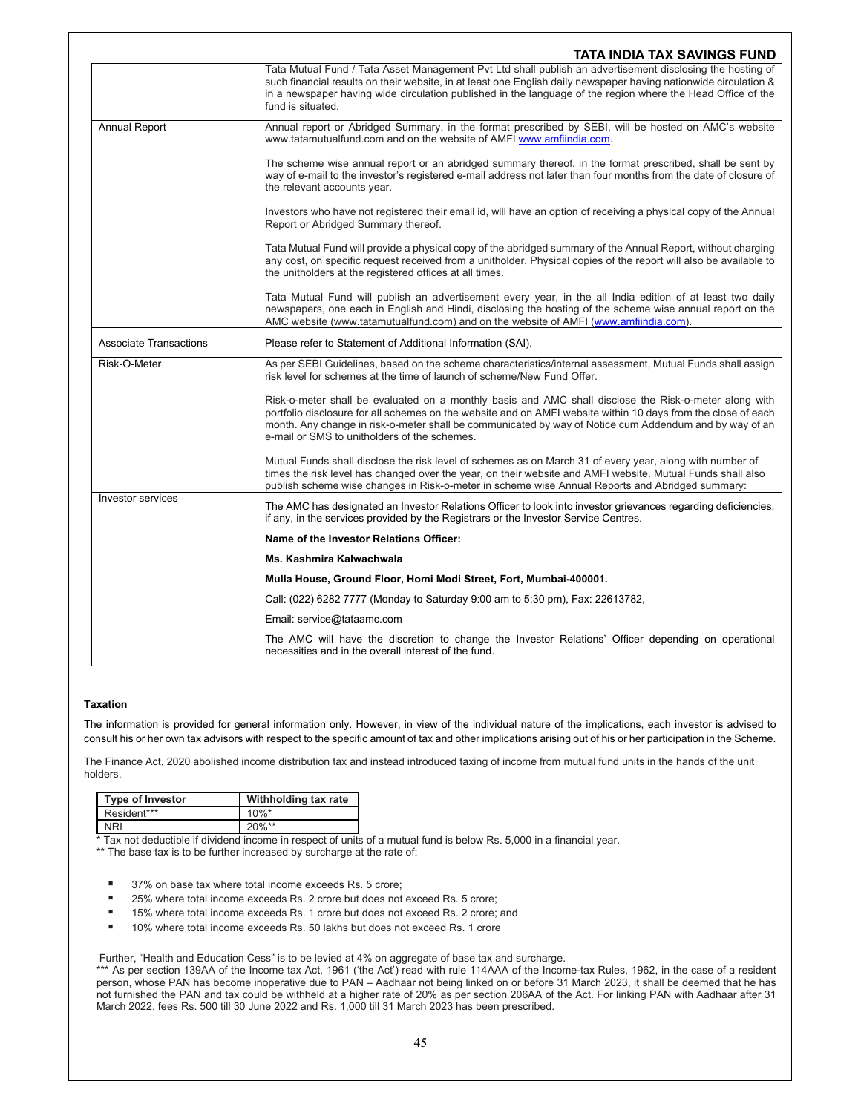|                               | TATA INDIA TAX SAVINGS FUND                                                                                                                                                                                                                                                                                                                                                      |
|-------------------------------|----------------------------------------------------------------------------------------------------------------------------------------------------------------------------------------------------------------------------------------------------------------------------------------------------------------------------------------------------------------------------------|
|                               | Tata Mutual Fund / Tata Asset Management Pvt Ltd shall publish an advertisement disclosing the hosting of<br>such financial results on their website, in at least one English daily newspaper having nationwide circulation &<br>in a newspaper having wide circulation published in the language of the region where the Head Office of the<br>fund is situated.                |
| Annual Report                 | Annual report or Abridged Summary, in the format prescribed by SEBI, will be hosted on AMC's website<br>www.tatamutualfund.com and on the website of AMFI www.amfiindia.com.                                                                                                                                                                                                     |
|                               | The scheme wise annual report or an abridged summary thereof, in the format prescribed, shall be sent by<br>way of e-mail to the investor's registered e-mail address not later than four months from the date of closure of<br>the relevant accounts year.                                                                                                                      |
|                               | Investors who have not registered their email id, will have an option of receiving a physical copy of the Annual<br>Report or Abridged Summary thereof.                                                                                                                                                                                                                          |
|                               | Tata Mutual Fund will provide a physical copy of the abridged summary of the Annual Report, without charging<br>any cost, on specific request received from a unitholder. Physical copies of the report will also be available to<br>the unitholders at the registered offices at all times.                                                                                     |
|                               | Tata Mutual Fund will publish an advertisement every year, in the all India edition of at least two daily<br>newspapers, one each in English and Hindi, disclosing the hosting of the scheme wise annual report on the<br>AMC website (www.tatamutualfund.com) and on the website of AMFI (www.amfiindia.com).                                                                   |
| <b>Associate Transactions</b> | Please refer to Statement of Additional Information (SAI).                                                                                                                                                                                                                                                                                                                       |
| Risk-O-Meter                  | As per SEBI Guidelines, based on the scheme characteristics/internal assessment, Mutual Funds shall assign<br>risk level for schemes at the time of launch of scheme/New Fund Offer.                                                                                                                                                                                             |
|                               | Risk-o-meter shall be evaluated on a monthly basis and AMC shall disclose the Risk-o-meter along with<br>portfolio disclosure for all schemes on the website and on AMFI website within 10 days from the close of each<br>month. Any change in risk-o-meter shall be communicated by way of Notice cum Addendum and by way of an<br>e-mail or SMS to unitholders of the schemes. |
|                               | Mutual Funds shall disclose the risk level of schemes as on March 31 of every year, along with number of<br>times the risk level has changed over the year, on their website and AMFI website. Mutual Funds shall also<br>publish scheme wise changes in Risk-o-meter in scheme wise Annual Reports and Abridged summary:                                                        |
| Investor services             | The AMC has designated an Investor Relations Officer to look into investor grievances regarding deficiencies,<br>if any, in the services provided by the Registrars or the Investor Service Centres.                                                                                                                                                                             |
|                               | Name of the Investor Relations Officer:                                                                                                                                                                                                                                                                                                                                          |
|                               | Ms. Kashmira Kalwachwala                                                                                                                                                                                                                                                                                                                                                         |
|                               | Mulla House, Ground Floor, Homi Modi Street, Fort, Mumbai-400001.                                                                                                                                                                                                                                                                                                                |
|                               | Call: (022) 6282 7777 (Monday to Saturday 9:00 am to 5:30 pm), Fax: 22613782,                                                                                                                                                                                                                                                                                                    |
|                               | Email: service@tataamc.com                                                                                                                                                                                                                                                                                                                                                       |
|                               | The AMC will have the discretion to change the Investor Relations' Officer depending on operational<br>necessities and in the overall interest of the fund.                                                                                                                                                                                                                      |

#### **Taxation**

The information is provided for general information only. However, in view of the individual nature of the implications, each investor is advised to consult his or her own tax advisors with respect to the specific amount of tax and other implications arising out of his or her participation in the Scheme.

The Finance Act, 2020 abolished income distribution tax and instead introduced taxing of income from mutual fund units in the hands of the unit holders.

| <b>Type of Investor</b> | Withholding tax rate |
|-------------------------|----------------------|
| Resident***             | $10\%$ *             |
| JRI                     | $20\%**$             |

\* Tax not deductible if dividend income in respect of units of a mutual fund is below Rs. 5,000 in a financial year.

\*\* The base tax is to be further increased by surcharge at the rate of:

- 37% on base tax where total income exceeds Rs. 5 crore:
- 25% where total income exceeds Rs. 2 crore but does not exceed Rs. 5 crore;
- 15% where total income exceeds Rs. 1 crore but does not exceed Rs. 2 crore; and
- 10% where total income exceeds Rs. 50 lakhs but does not exceed Rs. 1 crore

Further, "Health and Education Cess" is to be levied at 4% on aggregate of base tax and surcharge.

\*\*\* As per section 139AA of the Income tax Act, 1961 ('the Act') read with rule 114AAA of the Income-tax Rules, 1962, in the case of a resident person, whose PAN has become inoperative due to PAN – Aadhaar not being linked on or before 31 March 2023, it shall be deemed that he has not furnished the PAN and tax could be withheld at a higher rate of 20% as per section 206AA of the Act. For linking PAN with Aadhaar after 31 March 2022, fees Rs. 500 till 30 June 2022 and Rs. 1,000 till 31 March 2023 has been prescribed.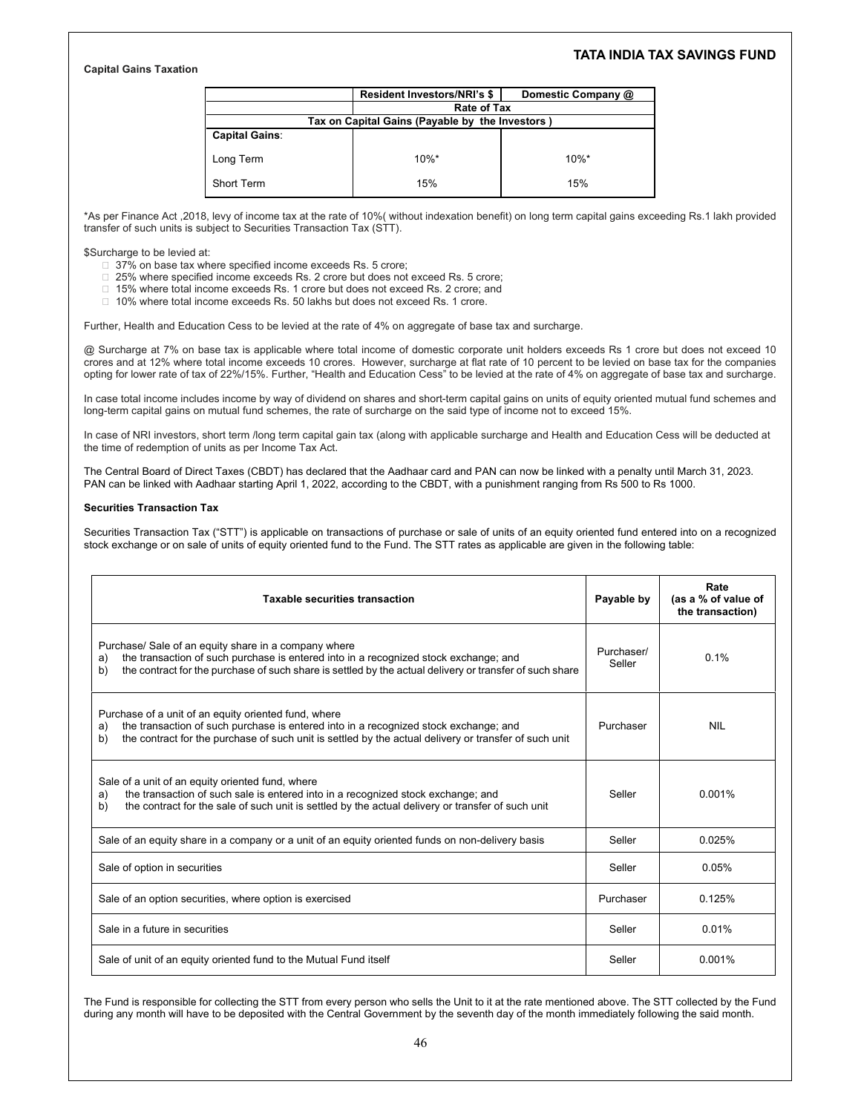#### **Capital Gains Taxation**

### **TATA INDIA TAX SAVINGS FUND**

|                                                 | <b>Resident Investors/NRI's \$</b> | Domestic Company @ |  |  |
|-------------------------------------------------|------------------------------------|--------------------|--|--|
|                                                 | Rate of Tax                        |                    |  |  |
| Tax on Capital Gains (Payable by the Investors) |                                    |                    |  |  |
| <b>Capital Gains:</b>                           |                                    |                    |  |  |
| Long Term                                       | $10\%$ *                           | $10\%$ *           |  |  |
| Short Term                                      | 15%                                | 15%                |  |  |

\*As per Finance Act ,2018, levy of income tax at the rate of 10%( without indexation benefit) on long term capital gains exceeding Rs.1 lakh provided transfer of such units is subject to Securities Transaction Tax (STT).

\$Surcharge to be levied at:

- $\Box$  37% on base tax where specified income exceeds Rs. 5 crore;
- □ 25% where specified income exceeds Rs. 2 crore but does not exceed Rs. 5 crore;
- □ 15% where total income exceeds Rs. 1 crore but does not exceed Rs. 2 crore; and
- □ 10% where total income exceeds Rs. 50 lakhs but does not exceed Rs. 1 crore.

Further, Health and Education Cess to be levied at the rate of 4% on aggregate of base tax and surcharge.

@ Surcharge at 7% on base tax is applicable where total income of domestic corporate unit holders exceeds Rs 1 crore but does not exceed 10 crores and at 12% where total income exceeds 10 crores. However, surcharge at flat rate of 10 percent to be levied on base tax for the companies opting for lower rate of tax of 22%/15%. Further, "Health and Education Cess" to be levied at the rate of 4% on aggregate of base tax and surcharge.

In case total income includes income by way of dividend on shares and short-term capital gains on units of equity oriented mutual fund schemes and long-term capital gains on mutual fund schemes, the rate of surcharge on the said type of income not to exceed 15%.

In case of NRI investors, short term /long term capital gain tax (along with applicable surcharge and Health and Education Cess will be deducted at the time of redemption of units as per Income Tax Act.

The Central Board of Direct Taxes (CBDT) has declared that the Aadhaar card and PAN can now be linked with a penalty until March 31, 2023. PAN can be linked with Aadhaar starting April 1, 2022, according to the CBDT, with a punishment ranging from Rs 500 to Rs 1000.

#### **Securities Transaction Tax**

Securities Transaction Tax ("STT") is applicable on transactions of purchase or sale of units of an equity oriented fund entered into on a recognized stock exchange or on sale of units of equity oriented fund to the Fund. The STT rates as applicable are given in the following table:

| Taxable securities transaction                                                                                                                                                                                                                                      | Payable by | Rate<br>(as a % of value of<br>the transaction) |
|---------------------------------------------------------------------------------------------------------------------------------------------------------------------------------------------------------------------------------------------------------------------|------------|-------------------------------------------------|
| Purchase/ Sale of an equity share in a company where<br>the transaction of such purchase is entered into in a recognized stock exchange; and<br>a)<br>the contract for the purchase of such share is settled by the actual delivery or transfer of such share<br>b) |            | 0.1%                                            |
| Purchase of a unit of an equity oriented fund, where<br>the transaction of such purchase is entered into in a recognized stock exchange; and<br>a)<br>the contract for the purchase of such unit is settled by the actual delivery or transfer of such unit<br>b)   |            | NII                                             |
| Sale of a unit of an equity oriented fund, where<br>the transaction of such sale is entered into in a recognized stock exchange; and<br>a)<br>the contract for the sale of such unit is settled by the actual delivery or transfer of such unit<br>b)               |            | 0.001%                                          |
| Sale of an equity share in a company or a unit of an equity oriented funds on non-delivery basis                                                                                                                                                                    |            | 0.025%                                          |
| Sale of option in securities                                                                                                                                                                                                                                        |            | 0.05%                                           |
| Sale of an option securities, where option is exercised                                                                                                                                                                                                             |            | 0.125%                                          |
| Sale in a future in securities                                                                                                                                                                                                                                      |            | 0.01%                                           |
| Sale of unit of an equity oriented fund to the Mutual Fund itself                                                                                                                                                                                                   |            | 0.001%                                          |

The Fund is responsible for collecting the STT from every person who sells the Unit to it at the rate mentioned above. The STT collected by the Fund during any month will have to be deposited with the Central Government by the seventh day of the month immediately following the said month.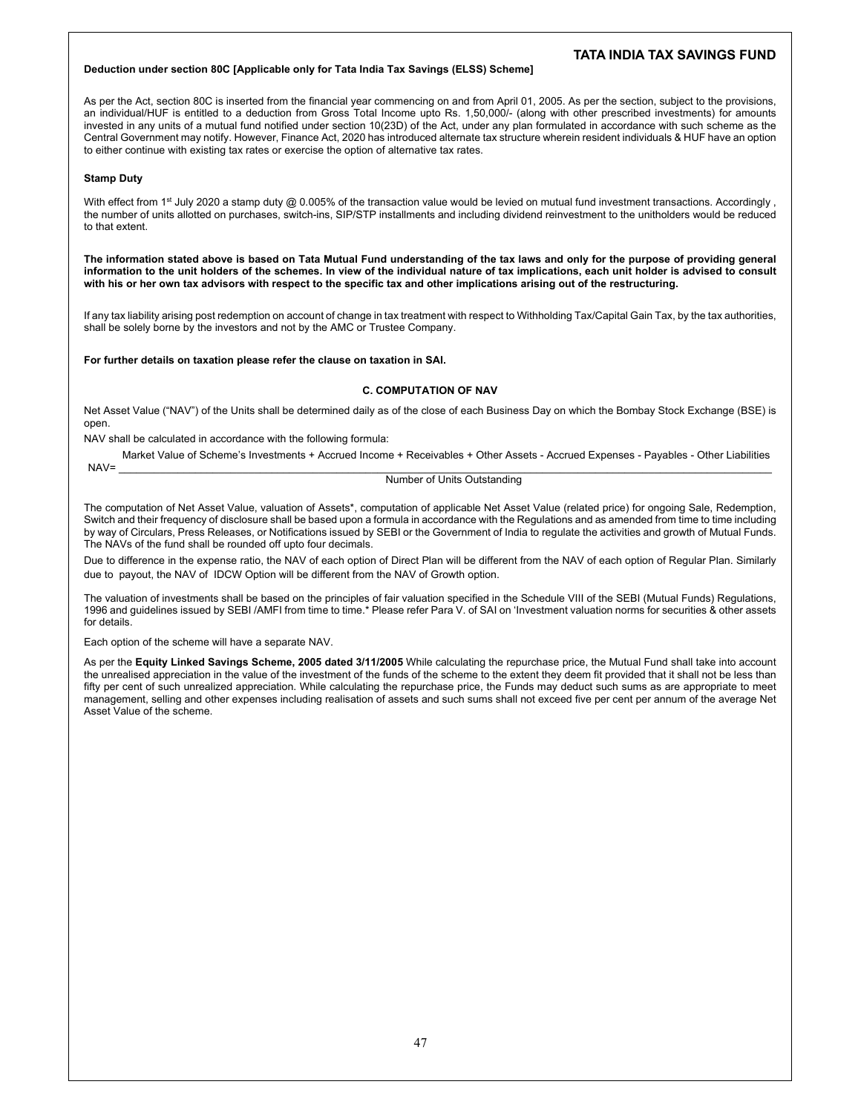#### **Deduction under section 80C [Applicable only for Tata India Tax Savings (ELSS) Scheme]**

### **TATA INDIA TAX SAVINGS FUND**

As per the Act, section 80C is inserted from the financial year commencing on and from April 01, 2005. As per the section, subject to the provisions, an individual/HUF is entitled to a deduction from Gross Total Income upto Rs. 1,50,000/- (along with other prescribed investments) for amounts invested in any units of a mutual fund notified under section 10(23D) of the Act, under any plan formulated in accordance with such scheme as the Central Government may notify. However, Finance Act, 2020 has introduced alternate tax structure wherein resident individuals & HUF have an option to either continue with existing tax rates or exercise the option of alternative tax rates.

#### **Stamp Duty**

With effect from 1<sup>st</sup> July 2020 a stamp duty @ 0.005% of the transaction value would be levied on mutual fund investment transactions. Accordingly, the number of units allotted on purchases, switch-ins, SIP/STP installments and including dividend reinvestment to the unitholders would be reduced to that extent.

**The information stated above is based on Tata Mutual Fund understanding of the tax laws and only for the purpose of providing general information to the unit holders of the schemes. In view of the individual nature of tax implications, each unit holder is advised to consult with his or her own tax advisors with respect to the specific tax and other implications arising out of the restructuring.** 

If any tax liability arising post redemption on account of change in tax treatment with respect to Withholding Tax/Capital Gain Tax, by the tax authorities, shall be solely borne by the investors and not by the AMC or Trustee Company.

#### **For further details on taxation please refer the clause on taxation in SAI.**

#### **C. COMPUTATION OF NAV**

Net Asset Value ("NAV") of the Units shall be determined daily as of the close of each Business Day on which the Bombay Stock Exchange (BSE) is open.

NAV shall be calculated in accordance with the following formula:

Market Value of Scheme's Investments + Accrued Income + Receivables + Other Assets - Accrued Expenses - Payables - Other Liabilities

### NAV= \_\_\_\_\_\_\_\_\_\_\_\_\_\_\_\_\_\_\_\_\_\_\_\_\_\_\_\_\_\_\_\_\_\_\_\_\_\_\_\_\_\_\_\_\_\_\_\_\_\_\_\_\_\_\_\_\_\_\_\_\_\_\_\_\_\_\_\_\_\_\_\_\_\_\_\_\_\_\_\_\_\_\_\_\_\_\_\_\_\_\_\_\_\_\_\_\_\_\_\_\_\_\_\_\_\_\_\_\_\_\_

#### Number of Units Outstanding

The computation of Net Asset Value, valuation of Assets\*, computation of applicable Net Asset Value (related price) for ongoing Sale, Redemption, Switch and their frequency of disclosure shall be based upon a formula in accordance with the Regulations and as amended from time to time including by way of Circulars, Press Releases, or Notifications issued by SEBI or the Government of India to regulate the activities and growth of Mutual Funds. The NAVs of the fund shall be rounded off upto four decimals.

Due to difference in the expense ratio, the NAV of each option of Direct Plan will be different from the NAV of each option of Regular Plan. Similarly due to payout, the NAV of IDCW Option will be different from the NAV of Growth option.

The valuation of investments shall be based on the principles of fair valuation specified in the Schedule VIII of the SEBI (Mutual Funds) Regulations, 1996 and guidelines issued by SEBI /AMFI from time to time.\* Please refer Para V. of SAI on 'Investment valuation norms for securities & other assets for details.

Each option of the scheme will have a separate NAV.

As per the **Equity Linked Savings Scheme, 2005 dated 3/11/2005** While calculating the repurchase price, the Mutual Fund shall take into account the unrealised appreciation in the value of the investment of the funds of the scheme to the extent they deem fit provided that it shall not be less than fifty per cent of such unrealized appreciation. While calculating the repurchase price, the Funds may deduct such sums as are appropriate to meet management, selling and other expenses including realisation of assets and such sums shall not exceed five per cent per annum of the average Net Asset Value of the scheme.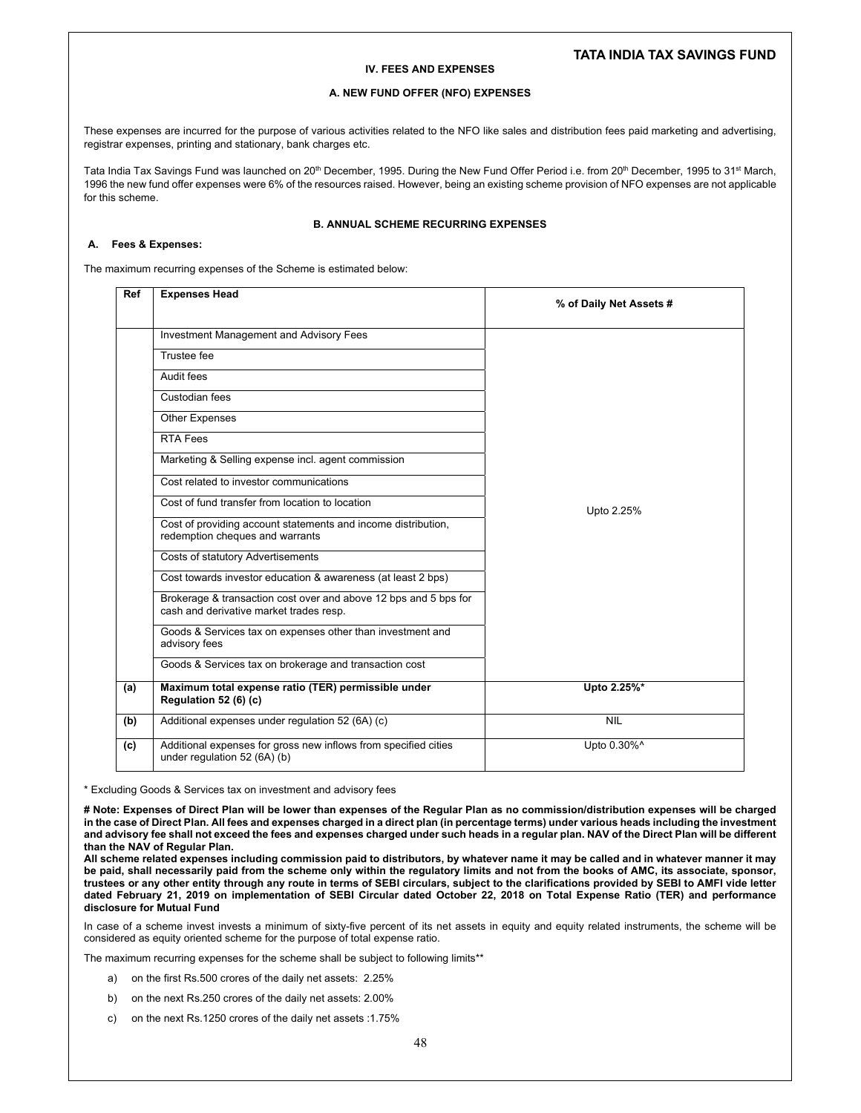#### **IV. FEES AND EXPENSES**

### **A. NEW FUND OFFER (NFO) EXPENSES**

These expenses are incurred for the purpose of various activities related to the NFO like sales and distribution fees paid marketing and advertising, registrar expenses, printing and stationary, bank charges etc.

Tata India Tax Savings Fund was launched on 20<sup>th</sup> December, 1995. During the New Fund Offer Period i.e. from 20<sup>th</sup> December, 1995 to 31<sup>st</sup> March, 1996 the new fund offer expenses were 6% of the resources raised. However, being an existing scheme provision of NFO expenses are not applicable for this scheme.

### **B. ANNUAL SCHEME RECURRING EXPENSES**

#### **A. Fees & Expenses:**

The maximum recurring expenses of the Scheme is estimated below:

| Ref | <b>Expenses Head</b>                                                                                        | % of Daily Net Assets # |
|-----|-------------------------------------------------------------------------------------------------------------|-------------------------|
|     | Investment Management and Advisory Fees                                                                     |                         |
|     | Trustee fee                                                                                                 |                         |
|     | Audit fees                                                                                                  |                         |
|     | Custodian fees                                                                                              |                         |
|     | Other Expenses                                                                                              |                         |
|     | <b>RTA Fees</b>                                                                                             |                         |
|     | Marketing & Selling expense incl. agent commission                                                          |                         |
|     | Cost related to investor communications                                                                     |                         |
|     | Cost of fund transfer from location to location                                                             | Upto 2.25%              |
|     | Cost of providing account statements and income distribution,<br>redemption cheques and warrants            |                         |
|     | Costs of statutory Advertisements                                                                           |                         |
|     | Cost towards investor education & awareness (at least 2 bps)                                                |                         |
|     | Brokerage & transaction cost over and above 12 bps and 5 bps for<br>cash and derivative market trades resp. |                         |
|     | Goods & Services tax on expenses other than investment and<br>advisory fees                                 |                         |
|     | Goods & Services tax on brokerage and transaction cost                                                      |                         |
| (a) | Maximum total expense ratio (TER) permissible under<br>Regulation 52 (6) (c)                                | Upto 2.25%*             |
| (b) | Additional expenses under regulation 52 (6A) (c)                                                            | <b>NIL</b>              |
| (c) | Additional expenses for gross new inflows from specified cities<br>under regulation 52 (6A) (b)             | Upto 0.30%^             |

\* Excluding Goods & Services tax on investment and advisory fees

**# Note: Expenses of Direct Plan will be lower than expenses of the Regular Plan as no commission/distribution expenses will be charged in the case of Direct Plan. All fees and expenses charged in a direct plan (in percentage terms) under various heads including the investment and advisory fee shall not exceed the fees and expenses charged under such heads in a regular plan. NAV of the Direct Plan will be different than the NAV of Regular Plan.** 

**All scheme related expenses including commission paid to distributors, by whatever name it may be called and in whatever manner it may be paid, shall necessarily paid from the scheme only within the regulatory limits and not from the books of AMC, its associate, sponsor, trustees or any other entity through any route in terms of SEBI circulars, subject to the clarifications provided by SEBI to AMFI vide letter dated February 21, 2019 on implementation of SEBI Circular dated October 22, 2018 on Total Expense Ratio (TER) and performance disclosure for Mutual Fund** 

In case of a scheme invest invests a minimum of sixty-five percent of its net assets in equity and equity related instruments, the scheme will be considered as equity oriented scheme for the purpose of total expense ratio.

The maximum recurring expenses for the scheme shall be subject to following limits\*\*

- a) on the first Rs.500 crores of the daily net assets: 2.25%
- b) on the next Rs.250 crores of the daily net assets: 2.00%
- c) on the next Rs.1250 crores of the daily net assets :1.75%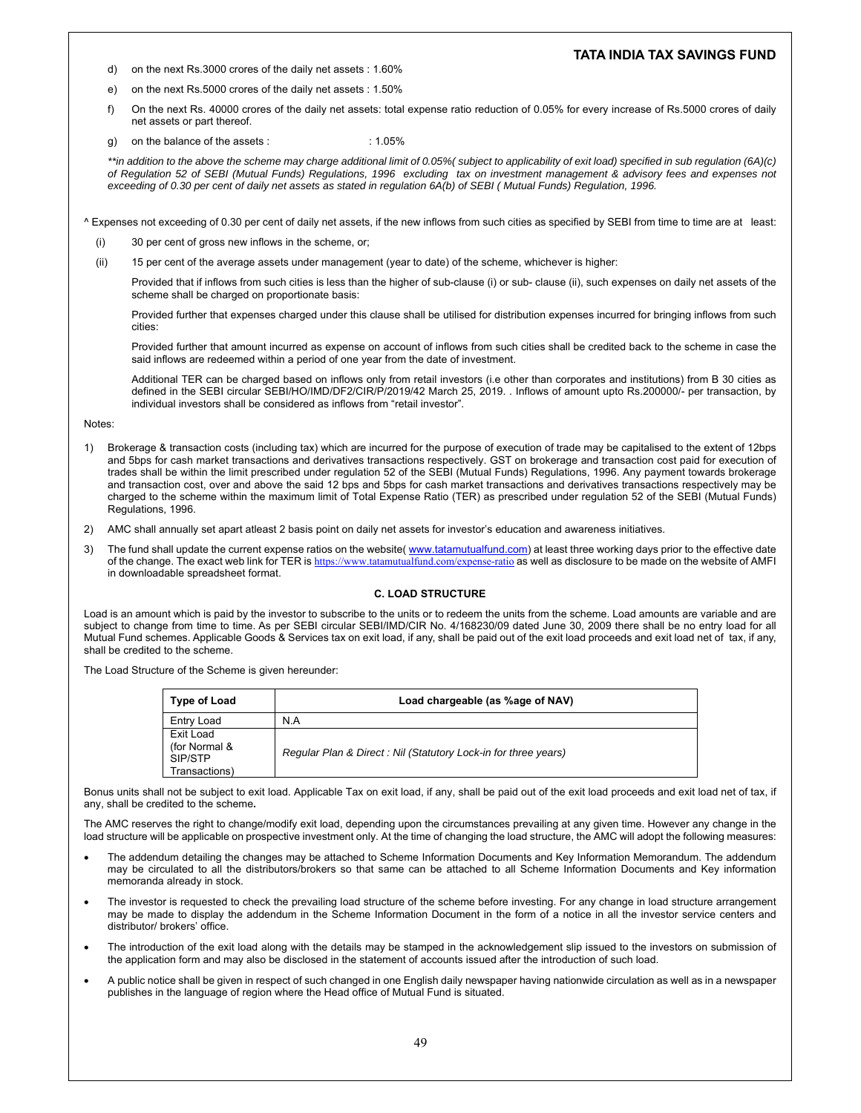- d) on the next Rs.3000 crores of the daily net assets : 1.60%
- e) on the next Rs.5000 crores of the daily net assets : 1.50%
- f) On the next Rs. 40000 crores of the daily net assets: total expense ratio reduction of 0.05% for every increase of Rs.5000 crores of daily net assets or part thereof.
- g) on the balance of the assets :  $\frac{1.05\%}{1.05\%}$

*\*\*in addition to the above the scheme may charge additional limit of 0.05%( subject to applicability of exit load) specified in sub regulation (6A)(c) of Regulation 52 of SEBI (Mutual Funds) Regulations, 1996 excluding tax on investment management & advisory fees and expenses not exceeding of 0.30 per cent of daily net assets as stated in regulation 6A(b) of SEBI ( Mutual Funds) Regulation, 1996.* 

^ Expenses not exceeding of 0.30 per cent of daily net assets, if the new inflows from such cities as specified by SEBI from time to time are at least:

- (i) 30 per cent of gross new inflows in the scheme, or;
- (ii) 15 per cent of the average assets under management (year to date) of the scheme, whichever is higher:

Provided that if inflows from such cities is less than the higher of sub-clause (i) or sub- clause (ii), such expenses on daily net assets of the scheme shall be charged on proportionate basis:

Provided further that expenses charged under this clause shall be utilised for distribution expenses incurred for bringing inflows from such cities:

Provided further that amount incurred as expense on account of inflows from such cities shall be credited back to the scheme in case the said inflows are redeemed within a period of one year from the date of investment.

Additional TER can be charged based on inflows only from retail investors (i.e other than corporates and institutions) from B 30 cities as defined in the SEBI circular SEBI/HO/IMD/DF2/CIR/P/2019/42 March 25, 2019. . Inflows of amount upto Rs.200000/- per transaction, by individual investors shall be considered as inflows from "retail investor".

Notes:

- 1) Brokerage & transaction costs (including tax) which are incurred for the purpose of execution of trade may be capitalised to the extent of 12bps and 5bps for cash market transactions and derivatives transactions respectively. GST on brokerage and transaction cost paid for execution of trades shall be within the limit prescribed under regulation 52 of the SEBI (Mutual Funds) Regulations, 1996. Any payment towards brokerage and transaction cost, over and above the said 12 bps and 5bps for cash market transactions and derivatives transactions respectively may be charged to the scheme within the maximum limit of Total Expense Ratio (TER) as prescribed under regulation 52 of the SEBI (Mutual Funds) Regulations, 1996.
- 2) AMC shall annually set apart atleast 2 basis point on daily net assets for investor's education and awareness initiatives.
- 3) The fund shall update the current expense ratios on the website( www.tatamutualfund.com) at least three working days prior to the effective date of the change. The exact web link for TER is https://www.tatamutualfund.com/expense-ratio as well as disclosure to be made on the website of AMFI in downloadable spreadsheet format.

### **C. LOAD STRUCTURE**

Load is an amount which is paid by the investor to subscribe to the units or to redeem the units from the scheme. Load amounts are variable and are subject to change from time to time. As per SEBI circular SEBI/IMD/CIR No. 4/168230/09 dated June 30, 2009 there shall be no entry load for all Mutual Fund schemes. Applicable Goods & Services tax on exit load, if any, shall be paid out of the exit load proceeds and exit load net of tax, if any, shall be credited to the scheme.

The Load Structure of the Scheme is given hereunder:

| Type of Load                                           | Load chargeable (as %age of NAV)                               |
|--------------------------------------------------------|----------------------------------------------------------------|
| Entry Load                                             | N.A                                                            |
| Exit Load<br>(for Normal &<br>SIP/STP<br>Transactions) | Regular Plan & Direct: Nil (Statutory Lock-in for three years) |

Bonus units shall not be subject to exit load. Applicable Tax on exit load, if any, shall be paid out of the exit load proceeds and exit load net of tax, if any, shall be credited to the scheme**.** 

The AMC reserves the right to change/modify exit load, depending upon the circumstances prevailing at any given time. However any change in the load structure will be applicable on prospective investment only. At the time of changing the load structure, the AMC will adopt the following measures:

- The addendum detailing the changes may be attached to Scheme Information Documents and Key Information Memorandum. The addendum may be circulated to all the distributors/brokers so that same can be attached to all Scheme Information Documents and Key information memoranda already in stock.
- The investor is requested to check the prevailing load structure of the scheme before investing. For any change in load structure arrangement may be made to display the addendum in the Scheme Information Document in the form of a notice in all the investor service centers and distributor/ brokers' office.
- The introduction of the exit load along with the details may be stamped in the acknowledgement slip issued to the investors on submission of the application form and may also be disclosed in the statement of accounts issued after the introduction of such load.
- A public notice shall be given in respect of such changed in one English daily newspaper having nationwide circulation as well as in a newspaper publishes in the language of region where the Head office of Mutual Fund is situated.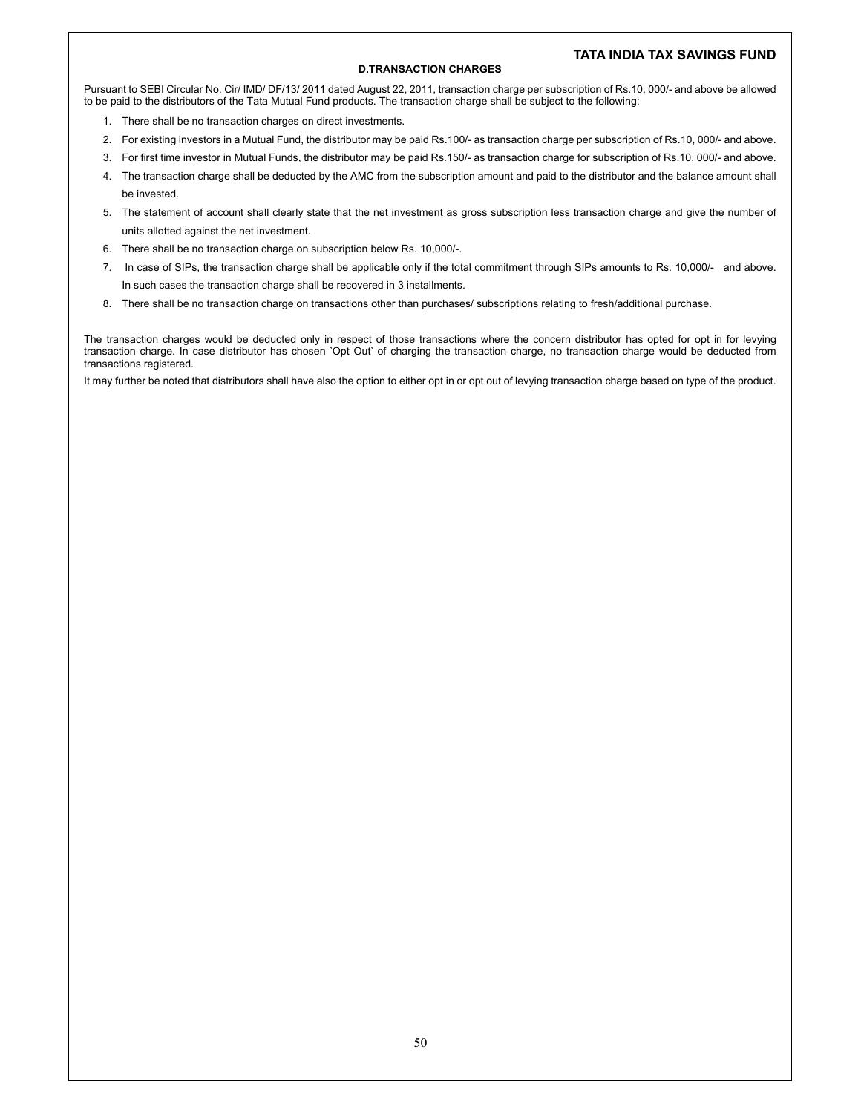#### **D.TRANSACTION CHARGES**

Pursuant to SEBI Circular No. Cir/ IMD/ DF/13/ 2011 dated August 22, 2011, transaction charge per subscription of Rs.10, 000/- and above be allowed to be paid to the distributors of the Tata Mutual Fund products. The transaction charge shall be subject to the following:

- 1. There shall be no transaction charges on direct investments.
- 2. For existing investors in a Mutual Fund, the distributor may be paid Rs.100/- as transaction charge per subscription of Rs.10, 000/- and above.
- 3. For first time investor in Mutual Funds, the distributor may be paid Rs.150/- as transaction charge for subscription of Rs.10, 000/- and above.
- 4. The transaction charge shall be deducted by the AMC from the subscription amount and paid to the distributor and the balance amount shall be invested.
- 5. The statement of account shall clearly state that the net investment as gross subscription less transaction charge and give the number of units allotted against the net investment.
- 6. There shall be no transaction charge on subscription below Rs. 10,000/-.
- 7. In case of SIPs, the transaction charge shall be applicable only if the total commitment through SIPs amounts to Rs. 10,000/- and above. In such cases the transaction charge shall be recovered in 3 installments.
- 8. There shall be no transaction charge on transactions other than purchases/ subscriptions relating to fresh/additional purchase.

The transaction charges would be deducted only in respect of those transactions where the concern distributor has opted for opt in for levying transaction charge. In case distributor has chosen 'Opt Out' of charging the transaction charge, no transaction charge would be deducted from transactions registered.

It may further be noted that distributors shall have also the option to either opt in or opt out of levying transaction charge based on type of the product.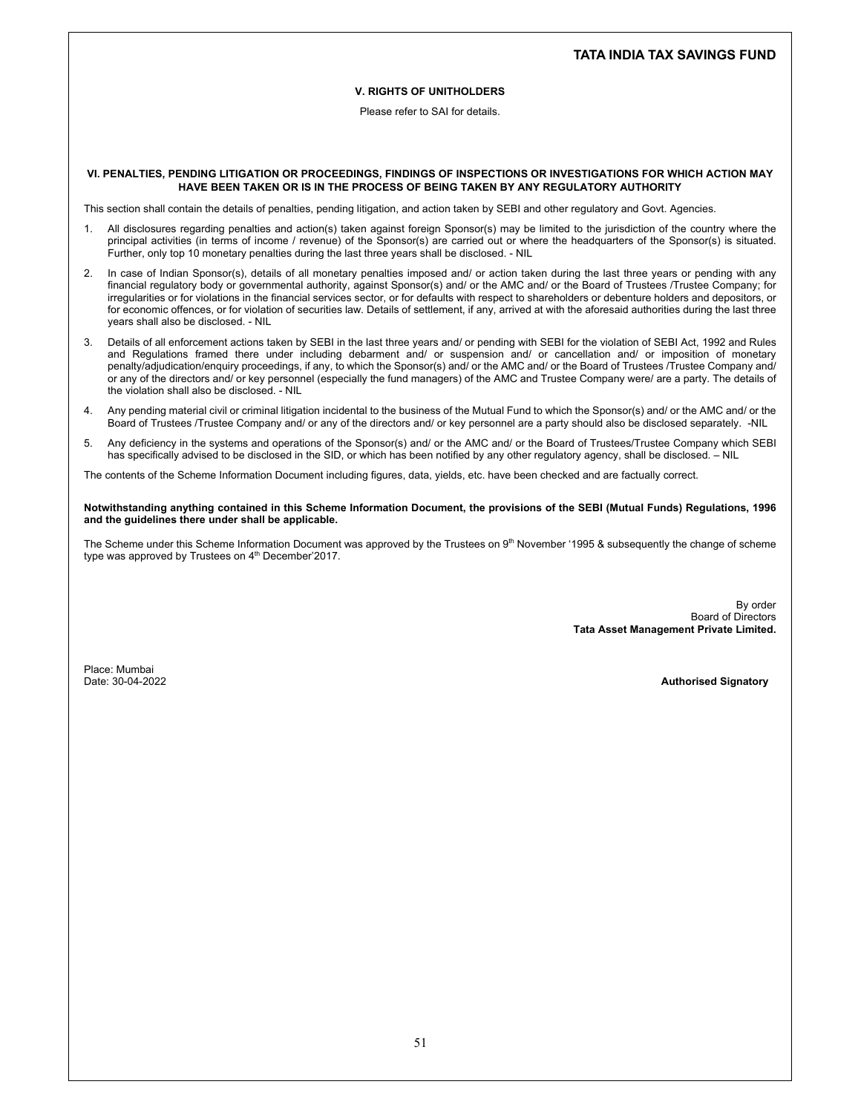### **V. RIGHTS OF UNITHOLDERS**

Please refer to SAI for details.

#### **VI. PENALTIES, PENDING LITIGATION OR PROCEEDINGS, FINDINGS OF INSPECTIONS OR INVESTIGATIONS FOR WHICH ACTION MAY HAVE BEEN TAKEN OR IS IN THE PROCESS OF BEING TAKEN BY ANY REGULATORY AUTHORITY**

This section shall contain the details of penalties, pending litigation, and action taken by SEBI and other regulatory and Govt. Agencies.

- 1. All disclosures regarding penalties and action(s) taken against foreign Sponsor(s) may be limited to the jurisdiction of the country where the principal activities (in terms of income / revenue) of the Sponsor(s) are carried out or where the headquarters of the Sponsor(s) is situated. Further, only top 10 monetary penalties during the last three years shall be disclosed. - NIL
- 2. In case of Indian Sponsor(s), details of all monetary penalties imposed and/ or action taken during the last three years or pending with any financial regulatory body or governmental authority, against Sponsor(s) and/ or the AMC and/ or the Board of Trustees /Trustee Company; for irregularities or for violations in the financial services sector, or for defaults with respect to shareholders or debenture holders and depositors, or for economic offences, or for violation of securities law. Details of settlement, if any, arrived at with the aforesaid authorities during the last three years shall also be disclosed. - NIL
- 3. Details of all enforcement actions taken by SEBI in the last three years and/ or pending with SEBI for the violation of SEBI Act, 1992 and Rules and Regulations framed there under including debarment and/ or suspension and/ or cancellation and/ or imposition of monetary penalty/adjudication/enquiry proceedings, if any, to which the Sponsor(s) and/ or the AMC and/ or the Board of Trustees /Trustee Company and/ or any of the directors and/ or key personnel (especially the fund managers) of the AMC and Trustee Company were/ are a party. The details of the violation shall also be disclosed. - NIL
- 4. Any pending material civil or criminal litigation incidental to the business of the Mutual Fund to which the Sponsor(s) and/ or the AMC and/ or the Board of Trustees /Trustee Company and/ or any of the directors and/ or key personnel are a party should also be disclosed separately. -NIL
- 5. Any deficiency in the systems and operations of the Sponsor(s) and/ or the AMC and/ or the Board of Trustees/Trustee Company which SEBI has specifically advised to be disclosed in the SID, or which has been notified by any other regulatory agency, shall be disclosed. – NIL

The contents of the Scheme Information Document including figures, data, yields, etc. have been checked and are factually correct.

**Notwithstanding anything contained in this Scheme Information Document, the provisions of the SEBI (Mutual Funds) Regulations, 1996 and the guidelines there under shall be applicable.** 

The Scheme under this Scheme Information Document was approved by the Trustees on 9<sup>th</sup> November '1995 & subsequently the change of scheme type was approved by Trustees on  $4<sup>th</sup>$  December'2017.

> By order Board of Directors **Tata Asset Management Private Limited.**

Place: Mumbai<br>Date: 30-04-2022

**Authorised Signatory**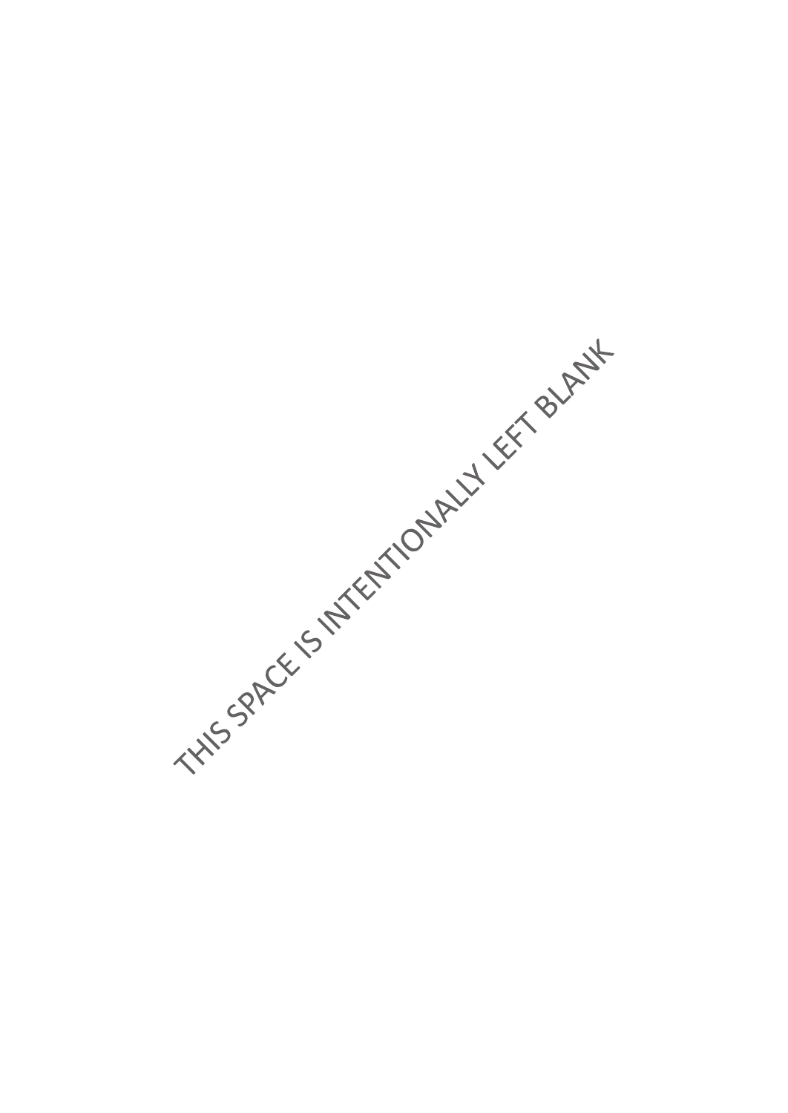THIS SPREE IS INTERNATIONALLY LET BURNING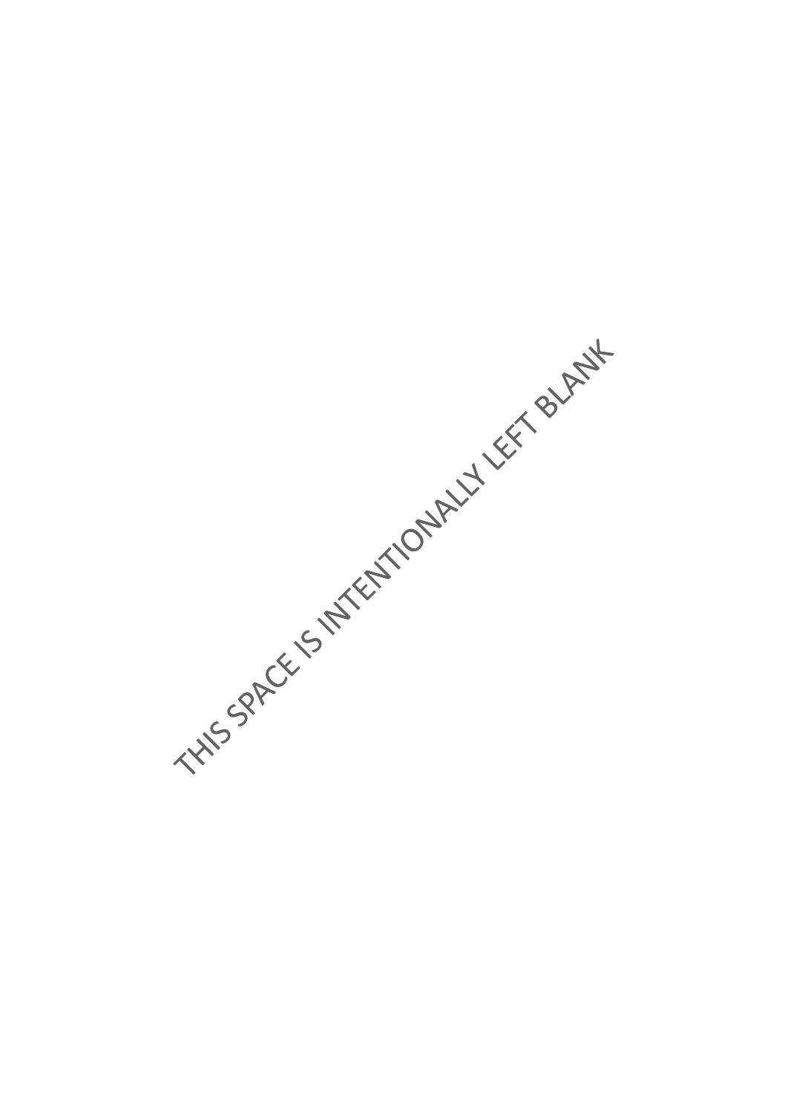THIS SPREE IS INTERNATIONALLY LET BURNING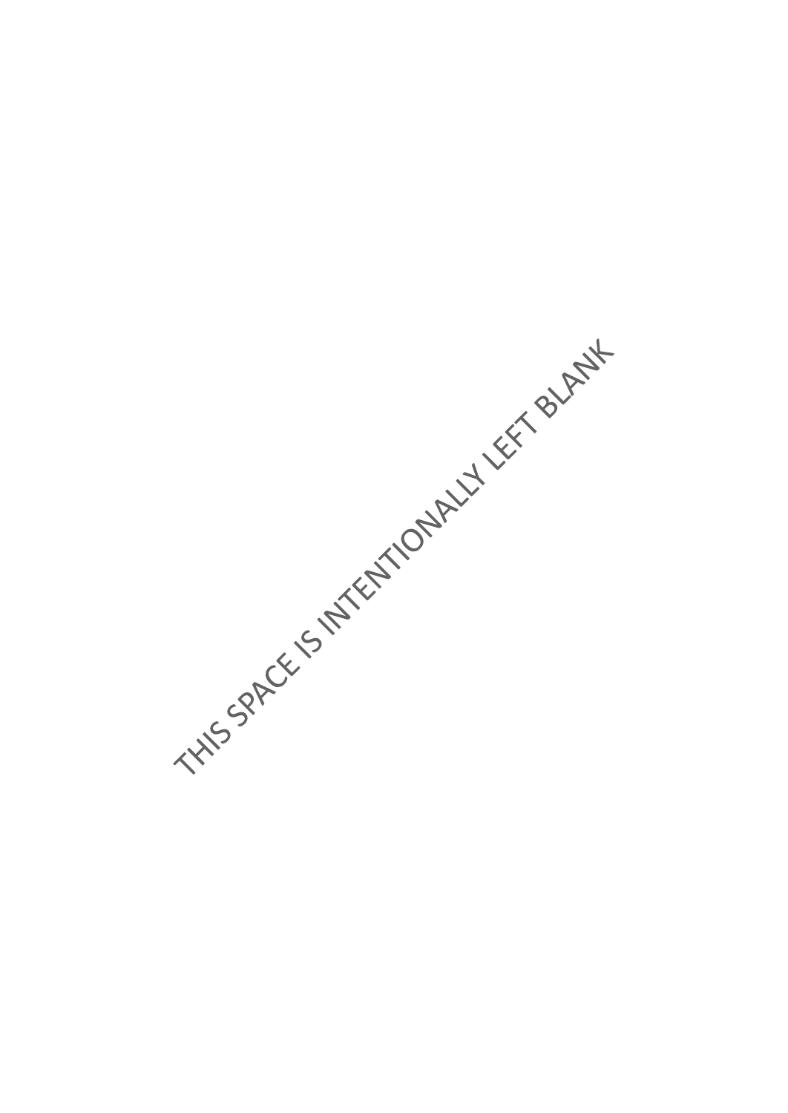THIS SPREE IS INTERNATIONALLY LET BURNING